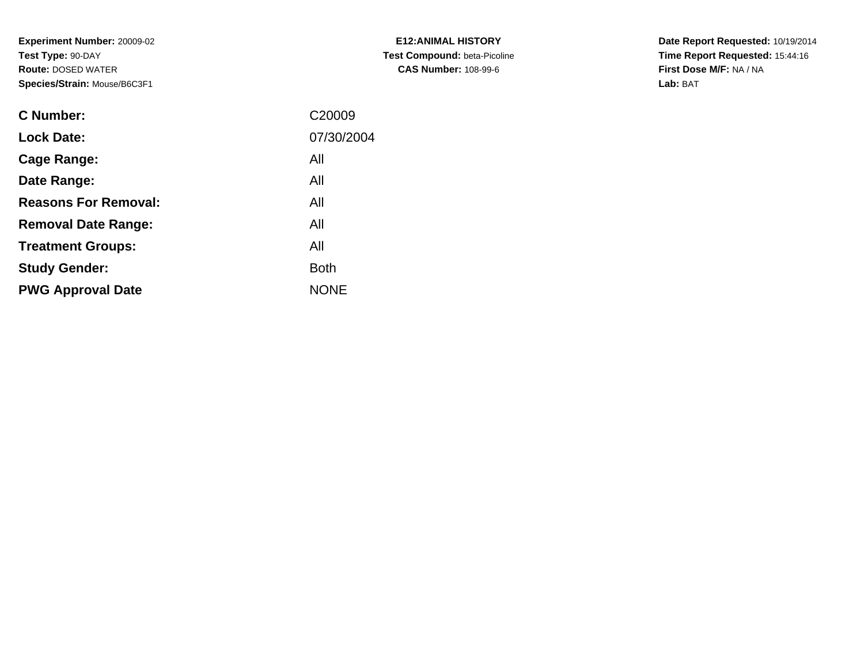**Experiment Number:** 20009-02**Test Type:** 90-DAY **Route:** DOSED WATER**Species/Strain:** Mouse/B6C3F1

| <b>C</b> Number:            | C20009      |
|-----------------------------|-------------|
| <b>Lock Date:</b>           | 07/30/2004  |
| <b>Cage Range:</b>          | All         |
| Date Range:                 | All         |
| <b>Reasons For Removal:</b> | All         |
| <b>Removal Date Range:</b>  | All         |
| <b>Treatment Groups:</b>    | All         |
| <b>Study Gender:</b>        | <b>Both</b> |
| <b>PWG Approval Date</b>    | <b>NONE</b> |
|                             |             |

**E12:ANIMAL HISTORY Test Compound:** beta-Picoline**CAS Number:** 108-99-6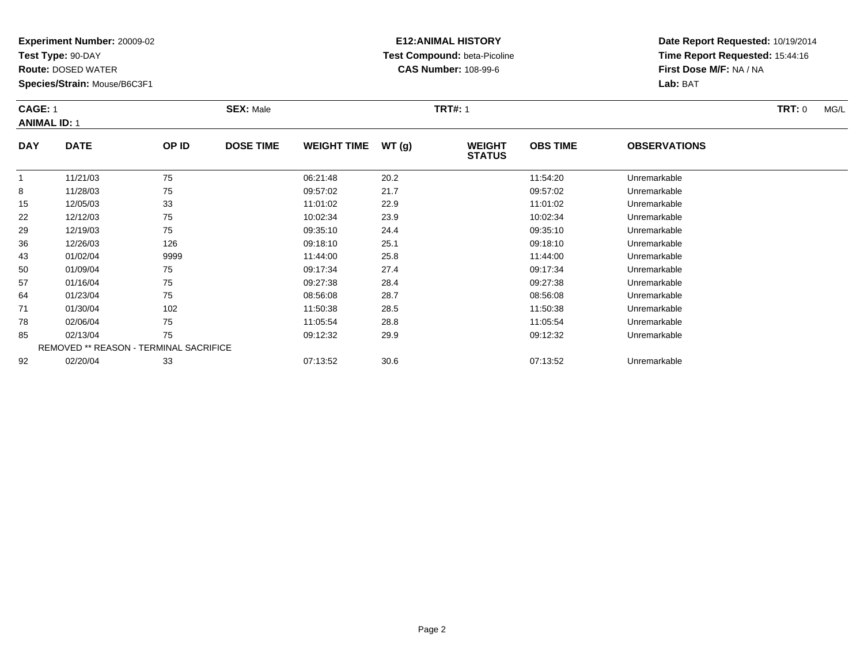**Test Type:** 90-DAY

8

15

22

29

36

43

50

57

64

71

78

85

92

**Route:** DOSED WATER

**Species/Strain:** Mouse/B6C3F1

REMOVED \*\* REASON - TERMINAL SACRIFICE

## **E12:ANIMAL HISTORY Test Compound:** beta-Picoline**CAS Number:** 108-99-6

**Date Report Requested:** 10/19/2014**Time Report Requested:** 15:44:16**First Dose M/F:** NA / NA**Lab:** BAT

| <b>CAGE: 1</b><br><b>ANIMAL ID: 1</b> |             |       | <b>SEX: Male</b> | <b>TRT#: 1</b>     |               |                                |                 |                     | <b>TRT: 0</b> | MG/L |
|---------------------------------------|-------------|-------|------------------|--------------------|---------------|--------------------------------|-----------------|---------------------|---------------|------|
| <b>DAY</b>                            | <b>DATE</b> | OP ID | <b>DOSE TIME</b> | <b>WEIGHT TIME</b> | <b>WT (g)</b> | <b>WEIGHT</b><br><b>STATUS</b> | <b>OBS TIME</b> | <b>OBSERVATIONS</b> |               |      |
|                                       | 11/21/03    | 75    |                  | 06:21:48           | 20.2          |                                | 11:54:20        | Unremarkable        |               |      |

8 11/28/03 75 75 09:57:02 21.7 209:57:02 209:57:02 Dhremarkable

12/05/03 <sup>33</sup> 11:01:02 22.9 11:01:02 Unremarkable

12/12/03 <sup>75</sup> 10:02:34 23.9 10:02:34 Unremarkable

12/19/03 <sup>75</sup> 09:35:10 24.4 09:35:10 Unremarkable

12/26/03 <sup>126</sup> 09:18:10 25.1 09:18:10 Unremarkable

01/02/04 <sup>9999</sup> 11:44:00 25.8 11:44:00 Unremarkable

01/09/04 <sup>75</sup> 09:17:34 27.4 09:17:34 Unremarkable

01/16/04 <sup>75</sup> 09:27:38 28.4 09:27:38 Unremarkable

01/23/04 <sup>75</sup> 08:56:08 28.7 08:56:08 Unremarkable

01/30/04 <sup>102</sup> 11:50:38 28.5 11:50:38 Unremarkable

02/06/04 <sup>75</sup> 11:05:54 28.8 11:05:54 Unremarkable

02/13/04 <sup>75</sup> 09:12:32 29.9 09:12:32 Unremarkable

02/20/04 <sup>33</sup> 07:13:52 30.6 07:13:52 Unremarkable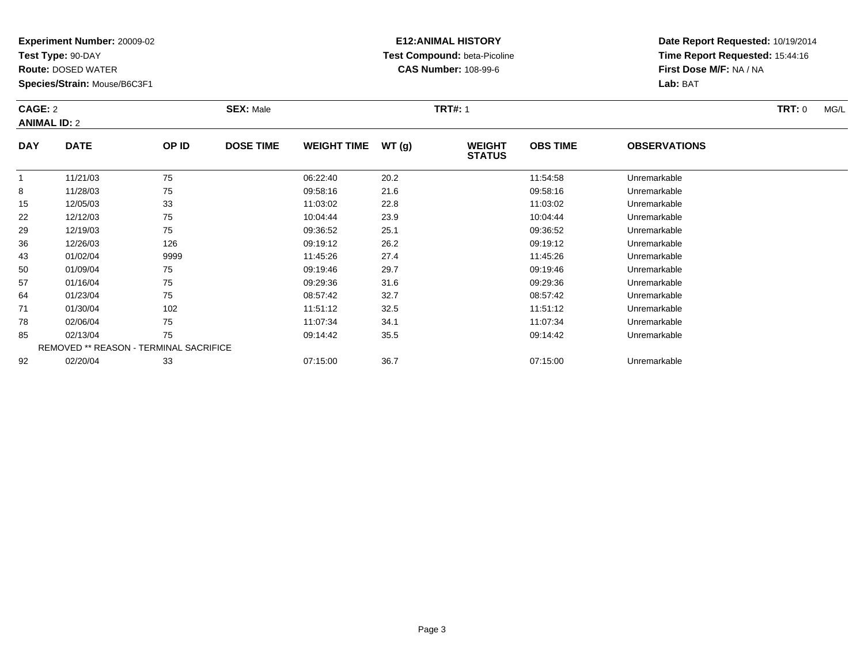**Test Type:** 90-DAY

**Route:** DOSED WATER

**Species/Strain:** Mouse/B6C3F1

# **E12:ANIMAL HISTORY Test Compound:** beta-Picoline**CAS Number:** 108-99-6

| CAGE: 2<br><b>SEX: Male</b><br><b>ANIMAL ID: 2</b> |             |       |                  |                     | <b>TRT#: 1</b> |                                | <b>TRT: 0</b>   |                     | MG/L |  |
|----------------------------------------------------|-------------|-------|------------------|---------------------|----------------|--------------------------------|-----------------|---------------------|------|--|
| <b>DAY</b>                                         | <b>DATE</b> | OP ID | <b>DOSE TIME</b> | WEIGHT TIME $WT(g)$ |                | <b>WEIGHT</b><br><b>STATUS</b> | <b>OBS TIME</b> | <b>OBSERVATIONS</b> |      |  |
|                                                    | 11/21/03    | 75    |                  | 06:22:40            | 20.2           |                                | 11:54:58        | Unremarkable        |      |  |
|                                                    | 11/29/22    | 75    |                  | 00.59.16            | 216            |                                | 00.59.16        | Lloromarkabla       |      |  |

|    | 11/21/03 | 75                                            | 06:22:40 | 20.2 | 11:54:58 | Unremarkable |  |
|----|----------|-----------------------------------------------|----------|------|----------|--------------|--|
| 8  | 11/28/03 | 75                                            | 09:58:16 | 21.6 | 09:58:16 | Unremarkable |  |
| 15 | 12/05/03 | 33                                            | 11:03:02 | 22.8 | 11:03:02 | Unremarkable |  |
| 22 | 12/12/03 | 75                                            | 10:04:44 | 23.9 | 10:04:44 | Unremarkable |  |
| 29 | 12/19/03 | 75                                            | 09:36:52 | 25.1 | 09:36:52 | Unremarkable |  |
| 36 | 12/26/03 | 126                                           | 09:19:12 | 26.2 | 09:19:12 | Unremarkable |  |
| 43 | 01/02/04 | 9999                                          | 11:45:26 | 27.4 | 11:45:26 | Unremarkable |  |
| 50 | 01/09/04 | 75                                            | 09:19:46 | 29.7 | 09:19:46 | Unremarkable |  |
| 57 | 01/16/04 | 75                                            | 09:29:36 | 31.6 | 09:29:36 | Unremarkable |  |
| 64 | 01/23/04 | 75                                            | 08:57:42 | 32.7 | 08:57:42 | Unremarkable |  |
| 71 | 01/30/04 | 102                                           | 11:51:12 | 32.5 | 11:51:12 | Unremarkable |  |
| 78 | 02/06/04 | 75                                            | 11:07:34 | 34.1 | 11:07:34 | Unremarkable |  |
| 85 | 02/13/04 | 75                                            | 09:14:42 | 35.5 | 09:14:42 | Unremarkable |  |
|    |          | <b>REMOVED ** REASON - TERMINAL SACRIFICE</b> |          |      |          |              |  |
| 92 | 02/20/04 | 33                                            | 07:15:00 | 36.7 | 07:15:00 | Unremarkable |  |
|    |          |                                               |          |      |          |              |  |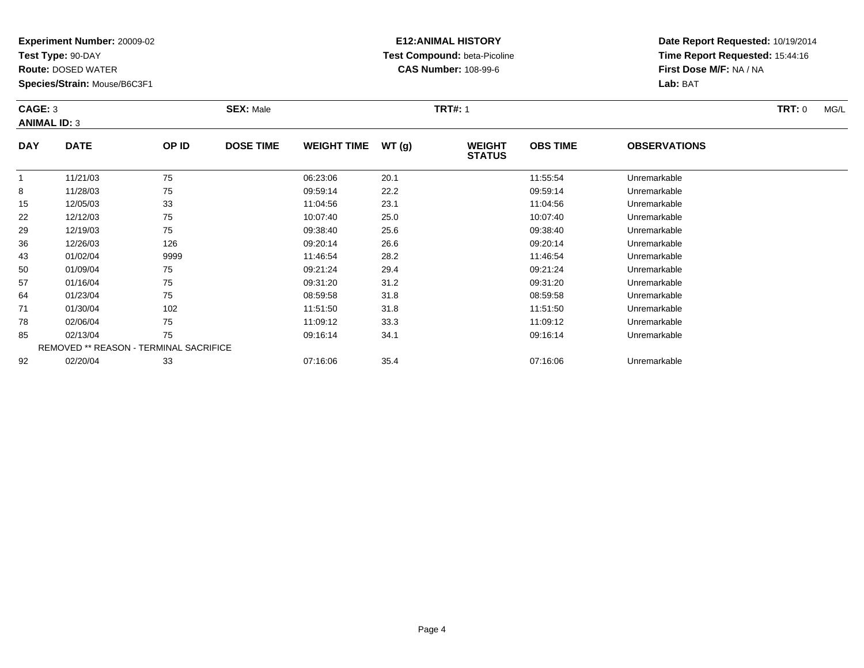**Test Type:** 90-DAY

**Route:** DOSED WATER

**Species/Strain:** Mouse/B6C3F1

# **E12:ANIMAL HISTORY Test Compound:** beta-Picoline**CAS Number:** 108-99-6

| CAGE: 3<br><b>ANIMAL ID: 3</b> |             |       | <b>SEX: Male</b> |                    |       | <b>TRT#: 1</b>                 | <b>TRT: 0</b>   | MG/L                |  |  |
|--------------------------------|-------------|-------|------------------|--------------------|-------|--------------------------------|-----------------|---------------------|--|--|
| <b>DAY</b>                     | <b>DATE</b> | OP ID | <b>DOSE TIME</b> | <b>WEIGHT TIME</b> | WT(g) | <b>WEIGHT</b><br><b>STATUS</b> | <b>OBS TIME</b> | <b>OBSERVATIONS</b> |  |  |
|                                | 11/21/03    | 75    |                  | 06:23:06           | 20.1  |                                | 11:55:54        | Unremarkable        |  |  |
| 8                              | 11/28/03    | 75    |                  | 09:59:14           | 22.2  |                                | 09:59:14        | Unremarkable        |  |  |
| 15                             | 12/05/03    | 33    |                  | 11:04:56           | 23.1  |                                | 11:04:56        | Unremarkable        |  |  |
| 22                             | 12/12/03    | 75    |                  | 10:07:40           | 25.0  |                                | 10:07:40        | Unremarkable        |  |  |

| ັບ | 11/20/00 | ں ہ                                           | 00.00.14 | LL.L | 00.00.14 | <b>UNITERITATION</b> |  |
|----|----------|-----------------------------------------------|----------|------|----------|----------------------|--|
| 15 | 12/05/03 | 33                                            | 11:04:56 | 23.1 | 11:04:56 | Unremarkable         |  |
| 22 | 12/12/03 | 75                                            | 10:07:40 | 25.0 | 10:07:40 | Unremarkable         |  |
| 29 | 12/19/03 | 75                                            | 09:38:40 | 25.6 | 09:38:40 | Unremarkable         |  |
| 36 | 12/26/03 | 126                                           | 09:20:14 | 26.6 | 09:20:14 | Unremarkable         |  |
| 43 | 01/02/04 | 9999                                          | 11:46:54 | 28.2 | 11:46:54 | Unremarkable         |  |
| 50 | 01/09/04 | 75                                            | 09:21:24 | 29.4 | 09:21:24 | Unremarkable         |  |
| 57 | 01/16/04 | 75                                            | 09:31:20 | 31.2 | 09:31:20 | Unremarkable         |  |
| 64 | 01/23/04 | 75                                            | 08:59:58 | 31.8 | 08:59:58 | Unremarkable         |  |
| 71 | 01/30/04 | 102                                           | 11:51:50 | 31.8 | 11:51:50 | Unremarkable         |  |
| 78 | 02/06/04 | 75                                            | 11:09:12 | 33.3 | 11:09:12 | Unremarkable         |  |
| 85 | 02/13/04 | 75                                            | 09:16:14 | 34.1 | 09:16:14 | Unremarkable         |  |
|    |          | <b>REMOVED ** REASON - TERMINAL SACRIFICE</b> |          |      |          |                      |  |
| 92 | 02/20/04 | 33                                            | 07:16:06 | 35.4 | 07:16:06 | Unremarkable         |  |
|    |          |                                               |          |      |          |                      |  |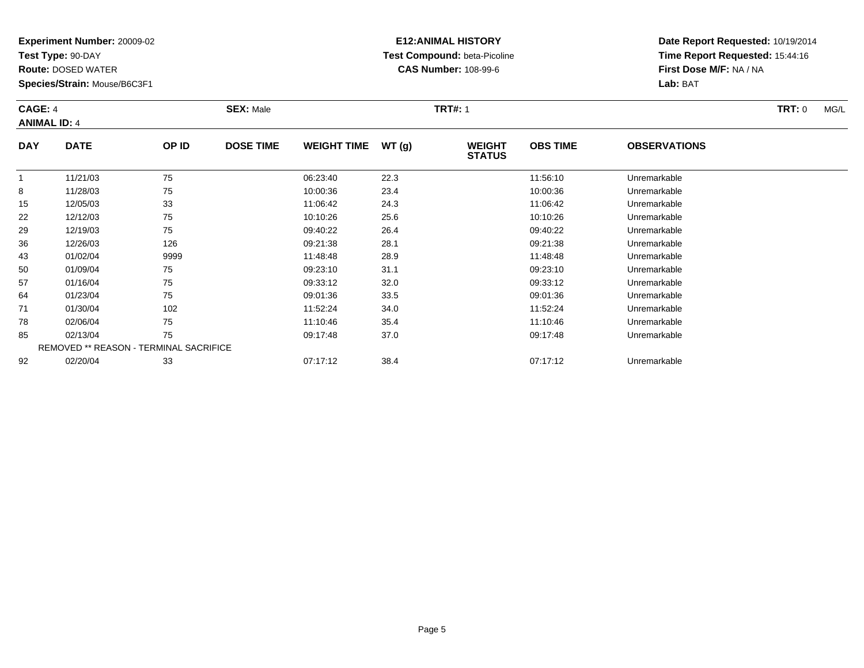**Test Type:** 90-DAY

**Route:** DOSED WATER

**Species/Strain:** Mouse/B6C3F1

# **E12:ANIMAL HISTORY Test Compound:** beta-Picoline**CAS Number:** 108-99-6

|            | <b>SEX: Male</b><br><b>CAGE: 4</b><br><b>ANIMAL ID: 4</b> |       |                  |                    |       | <b>TRT#: 1</b>                 |                 |                     | TRT: 0 | MG/L |
|------------|-----------------------------------------------------------|-------|------------------|--------------------|-------|--------------------------------|-----------------|---------------------|--------|------|
| <b>DAY</b> | <b>DATE</b>                                               | OP ID | <b>DOSE TIME</b> | <b>WEIGHT TIME</b> | WT(g) | <b>WEIGHT</b><br><b>STATUS</b> | <b>OBS TIME</b> | <b>OBSERVATIONS</b> |        |      |
|            | 11/21/03                                                  | 75    |                  | 06:23:40           | 22.3  |                                | 11:56:10        | Unremarkable        |        |      |
|            | 11/28/03                                                  | 75    |                  | 10:00:36           | 23.4  |                                | 10:00:36        | Unremarkable        |        |      |

|    | 11/21/03 | $\sqrt{5}$                                    | 06.23.40 | 22.3 | 11:56:10 | Unremarkable |  |
|----|----------|-----------------------------------------------|----------|------|----------|--------------|--|
| 8  | 11/28/03 | 75                                            | 10:00:36 | 23.4 | 10:00:36 | Unremarkable |  |
| 15 | 12/05/03 | 33                                            | 11:06:42 | 24.3 | 11:06:42 | Unremarkable |  |
| 22 | 12/12/03 | 75                                            | 10:10:26 | 25.6 | 10:10:26 | Unremarkable |  |
| 29 | 12/19/03 | 75                                            | 09:40:22 | 26.4 | 09:40:22 | Unremarkable |  |
| 36 | 12/26/03 | 126                                           | 09:21:38 | 28.1 | 09:21:38 | Unremarkable |  |
| 43 | 01/02/04 | 9999                                          | 11:48:48 | 28.9 | 11:48:48 | Unremarkable |  |
| 50 | 01/09/04 | 75                                            | 09:23:10 | 31.1 | 09:23:10 | Unremarkable |  |
| 57 | 01/16/04 | 75                                            | 09:33:12 | 32.0 | 09:33:12 | Unremarkable |  |
| 64 | 01/23/04 | 75                                            | 09:01:36 | 33.5 | 09:01:36 | Unremarkable |  |
| 71 | 01/30/04 | 102                                           | 11:52:24 | 34.0 | 11:52:24 | Unremarkable |  |
| 78 | 02/06/04 | 75                                            | 11:10:46 | 35.4 | 11:10:46 | Unremarkable |  |
| 85 | 02/13/04 | 75                                            | 09:17:48 | 37.0 | 09:17:48 | Unremarkable |  |
|    |          | <b>REMOVED ** REASON - TERMINAL SACRIFICE</b> |          |      |          |              |  |
| 92 | 02/20/04 | 33                                            | 07:17:12 | 38.4 | 07:17:12 | Unremarkable |  |
|    |          |                                               |          |      |          |              |  |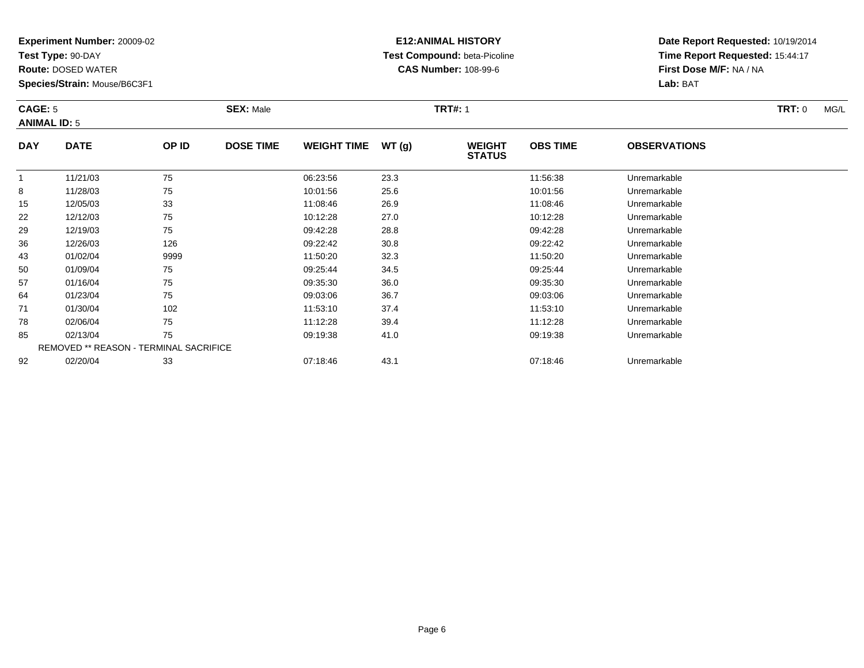**Test Type:** 90-DAY

**Route:** DOSED WATER

**Species/Strain:** Mouse/B6C3F1

## **E12:ANIMAL HISTORY Test Compound:** beta-Picoline**CAS Number:** 108-99-6

**Date Report Requested:** 10/19/2014 **Time Report Requested:** 15:44:17**First Dose M/F:** NA / NA**Lab:** BAT

#### **CAGE:** 5 **SEX:** Male **TRT#:** <sup>1</sup> **TRT:** 0 MG/L **ANIMAL ID:** 5**DAY DATE OP IDDOSE TIME WEIGHT TIME WT** (g) **STATUSOBS TIME OBSERVATIONS** 1 11/21/03 <sup>75</sup> 06:23:56 23.3 11:56:38 Unremarkable 88 11/28/03 75 75 10:01:56 25.6 10:01:56 10:01:56 10:01:56 Unremarkable 15 12/05/03 <sup>33</sup> 11:08:46 26.9 11:08:46 Unremarkable 22 12/12/03 <sup>75</sup> 10:12:28 27.0 10:12:28 Unremarkable 2912/19/03 <sup>75</sup> 09:42:28 28.8 09:42:28 Unremarkable

| 15 | 12/05/03 | 33                                            | 11:08:46 | 26.9 | 11:08:46 | Unremarkable |  |
|----|----------|-----------------------------------------------|----------|------|----------|--------------|--|
| 22 | 12/12/03 | 75                                            | 10:12:28 | 27.0 | 10:12:28 | Unremarkable |  |
| 29 | 12/19/03 | 75                                            | 09:42:28 | 28.8 | 09:42:28 | Unremarkable |  |
| 36 | 12/26/03 | 126                                           | 09:22:42 | 30.8 | 09:22:42 | Unremarkable |  |
| 43 | 01/02/04 | 9999                                          | 11:50:20 | 32.3 | 11:50:20 | Unremarkable |  |
| 50 | 01/09/04 | 75                                            | 09:25:44 | 34.5 | 09:25:44 | Unremarkable |  |
| 57 | 01/16/04 | 75                                            | 09:35:30 | 36.0 | 09:35:30 | Unremarkable |  |
| 64 | 01/23/04 | 75                                            | 09:03:06 | 36.7 | 09:03:06 | Unremarkable |  |
| 71 | 01/30/04 | 102                                           | 11:53:10 | 37.4 | 11:53:10 | Unremarkable |  |
| 78 | 02/06/04 | 75                                            | 11:12:28 | 39.4 | 11:12:28 | Unremarkable |  |
| 85 | 02/13/04 | 75                                            | 09:19:38 | 41.0 | 09:19:38 | Unremarkable |  |
|    |          | <b>REMOVED ** REASON - TERMINAL SACRIFICE</b> |          |      |          |              |  |
| 92 | 02/20/04 | 33                                            | 07:18:46 | 43.1 | 07:18:46 | Unremarkable |  |
|    |          |                                               |          |      |          |              |  |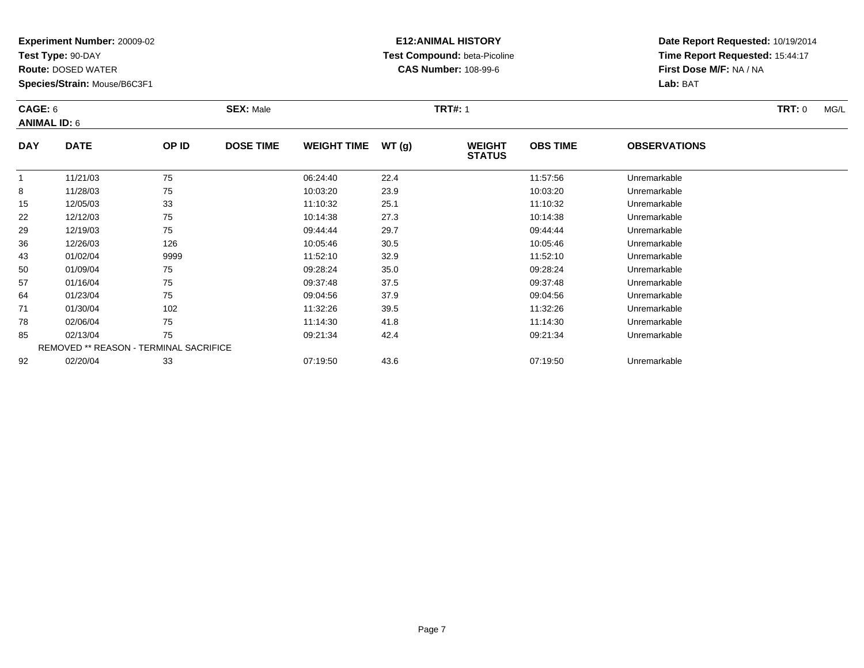**Test Type:** 90-DAY

50

57

64

71

78

85

92

**Route:** DOSED WATER

**Species/Strain:** Mouse/B6C3F1

REMOVED \*\* REASON - TERMINAL SACRIFICE

## **E12:ANIMAL HISTORY Test Compound:** beta-Picoline**CAS Number:** 108-99-6

**Date Report Requested:** 10/19/2014**Time Report Requested:** 15:44:17**First Dose M/F:** NA / NA**Lab:** BAT

|            | CAGE: 6<br><b>ANIMAL ID: 6</b> |       | <b>SEX: Male</b> |                    |       | <b>TRT#: 1</b>                 | <b>TRT: 0</b><br>MG/L |                     |  |
|------------|--------------------------------|-------|------------------|--------------------|-------|--------------------------------|-----------------------|---------------------|--|
| <b>DAY</b> | <b>DATE</b>                    | OP ID | <b>DOSE TIME</b> | <b>WEIGHT TIME</b> | WT(g) | <b>WEIGHT</b><br><b>STATUS</b> | <b>OBS TIME</b>       | <b>OBSERVATIONS</b> |  |
|            | 11/21/03                       | 75    |                  | 06:24:40           | 22.4  |                                | 11:57:56              | Unremarkable        |  |
| 8          | 11/28/03                       | 75    |                  | 10:03:20           | 23.9  |                                | 10:03:20              | Unremarkable        |  |
| 15         | 12/05/03                       | 33    |                  | 11:10:32           | 25.1  |                                | 11:10:32              | Unremarkable        |  |
| 22         | 12/12/03                       | 75    |                  | 10:14:38           | 27.3  |                                | 10:14:38              | Unremarkable        |  |
| 29         | 12/19/03                       | 75    |                  | 09:44:44           | 29.7  |                                | 09:44:44              | Unremarkable        |  |
| 36         | 12/26/03                       | 126   |                  | 10:05:46           | 30.5  |                                | 10:05:46              | Unremarkable        |  |
| 43         | 01/02/04                       | 9999  |                  | 11:52:10           | 32.9  |                                | 11:52:10              | Unremarkable        |  |

0 01/09/04 75 75 09:28:24 35.0 09:28 09:28:24 Dhremarkable

01/16/04 <sup>75</sup> 09:37:48 37.5 09:37:48 Unremarkable

01/23/04 <sup>75</sup> 09:04:56 37.9 09:04:56 Unremarkable

01/30/04 <sup>102</sup> 11:32:26 39.5 11:32:26 Unremarkable

02/06/04 <sup>75</sup> 11:14:30 41.8 11:14:30 Unremarkable

02/13/04 <sup>75</sup> 09:21:34 42.4 09:21:34 Unremarkable

02/20/04 <sup>33</sup> 07:19:50 43.6 07:19:50 Unremarkable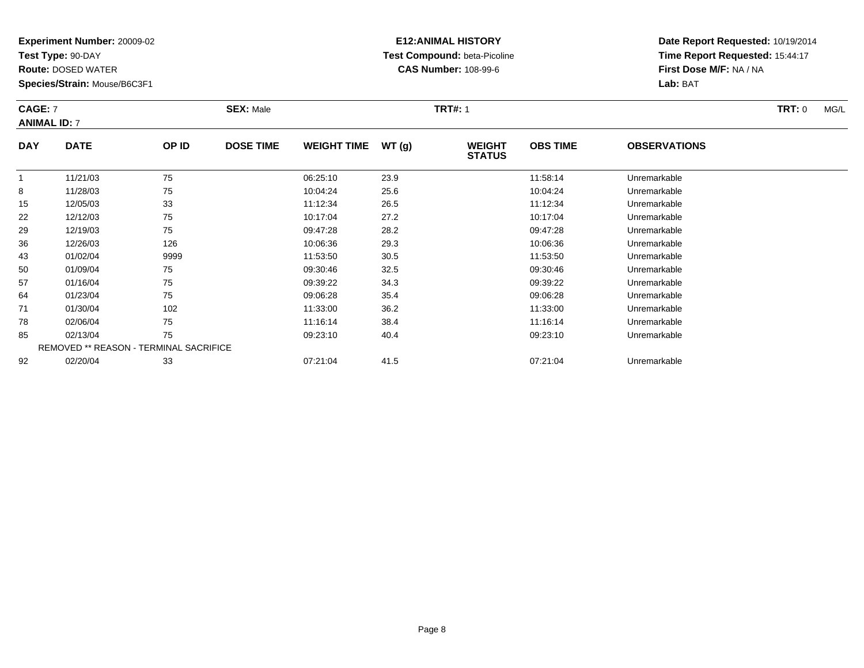**Test Type:** 90-DAY

**Route:** DOSED WATER

**Species/Strain:** Mouse/B6C3F1

# **E12:ANIMAL HISTORY Test Compound:** beta-Picoline**CAS Number:** 108-99-6

**Date Report Requested:** 10/19/2014 **Time Report Requested:** 15:44:17**First Dose M/F:** NA / NA**Lab:** BAT

#### **CAGE:** 7 **SEX:** Male **TRT#:** <sup>1</sup> **TRT:** 0 MG/L **ANIMAL ID:** 7**DAY DATE OP IDDOSE TIME WEIGHT TIME WT** (g) **STATUSOBS TIME OBSERVATIONS**  $\overline{1}$ 1 11/21/03 75 75 06:25:10 23.9 11:58:14 Unremarkable 88 11/28/03 75 75 10:04:24 25.6 10:04:24 10:04:24 10:04:24 Unremarkable

|    | 11/21/03 | 75                                            | <b>UD.23.1U</b> | 23.9 | 11.00.14 | Uniemarkable |  |
|----|----------|-----------------------------------------------|-----------------|------|----------|--------------|--|
| 8  | 11/28/03 | 75                                            | 10:04:24        | 25.6 | 10:04:24 | Unremarkable |  |
| 15 | 12/05/03 | 33                                            | 11:12:34        | 26.5 | 11:12:34 | Unremarkable |  |
| 22 | 12/12/03 | 75                                            | 10:17:04        | 27.2 | 10:17:04 | Unremarkable |  |
| 29 | 12/19/03 | 75                                            | 09:47:28        | 28.2 | 09:47:28 | Unremarkable |  |
| 36 | 12/26/03 | 126                                           | 10:06:36        | 29.3 | 10:06:36 | Unremarkable |  |
| 43 | 01/02/04 | 9999                                          | 11:53:50        | 30.5 | 11:53:50 | Unremarkable |  |
| 50 | 01/09/04 | 75                                            | 09:30:46        | 32.5 | 09:30:46 | Unremarkable |  |
| 57 | 01/16/04 | 75                                            | 09:39:22        | 34.3 | 09:39:22 | Unremarkable |  |
| 64 | 01/23/04 | 75                                            | 09:06:28        | 35.4 | 09:06:28 | Unremarkable |  |
| 71 | 01/30/04 | 102                                           | 11:33:00        | 36.2 | 11:33:00 | Unremarkable |  |
| 78 | 02/06/04 | 75                                            | 11:16:14        | 38.4 | 11:16:14 | Unremarkable |  |
| 85 | 02/13/04 | 75                                            | 09:23:10        | 40.4 | 09:23:10 | Unremarkable |  |
|    |          | <b>REMOVED ** REASON - TERMINAL SACRIFICE</b> |                 |      |          |              |  |
| 92 | 02/20/04 | 33                                            | 07:21:04        | 41.5 | 07:21:04 | Unremarkable |  |
|    |          |                                               |                 |      |          |              |  |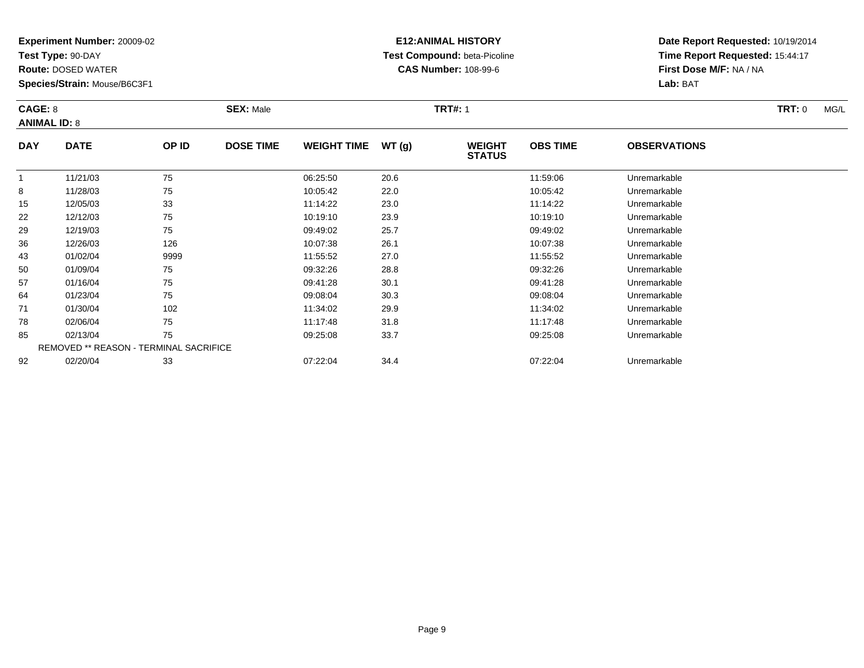**Test Type:** 90-DAY

71

78

85

92

**Route:** DOSED WATER

**Species/Strain:** Mouse/B6C3F1

REMOVED \*\* REASON - TERMINAL SACRIFICE

## **E12:ANIMAL HISTORY Test Compound:** beta-Picoline**CAS Number:** 108-99-6

**Date Report Requested:** 10/19/2014**Time Report Requested:** 15:44:17**First Dose M/F:** NA / NA**Lab:** BAT

| CAGE: 8<br><b>ANIMAL ID: 8</b> |             |       | <b>SEX: Male</b> |                    |       | <b>TRT#: 1</b>                 |                 |                     | <b>TRT: 0</b><br>MG/L |
|--------------------------------|-------------|-------|------------------|--------------------|-------|--------------------------------|-----------------|---------------------|-----------------------|
| <b>DAY</b>                     | <b>DATE</b> | OP ID | <b>DOSE TIME</b> | <b>WEIGHT TIME</b> | WT(g) | <b>WEIGHT</b><br><b>STATUS</b> | <b>OBS TIME</b> | <b>OBSERVATIONS</b> |                       |
|                                | 11/21/03    | 75    |                  | 06:25:50           | 20.6  |                                | 11:59:06        | Unremarkable        |                       |
| 8                              | 11/28/03    | 75    |                  | 10:05:42           | 22.0  |                                | 10:05:42        | Unremarkable        |                       |
| 15                             | 12/05/03    | 33    |                  | 11:14:22           | 23.0  |                                | 11:14:22        | Unremarkable        |                       |
| 22                             | 12/12/03    | 75    |                  | 10:19:10           | 23.9  |                                | 10:19:10        | Unremarkable        |                       |
| 29                             | 12/19/03    | 75    |                  | 09:49:02           | 25.7  |                                | 09:49:02        | Unremarkable        |                       |
| 36                             | 12/26/03    | 126   |                  | 10:07:38           | 26.1  |                                | 10:07:38        | Unremarkable        |                       |
| 43                             | 01/02/04    | 9999  |                  | 11:55:52           | 27.0  |                                | 11:55:52        | Unremarkable        |                       |
| 50                             | 01/09/04    | 75    |                  | 09:32:26           | 28.8  |                                | 09:32:26        | Unremarkable        |                       |
| 57                             | 01/16/04    | 75    |                  | 09:41:28           | 30.1  |                                | 09:41:28        | Unremarkable        |                       |
| 64                             | 01/23/04    | 75    |                  | 09:08:04           | 30.3  |                                | 09:08:04        | Unremarkable        |                       |

01/23/04 <sup>75</sup> 09:08:04 30.3 09:08:04 Unremarkable

01/30/04 <sup>102</sup> 11:34:02 29.9 11:34:02 Unremarkable

8 02/06/04 75 75 11:17:48 31.8 11:17:48 11:17:48 Dhremarkable

02/13/04 <sup>75</sup> 09:25:08 33.7 09:25:08 Unremarkable

02/20/04 <sup>33</sup> 07:22:04 34.4 07:22:04 Unremarkable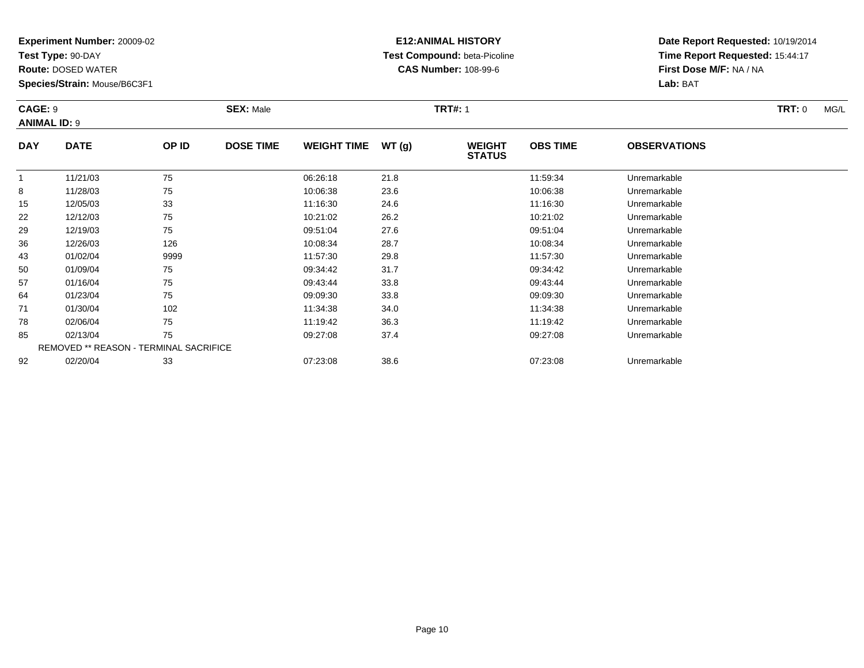**Test Type:** 90-DAY

57

64

71

78

85

92

**Route:** DOSED WATER

**Species/Strain:** Mouse/B6C3F1

REMOVED \*\* REASON - TERMINAL SACRIFICE

## **E12:ANIMAL HISTORY Test Compound:** beta-Picoline**CAS Number:** 108-99-6

**Date Report Requested:** 10/19/2014**Time Report Requested:** 15:44:17**First Dose M/F:** NA / NA**Lab:** BAT

| <b>CAGE: 9</b> | <b>ANIMAL ID: 9</b> |       | <b>SEX: Male</b> |                    |       | <b>TRT#: 1</b>                 | TRT: 0          | MG/L                |  |  |
|----------------|---------------------|-------|------------------|--------------------|-------|--------------------------------|-----------------|---------------------|--|--|
| <b>DAY</b>     | <b>DATE</b>         | OP ID | <b>DOSE TIME</b> | <b>WEIGHT TIME</b> | WT(g) | <b>WEIGHT</b><br><b>STATUS</b> | <b>OBS TIME</b> | <b>OBSERVATIONS</b> |  |  |
|                | 11/21/03            | 75    |                  | 06:26:18           | 21.8  |                                | 11:59:34        | Unremarkable        |  |  |
| 8              | 11/28/03            | 75    |                  | 10:06:38           | 23.6  |                                | 10:06:38        | Unremarkable        |  |  |
| 15             | 12/05/03            | 33    |                  | 11:16:30           | 24.6  |                                | 11:16:30        | Unremarkable        |  |  |
| 22             | 12/12/03            | 75    |                  | 10:21:02           | 26.2  |                                | 10:21:02        | Unremarkable        |  |  |
| 29             | 12/19/03            | 75    |                  | 09:51:04           | 27.6  |                                | 09:51:04        | Unremarkable        |  |  |
| 36             | 12/26/03            | 126   |                  | 10:08:34           | 28.7  |                                | 10:08:34        | Unremarkable        |  |  |
| 43             | 01/02/04            | 9999  |                  | 11:57:30           | 29.8  |                                | 11:57:30        | Unremarkable        |  |  |
| 50             | 01/09/04            | 75    |                  | 09:34:42           | 31.7  |                                | 09:34:42        | Unremarkable        |  |  |

01/16/04 <sup>75</sup> 09:43:44 33.8 09:43:44 Unremarkable

01/23/04 <sup>75</sup> 09:09:30 33.8 09:09:30 Unremarkable

1 01/30/04 102 102 11:34:38 34.0 11:34:38 11:34:38 Dhremarkable

02/06/04 <sup>75</sup> 11:19:42 36.3 11:19:42 Unremarkable

02/13/04 <sup>75</sup> 09:27:08 37.4 09:27:08 Unremarkable

02/20/04 <sup>33</sup> 07:23:08 38.6 07:23:08 Unremarkable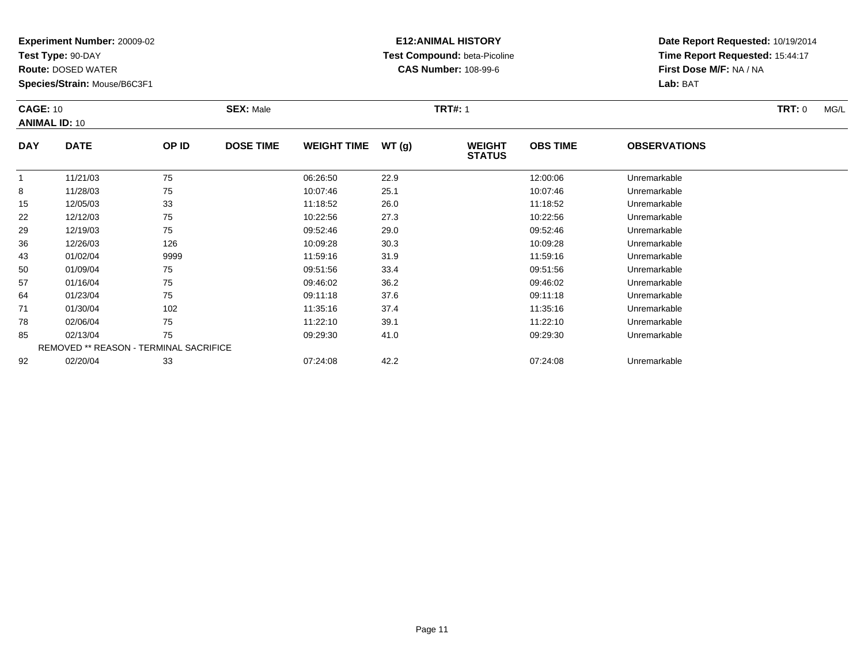**Test Type:** 90-DAY

78

85

92

**Route:** DOSED WATER

**Species/Strain:** Mouse/B6C3F1

REMOVED \*\* REASON - TERMINAL SACRIFICE

## **E12:ANIMAL HISTORY Test Compound:** beta-Picoline**CAS Number:** 108-99-6

**Date Report Requested:** 10/19/2014**Time Report Requested:** 15:44:17**First Dose M/F:** NA / NA**Lab:** BAT

| <b>CAGE: 10</b><br><b>ANIMAL ID: 10</b> |             |       | <b>SEX: Male</b> |                    |       | <b>TRT#: 1</b>                 |                 |                     | TRT: 0 | MG/L |
|-----------------------------------------|-------------|-------|------------------|--------------------|-------|--------------------------------|-----------------|---------------------|--------|------|
| <b>DAY</b>                              | <b>DATE</b> | OP ID | <b>DOSE TIME</b> | <b>WEIGHT TIME</b> | WT(g) | <b>WEIGHT</b><br><b>STATUS</b> | <b>OBS TIME</b> | <b>OBSERVATIONS</b> |        |      |
|                                         | 11/21/03    | 75    |                  | 06:26:50           | 22.9  |                                | 12:00:06        | Unremarkable        |        |      |
| 8                                       | 11/28/03    | 75    |                  | 10:07:46           | 25.1  |                                | 10:07:46        | Unremarkable        |        |      |
| 15                                      | 12/05/03    | 33    |                  | 11:18:52           | 26.0  |                                | 11:18:52        | Unremarkable        |        |      |
| 22                                      | 12/12/03    | 75    |                  | 10:22:56           | 27.3  |                                | 10:22:56        | Unremarkable        |        |      |
| 29                                      | 12/19/03    | 75    |                  | 09:52:46           | 29.0  |                                | 09:52:46        | Unremarkable        |        |      |
| 36                                      | 12/26/03    | 126   |                  | 10:09:28           | 30.3  |                                | 10:09:28        | Unremarkable        |        |      |
| 43                                      | 01/02/04    | 9999  |                  | 11:59:16           | 31.9  |                                | 11:59:16        | Unremarkable        |        |      |
| 50                                      | 01/09/04    | 75    |                  | 09:51:56           | 33.4  |                                | 09:51:56        | Unremarkable        |        |      |
| 57                                      | 01/16/04    | 75    |                  | 09:46:02           | 36.2  |                                | 09:46:02        | Unremarkable        |        |      |
| 64                                      | 01/23/04    | 75    |                  | 09:11:18           | 37.6  |                                | 09:11:18        | Unremarkable        |        |      |
| 71                                      | 01/30/04    | 102   |                  | 11:35:16           | 37.4  |                                | 11:35:16        | Unremarkable        |        |      |

8 02/06/04 75 75 11:22:10 39.1 11:22 10 11:22:10 Dhremarkable

02/13/04 <sup>75</sup> 09:29:30 41.0 09:29:30 Unremarkable

02/20/04 <sup>33</sup> 07:24:08 42.2 07:24:08 Unremarkable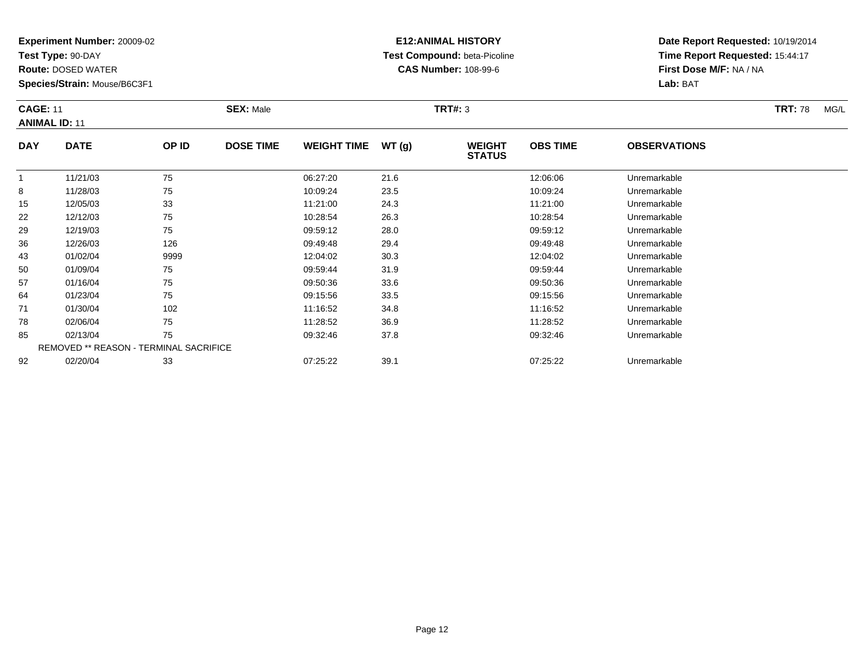**Test Type:** 90-DAY

**Route:** DOSED WATER

**Species/Strain:** Mouse/B6C3F1

# **E12:ANIMAL HISTORY Test Compound:** beta-Picoline**CAS Number:** 108-99-6

|            | <b>CAGE: 11</b><br><b>ANIMAL ID: 11</b> |       | <b>SEX: Male</b> |                    |        |                                | TRT#: 3         |                     |  |  |
|------------|-----------------------------------------|-------|------------------|--------------------|--------|--------------------------------|-----------------|---------------------|--|--|
| <b>DAY</b> | <b>DATE</b>                             | OP ID | <b>DOSE TIME</b> | <b>WEIGHT TIME</b> | WT (q) | <b>WEIGHT</b><br><b>STATUS</b> | <b>OBS TIME</b> | <b>OBSERVATIONS</b> |  |  |
|            | 11/21/03                                | 75    |                  | 06:27:20           | 21.6   |                                | 12:06:06        | Unremarkable        |  |  |
| 8          | 11/28/03                                | 75    |                  | 10:09:24           | 23.5   |                                | 10:09:24        | Unremarkable        |  |  |

|    | 11/21/03 | 75                                            | 06.27.20 | 21.6 | 12.00.00 | Unremarkable |  |
|----|----------|-----------------------------------------------|----------|------|----------|--------------|--|
| 8  | 11/28/03 | 75                                            | 10:09:24 | 23.5 | 10:09:24 | Unremarkable |  |
| 15 | 12/05/03 | 33                                            | 11:21:00 | 24.3 | 11:21:00 | Unremarkable |  |
| 22 | 12/12/03 | 75                                            | 10:28:54 | 26.3 | 10:28:54 | Unremarkable |  |
| 29 | 12/19/03 | 75                                            | 09:59:12 | 28.0 | 09:59:12 | Unremarkable |  |
| 36 | 12/26/03 | 126                                           | 09:49:48 | 29.4 | 09:49:48 | Unremarkable |  |
| 43 | 01/02/04 | 9999                                          | 12:04:02 | 30.3 | 12:04:02 | Unremarkable |  |
| 50 | 01/09/04 | 75                                            | 09:59:44 | 31.9 | 09:59:44 | Unremarkable |  |
| 57 | 01/16/04 | 75                                            | 09:50:36 | 33.6 | 09:50:36 | Unremarkable |  |
| 64 | 01/23/04 | 75                                            | 09:15:56 | 33.5 | 09:15:56 | Unremarkable |  |
| 71 | 01/30/04 | 102                                           | 11:16:52 | 34.8 | 11:16:52 | Unremarkable |  |
| 78 | 02/06/04 | 75                                            | 11:28:52 | 36.9 | 11:28:52 | Unremarkable |  |
| 85 | 02/13/04 | 75                                            | 09:32:46 | 37.8 | 09:32:46 | Unremarkable |  |
|    |          | <b>REMOVED ** REASON - TERMINAL SACRIFICE</b> |          |      |          |              |  |
| 92 | 02/20/04 | 33                                            | 07:25:22 | 39.1 | 07:25:22 | Unremarkable |  |
|    |          |                                               |          |      |          |              |  |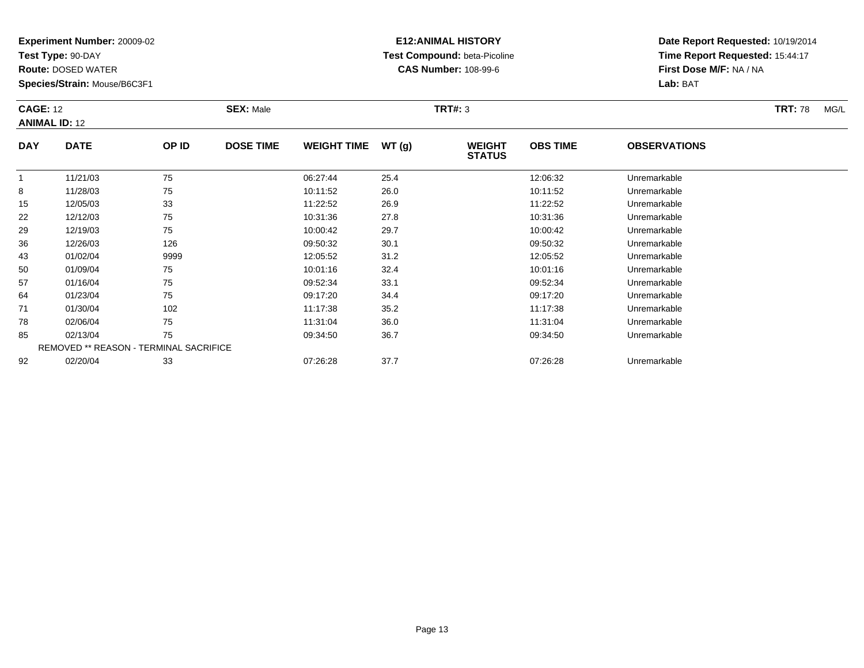**Test Type:** 90-DAY

**Route:** DOSED WATER

**Species/Strain:** Mouse/B6C3F1

# **E12:ANIMAL HISTORY Test Compound:** beta-Picoline**CAS Number:** 108-99-6

**Date Report Requested:** 10/19/2014 **Time Report Requested:** 15:44:17**First Dose M/F:** NA / NA**Lab:** BAT

#### **CAGE:** 12 **SEX:** Male **TRT#:** <sup>3</sup> **TRT:** 78 MG/L **ANIMAL ID:** 12**DAY DATE OP IDDOSE TIME WEIGHT TIME WT** (g) **STATUSOBS TIME OBSERVATIONS** 111/21/03 <sup>75</sup> 06:27:44 25.4 12:06:32 Unremarkable

|    | 11/21/03                                      | 75   | 06:27:44 | 25.4 | 12:06:32 | Unremarkable |
|----|-----------------------------------------------|------|----------|------|----------|--------------|
| 8  | 11/28/03                                      | 75   | 10:11:52 | 26.0 | 10:11:52 | Unremarkable |
| 15 | 12/05/03                                      | 33   | 11:22:52 | 26.9 | 11:22:52 | Unremarkable |
| 22 | 12/12/03                                      | 75   | 10:31:36 | 27.8 | 10:31:36 | Unremarkable |
| 29 | 12/19/03                                      | 75   | 10:00:42 | 29.7 | 10:00:42 | Unremarkable |
| 36 | 12/26/03                                      | 126  | 09:50:32 | 30.1 | 09:50:32 | Unremarkable |
| 43 | 01/02/04                                      | 9999 | 12:05:52 | 31.2 | 12:05:52 | Unremarkable |
| 50 | 01/09/04                                      | 75   | 10:01:16 | 32.4 | 10:01:16 | Unremarkable |
| 57 | 01/16/04                                      | 75   | 09:52:34 | 33.1 | 09:52:34 | Unremarkable |
| 64 | 01/23/04                                      | 75   | 09:17:20 | 34.4 | 09:17:20 | Unremarkable |
| 71 | 01/30/04                                      | 102  | 11:17:38 | 35.2 | 11:17:38 | Unremarkable |
| 78 | 02/06/04                                      | 75   | 11:31:04 | 36.0 | 11:31:04 | Unremarkable |
| 85 | 02/13/04                                      | 75   | 09:34:50 | 36.7 | 09:34:50 | Unremarkable |
|    | <b>REMOVED ** REASON - TERMINAL SACRIFICE</b> |      |          |      |          |              |
| 92 | 02/20/04                                      | 33   | 07:26:28 | 37.7 | 07:26:28 | Unremarkable |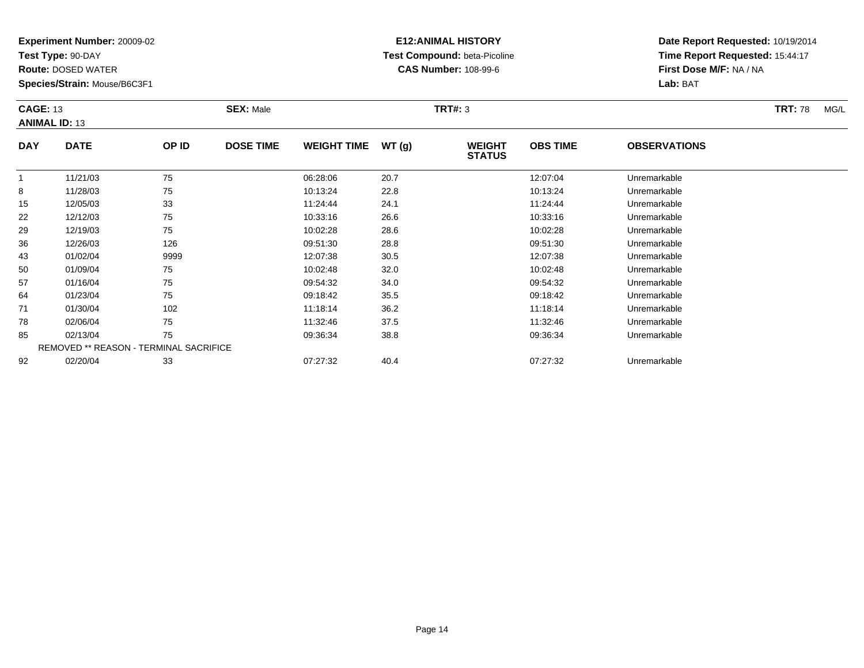**Test Type:** 90-DAY

50

57

64

71

78

85

92

**Route:** DOSED WATER

**Species/Strain:** Mouse/B6C3F1

REMOVED \*\* REASON - TERMINAL SACRIFICE

## **E12:ANIMAL HISTORY Test Compound:** beta-Picoline**CAS Number:** 108-99-6

**Date Report Requested:** 10/19/2014**Time Report Requested:** 15:44:17**First Dose M/F:** NA / NA**Lab:** BAT

|            | <b>CAGE: 13</b><br><b>ANIMAL ID: 13</b> |       | <b>SEX: Male</b> |                    |       | <b>TRT#: 3</b>                 |                 | <b>TRT: 78</b>      | MG/L |  |
|------------|-----------------------------------------|-------|------------------|--------------------|-------|--------------------------------|-----------------|---------------------|------|--|
| <b>DAY</b> | <b>DATE</b>                             | OP ID | <b>DOSE TIME</b> | <b>WEIGHT TIME</b> | WT(g) | <b>WEIGHT</b><br><b>STATUS</b> | <b>OBS TIME</b> | <b>OBSERVATIONS</b> |      |  |
|            | 11/21/03                                | 75    |                  | 06:28:06           | 20.7  |                                | 12:07:04        | Unremarkable        |      |  |
| 8          | 11/28/03                                | 75    |                  | 10:13:24           | 22.8  |                                | 10:13:24        | Unremarkable        |      |  |
| 15         | 12/05/03                                | 33    |                  | 11:24:44           | 24.1  |                                | 11:24:44        | Unremarkable        |      |  |
| 22         | 12/12/03                                | 75    |                  | 10:33:16           | 26.6  |                                | 10:33:16        | Unremarkable        |      |  |
| 29         | 12/19/03                                | 75    |                  | 10:02:28           | 28.6  |                                | 10:02:28        | Unremarkable        |      |  |
| 36         | 12/26/03                                | 126   |                  | 09:51:30           | 28.8  |                                | 09:51:30        | Unremarkable        |      |  |
| 43         | 01/02/04                                | 9999  |                  | 12:07:38           | 30.5  |                                | 12:07:38        | Unremarkable        |      |  |

0 01/09/04 75 75 10:02:48 32.0 10:02:48 10:02:48 Dhremarkable

01/16/04 <sup>75</sup> 09:54:32 34.0 09:54:32 Unremarkable

01/23/04 <sup>75</sup> 09:18:42 35.5 09:18:42 Unremarkable

01/30/04 <sup>102</sup> 11:18:14 36.2 11:18:14 Unremarkable

02/06/04 <sup>75</sup> 11:32:46 37.5 11:32:46 Unremarkable

02/13/04 <sup>75</sup> 09:36:34 38.8 09:36:34 Unremarkable

02/20/04 <sup>33</sup> 07:27:32 40.4 07:27:32 Unremarkable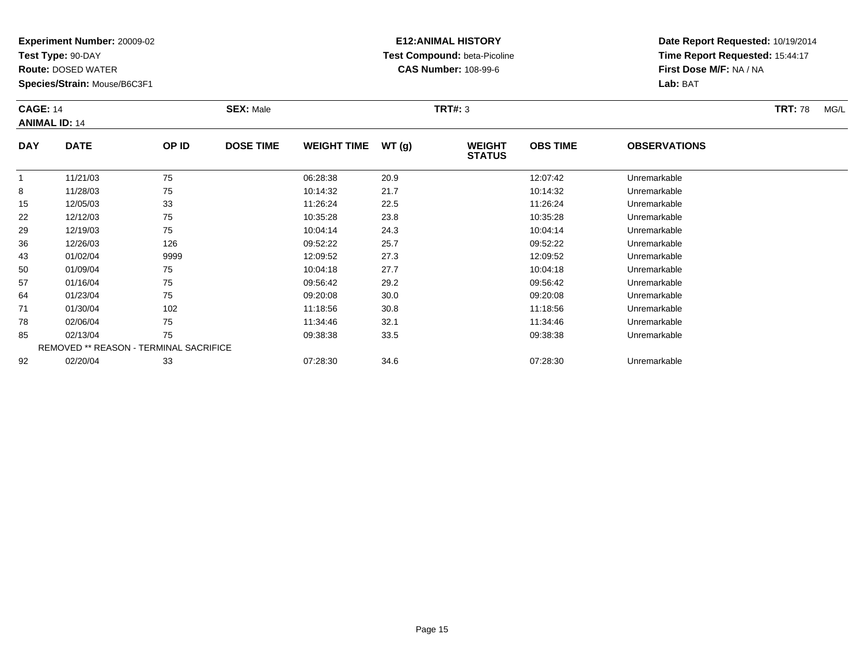**Test Type:** 90-DAY

64

71

78

85

92

**Route:** DOSED WATER

**Species/Strain:** Mouse/B6C3F1

REMOVED \*\* REASON - TERMINAL SACRIFICE

## **E12:ANIMAL HISTORY Test Compound:** beta-Picoline**CAS Number:** 108-99-6

**Date Report Requested:** 10/19/2014**Time Report Requested:** 15:44:17**First Dose M/F:** NA / NA**Lab:** BAT

| <b>CAGE: 14</b><br><b>ANIMAL ID: 14</b> |             |              | <b>SEX: Male</b> |                    |       | TRT#: 3                        |                 |                     | <b>TRT: 78</b> | MG/L |
|-----------------------------------------|-------------|--------------|------------------|--------------------|-------|--------------------------------|-----------------|---------------------|----------------|------|
| <b>DAY</b>                              | <b>DATE</b> | <b>OP ID</b> | <b>DOSE TIME</b> | <b>WEIGHT TIME</b> | WT(g) | <b>WEIGHT</b><br><b>STATUS</b> | <b>OBS TIME</b> | <b>OBSERVATIONS</b> |                |      |
|                                         | 11/21/03    | 75           |                  | 06:28:38           | 20.9  |                                | 12:07:42        | Unremarkable        |                |      |
| 8                                       | 11/28/03    | 75           |                  | 10:14:32           | 21.7  |                                | 10:14:32        | Unremarkable        |                |      |
| 15                                      | 12/05/03    | 33           |                  | 11:26:24           | 22.5  |                                | 11:26:24        | Unremarkable        |                |      |
| 22                                      | 12/12/03    | 75           |                  | 10:35:28           | 23.8  |                                | 10:35:28        | Unremarkable        |                |      |
| 29                                      | 12/19/03    | 75           |                  | 10:04:14           | 24.3  |                                | 10:04:14        | Unremarkable        |                |      |
| 36                                      | 12/26/03    | 126          |                  | 09:52:22           | 25.7  |                                | 09:52:22        | Unremarkable        |                |      |
| 43                                      | 01/02/04    | 9999         |                  | 12:09:52           | 27.3  |                                | 12:09:52        | Unremarkable        |                |      |
| 50                                      | 01/09/04    | 75           |                  | 10:04:18           | 27.7  |                                | 10:04:18        | Unremarkable        |                |      |
| 57                                      | 01/16/04    | 75           |                  | 09:56:42           | 29.2  |                                | 09:56:42        | Unremarkable        |                |      |

01/23/04 <sup>75</sup> 09:20:08 30.0 09:20:08 Unremarkable

01/30/04 <sup>102</sup> 11:18:56 30.8 11:18:56 Unremarkable

8 02/06/04 75 75 11:34:46 32.1 11:34:46 11:34:46 Diremarkable

02/13/04 <sup>75</sup> 09:38:38 33.5 09:38:38 Unremarkable

02/20/04 <sup>33</sup> 07:28:30 34.6 07:28:30 Unremarkable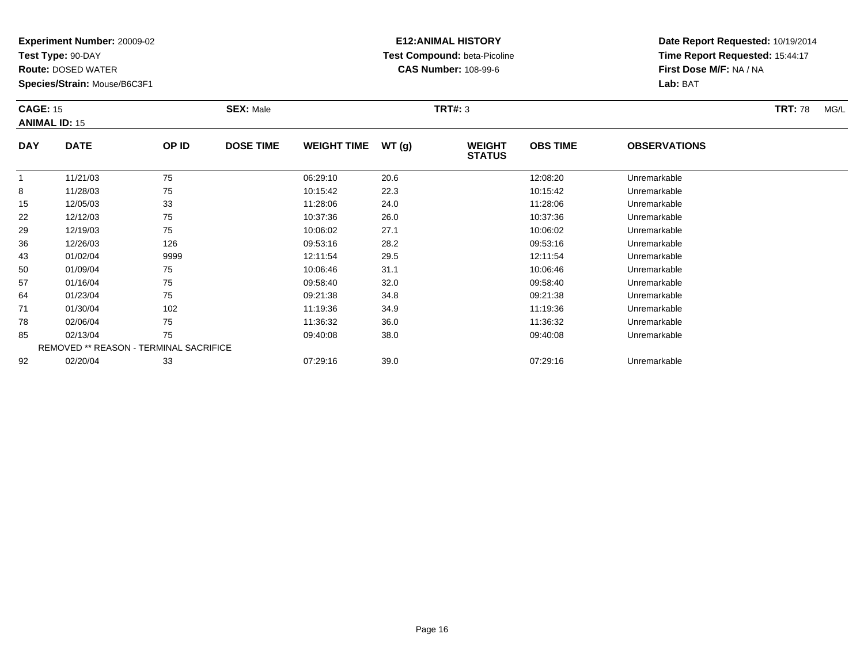**Test Type:** 90-DAY

85

92

**Route:** DOSED WATER

**Species/Strain:** Mouse/B6C3F1

REMOVED \*\* REASON - TERMINAL SACRIFICE

## **E12:ANIMAL HISTORY Test Compound:** beta-Picoline**CAS Number:** 108-99-6

**Date Report Requested:** 10/19/2014**Time Report Requested:** 15:44:17**First Dose M/F:** NA / NA**Lab:** BAT

| <b>CAGE: 15</b> | <b>ANIMAL ID: 15</b> |       | <b>SEX: Male</b> |                    |        | <b>TRT#: 3</b>                 |                 |                     | <b>TRT: 78</b> | MG/L |
|-----------------|----------------------|-------|------------------|--------------------|--------|--------------------------------|-----------------|---------------------|----------------|------|
| <b>DAY</b>      | <b>DATE</b>          | OP ID | <b>DOSE TIME</b> | <b>WEIGHT TIME</b> | WT (g) | <b>WEIGHT</b><br><b>STATUS</b> | <b>OBS TIME</b> | <b>OBSERVATIONS</b> |                |      |
|                 | 11/21/03             | 75    |                  | 06:29:10           | 20.6   |                                | 12:08:20        | Unremarkable        |                |      |
| 8               | 11/28/03             | 75    |                  | 10:15:42           | 22.3   |                                | 10:15:42        | Unremarkable        |                |      |
| 15              | 12/05/03             | 33    |                  | 11:28:06           | 24.0   |                                | 11:28:06        | Unremarkable        |                |      |
| 22              | 12/12/03             | 75    |                  | 10:37:36           | 26.0   |                                | 10:37:36        | Unremarkable        |                |      |
| 29              | 12/19/03             | 75    |                  | 10:06:02           | 27.1   |                                | 10:06:02        | Unremarkable        |                |      |
| 36              | 12/26/03             | 126   |                  | 09:53:16           | 28.2   |                                | 09:53:16        | Unremarkable        |                |      |
| 43              | 01/02/04             | 9999  |                  | 12:11:54           | 29.5   |                                | 12:11:54        | Unremarkable        |                |      |
| 50              | 01/09/04             | 75    |                  | 10:06:46           | 31.1   |                                | 10:06:46        | Unremarkable        |                |      |
| 57              | 01/16/04             | 75    |                  | 09:58:40           | 32.0   |                                | 09:58:40        | Unremarkable        |                |      |
| 64              | 01/23/04             | 75    |                  | 09:21:38           | 34.8   |                                | 09:21:38        | Unremarkable        |                |      |
| 71              | 01/30/04             | 102   |                  | 11:19:36           | 34.9   |                                | 11:19:36        | Unremarkable        |                |      |
| 78              | 02/06/04             | 75    |                  | 11:36:32           | 36.0   |                                | 11:36:32        | Unremarkable        |                |      |

02/06/04 <sup>75</sup> 11:36:32 36.0 11:36:32 Unremarkable

02/13/04 <sup>75</sup> 09:40:08 38.0 09:40:08 Unremarkable

02/20/04 <sup>33</sup> 07:29:16 39.0 07:29:16 Unremarkable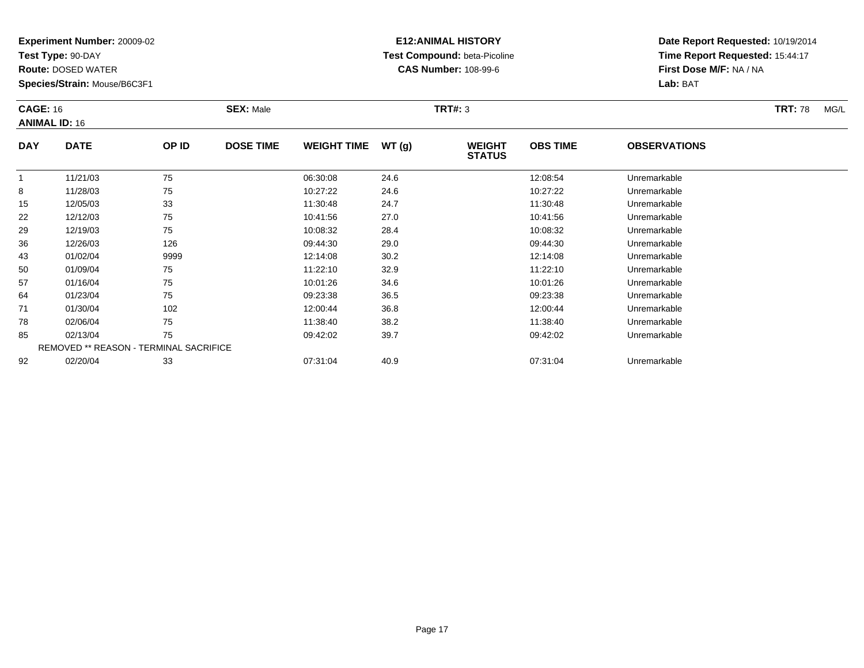**Test Type:** 90-DAY

85

92

**Route:** DOSED WATER

**Species/Strain:** Mouse/B6C3F1

REMOVED \*\* REASON - TERMINAL SACRIFICE

## **E12:ANIMAL HISTORY Test Compound:** beta-Picoline**CAS Number:** 108-99-6

**Date Report Requested:** 10/19/2014**Time Report Requested:** 15:44:17**First Dose M/F:** NA / NA**Lab:** BAT

| <b>CAGE: 16</b> | <b>ANIMAL ID: 16</b> |       | <b>SEX: Male</b> |                    |       | <b>TRT#: 3</b>                 |                 |                     | <b>TRT: 78</b> | MG/L |
|-----------------|----------------------|-------|------------------|--------------------|-------|--------------------------------|-----------------|---------------------|----------------|------|
| <b>DAY</b>      | <b>DATE</b>          | OP ID | <b>DOSE TIME</b> | <b>WEIGHT TIME</b> | WT(g) | <b>WEIGHT</b><br><b>STATUS</b> | <b>OBS TIME</b> | <b>OBSERVATIONS</b> |                |      |
|                 | 11/21/03             | 75    |                  | 06:30:08           | 24.6  |                                | 12:08:54        | Unremarkable        |                |      |
| 8               | 11/28/03             | 75    |                  | 10:27:22           | 24.6  |                                | 10:27:22        | Unremarkable        |                |      |
| 15              | 12/05/03             | 33    |                  | 11:30:48           | 24.7  |                                | 11:30:48        | Unremarkable        |                |      |
| 22              | 12/12/03             | 75    |                  | 10:41:56           | 27.0  |                                | 10:41:56        | Unremarkable        |                |      |
| 29              | 12/19/03             | 75    |                  | 10:08:32           | 28.4  |                                | 10:08:32        | Unremarkable        |                |      |
| 36              | 12/26/03             | 126   |                  | 09:44:30           | 29.0  |                                | 09:44:30        | Unremarkable        |                |      |
| 43              | 01/02/04             | 9999  |                  | 12:14:08           | 30.2  |                                | 12:14:08        | Unremarkable        |                |      |
| 50              | 01/09/04             | 75    |                  | 11:22:10           | 32.9  |                                | 11:22:10        | Unremarkable        |                |      |
| 57              | 01/16/04             | 75    |                  | 10:01:26           | 34.6  |                                | 10:01:26        | Unremarkable        |                |      |
| 64              | 01/23/04             | 75    |                  | 09:23:38           | 36.5  |                                | 09:23:38        | Unremarkable        |                |      |
| 71              | 01/30/04             | 102   |                  | 12:00:44           | 36.8  |                                | 12:00:44        | Unremarkable        |                |      |
| 78              | 02/06/04             | 75    |                  | 11:38:40           | 38.2  |                                | 11:38:40        | Unremarkable        |                |      |

02/06/04 <sup>75</sup> 11:38:40 38.2 11:38:40 Unremarkable

02/13/04 <sup>75</sup> 09:42:02 39.7 09:42:02 Unremarkable

02/20/04 <sup>33</sup> 07:31:04 40.9 07:31:04 Unremarkable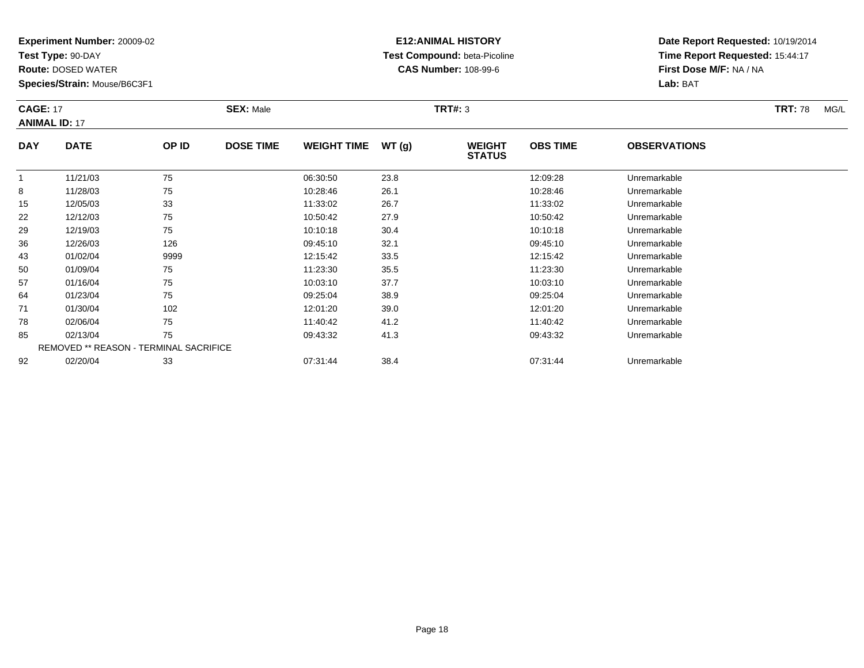**Test Type:** 90-DAY

**Route:** DOSED WATER

**Species/Strain:** Mouse/B6C3F1

# **E12:ANIMAL HISTORY Test Compound:** beta-Picoline**CAS Number:** 108-99-6

**Date Report Requested:** 10/19/2014 **Time Report Requested:** 15:44:17**First Dose M/F:** NA / NA**Lab:** BAT

#### **CAGE:** 17 **SEX:** Male **TRT#:** <sup>3</sup> **TRT:** 78 MG/L **ANIMAL ID:** 17**DAY DATE OP IDDOSE TIME WEIGHT TIME WT** (g) **STATUSOBS TIME OBSERVATIONS** 11 11/21/03 75 75 06:30:50 23.8 12:09:28 Unremarkable

|    | 11/21/03                                      | 75   | 06:30:50 | 23.8 | 12:09:28 | Unremarkable |
|----|-----------------------------------------------|------|----------|------|----------|--------------|
| 8  | 11/28/03                                      | 75   | 10:28:46 | 26.1 | 10:28:46 | Unremarkable |
| 15 | 12/05/03                                      | 33   | 11:33:02 | 26.7 | 11:33:02 | Unremarkable |
| 22 | 12/12/03                                      | 75   | 10:50:42 | 27.9 | 10:50:42 | Unremarkable |
| 29 | 12/19/03                                      | 75   | 10:10:18 | 30.4 | 10:10:18 | Unremarkable |
| 36 | 12/26/03                                      | 126  | 09:45:10 | 32.1 | 09:45:10 | Unremarkable |
| 43 | 01/02/04                                      | 9999 | 12:15:42 | 33.5 | 12:15:42 | Unremarkable |
| 50 | 01/09/04                                      | 75   | 11:23:30 | 35.5 | 11:23:30 | Unremarkable |
| 57 | 01/16/04                                      | 75   | 10:03:10 | 37.7 | 10:03:10 | Unremarkable |
| 64 | 01/23/04                                      | 75   | 09:25:04 | 38.9 | 09:25:04 | Unremarkable |
| 71 | 01/30/04                                      | 102  | 12:01:20 | 39.0 | 12:01:20 | Unremarkable |
| 78 | 02/06/04                                      | 75   | 11:40:42 | 41.2 | 11:40:42 | Unremarkable |
| 85 | 02/13/04                                      | 75   | 09:43:32 | 41.3 | 09:43:32 | Unremarkable |
|    | <b>REMOVED ** REASON - TERMINAL SACRIFICE</b> |      |          |      |          |              |
| 92 | 02/20/04                                      | 33   | 07:31:44 | 38.4 | 07:31:44 | Unremarkable |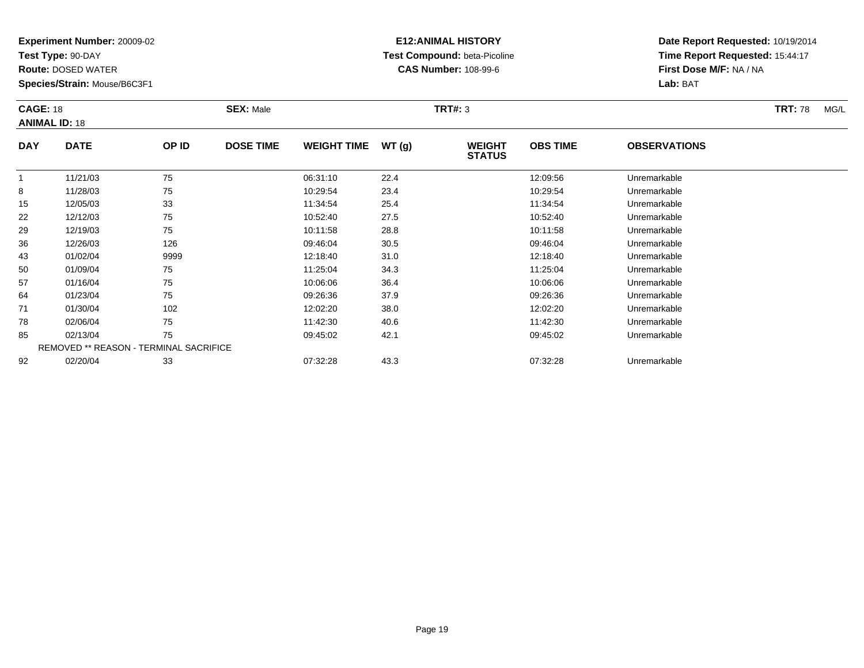**Test Type:** 90-DAY

85

92

**Route:** DOSED WATER

**Species/Strain:** Mouse/B6C3F1

REMOVED \*\* REASON - TERMINAL SACRIFICE

## **E12:ANIMAL HISTORY Test Compound:** beta-Picoline**CAS Number:** 108-99-6

**Date Report Requested:** 10/19/2014**Time Report Requested:** 15:44:17**First Dose M/F:** NA / NA**Lab:** BAT

| <b>CAGE: 18</b><br><b>ANIMAL ID: 18</b> |             |       | <b>SEX: Male</b> |                    |       | <b>TRT#: 3</b>                 |                 |                     | <b>TRT: 78</b> | MG/L |
|-----------------------------------------|-------------|-------|------------------|--------------------|-------|--------------------------------|-----------------|---------------------|----------------|------|
| <b>DAY</b>                              | <b>DATE</b> | OP ID | <b>DOSE TIME</b> | <b>WEIGHT TIME</b> | WT(g) | <b>WEIGHT</b><br><b>STATUS</b> | <b>OBS TIME</b> | <b>OBSERVATIONS</b> |                |      |
|                                         | 11/21/03    | 75    |                  | 06:31:10           | 22.4  |                                | 12:09:56        | Unremarkable        |                |      |
| 8                                       | 11/28/03    | 75    |                  | 10:29:54           | 23.4  |                                | 10:29:54        | Unremarkable        |                |      |
| 15                                      | 12/05/03    | 33    |                  | 11:34:54           | 25.4  |                                | 11:34:54        | Unremarkable        |                |      |
| 22                                      | 12/12/03    | 75    |                  | 10:52:40           | 27.5  |                                | 10:52:40        | Unremarkable        |                |      |
| 29                                      | 12/19/03    | 75    |                  | 10:11:58           | 28.8  |                                | 10:11:58        | Unremarkable        |                |      |
| 36                                      | 12/26/03    | 126   |                  | 09:46:04           | 30.5  |                                | 09:46:04        | Unremarkable        |                |      |
| 43                                      | 01/02/04    | 9999  |                  | 12:18:40           | 31.0  |                                | 12:18:40        | Unremarkable        |                |      |
| 50                                      | 01/09/04    | 75    |                  | 11:25:04           | 34.3  |                                | 11:25:04        | Unremarkable        |                |      |
| 57                                      | 01/16/04    | 75    |                  | 10:06:06           | 36.4  |                                | 10:06:06        | Unremarkable        |                |      |
| 64                                      | 01/23/04    | 75    |                  | 09:26:36           | 37.9  |                                | 09:26:36        | Unremarkable        |                |      |
| 71                                      | 01/30/04    | 102   |                  | 12:02:20           | 38.0  |                                | 12:02:20        | Unremarkable        |                |      |
| 78                                      | 02/06/04    | 75    |                  | 11:42:30           | 40.6  |                                | 11:42:30        | Unremarkable        |                |      |

02/13/04 <sup>75</sup> 09:45:02 42.1 09:45:02 Unremarkable

02/20/04 <sup>33</sup> 07:32:28 43.3 07:32:28 Unremarkable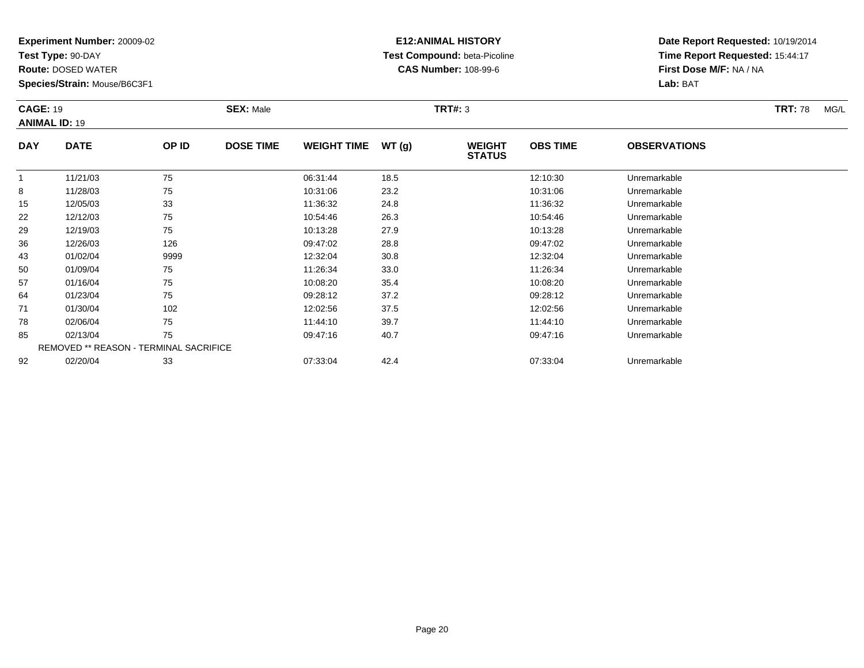**Test Type:** 90-DAY

92

**Route:** DOSED WATER

**Species/Strain:** Mouse/B6C3F1

REMOVED \*\* REASON - TERMINAL SACRIFICE

## **E12:ANIMAL HISTORY Test Compound:** beta-Picoline**CAS Number:** 108-99-6

**Date Report Requested:** 10/19/2014**Time Report Requested:** 15:44:17**First Dose M/F:** NA / NA**Lab:** BAT

| <b>CAGE: 19</b><br><b>ANIMAL ID: 19</b> |             |       | <b>SEX: Male</b> |                    |       | <b>TRT#: 3</b>                 |                 |                     | <b>TRT: 78</b> | MG/L |
|-----------------------------------------|-------------|-------|------------------|--------------------|-------|--------------------------------|-----------------|---------------------|----------------|------|
| <b>DAY</b>                              | <b>DATE</b> | OP ID | <b>DOSE TIME</b> | <b>WEIGHT TIME</b> | WT(g) | <b>WEIGHT</b><br><b>STATUS</b> | <b>OBS TIME</b> | <b>OBSERVATIONS</b> |                |      |
|                                         | 11/21/03    | 75    |                  | 06:31:44           | 18.5  |                                | 12:10:30        | Unremarkable        |                |      |
| 8                                       | 11/28/03    | 75    |                  | 10:31:06           | 23.2  |                                | 10:31:06        | Unremarkable        |                |      |
| 15                                      | 12/05/03    | 33    |                  | 11:36:32           | 24.8  |                                | 11:36:32        | Unremarkable        |                |      |
| 22                                      | 12/12/03    | 75    |                  | 10:54:46           | 26.3  |                                | 10:54:46        | Unremarkable        |                |      |
| 29                                      | 12/19/03    | 75    |                  | 10:13:28           | 27.9  |                                | 10:13:28        | Unremarkable        |                |      |
| 36                                      | 12/26/03    | 126   |                  | 09:47:02           | 28.8  |                                | 09:47:02        | Unremarkable        |                |      |
| 43                                      | 01/02/04    | 9999  |                  | 12:32:04           | 30.8  |                                | 12:32:04        | Unremarkable        |                |      |
| 50                                      | 01/09/04    | 75    |                  | 11:26:34           | 33.0  |                                | 11:26:34        | Unremarkable        |                |      |
| 57                                      | 01/16/04    | 75    |                  | 10:08:20           | 35.4  |                                | 10:08:20        | Unremarkable        |                |      |
| 64                                      | 01/23/04    | 75    |                  | 09:28:12           | 37.2  |                                | 09:28:12        | Unremarkable        |                |      |
| 71                                      | 01/30/04    | 102   |                  | 12:02:56           | 37.5  |                                | 12:02:56        | Unremarkable        |                |      |
| 78                                      | 02/06/04    | 75    |                  | 11:44:10           | 39.7  |                                | 11:44:10        | Unremarkable        |                |      |
| 85                                      | 02/13/04    | 75    |                  | 09:47:16           | 40.7  |                                | 09:47:16        | Unremarkable        |                |      |

02/20/04 <sup>33</sup> 07:33:04 42.4 07:33:04 Unremarkable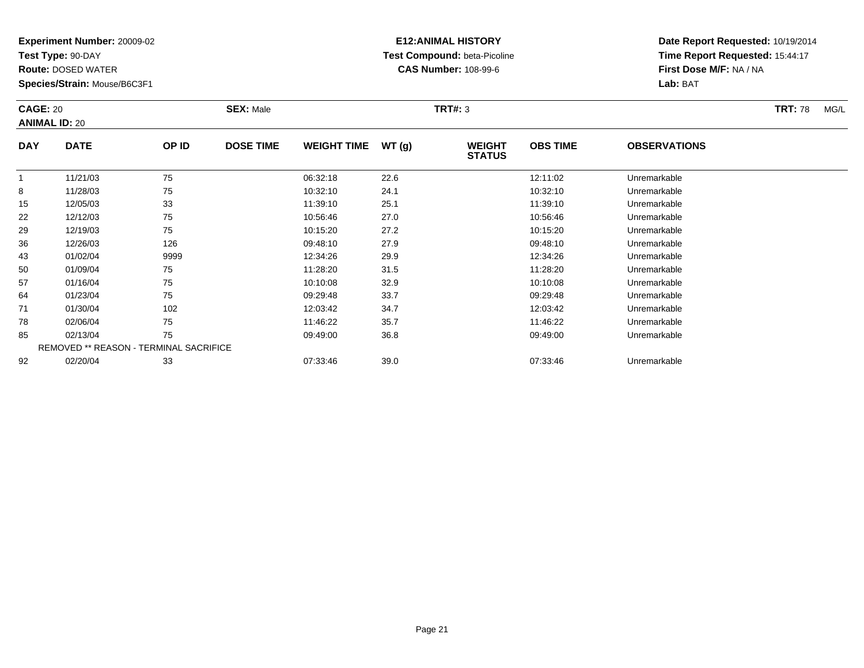**Test Type:** 90-DAY

92

**Route:** DOSED WATER

**Species/Strain:** Mouse/B6C3F1

REMOVED \*\* REASON - TERMINAL SACRIFICE

## **E12:ANIMAL HISTORY Test Compound:** beta-Picoline**CAS Number:** 108-99-6

**Date Report Requested:** 10/19/2014**Time Report Requested:** 15:44:17**First Dose M/F:** NA / NA**Lab:** BAT

|            | <b>CAGE: 20</b><br><b>ANIMAL ID: 20</b> |       | <b>SEX: Male</b> |                    |       | <b>TRT#: 3</b>                 |                 | <b>TRT: 78</b>      | MG/L |  |
|------------|-----------------------------------------|-------|------------------|--------------------|-------|--------------------------------|-----------------|---------------------|------|--|
| <b>DAY</b> | <b>DATE</b>                             | OP ID | <b>DOSE TIME</b> | <b>WEIGHT TIME</b> | WT(g) | <b>WEIGHT</b><br><b>STATUS</b> | <b>OBS TIME</b> | <b>OBSERVATIONS</b> |      |  |
|            | 11/21/03                                | 75    |                  | 06:32:18           | 22.6  |                                | 12:11:02        | Unremarkable        |      |  |
| 8          | 11/28/03                                | 75    |                  | 10:32:10           | 24.1  |                                | 10:32:10        | Unremarkable        |      |  |
| 15         | 12/05/03                                | 33    |                  | 11:39:10           | 25.1  |                                | 11:39:10        | Unremarkable        |      |  |
| 22         | 12/12/03                                | 75    |                  | 10:56:46           | 27.0  |                                | 10:56:46        | Unremarkable        |      |  |
| 29         | 12/19/03                                | 75    |                  | 10:15:20           | 27.2  |                                | 10:15:20        | Unremarkable        |      |  |
| 36         | 12/26/03                                | 126   |                  | 09:48:10           | 27.9  |                                | 09:48:10        | Unremarkable        |      |  |
| 43         | 01/02/04                                | 9999  |                  | 12:34:26           | 29.9  |                                | 12:34:26        | Unremarkable        |      |  |
| 50         | 01/09/04                                | 75    |                  | 11:28:20           | 31.5  |                                | 11:28:20        | Unremarkable        |      |  |
| 57         | 01/16/04                                | 75    |                  | 10:10:08           | 32.9  |                                | 10:10:08        | Unremarkable        |      |  |
| 64         | 01/23/04                                | 75    |                  | 09:29:48           | 33.7  |                                | 09:29:48        | Unremarkable        |      |  |
| 71         | 01/30/04                                | 102   |                  | 12:03:42           | 34.7  |                                | 12:03:42        | Unremarkable        |      |  |
| 78         | 02/06/04                                | 75    |                  | 11:46:22           | 35.7  |                                | 11:46:22        | Unremarkable        |      |  |
| 85         | 02/13/04                                | 75    |                  | 09:49:00           | 36.8  |                                | 09:49:00        | Unremarkable        |      |  |

02/20/04 <sup>33</sup> 07:33:46 39.0 07:33:46 Unremarkable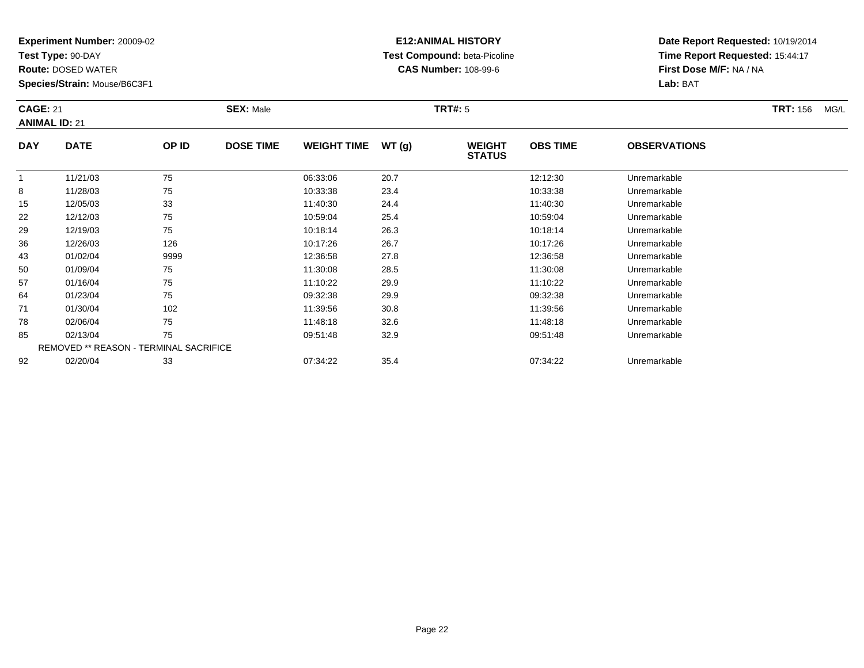**Test Type:** 90-DAY

50

57

64

71

78

85

92

**Route:** DOSED WATER

**Species/Strain:** Mouse/B6C3F1

REMOVED \*\* REASON - TERMINAL SACRIFICE

## **E12:ANIMAL HISTORY Test Compound:** beta-Picoline**CAS Number:** 108-99-6

**Date Report Requested:** 10/19/2014**Time Report Requested:** 15:44:17**First Dose M/F:** NA / NA**Lab:** BAT

| <b>CAGE: 21</b><br><b>ANIMAL ID: 21</b> |             |       | <b>SEX: Male</b> |                    |       | <b>TRT#:</b> 5                 |                 | <b>TRT: 156</b><br>MG/L |  |
|-----------------------------------------|-------------|-------|------------------|--------------------|-------|--------------------------------|-----------------|-------------------------|--|
| <b>DAY</b>                              | <b>DATE</b> | OP ID | <b>DOSE TIME</b> | <b>WEIGHT TIME</b> | WT(g) | <b>WEIGHT</b><br><b>STATUS</b> | <b>OBS TIME</b> | <b>OBSERVATIONS</b>     |  |
|                                         | 11/21/03    | 75    |                  | 06:33:06           | 20.7  |                                | 12:12:30        | Unremarkable            |  |
| 8                                       | 11/28/03    | 75    |                  | 10:33:38           | 23.4  |                                | 10:33:38        | Unremarkable            |  |
| 15                                      | 12/05/03    | 33    |                  | 11:40:30           | 24.4  |                                | 11:40:30        | Unremarkable            |  |
| 22                                      | 12/12/03    | 75    |                  | 10:59:04           | 25.4  |                                | 10:59:04        | Unremarkable            |  |
| 29                                      | 12/19/03    | 75    |                  | 10:18:14           | 26.3  |                                | 10:18:14        | Unremarkable            |  |
| 36                                      | 12/26/03    | 126   |                  | 10:17:26           | 26.7  |                                | 10:17:26        | Unremarkable            |  |
| 43                                      | 01/02/04    | 9999  |                  | 12:36:58           | 27.8  |                                | 12:36:58        | Unremarkable            |  |

0 01/09/04 75 75 11:30:08 28.5 11:30 11:30 11:30:08 Dhremarkable

01/16/04 <sup>75</sup> 11:10:22 29.9 11:10:22 Unremarkable

01/23/04 <sup>75</sup> 09:32:38 29.9 09:32:38 Unremarkable

01/30/04 <sup>102</sup> 11:39:56 30.8 11:39:56 Unremarkable

02/06/04 <sup>75</sup> 11:48:18 32.6 11:48:18 Unremarkable

02/13/04 <sup>75</sup> 09:51:48 32.9 09:51:48 Unremarkable

02/20/04 <sup>33</sup> 07:34:22 35.4 07:34:22 Unremarkable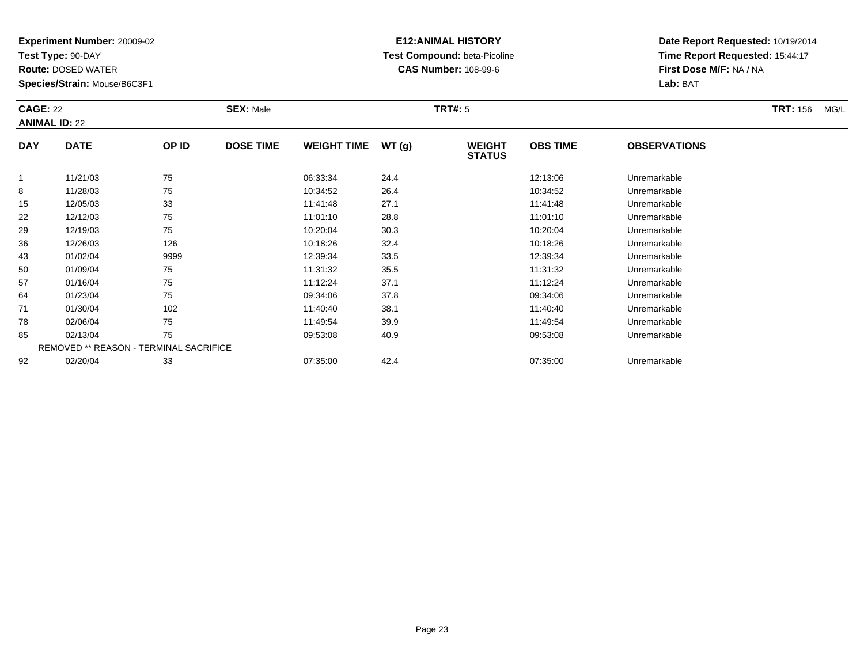**Test Type:** 90-DAY

78

85

92

**Route:** DOSED WATER

**Species/Strain:** Mouse/B6C3F1

REMOVED \*\* REASON - TERMINAL SACRIFICE

## **E12:ANIMAL HISTORY Test Compound:** beta-Picoline**CAS Number:** 108-99-6

**Date Report Requested:** 10/19/2014**Time Report Requested:** 15:44:17**First Dose M/F:** NA / NA**Lab:** BAT

|            | <b>CAGE: 22</b><br><b>ANIMAL ID: 22</b> |       | <b>SEX: Male</b> |                    |       | <b>TRT#: 5</b>                 |                 | <b>TRT: 156</b><br>MG/L |  |
|------------|-----------------------------------------|-------|------------------|--------------------|-------|--------------------------------|-----------------|-------------------------|--|
| <b>DAY</b> | <b>DATE</b>                             | OP ID | <b>DOSE TIME</b> | <b>WEIGHT TIME</b> | WT(g) | <b>WEIGHT</b><br><b>STATUS</b> | <b>OBS TIME</b> | <b>OBSERVATIONS</b>     |  |
|            | 11/21/03                                | 75    |                  | 06:33:34           | 24.4  |                                | 12:13:06        | Unremarkable            |  |
| 8          | 11/28/03                                | 75    |                  | 10:34:52           | 26.4  |                                | 10:34:52        | Unremarkable            |  |
| 15         | 12/05/03                                | 33    |                  | 11:41:48           | 27.1  |                                | 11:41:48        | Unremarkable            |  |
| 22         | 12/12/03                                | 75    |                  | 11:01:10           | 28.8  |                                | 11:01:10        | Unremarkable            |  |
| 29         | 12/19/03                                | 75    |                  | 10:20:04           | 30.3  |                                | 10:20:04        | Unremarkable            |  |
| 36         | 12/26/03                                | 126   |                  | 10:18:26           | 32.4  |                                | 10:18:26        | Unremarkable            |  |
| 43         | 01/02/04                                | 9999  |                  | 12:39:34           | 33.5  |                                | 12:39:34        | Unremarkable            |  |
| 50         | 01/09/04                                | 75    |                  | 11:31:32           | 35.5  |                                | 11:31:32        | Unremarkable            |  |
| 57         | 01/16/04                                | 75    |                  | 11:12:24           | 37.1  |                                | 11:12:24        | Unremarkable            |  |
| 64         | 01/23/04                                | 75    |                  | 09:34:06           | 37.8  |                                | 09:34:06        | Unremarkable            |  |
| 71         | 01/30/04                                | 102   |                  | 11:40:40           | 38.1  |                                | 11:40:40        | Unremarkable            |  |

1 01/30/04 102 102 11:40:40 38.1 11:40:40 11:40:40 11:40:40 Unremarkable

02/06/04 <sup>75</sup> 11:49:54 39.9 11:49:54 Unremarkable

02/13/04 <sup>75</sup> 09:53:08 40.9 09:53:08 Unremarkable

02/20/04 <sup>33</sup> 07:35:00 42.4 07:35:00 Unremarkable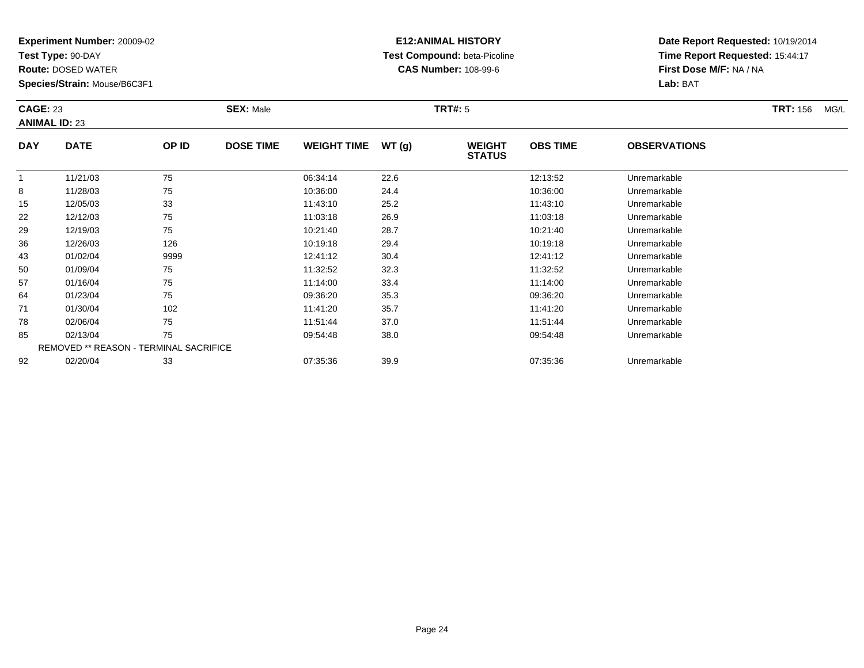**Test Type:** 90-DAY

78

85

92

**Route:** DOSED WATER

**Species/Strain:** Mouse/B6C3F1

REMOVED \*\* REASON - TERMINAL SACRIFICE

## **E12:ANIMAL HISTORY Test Compound:** beta-Picoline**CAS Number:** 108-99-6

**Date Report Requested:** 10/19/2014**Time Report Requested:** 15:44:17**First Dose M/F:** NA / NA**Lab:** BAT

| <b>CAGE: 23</b><br><b>ANIMAL ID: 23</b> |             | <b>SEX: Male</b> |                  |                    | <b>TRT#: 5</b> |                                | <b>TRT: 156</b><br>MG/L |                     |  |  |
|-----------------------------------------|-------------|------------------|------------------|--------------------|----------------|--------------------------------|-------------------------|---------------------|--|--|
| <b>DAY</b>                              | <b>DATE</b> | OP ID            | <b>DOSE TIME</b> | <b>WEIGHT TIME</b> | WT(g)          | <b>WEIGHT</b><br><b>STATUS</b> | <b>OBS TIME</b>         | <b>OBSERVATIONS</b> |  |  |
|                                         | 11/21/03    | 75               |                  | 06:34:14           | 22.6           |                                | 12:13:52                | Unremarkable        |  |  |
| 8                                       | 11/28/03    | 75               |                  | 10:36:00           | 24.4           |                                | 10:36:00                | Unremarkable        |  |  |
| 15                                      | 12/05/03    | 33               |                  | 11:43:10           | 25.2           |                                | 11:43:10                | Unremarkable        |  |  |
| 22                                      | 12/12/03    | 75               |                  | 11:03:18           | 26.9           |                                | 11:03:18                | Unremarkable        |  |  |
| 29                                      | 12/19/03    | 75               |                  | 10:21:40           | 28.7           |                                | 10:21:40                | Unremarkable        |  |  |
| 36                                      | 12/26/03    | 126              |                  | 10:19:18           | 29.4           |                                | 10:19:18                | Unremarkable        |  |  |
| 43                                      | 01/02/04    | 9999             |                  | 12:41:12           | 30.4           |                                | 12:41:12                | Unremarkable        |  |  |
| 50                                      | 01/09/04    | 75               |                  | 11:32:52           | 32.3           |                                | 11:32:52                | Unremarkable        |  |  |
| 57                                      | 01/16/04    | 75               |                  | 11:14:00           | 33.4           |                                | 11:14:00                | Unremarkable        |  |  |
| 64                                      | 01/23/04    | 75               |                  | 09:36:20           | 35.3           |                                | 09:36:20                | Unremarkable        |  |  |
| 71                                      | 01/30/04    | 102              |                  | 11:41:20           | 35.7           |                                | 11:41:20                | Unremarkable        |  |  |

02/06/04 <sup>75</sup> 11:51:44 37.0 11:51:44 Unremarkable

02/13/04 <sup>75</sup> 09:54:48 38.0 09:54:48 Unremarkable

02/20/04 <sup>33</sup> 07:35:36 39.9 07:35:36 Unremarkable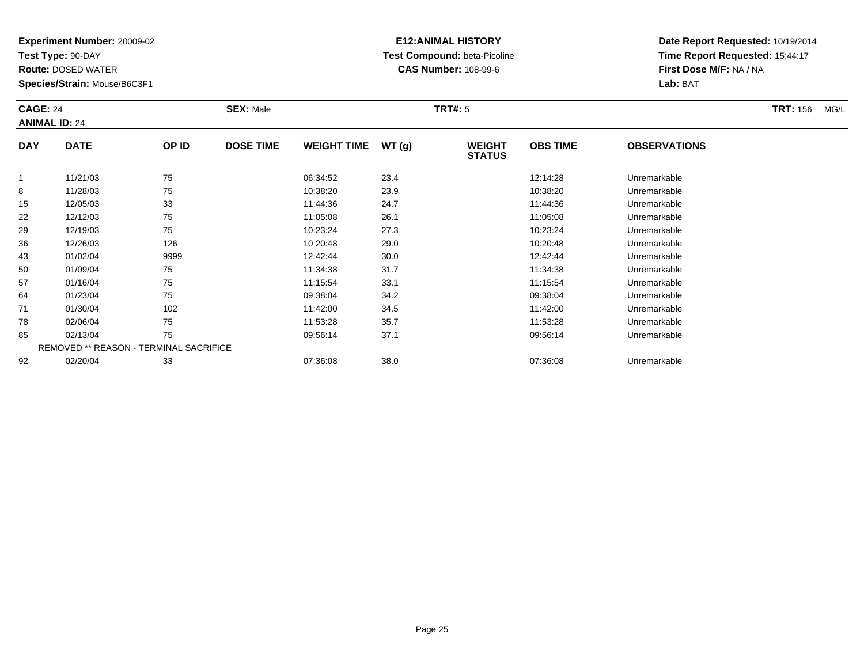**Test Type:** 90-DAY

78

85

92

**Route:** DOSED WATER

**Species/Strain:** Mouse/B6C3F1

REMOVED \*\* REASON - TERMINAL SACRIFICE

## **E12:ANIMAL HISTORY Test Compound:** beta-Picoline**CAS Number:** 108-99-6

**Date Report Requested:** 10/19/2014**Time Report Requested:** 15:44:17**First Dose M/F:** NA / NA**Lab:** BAT

| <b>CAGE: 24</b><br><b>ANIMAL ID: 24</b> |             |       | <b>SEX: Male</b> |                    |       | <b>TRT#: 5</b>                 | <b>TRT: 156</b> | MG/L                |  |  |
|-----------------------------------------|-------------|-------|------------------|--------------------|-------|--------------------------------|-----------------|---------------------|--|--|
| <b>DAY</b>                              | <b>DATE</b> | OP ID | <b>DOSE TIME</b> | <b>WEIGHT TIME</b> | WT(g) | <b>WEIGHT</b><br><b>STATUS</b> | <b>OBS TIME</b> | <b>OBSERVATIONS</b> |  |  |
| 1                                       | 11/21/03    | 75    |                  | 06:34:52           | 23.4  |                                | 12:14:28        | Unremarkable        |  |  |
| 8                                       | 11/28/03    | 75    |                  | 10:38:20           | 23.9  |                                | 10:38:20        | Unremarkable        |  |  |
| 15                                      | 12/05/03    | 33    |                  | 11:44:36           | 24.7  |                                | 11:44:36        | Unremarkable        |  |  |
| 22                                      | 12/12/03    | 75    |                  | 11:05:08           | 26.1  |                                | 11:05:08        | Unremarkable        |  |  |
| 29                                      | 12/19/03    | 75    |                  | 10:23:24           | 27.3  |                                | 10:23:24        | Unremarkable        |  |  |
| 36                                      | 12/26/03    | 126   |                  | 10:20:48           | 29.0  |                                | 10:20:48        | Unremarkable        |  |  |
| 43                                      | 01/02/04    | 9999  |                  | 12:42:44           | 30.0  |                                | 12:42:44        | Unremarkable        |  |  |
| 50                                      | 01/09/04    | 75    |                  | 11:34:38           | 31.7  |                                | 11:34:38        | Unremarkable        |  |  |
| 57                                      | 01/16/04    | 75    |                  | 11:15:54           | 33.1  |                                | 11:15:54        | Unremarkable        |  |  |
| 64                                      | 01/23/04    | 75    |                  | 09:38:04           | 34.2  |                                | 09:38:04        | Unremarkable        |  |  |
| 71                                      | 01/30/04    | 102   |                  | 11:42:00           | 34.5  |                                | 11:42:00        | Unremarkable        |  |  |

02/06/04 <sup>75</sup> 11:53:28 35.7 11:53:28 Unremarkable

02/13/04 <sup>75</sup> 09:56:14 37.1 09:56:14 Unremarkable

02/20/04 <sup>33</sup> 07:36:08 38.0 07:36:08 Unremarkable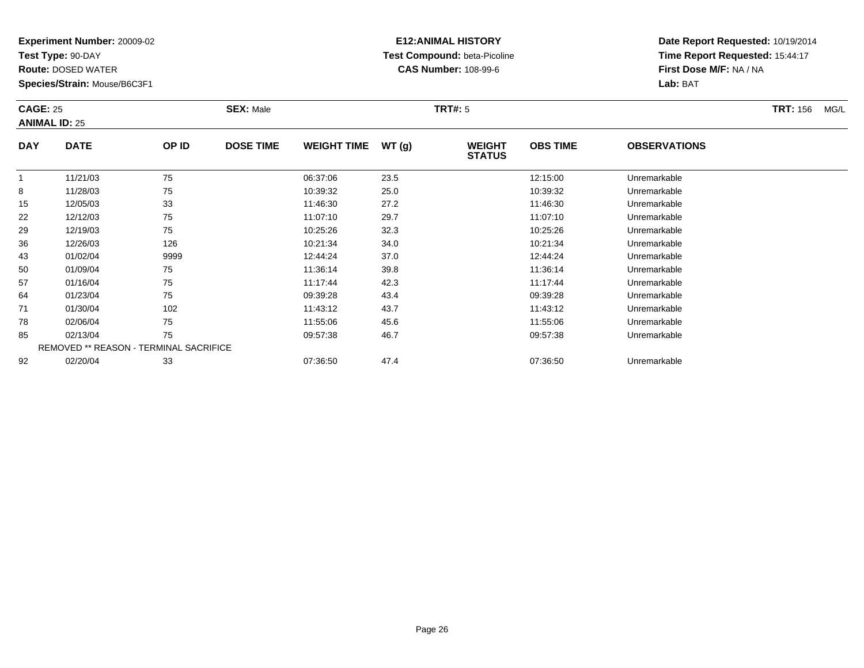**Test Type:** 90-DAY

85

92

**Route:** DOSED WATER

**Species/Strain:** Mouse/B6C3F1

REMOVED \*\* REASON - TERMINAL SACRIFICE

## **E12:ANIMAL HISTORY Test Compound:** beta-Picoline**CAS Number:** 108-99-6

**Date Report Requested:** 10/19/2014**Time Report Requested:** 15:44:17**First Dose M/F:** NA / NA**Lab:** BAT

|            | <b>CAGE: 25</b><br><b>ANIMAL ID: 25</b> |       | <b>SEX: Male</b> |                    |       | <b>TRT#: 5</b>                 |                 | <b>TRT: 156</b>     | MG/L |  |
|------------|-----------------------------------------|-------|------------------|--------------------|-------|--------------------------------|-----------------|---------------------|------|--|
| <b>DAY</b> | <b>DATE</b>                             | OP ID | <b>DOSE TIME</b> | <b>WEIGHT TIME</b> | WT(g) | <b>WEIGHT</b><br><b>STATUS</b> | <b>OBS TIME</b> | <b>OBSERVATIONS</b> |      |  |
|            | 11/21/03                                | 75    |                  | 06:37:06           | 23.5  |                                | 12:15:00        | Unremarkable        |      |  |
| 8          | 11/28/03                                | 75    |                  | 10:39:32           | 25.0  |                                | 10:39:32        | Unremarkable        |      |  |
| 15         | 12/05/03                                | 33    |                  | 11:46:30           | 27.2  |                                | 11:46:30        | Unremarkable        |      |  |
| 22         | 12/12/03                                | 75    |                  | 11:07:10           | 29.7  |                                | 11:07:10        | Unremarkable        |      |  |
| 29         | 12/19/03                                | 75    |                  | 10:25:26           | 32.3  |                                | 10:25:26        | Unremarkable        |      |  |
| 36         | 12/26/03                                | 126   |                  | 10:21:34           | 34.0  |                                | 10:21:34        | Unremarkable        |      |  |
| 43         | 01/02/04                                | 9999  |                  | 12:44:24           | 37.0  |                                | 12:44:24        | Unremarkable        |      |  |
| 50         | 01/09/04                                | 75    |                  | 11:36:14           | 39.8  |                                | 11:36:14        | Unremarkable        |      |  |
| 57         | 01/16/04                                | 75    |                  | 11:17:44           | 42.3  |                                | 11:17:44        | Unremarkable        |      |  |
| 64         | 01/23/04                                | 75    |                  | 09:39:28           | 43.4  |                                | 09:39:28        | Unremarkable        |      |  |
| 71         | 01/30/04                                | 102   |                  | 11:43:12           | 43.7  |                                | 11:43:12        | Unremarkable        |      |  |
| 78         | 02/06/04                                | 75    |                  | 11:55:06           | 45.6  |                                | 11:55:06        | Unremarkable        |      |  |

02/13/04 <sup>75</sup> 09:57:38 46.7 09:57:38 Unremarkable

02/20/04 <sup>33</sup> 07:36:50 47.4 07:36:50 Unremarkable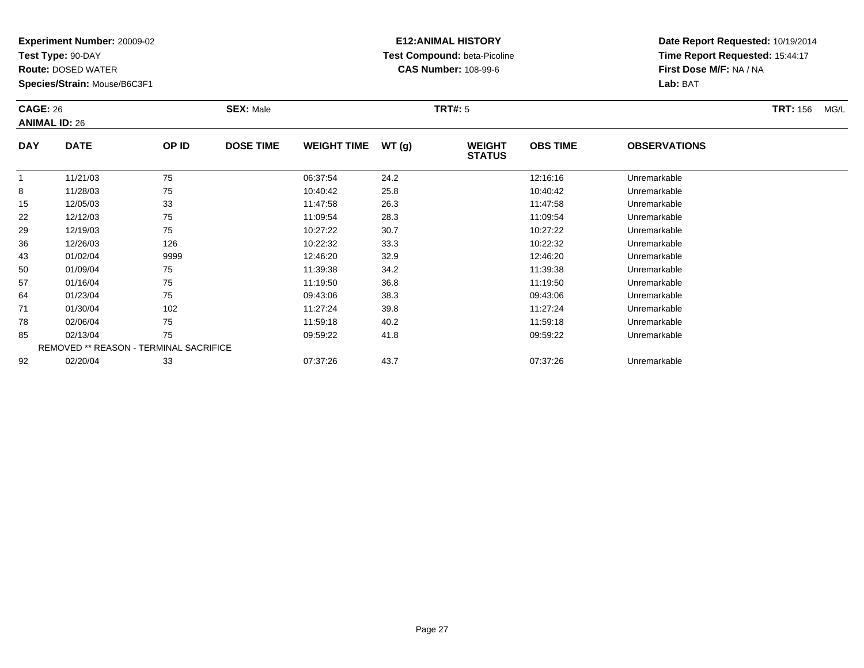**Test Type:** 90-DAY

92

**Route:** DOSED WATER

**Species/Strain:** Mouse/B6C3F1

REMOVED \*\* REASON - TERMINAL SACRIFICE

## **E12:ANIMAL HISTORY Test Compound:** beta-Picoline**CAS Number:** 108-99-6

|            | <b>CAGE: 26</b><br><b>ANIMAL ID: 26</b> |       | <b>SEX: Male</b> |                    |       | <b>TRT#: 5</b>                 |                 | <b>TRT: 156</b><br>MG/L |  |  |
|------------|-----------------------------------------|-------|------------------|--------------------|-------|--------------------------------|-----------------|-------------------------|--|--|
| <b>DAY</b> | <b>DATE</b>                             | OP ID | <b>DOSE TIME</b> | <b>WEIGHT TIME</b> | WT(g) | <b>WEIGHT</b><br><b>STATUS</b> | <b>OBS TIME</b> | <b>OBSERVATIONS</b>     |  |  |
|            | 11/21/03                                | 75    |                  | 06:37:54           | 24.2  |                                | 12:16:16        | Unremarkable            |  |  |
| 8          | 11/28/03                                | 75    |                  | 10:40:42           | 25.8  |                                | 10:40:42        | Unremarkable            |  |  |
| 15         | 12/05/03                                | 33    |                  | 11:47:58           | 26.3  |                                | 11:47:58        | Unremarkable            |  |  |
| 22         | 12/12/03                                | 75    |                  | 11:09:54           | 28.3  |                                | 11:09:54        | Unremarkable            |  |  |
| 29         | 12/19/03                                | 75    |                  | 10:27:22           | 30.7  |                                | 10:27:22        | Unremarkable            |  |  |
| 36         | 12/26/03                                | 126   |                  | 10:22:32           | 33.3  |                                | 10:22:32        | Unremarkable            |  |  |
| 43         | 01/02/04                                | 9999  |                  | 12:46:20           | 32.9  |                                | 12:46:20        | Unremarkable            |  |  |
| 50         | 01/09/04                                | 75    |                  | 11:39:38           | 34.2  |                                | 11:39:38        | Unremarkable            |  |  |
| 57         | 01/16/04                                | 75    |                  | 11:19:50           | 36.8  |                                | 11:19:50        | Unremarkable            |  |  |
| 64         | 01/23/04                                | 75    |                  | 09:43:06           | 38.3  |                                | 09:43:06        | Unremarkable            |  |  |
| 71         | 01/30/04                                | 102   |                  | 11:27:24           | 39.8  |                                | 11:27:24        | Unremarkable            |  |  |
| 78         | 02/06/04                                | 75    |                  | 11:59:18           | 40.2  |                                | 11:59:18        | Unremarkable            |  |  |
| 85         | 02/13/04                                | 75    |                  | 09:59:22           | 41.8  |                                | 09:59:22        | Unremarkable            |  |  |

| 02/20/04<br>07.37.26<br>07:37:26<br>$\sim$<br>n n<br>Unremarkable<br>07:37<br>$\sqrt{2}$<br>ں ے.<br>ັບ<br>᠇᠊᠃ |
|---------------------------------------------------------------------------------------------------------------|
|---------------------------------------------------------------------------------------------------------------|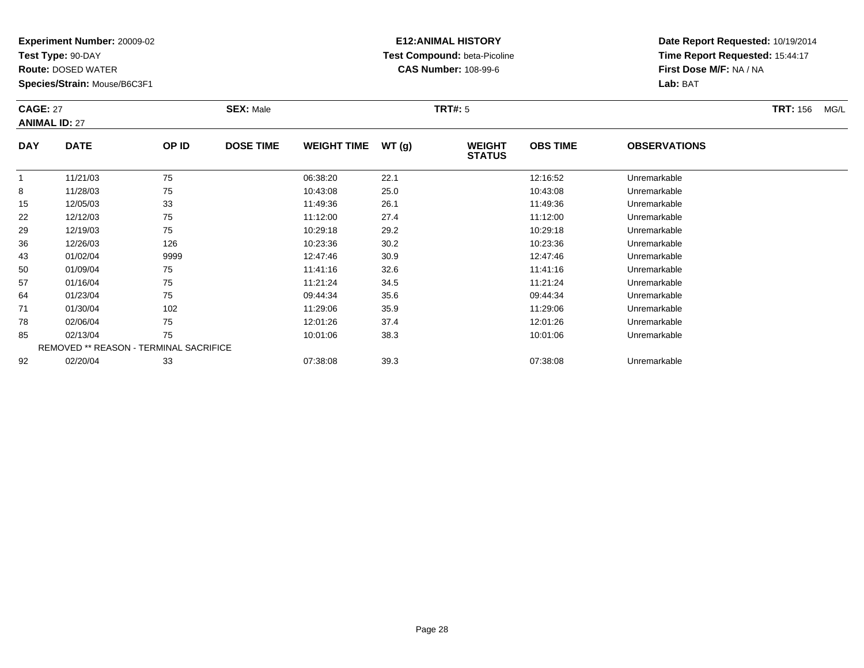**Test Type:** 90-DAY

64

71

78

85

92

**Route:** DOSED WATER

**Species/Strain:** Mouse/B6C3F1

REMOVED \*\* REASON - TERMINAL SACRIFICE

## **E12:ANIMAL HISTORY Test Compound:** beta-Picoline**CAS Number:** 108-99-6

**Date Report Requested:** 10/19/2014**Time Report Requested:** 15:44:17**First Dose M/F:** NA / NA**Lab:** BAT

| <b>CAGE: 27</b> | <b>ANIMAL ID: 27</b> |       | <b>SEX: Male</b> |                    |       | <b>TRT#: 5</b>                 |                 | <b>TRT: 156</b><br>MG/L |  |
|-----------------|----------------------|-------|------------------|--------------------|-------|--------------------------------|-----------------|-------------------------|--|
| <b>DAY</b>      | <b>DATE</b>          | OP ID | <b>DOSE TIME</b> | <b>WEIGHT TIME</b> | WT(g) | <b>WEIGHT</b><br><b>STATUS</b> | <b>OBS TIME</b> | <b>OBSERVATIONS</b>     |  |
|                 | 11/21/03             | 75    |                  | 06:38:20           | 22.1  |                                | 12:16:52        | Unremarkable            |  |
| 8               | 11/28/03             | 75    |                  | 10:43:08           | 25.0  |                                | 10:43:08        | Unremarkable            |  |
| 15              | 12/05/03             | 33    |                  | 11:49:36           | 26.1  |                                | 11:49:36        | Unremarkable            |  |
| 22              | 12/12/03             | 75    |                  | 11:12:00           | 27.4  |                                | 11:12:00        | Unremarkable            |  |
| 29              | 12/19/03             | 75    |                  | 10:29:18           | 29.2  |                                | 10:29:18        | Unremarkable            |  |
| 36              | 12/26/03             | 126   |                  | 10:23:36           | 30.2  |                                | 10:23:36        | Unremarkable            |  |
| 43              | 01/02/04             | 9999  |                  | 12:47:46           | 30.9  |                                | 12:47:46        | Unremarkable            |  |
| 50              | 01/09/04             | 75    |                  | 11:41:16           | 32.6  |                                | 11:41:16        | Unremarkable            |  |
| 57              | 01/16/04             | 75    |                  | 11:21:24           | 34.5  |                                | 11:21:24        | Unremarkable            |  |

01/16/04 <sup>75</sup> 11:21:24 34.5 11:21:24 Unremarkable

01/23/04 <sup>75</sup> 09:44:34 35.6 09:44:34 Unremarkable

01/30/04 <sup>102</sup> 11:29:06 35.9 11:29:06 Unremarkable

02/06/04 <sup>75</sup> 12:01:26 37.4 12:01:26 Unremarkable

02/13/04 <sup>75</sup> 10:01:06 38.3 10:01:06 Unremarkable

02/20/04 <sup>33</sup> 07:38:08 39.3 07:38:08 Unremarkable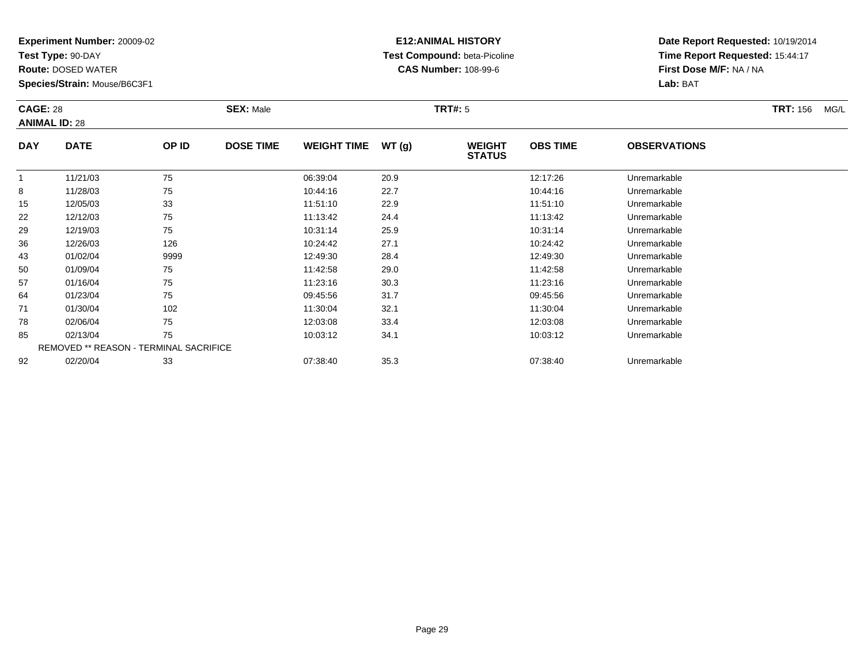**Test Type:** 90-DAY

92

**Route:** DOSED WATER

**Species/Strain:** Mouse/B6C3F1

REMOVED \*\* REASON - TERMINAL SACRIFICE

## **E12:ANIMAL HISTORY Test Compound:** beta-Picoline**CAS Number:** 108-99-6

**Date Report Requested:** 10/19/2014**Time Report Requested:** 15:44:17**First Dose M/F:** NA / NA**Lab:** BAT

|            | <b>CAGE: 28</b><br><b>ANIMAL ID: 28</b> |       | <b>SEX: Male</b> |                    |       | <b>TRT#: 5</b>                 |                 | <b>TRT: 156</b><br>MG/L |  |
|------------|-----------------------------------------|-------|------------------|--------------------|-------|--------------------------------|-----------------|-------------------------|--|
| <b>DAY</b> | <b>DATE</b>                             | OP ID | <b>DOSE TIME</b> | <b>WEIGHT TIME</b> | WT(g) | <b>WEIGHT</b><br><b>STATUS</b> | <b>OBS TIME</b> | <b>OBSERVATIONS</b>     |  |
|            | 11/21/03                                | 75    |                  | 06:39:04           | 20.9  |                                | 12:17:26        | Unremarkable            |  |
| 8          | 11/28/03                                | 75    |                  | 10:44:16           | 22.7  |                                | 10:44:16        | Unremarkable            |  |
| 15         | 12/05/03                                | 33    |                  | 11:51:10           | 22.9  |                                | 11:51:10        | Unremarkable            |  |
| 22         | 12/12/03                                | 75    |                  | 11:13:42           | 24.4  |                                | 11:13:42        | Unremarkable            |  |
| 29         | 12/19/03                                | 75    |                  | 10:31:14           | 25.9  |                                | 10:31:14        | Unremarkable            |  |
| 36         | 12/26/03                                | 126   |                  | 10:24:42           | 27.1  |                                | 10:24:42        | Unremarkable            |  |
| 43         | 01/02/04                                | 9999  |                  | 12:49:30           | 28.4  |                                | 12:49:30        | Unremarkable            |  |
| 50         | 01/09/04                                | 75    |                  | 11:42:58           | 29.0  |                                | 11:42:58        | Unremarkable            |  |
| 57         | 01/16/04                                | 75    |                  | 11:23:16           | 30.3  |                                | 11:23:16        | Unremarkable            |  |
| 64         | 01/23/04                                | 75    |                  | 09:45:56           | 31.7  |                                | 09:45:56        | Unremarkable            |  |
| 71         | 01/30/04                                | 102   |                  | 11:30:04           | 32.1  |                                | 11:30:04        | Unremarkable            |  |
| 78         | 02/06/04                                | 75    |                  | 12:03:08           | 33.4  |                                | 12:03:08        | Unremarkable            |  |
| 85         | 02/13/04                                | 75    |                  | 10:03:12           | 34.1  |                                | 10:03:12        | Unremarkable            |  |

02/20/04 <sup>33</sup> 07:38:40 35.3 07:38:40 Unremarkable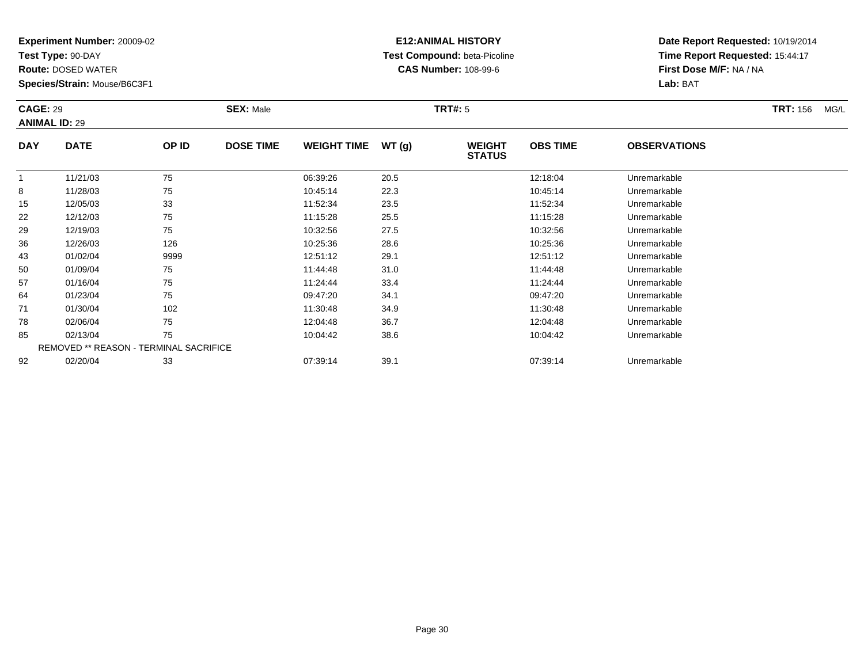**Test Type:** 90-DAY

92

**Route:** DOSED WATER

**Species/Strain:** Mouse/B6C3F1

## **E12:ANIMAL HISTORY Test Compound:** beta-Picoline**CAS Number:** 108-99-6

**Date Report Requested:** 10/19/2014**Time Report Requested:** 15:44:17**First Dose M/F:** NA / NA**Lab:** BAT

|            | <b>CAGE: 29</b><br><b>ANIMAL ID: 29</b>       |       | <b>SEX: Male</b> |                    |        | <b>TRT#: 5</b>                 |                 | <b>TRT: 156</b>     | MG/L |  |
|------------|-----------------------------------------------|-------|------------------|--------------------|--------|--------------------------------|-----------------|---------------------|------|--|
| <b>DAY</b> | <b>DATE</b>                                   | OP ID | <b>DOSE TIME</b> | <b>WEIGHT TIME</b> | WT (g) | <b>WEIGHT</b><br><b>STATUS</b> | <b>OBS TIME</b> | <b>OBSERVATIONS</b> |      |  |
|            | 11/21/03                                      | 75    |                  | 06:39:26           | 20.5   |                                | 12:18:04        | Unremarkable        |      |  |
| 8          | 11/28/03                                      | 75    |                  | 10:45:14           | 22.3   |                                | 10:45:14        | Unremarkable        |      |  |
| 15         | 12/05/03                                      | 33    |                  | 11:52:34           | 23.5   |                                | 11:52:34        | Unremarkable        |      |  |
| 22         | 12/12/03                                      | 75    |                  | 11:15:28           | 25.5   |                                | 11:15:28        | Unremarkable        |      |  |
| 29         | 12/19/03                                      | 75    |                  | 10:32:56           | 27.5   |                                | 10:32:56        | Unremarkable        |      |  |
| 36         | 12/26/03                                      | 126   |                  | 10:25:36           | 28.6   |                                | 10:25:36        | Unremarkable        |      |  |
| 43         | 01/02/04                                      | 9999  |                  | 12:51:12           | 29.1   |                                | 12:51:12        | Unremarkable        |      |  |
| 50         | 01/09/04                                      | 75    |                  | 11:44:48           | 31.0   |                                | 11:44:48        | Unremarkable        |      |  |
| 57         | 01/16/04                                      | 75    |                  | 11:24:44           | 33.4   |                                | 11:24:44        | Unremarkable        |      |  |
| 64         | 01/23/04                                      | 75    |                  | 09:47:20           | 34.1   |                                | 09:47:20        | Unremarkable        |      |  |
| 71         | 01/30/04                                      | 102   |                  | 11:30:48           | 34.9   |                                | 11:30:48        | Unremarkable        |      |  |
| 78         | 02/06/04                                      | 75    |                  | 12:04:48           | 36.7   |                                | 12:04:48        | Unremarkable        |      |  |
| 85         | 02/13/04                                      | 75    |                  | 10:04:42           | 38.6   |                                | 10:04:42        | Unremarkable        |      |  |
|            | <b>REMOVED ** REASON - TERMINAL SACRIFICE</b> |       |                  |                    |        |                                |                 |                     |      |  |

02/20/04 <sup>33</sup> 07:39:14 39.1 07:39:14 Unremarkable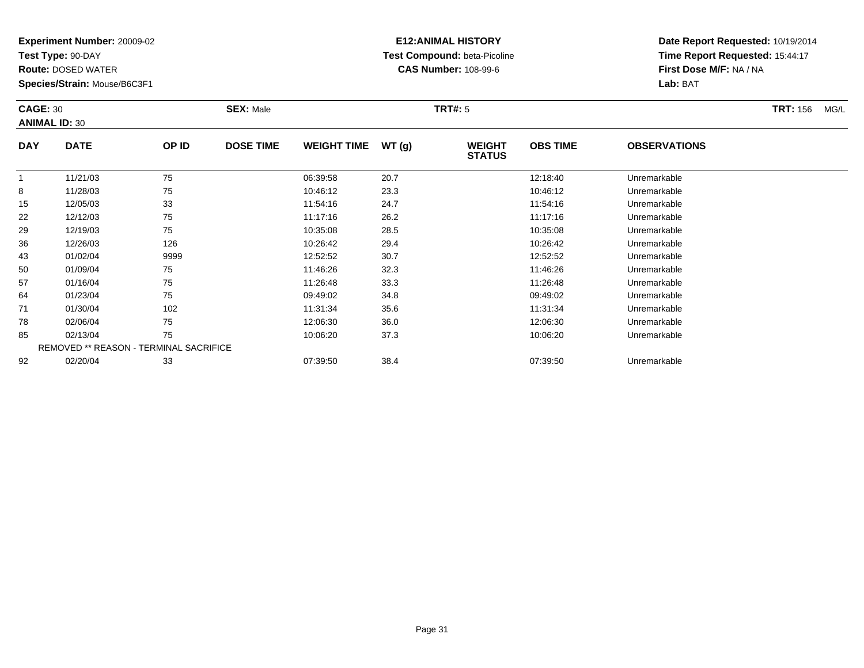**Test Type:** 90-DAY

92

**Route:** DOSED WATER

**Species/Strain:** Mouse/B6C3F1

# **E12:ANIMAL HISTORY Test Compound:** beta-Picoline**CAS Number:** 108-99-6

**Date Report Requested:** 10/19/2014**Time Report Requested:** 15:44:17**First Dose M/F:** NA / NA**Lab:** BAT

|            | <b>CAGE: 30</b><br><b>ANIMAL ID: 30</b>       |       | <b>SEX: Male</b> |                    |       | <b>TRT#:</b> 5                 |                 | <b>TRT: 156</b><br>MG/L |  |
|------------|-----------------------------------------------|-------|------------------|--------------------|-------|--------------------------------|-----------------|-------------------------|--|
| <b>DAY</b> | <b>DATE</b>                                   | OP ID | <b>DOSE TIME</b> | <b>WEIGHT TIME</b> | WT(g) | <b>WEIGHT</b><br><b>STATUS</b> | <b>OBS TIME</b> | <b>OBSERVATIONS</b>     |  |
|            | 11/21/03                                      | 75    |                  | 06:39:58           | 20.7  |                                | 12:18:40        | Unremarkable            |  |
| 8          | 11/28/03                                      | 75    |                  | 10:46:12           | 23.3  |                                | 10:46:12        | Unremarkable            |  |
| 15         | 12/05/03                                      | 33    |                  | 11:54:16           | 24.7  |                                | 11:54:16        | Unremarkable            |  |
| 22         | 12/12/03                                      | 75    |                  | 11:17:16           | 26.2  |                                | 11:17:16        | Unremarkable            |  |
| 29         | 12/19/03                                      | 75    |                  | 10:35:08           | 28.5  |                                | 10:35:08        | Unremarkable            |  |
| 36         | 12/26/03                                      | 126   |                  | 10:26:42           | 29.4  |                                | 10:26:42        | Unremarkable            |  |
| 43         | 01/02/04                                      | 9999  |                  | 12:52:52           | 30.7  |                                | 12:52:52        | Unremarkable            |  |
| 50         | 01/09/04                                      | 75    |                  | 11:46:26           | 32.3  |                                | 11:46:26        | Unremarkable            |  |
| 57         | 01/16/04                                      | 75    |                  | 11:26:48           | 33.3  |                                | 11:26:48        | Unremarkable            |  |
| 64         | 01/23/04                                      | 75    |                  | 09:49:02           | 34.8  |                                | 09:49:02        | Unremarkable            |  |
| 71         | 01/30/04                                      | 102   |                  | 11:31:34           | 35.6  |                                | 11:31:34        | Unremarkable            |  |
| 78         | 02/06/04                                      | 75    |                  | 12:06:30           | 36.0  |                                | 12:06:30        | Unremarkable            |  |
| 85         | 02/13/04                                      | 75    |                  | 10:06:20           | 37.3  |                                | 10:06:20        | Unremarkable            |  |
|            | <b>REMOVED ** REASON - TERMINAL SACRIFICE</b> |       |                  |                    |       |                                |                 |                         |  |

02/20/04 <sup>33</sup> 07:39:50 38.4 07:39:50 Unremarkable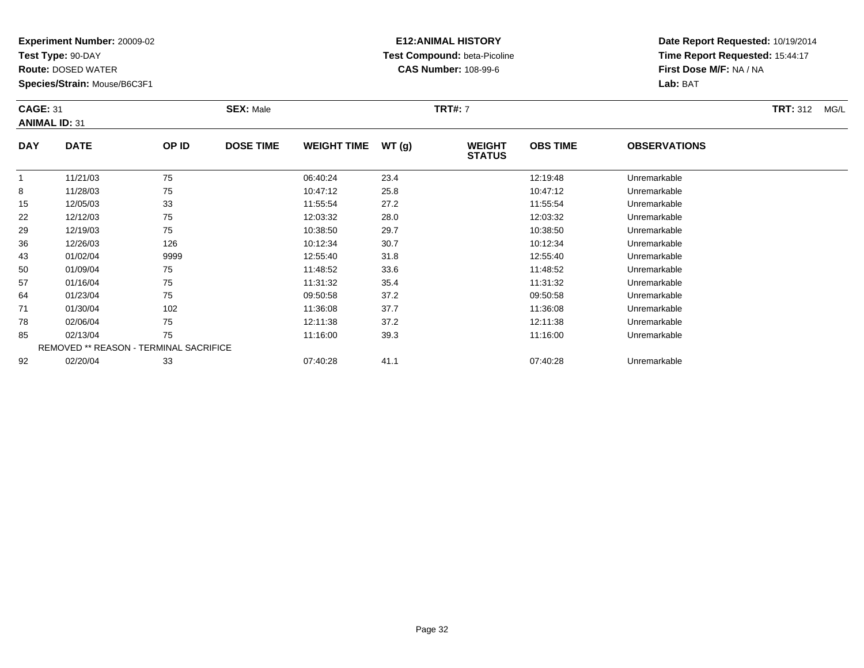**Test Type:** 90-DAY

**Route:** DOSED WATER

**Species/Strain:** Mouse/B6C3F1

# **E12:ANIMAL HISTORY Test Compound:** beta-Picoline**CAS Number:** 108-99-6

| <b>CAGE: 31</b> | <b>ANIMAL ID: 31</b> |       | <b>SEX: Male</b> |                    |       | <b>TRT#: 7</b>                 |                 |                     | <b>TRT: 312</b><br>MG/L |
|-----------------|----------------------|-------|------------------|--------------------|-------|--------------------------------|-----------------|---------------------|-------------------------|
| <b>DAY</b>      | <b>DATE</b>          | OP ID | <b>DOSE TIME</b> | <b>WEIGHT TIME</b> | WT(g) | <b>WEIGHT</b><br><b>STATUS</b> | <b>OBS TIME</b> | <b>OBSERVATIONS</b> |                         |
|                 | 11/21/03             | 75    |                  | 06:40:24           | 23.4  |                                | 12:19:48        | Unremarkable        |                         |
| 8               | 11/28/03             | 75    |                  | 10:47:12           | 25.8  |                                | 10:47:12        | Unremarkable        |                         |
| 15              | 12/05/03             | 33    |                  | 11:55:54           | 27.2  |                                | 11:55:54        | Unremarkable        |                         |
| 22              | 12/12/03             | 75    |                  | 12:03:32           | 28.0  |                                | 12:03:32        | Unremarkable        |                         |
| 29              | 12/19/03             | 75    |                  | 10:38:50           | 29.7  |                                | 10:38:50        | Unremarkable        |                         |

| ιυ                                            | 12/00/00 | ບບ   | .        | 21.2 | 11.00.04 | <b>UILLEITIAL NAME</b> |  |  |  |
|-----------------------------------------------|----------|------|----------|------|----------|------------------------|--|--|--|
| 22                                            | 12/12/03 | 75   | 12:03:32 | 28.0 | 12:03:32 | Unremarkable           |  |  |  |
| 29                                            | 12/19/03 | 75   | 10:38:50 | 29.7 | 10:38:50 | Unremarkable           |  |  |  |
| 36                                            | 12/26/03 | 126  | 10:12:34 | 30.7 | 10:12:34 | Unremarkable           |  |  |  |
| 43                                            | 01/02/04 | 9999 | 12:55:40 | 31.8 | 12:55:40 | Unremarkable           |  |  |  |
| 50                                            | 01/09/04 | 75   | 11:48:52 | 33.6 | 11:48:52 | Unremarkable           |  |  |  |
| 57                                            | 01/16/04 | 75   | 11:31:32 | 35.4 | 11:31:32 | Unremarkable           |  |  |  |
| 64                                            | 01/23/04 | 75   | 09:50:58 | 37.2 | 09:50:58 | Unremarkable           |  |  |  |
| 71                                            | 01/30/04 | 102  | 11:36:08 | 37.7 | 11:36:08 | Unremarkable           |  |  |  |
| 78                                            | 02/06/04 | 75   | 12:11:38 | 37.2 | 12:11:38 | Unremarkable           |  |  |  |
| 85                                            | 02/13/04 | 75   | 11:16:00 | 39.3 | 11:16:00 | Unremarkable           |  |  |  |
| <b>REMOVED ** REASON - TERMINAL SACRIFICE</b> |          |      |          |      |          |                        |  |  |  |
| 92                                            | 02/20/04 | 33   | 07:40:28 | 41.1 | 07:40:28 | Unremarkable           |  |  |  |
|                                               |          |      |          |      |          |                        |  |  |  |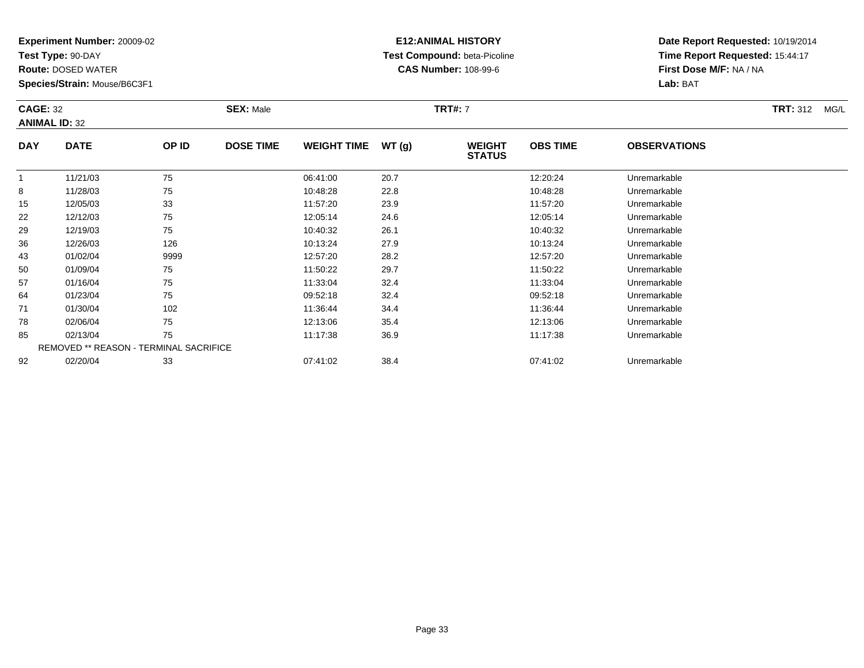**Test Type:** 90-DAY

78

85

92

**Route:** DOSED WATER

**Species/Strain:** Mouse/B6C3F1

REMOVED \*\* REASON - TERMINAL SACRIFICE

## **E12:ANIMAL HISTORY Test Compound:** beta-Picoline**CAS Number:** 108-99-6

**Date Report Requested:** 10/19/2014**Time Report Requested:** 15:44:17**First Dose M/F:** NA / NA**Lab:** BAT

| <b>CAGE: 32</b><br><b>ANIMAL ID: 32</b> |             | <b>SEX: Male</b> |                  |                    | <b>TRT#: 7</b> |                                |                 | <b>TRT: 312</b><br>MG/L |  |
|-----------------------------------------|-------------|------------------|------------------|--------------------|----------------|--------------------------------|-----------------|-------------------------|--|
| <b>DAY</b>                              | <b>DATE</b> | OP ID            | <b>DOSE TIME</b> | <b>WEIGHT TIME</b> | WT(g)          | <b>WEIGHT</b><br><b>STATUS</b> | <b>OBS TIME</b> | <b>OBSERVATIONS</b>     |  |
|                                         | 11/21/03    | 75               |                  | 06:41:00           | 20.7           |                                | 12:20:24        | Unremarkable            |  |
| 8                                       | 11/28/03    | 75               |                  | 10:48:28           | 22.8           |                                | 10:48:28        | Unremarkable            |  |
| 15                                      | 12/05/03    | 33               |                  | 11:57:20           | 23.9           |                                | 11:57:20        | Unremarkable            |  |
| 22                                      | 12/12/03    | 75               |                  | 12:05:14           | 24.6           |                                | 12:05:14        | Unremarkable            |  |
| 29                                      | 12/19/03    | 75               |                  | 10:40:32           | 26.1           |                                | 10:40:32        | Unremarkable            |  |
| 36                                      | 12/26/03    | 126              |                  | 10:13:24           | 27.9           |                                | 10:13:24        | Unremarkable            |  |
| 43                                      | 01/02/04    | 9999             |                  | 12:57:20           | 28.2           |                                | 12:57:20        | Unremarkable            |  |
| 50                                      | 01/09/04    | 75               |                  | 11:50:22           | 29.7           |                                | 11:50:22        | Unremarkable            |  |
| 57                                      | 01/16/04    | 75               |                  | 11:33:04           | 32.4           |                                | 11:33:04        | Unremarkable            |  |
| 64                                      | 01/23/04    | 75               |                  | 09:52:18           | 32.4           |                                | 09:52:18        | Unremarkable            |  |
| 71                                      | 01/30/04    | 102              |                  | 11:36:44           | 34.4           |                                | 11:36:44        | Unremarkable            |  |

02/06/04 <sup>75</sup> 12:13:06 35.4 12:13:06 Unremarkable

02/13/04 <sup>75</sup> 11:17:38 36.9 11:17:38 Unremarkable

02/20/04 <sup>33</sup> 07:41:02 38.4 07:41:02 Unremarkable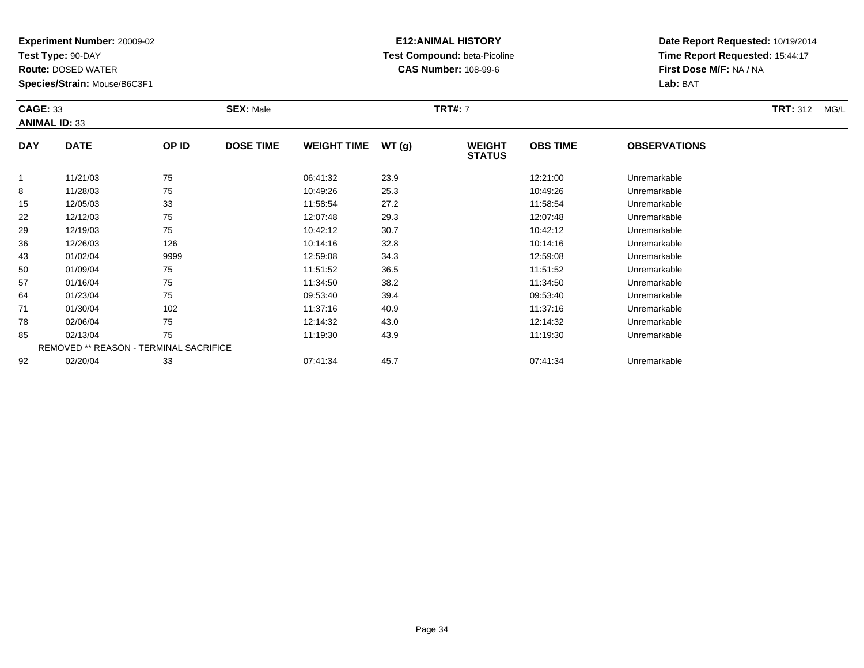**Test Type:** 90-DAY

78

85

92

**Route:** DOSED WATER

**Species/Strain:** Mouse/B6C3F1

REMOVED \*\* REASON - TERMINAL SACRIFICE

## **E12:ANIMAL HISTORY Test Compound:** beta-Picoline**CAS Number:** 108-99-6

**Date Report Requested:** 10/19/2014**Time Report Requested:** 15:44:17**First Dose M/F:** NA / NA**Lab:** BAT

| <b>CAGE: 33</b><br><b>ANIMAL ID: 33</b> |             |       | <b>SEX: Male</b> |                    |       | <b>TRT#: 7</b>                 |                 |                     | <b>TRT: 312</b><br>MG/L |
|-----------------------------------------|-------------|-------|------------------|--------------------|-------|--------------------------------|-----------------|---------------------|-------------------------|
| <b>DAY</b>                              | <b>DATE</b> | OP ID | <b>DOSE TIME</b> | <b>WEIGHT TIME</b> | WT(g) | <b>WEIGHT</b><br><b>STATUS</b> | <b>OBS TIME</b> | <b>OBSERVATIONS</b> |                         |
|                                         | 11/21/03    | 75    |                  | 06:41:32           | 23.9  |                                | 12:21:00        | Unremarkable        |                         |
| 8                                       | 11/28/03    | 75    |                  | 10:49:26           | 25.3  |                                | 10:49:26        | Unremarkable        |                         |
| 15                                      | 12/05/03    | 33    |                  | 11:58:54           | 27.2  |                                | 11:58:54        | Unremarkable        |                         |
| 22                                      | 12/12/03    | 75    |                  | 12:07:48           | 29.3  |                                | 12:07:48        | Unremarkable        |                         |
| 29                                      | 12/19/03    | 75    |                  | 10:42:12           | 30.7  |                                | 10:42:12        | Unremarkable        |                         |
| 36                                      | 12/26/03    | 126   |                  | 10:14:16           | 32.8  |                                | 10:14:16        | Unremarkable        |                         |
| 43                                      | 01/02/04    | 9999  |                  | 12:59:08           | 34.3  |                                | 12:59:08        | Unremarkable        |                         |
| 50                                      | 01/09/04    | 75    |                  | 11:51:52           | 36.5  |                                | 11:51:52        | Unremarkable        |                         |
| 57                                      | 01/16/04    | 75    |                  | 11:34:50           | 38.2  |                                | 11:34:50        | Unremarkable        |                         |
| 64                                      | 01/23/04    | 75    |                  | 09:53:40           | 39.4  |                                | 09:53:40        | Unremarkable        |                         |
| 71                                      | 01/30/04    | 102   |                  | 11:37:16           | 40.9  |                                | 11:37:16        | Unremarkable        |                         |

02/06/04 <sup>75</sup> 12:14:32 43.0 12:14:32 Unremarkable

02/13/04 <sup>75</sup> 11:19:30 43.9 11:19:30 Unremarkable

02/20/04 <sup>33</sup> 07:41:34 45.7 07:41:34 Unremarkable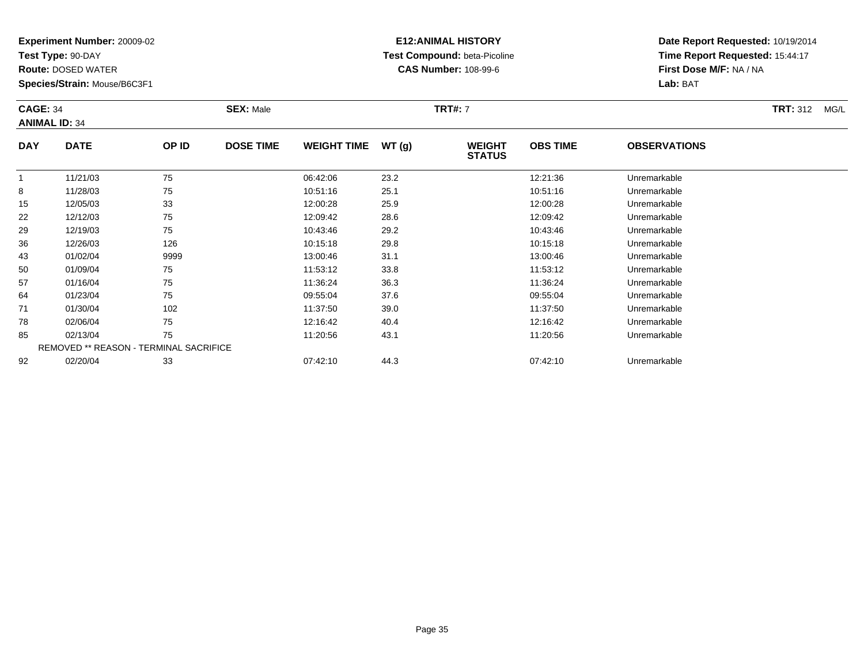**Test Type:** 90-DAY

50

57

64

71

78

85

92

**Route:** DOSED WATER

**Species/Strain:** Mouse/B6C3F1

REMOVED \*\* REASON - TERMINAL SACRIFICE

## **E12:ANIMAL HISTORY Test Compound:** beta-Picoline**CAS Number:** 108-99-6

**Date Report Requested:** 10/19/2014**Time Report Requested:** 15:44:17**First Dose M/F:** NA / NA**Lab:** BAT

| <b>CAGE: 34</b><br><b>ANIMAL ID: 34</b> |             |       | <b>SEX: Male</b> |                    |       | <b>TRT#: 7</b>                 | <b>TRT: 312</b><br>MG/L |                     |  |
|-----------------------------------------|-------------|-------|------------------|--------------------|-------|--------------------------------|-------------------------|---------------------|--|
| <b>DAY</b>                              | <b>DATE</b> | OP ID | <b>DOSE TIME</b> | <b>WEIGHT TIME</b> | WT(g) | <b>WEIGHT</b><br><b>STATUS</b> | <b>OBS TIME</b>         | <b>OBSERVATIONS</b> |  |
|                                         | 11/21/03    | 75    |                  | 06:42:06           | 23.2  |                                | 12:21:36                | Unremarkable        |  |
| 8                                       | 11/28/03    | 75    |                  | 10:51:16           | 25.1  |                                | 10:51:16                | Unremarkable        |  |
| 15                                      | 12/05/03    | 33    |                  | 12:00:28           | 25.9  |                                | 12:00:28                | Unremarkable        |  |
| 22                                      | 12/12/03    | 75    |                  | 12:09:42           | 28.6  |                                | 12:09:42                | Unremarkable        |  |
| 29                                      | 12/19/03    | 75    |                  | 10:43:46           | 29.2  |                                | 10:43:46                | Unremarkable        |  |
| 36                                      | 12/26/03    | 126   |                  | 10:15:18           | 29.8  |                                | 10:15:18                | Unremarkable        |  |
| 43                                      | 01/02/04    | 9999  |                  | 13:00:46           | 31.1  |                                | 13:00:46                | Unremarkable        |  |

0 01/09/04 75 75 11:53:12 33.8 11:53 11:53:12 Dhremarkable

01/16/04 <sup>75</sup> 11:36:24 36.3 11:36:24 Unremarkable

01/23/04 <sup>75</sup> 09:55:04 37.6 09:55:04 Unremarkable

01/30/04 <sup>102</sup> 11:37:50 39.0 11:37:50 Unremarkable

02/06/04 <sup>75</sup> 12:16:42 40.4 12:16:42 Unremarkable

5 02/13/04 75 75 11:20:56 43.1 11:20 11:20 11:20 5 11:20 56 5 Unremarkable

02/20/04 <sup>33</sup> 07:42:10 44.3 07:42:10 Unremarkable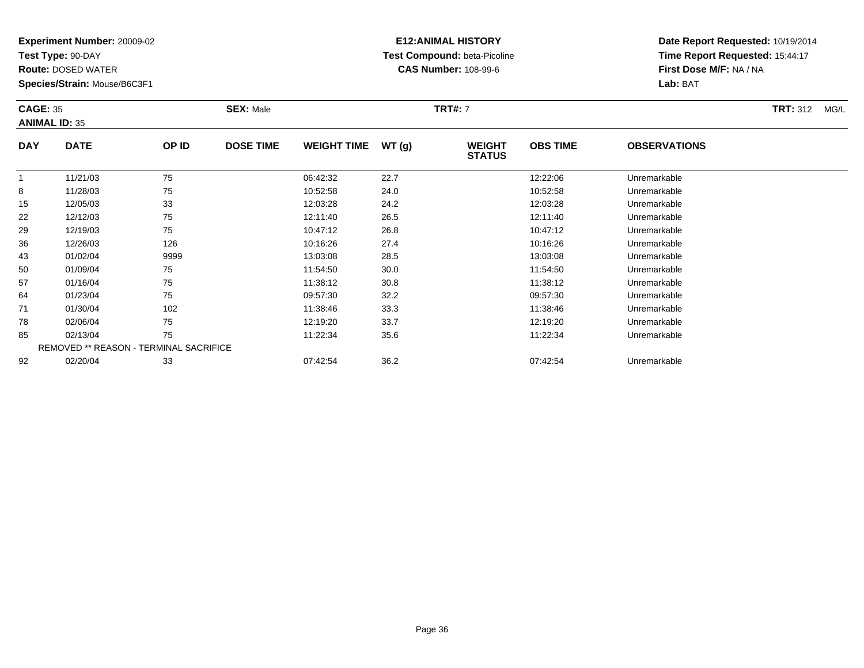**Test Type:** 90-DAY

**Route:** DOSED WATER

**Species/Strain:** Mouse/B6C3F1

# **E12:ANIMAL HISTORY Test Compound:** beta-Picoline**CAS Number:** 108-99-6

| <b>CAGE: 35</b><br><b>ANIMAL ID: 35</b> |             |       | <b>SEX: Male</b> |                    |               | <b>TRT#: 7</b>                 | <b>TRT: 312</b><br>MG/L |                     |  |
|-----------------------------------------|-------------|-------|------------------|--------------------|---------------|--------------------------------|-------------------------|---------------------|--|
| <b>DAY</b>                              | <b>DATE</b> | OP ID | <b>DOSE TIME</b> | <b>WEIGHT TIME</b> | WT(q)         | <b>WEIGHT</b><br><b>STATUS</b> | <b>OBS TIME</b>         | <b>OBSERVATIONS</b> |  |
|                                         | 11/21/03    | 75    |                  | 06:42:32           | 22.7          |                                | 12:22:06                | Unremarkable        |  |
| 8                                       | 11/28/03    | 75    |                  | 10:52:58           | 24.0          |                                | 10:52:58                | Unremarkable        |  |
| 15                                      | 12/05/03    | 33    |                  | 12:03:28           | 24.2          |                                | 12:03:28                | Unremarkable        |  |
| 22                                      | 12/12/03    | 75    |                  | 12:11:40           | 26.5          |                                | 12:11:40                | Unremarkable        |  |
| $\sim$                                  | 10110100    | $- -$ |                  | $\sqrt{2}$         | $\sim$ $\sim$ |                                | $\sqrt{2}$              |                     |  |

| 8                                             | 11/28/03 | 75   | 10:52:58 | 24.0 | 10:52:58 | Unremarkable |  |  |  |
|-----------------------------------------------|----------|------|----------|------|----------|--------------|--|--|--|
| 15                                            | 12/05/03 | 33   | 12:03:28 | 24.2 | 12:03:28 | Unremarkable |  |  |  |
| 22                                            | 12/12/03 | 75   | 12:11:40 | 26.5 | 12:11:40 | Unremarkable |  |  |  |
| 29                                            | 12/19/03 | 75   | 10:47:12 | 26.8 | 10:47:12 | Unremarkable |  |  |  |
| 36                                            | 12/26/03 | 126  | 10:16:26 | 27.4 | 10:16:26 | Unremarkable |  |  |  |
| 43                                            | 01/02/04 | 9999 | 13:03:08 | 28.5 | 13:03:08 | Unremarkable |  |  |  |
| 50                                            | 01/09/04 | 75   | 11:54:50 | 30.0 | 11:54:50 | Unremarkable |  |  |  |
| 57                                            | 01/16/04 | 75   | 11:38:12 | 30.8 | 11:38:12 | Unremarkable |  |  |  |
| 64                                            | 01/23/04 | 75   | 09:57:30 | 32.2 | 09:57:30 | Unremarkable |  |  |  |
| 71                                            | 01/30/04 | 102  | 11:38:46 | 33.3 | 11:38:46 | Unremarkable |  |  |  |
| 78                                            | 02/06/04 | 75   | 12:19:20 | 33.7 | 12:19:20 | Unremarkable |  |  |  |
| 85                                            | 02/13/04 | 75   | 11:22:34 | 35.6 | 11:22:34 | Unremarkable |  |  |  |
| <b>REMOVED ** REASON - TERMINAL SACRIFICE</b> |          |      |          |      |          |              |  |  |  |
| 92                                            | 02/20/04 | 33   | 07:42:54 | 36.2 | 07:42:54 | Unremarkable |  |  |  |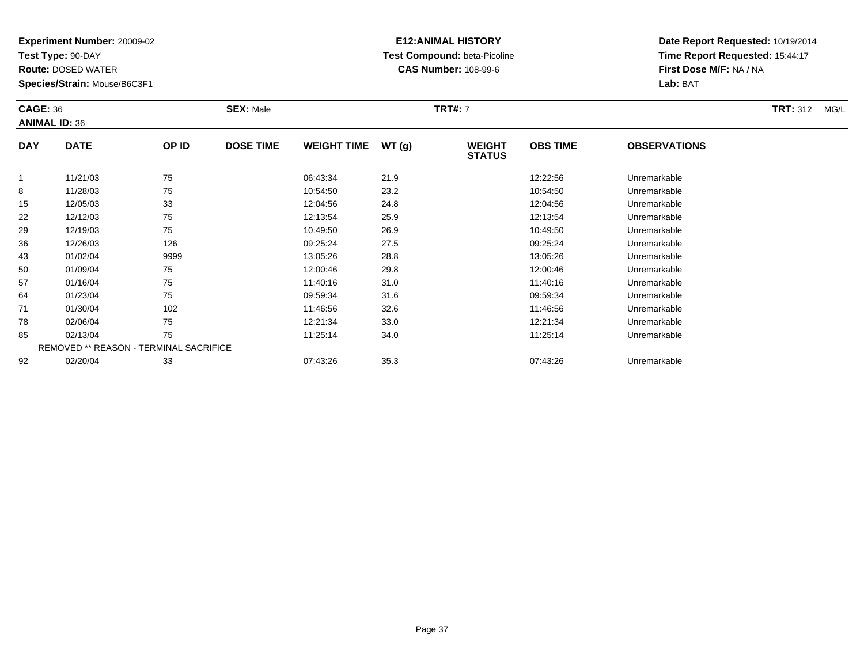**Test Type:** 90-DAY

71

78

85

92

**Route:** DOSED WATER

**Species/Strain:** Mouse/B6C3F1

REMOVED \*\* REASON - TERMINAL SACRIFICE

### **E12:ANIMAL HISTORY Test Compound:** beta-Picoline**CAS Number:** 108-99-6

**Date Report Requested:** 10/19/2014**Time Report Requested:** 15:44:17**First Dose M/F:** NA / NA**Lab:** BAT

| <b>CAGE: 36</b><br><b>ANIMAL ID: 36</b> |             |       | <b>SEX: Male</b> |                    |       | <b>TRT#: 7</b>                 |                 |                     | <b>TRT: 312</b><br>MG/L |
|-----------------------------------------|-------------|-------|------------------|--------------------|-------|--------------------------------|-----------------|---------------------|-------------------------|
| <b>DAY</b>                              | <b>DATE</b> | OP ID | <b>DOSE TIME</b> | <b>WEIGHT TIME</b> | WT(g) | <b>WEIGHT</b><br><b>STATUS</b> | <b>OBS TIME</b> | <b>OBSERVATIONS</b> |                         |
|                                         | 11/21/03    | 75    |                  | 06:43:34           | 21.9  |                                | 12:22:56        | Unremarkable        |                         |
| 8                                       | 11/28/03    | 75    |                  | 10:54:50           | 23.2  |                                | 10:54:50        | Unremarkable        |                         |
| 15                                      | 12/05/03    | 33    |                  | 12:04:56           | 24.8  |                                | 12:04:56        | Unremarkable        |                         |
| 22                                      | 12/12/03    | 75    |                  | 12:13:54           | 25.9  |                                | 12:13:54        | Unremarkable        |                         |
| 29                                      | 12/19/03    | 75    |                  | 10:49:50           | 26.9  |                                | 10:49:50        | Unremarkable        |                         |
| 36                                      | 12/26/03    | 126   |                  | 09:25:24           | 27.5  |                                | 09:25:24        | Unremarkable        |                         |
| 43                                      | 01/02/04    | 9999  |                  | 13:05:26           | 28.8  |                                | 13:05:26        | Unremarkable        |                         |
| 50                                      | 01/09/04    | 75    |                  | 12:00:46           | 29.8  |                                | 12:00:46        | Unremarkable        |                         |
| 57                                      | 01/16/04    | 75    |                  | 11:40:16           | 31.0  |                                | 11:40:16        | Unremarkable        |                         |
| 64                                      | 01/23/04    | 75    |                  | 09:59:34           | 31.6  |                                | 09:59:34        | Unremarkable        |                         |

01/30/04 <sup>102</sup> 11:46:56 32.6 11:46:56 Unremarkable

02/06/04 <sup>75</sup> 12:21:34 33.0 12:21:34 Unremarkable

02/13/04 <sup>75</sup> 11:25:14 34.0 11:25:14 Unremarkable

02/20/04 <sup>33</sup> 07:43:26 35.3 07:43:26 Unremarkable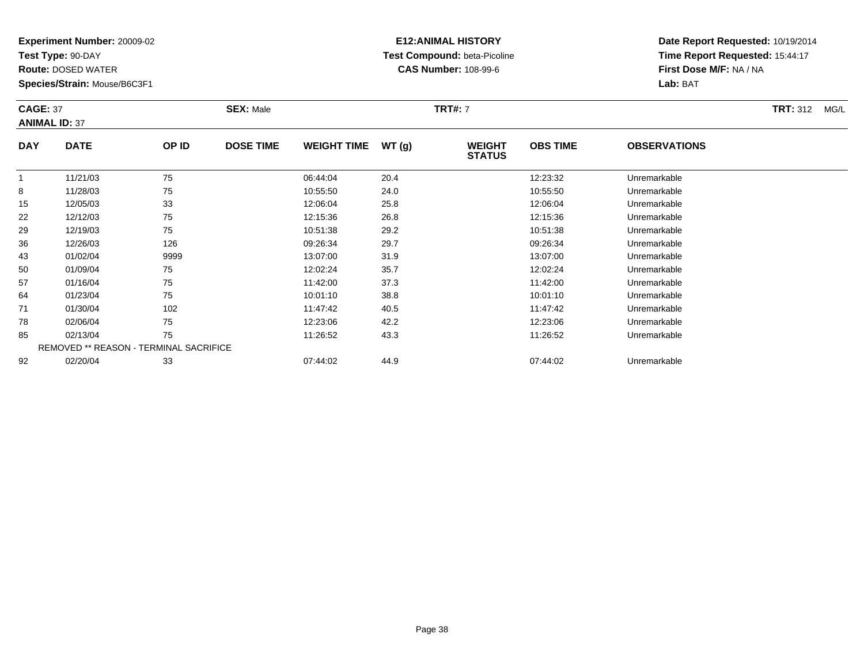**Test Type:** 90-DAY

64

71

78

85

92

**Route:** DOSED WATER

**Species/Strain:** Mouse/B6C3F1

REMOVED \*\* REASON - TERMINAL SACRIFICE

### **E12:ANIMAL HISTORY Test Compound:** beta-Picoline**CAS Number:** 108-99-6

**Date Report Requested:** 10/19/2014**Time Report Requested:** 15:44:17**First Dose M/F:** NA / NA**Lab:** BAT

| <b>CAGE: 37</b> | <b>ANIMAL ID: 37</b> |       | <b>SEX: Male</b> |                    |       | <b>TRT#: 7</b>                 |                 |                     | <b>TRT: 312</b><br>MG/L |
|-----------------|----------------------|-------|------------------|--------------------|-------|--------------------------------|-----------------|---------------------|-------------------------|
| <b>DAY</b>      | <b>DATE</b>          | OP ID | <b>DOSE TIME</b> | <b>WEIGHT TIME</b> | WT(g) | <b>WEIGHT</b><br><b>STATUS</b> | <b>OBS TIME</b> | <b>OBSERVATIONS</b> |                         |
|                 | 11/21/03             | 75    |                  | 06:44:04           | 20.4  |                                | 12:23:32        | Unremarkable        |                         |
| 8               | 11/28/03             | 75    |                  | 10:55:50           | 24.0  |                                | 10:55:50        | Unremarkable        |                         |
| 15              | 12/05/03             | 33    |                  | 12:06:04           | 25.8  |                                | 12:06:04        | Unremarkable        |                         |
| 22              | 12/12/03             | 75    |                  | 12:15:36           | 26.8  |                                | 12:15:36        | Unremarkable        |                         |
| 29              | 12/19/03             | 75    |                  | 10:51:38           | 29.2  |                                | 10:51:38        | Unremarkable        |                         |
| 36              | 12/26/03             | 126   |                  | 09:26:34           | 29.7  |                                | 09:26:34        | Unremarkable        |                         |
| 43              | 01/02/04             | 9999  |                  | 13:07:00           | 31.9  |                                | 13:07:00        | Unremarkable        |                         |
| 50              | 01/09/04             | 75    |                  | 12:02:24           | 35.7  |                                | 12:02:24        | Unremarkable        |                         |
| 57              | 01/16/04             | 75    |                  | 11:42:00           | 37.3  |                                | 11:42:00        | Unremarkable        |                         |

01/16/04 <sup>75</sup> 11:42:00 37.3 11:42:00 Unremarkable

01/23/04 <sup>75</sup> 10:01:10 38.8 10:01:10 Unremarkable

1 01/30/04 102 102 11:47:42 40.5 11:47:42 11:47:42 Unremarkable

8 02/06/04 75 75 12:23:06 42.2 12.23:06 13:23:06 12:23:06 02/06/04 Unremarkable

02/13/04 <sup>75</sup> 11:26:52 43.3 11:26:52 Unremarkable

02/20/04 <sup>33</sup> 07:44:02 44.9 07:44:02 Unremarkable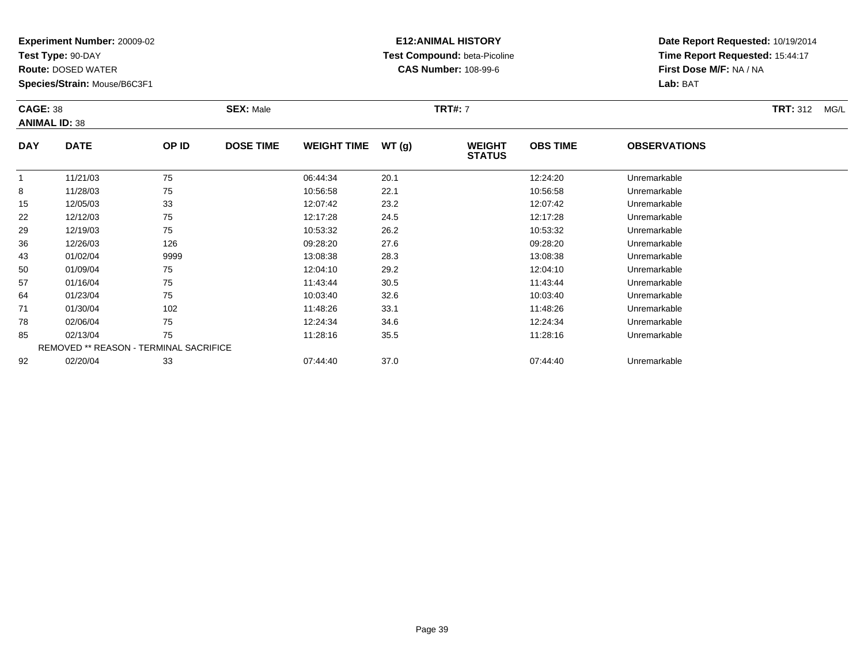**Test Type:** 90-DAY

92

**Route:** DOSED WATER

**Species/Strain:** Mouse/B6C3F1

### **E12:ANIMAL HISTORY Test Compound:** beta-Picoline**CAS Number:** 108-99-6

**Date Report Requested:** 10/19/2014**Time Report Requested:** 15:44:17**First Dose M/F:** NA / NA**Lab:** BAT

| <b>CAGE: 38</b> | <b>ANIMAL ID: 38</b> |       | <b>SEX: Male</b> |                    |       | <b>TRT#: 7</b>                 |                 |                     | <b>TRT: 312</b><br>MG/L |
|-----------------|----------------------|-------|------------------|--------------------|-------|--------------------------------|-----------------|---------------------|-------------------------|
| <b>DAY</b>      | <b>DATE</b>          | OP ID | <b>DOSE TIME</b> | <b>WEIGHT TIME</b> | WT(g) | <b>WEIGHT</b><br><b>STATUS</b> | <b>OBS TIME</b> | <b>OBSERVATIONS</b> |                         |
|                 | 11/21/03             | 75    |                  | 06:44:34           | 20.1  |                                | 12:24:20        | Unremarkable        |                         |
| 8               | 11/28/03             | 75    |                  | 10:56:58           | 22.1  |                                | 10:56:58        | Unremarkable        |                         |
| 15              | 12/05/03             | 33    |                  | 12:07:42           | 23.2  |                                | 12:07:42        | Unremarkable        |                         |
| 22              | 12/12/03             | 75    |                  | 12:17:28           | 24.5  |                                | 12:17:28        | Unremarkable        |                         |
| 29              | 12/19/03             | 75    |                  | 10:53:32           | 26.2  |                                | 10:53:32        | Unremarkable        |                         |
| 36              | 12/26/03             | 126   |                  | 09:28:20           | 27.6  |                                | 09:28:20        | Unremarkable        |                         |
| 43              | 01/02/04             | 9999  |                  | 13:08:38           | 28.3  |                                | 13:08:38        | Unremarkable        |                         |
| 50              | 01/09/04             | 75    |                  | 12:04:10           | 29.2  |                                | 12:04:10        | Unremarkable        |                         |
| 57              | 01/16/04             | 75    |                  | 11:43:44           | 30.5  |                                | 11.43.44        | Unremarkable        |                         |
| 64              | 01/23/04             | 75    |                  | 10:03:40           | 32.6  |                                | 10:03:40        | Unremarkable        |                         |
| 71              | 01/30/04             | 102   |                  | 11:48:26           | 33.1  |                                | 11:48:26        | Unremarkable        |                         |
| 78              | 02/06/04             | 75    |                  | 12:24:34           | 34.6  |                                | 12:24:34        | Unremarkable        |                         |
| 85              | 02/13/04             | 75    |                  | 11:28:16           | 35.5  |                                | 11:28:16        | Unremarkable        |                         |

| 02/13/04 | フド<br>ັບ                                      | 11:28:16 | 35.5 | 11:28:16 | Unremarkable |
|----------|-----------------------------------------------|----------|------|----------|--------------|
|          | <b>REMOVED ** REASON - TERMINAL SACRIFICE</b> |          |      |          |              |
| 02/20/04 | วว<br>JJ                                      | 07:44:40 | 37.0 | 07:44:40 | Unremarkable |

Page 39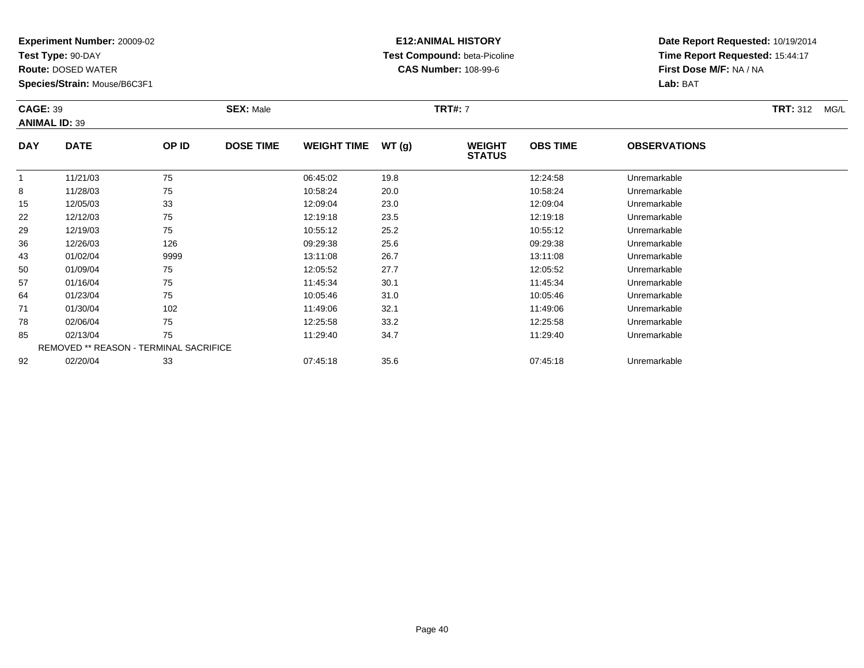**Test Type:** 90-DAY

78

85

92

**Route:** DOSED WATER

**Species/Strain:** Mouse/B6C3F1

REMOVED \*\* REASON - TERMINAL SACRIFICE

### **E12:ANIMAL HISTORY Test Compound:** beta-Picoline**CAS Number:** 108-99-6

**Date Report Requested:** 10/19/2014**Time Report Requested:** 15:44:17**First Dose M/F:** NA / NA**Lab:** BAT

| <b>CAGE: 39</b><br><b>ANIMAL ID: 39</b> |             |       | <b>SEX: Male</b> |                    |       | <b>TRT#: 7</b>                 |                 |                     | <b>TRT: 312</b><br>MG/L |
|-----------------------------------------|-------------|-------|------------------|--------------------|-------|--------------------------------|-----------------|---------------------|-------------------------|
| <b>DAY</b>                              | <b>DATE</b> | OP ID | <b>DOSE TIME</b> | <b>WEIGHT TIME</b> | WT(g) | <b>WEIGHT</b><br><b>STATUS</b> | <b>OBS TIME</b> | <b>OBSERVATIONS</b> |                         |
|                                         | 11/21/03    | 75    |                  | 06:45:02           | 19.8  |                                | 12:24:58        | Unremarkable        |                         |
| 8                                       | 11/28/03    | 75    |                  | 10:58:24           | 20.0  |                                | 10:58:24        | Unremarkable        |                         |
| 15                                      | 12/05/03    | 33    |                  | 12:09:04           | 23.0  |                                | 12:09:04        | Unremarkable        |                         |
| 22                                      | 12/12/03    | 75    |                  | 12:19:18           | 23.5  |                                | 12:19:18        | Unremarkable        |                         |
| 29                                      | 12/19/03    | 75    |                  | 10:55:12           | 25.2  |                                | 10:55:12        | Unremarkable        |                         |
| 36                                      | 12/26/03    | 126   |                  | 09:29:38           | 25.6  |                                | 09:29:38        | Unremarkable        |                         |
| 43                                      | 01/02/04    | 9999  |                  | 13:11:08           | 26.7  |                                | 13:11:08        | Unremarkable        |                         |
| 50                                      | 01/09/04    | 75    |                  | 12:05:52           | 27.7  |                                | 12:05:52        | Unremarkable        |                         |
| 57                                      | 01/16/04    | 75    |                  | 11:45:34           | 30.1  |                                | 11:45:34        | Unremarkable        |                         |
| 64                                      | 01/23/04    | 75    |                  | 10:05:46           | 31.0  |                                | 10:05:46        | Unremarkable        |                         |
| 71                                      | 01/30/04    | 102   |                  | 11:49:06           | 32.1  |                                | 11:49:06        | Unremarkable        |                         |

02/06/04 <sup>75</sup> 12:25:58 33.2 12:25:58 Unremarkable

02/13/04 <sup>75</sup> 11:29:40 34.7 11:29:40 Unremarkable

02/20/04 <sup>33</sup> 07:45:18 35.6 07:45:18 Unremarkable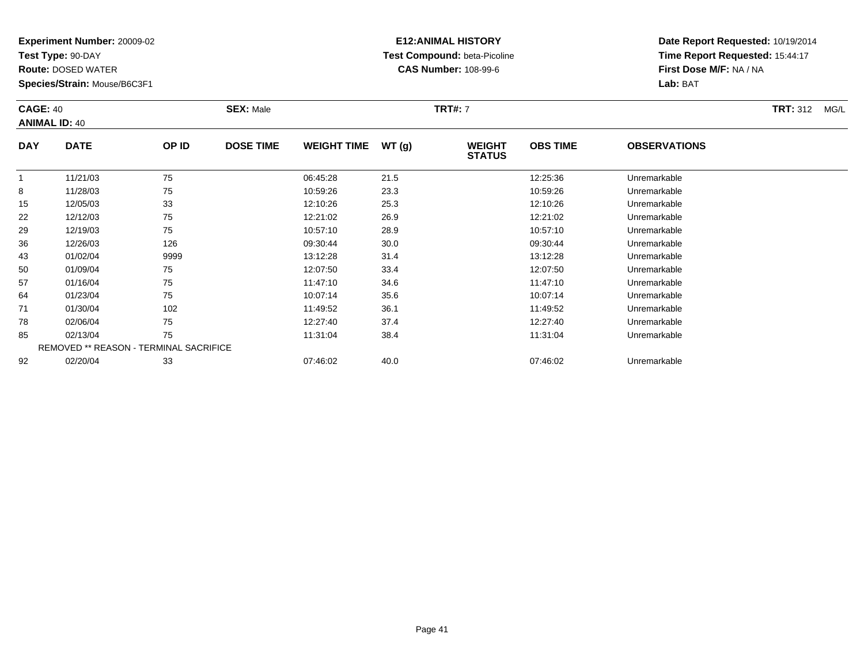**Test Type:** 90-DAY

64

71

78

85

92

**Route:** DOSED WATER

**Species/Strain:** Mouse/B6C3F1

REMOVED \*\* REASON - TERMINAL SACRIFICE

### **E12:ANIMAL HISTORY Test Compound:** beta-Picoline**CAS Number:** 108-99-6

**Date Report Requested:** 10/19/2014**Time Report Requested:** 15:44:17**First Dose M/F:** NA / NA**Lab:** BAT

|            | <b>CAGE: 40</b><br><b>ANIMAL ID: 40</b> |       | <b>SEX: Male</b> |                    |       | <b>TRT#: 7</b>                 | <b>TRT: 312</b><br>MG/L |                     |  |
|------------|-----------------------------------------|-------|------------------|--------------------|-------|--------------------------------|-------------------------|---------------------|--|
| <b>DAY</b> | <b>DATE</b>                             | OP ID | <b>DOSE TIME</b> | <b>WEIGHT TIME</b> | WT(q) | <b>WEIGHT</b><br><b>STATUS</b> | <b>OBS TIME</b>         | <b>OBSERVATIONS</b> |  |
|            | 11/21/03                                | 75    |                  | 06:45:28           | 21.5  |                                | 12:25:36                | Unremarkable        |  |
| 8          | 11/28/03                                | 75    |                  | 10:59:26           | 23.3  |                                | 10:59:26                | Unremarkable        |  |
| 15         | 12/05/03                                | 33    |                  | 12:10:26           | 25.3  |                                | 12:10:26                | Unremarkable        |  |
| 22         | 12/12/03                                | 75    |                  | 12:21:02           | 26.9  |                                | 12:21:02                | Unremarkable        |  |
| 29         | 12/19/03                                | 75    |                  | 10:57:10           | 28.9  |                                | 10:57:10                | Unremarkable        |  |
| 36         | 12/26/03                                | 126   |                  | 09:30:44           | 30.0  |                                | 09:30:44                | Unremarkable        |  |
| 43         | 01/02/04                                | 9999  |                  | 13:12:28           | 31.4  |                                | 13:12:28                | Unremarkable        |  |
| 50         | 01/09/04                                | 75    |                  | 12:07:50           | 33.4  |                                | 12:07:50                | Unremarkable        |  |
| 57         | 01/16/04                                | 75    |                  | 11:47:10           | 34.6  |                                | 11:47:10                | Unremarkable        |  |

01/16/04 <sup>75</sup> 11:47:10 34.6 11:47:10 Unremarkable

01/23/04 <sup>75</sup> 10:07:14 35.6 10:07:14 Unremarkable

1 01/30/04 102 102 11:49:52 36.1 11:49.52 36.1 11:49:52 Unremarkable

8 02/06/04 75 75 12:27:40 37.4 13.27 13.27 13.27:40 Dhremarkable

02/13/04 <sup>75</sup> 11:31:04 38.4 11:31:04 Unremarkable

02/20/04 <sup>33</sup> 07:46:02 40.0 07:46:02 Unremarkable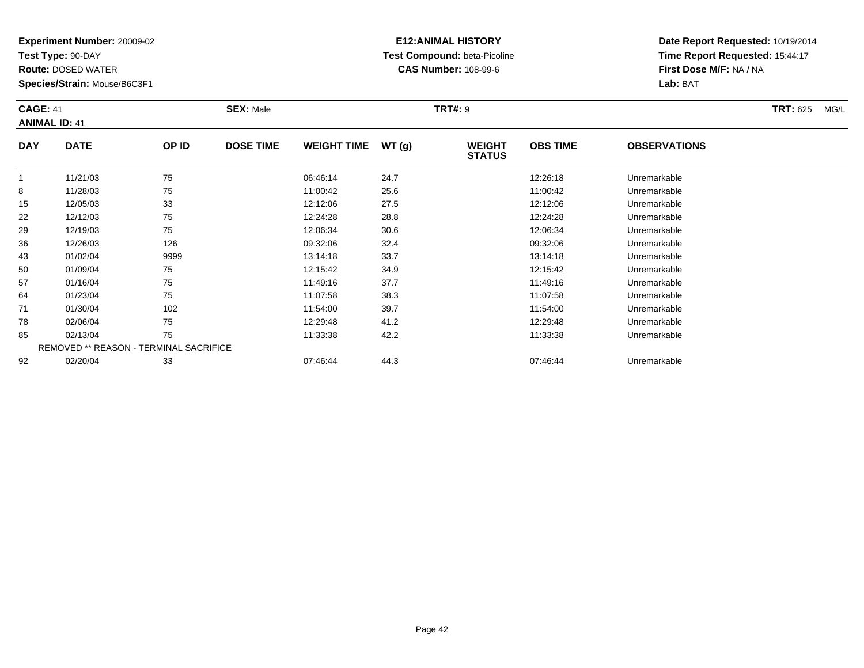**Test Type:** 90-DAY

71

78

85

92

**Route:** DOSED WATER

**Species/Strain:** Mouse/B6C3F1

REMOVED \*\* REASON - TERMINAL SACRIFICE

### **E12:ANIMAL HISTORY Test Compound:** beta-Picoline**CAS Number:** 108-99-6

**Date Report Requested:** 10/19/2014**Time Report Requested:** 15:44:17**First Dose M/F:** NA / NA**Lab:** BAT

| <b>CAGE: 41</b> | <b>ANIMAL ID: 41</b> |       | <b>SEX: Male</b> |                    |       | <b>TRT#: 9</b>                 | <b>TRT: 625</b><br>MG/L |                     |  |
|-----------------|----------------------|-------|------------------|--------------------|-------|--------------------------------|-------------------------|---------------------|--|
| <b>DAY</b>      | <b>DATE</b>          | OP ID | <b>DOSE TIME</b> | <b>WEIGHT TIME</b> | WT(g) | <b>WEIGHT</b><br><b>STATUS</b> | <b>OBS TIME</b>         | <b>OBSERVATIONS</b> |  |
|                 | 11/21/03             | 75    |                  | 06:46:14           | 24.7  |                                | 12:26:18                | Unremarkable        |  |
| 8               | 11/28/03             | 75    |                  | 11:00:42           | 25.6  |                                | 11:00:42                | Unremarkable        |  |
| 15              | 12/05/03             | 33    |                  | 12:12:06           | 27.5  |                                | 12:12:06                | Unremarkable        |  |
| 22              | 12/12/03             | 75    |                  | 12:24:28           | 28.8  |                                | 12:24:28                | Unremarkable        |  |
| 29              | 12/19/03             | 75    |                  | 12:06:34           | 30.6  |                                | 12:06:34                | Unremarkable        |  |
| 36              | 12/26/03             | 126   |                  | 09:32:06           | 32.4  |                                | 09:32:06                | Unremarkable        |  |
| 43              | 01/02/04             | 9999  |                  | 13:14:18           | 33.7  |                                | 13:14:18                | Unremarkable        |  |
| 50              | 01/09/04             | 75    |                  | 12:15:42           | 34.9  |                                | 12:15:42                | Unremarkable        |  |
| 57              | 01/16/04             | 75    |                  | 11:49:16           | 37.7  |                                | 11:49:16                | Unremarkable        |  |
| 64              | 01/23/04             | 75    |                  | 11:07:58           | 38.3  |                                | 11:07:58                | Unremarkable        |  |

01/30/04 <sup>102</sup> 11:54:00 39.7 11:54:00 Unremarkable

02/06/04 <sup>75</sup> 12:29:48 41.2 12:29:48 Unremarkable

02/13/04 <sup>75</sup> 11:33:38 42.2 11:33:38 Unremarkable

02/20/04 <sup>33</sup> 07:46:44 44.3 07:46:44 Unremarkable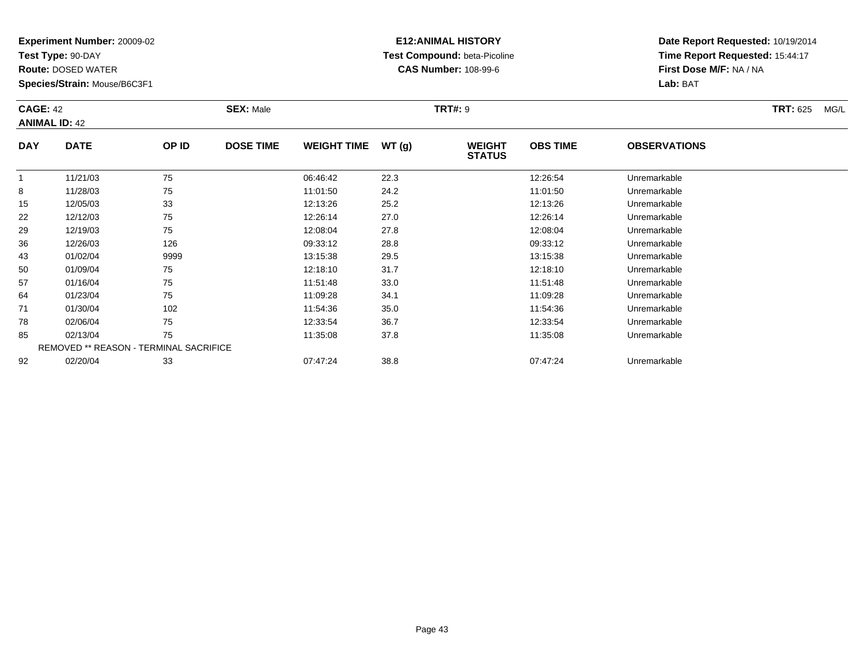**Test Type:** 90-DAY

50

57

64

71

78

85

92

**Route:** DOSED WATER

**Species/Strain:** Mouse/B6C3F1

REMOVED \*\* REASON - TERMINAL SACRIFICE

### **E12:ANIMAL HISTORY Test Compound:** beta-Picoline**CAS Number:** 108-99-6

**Date Report Requested:** 10/19/2014**Time Report Requested:** 15:44:17**First Dose M/F:** NA / NA**Lab:** BAT

|            | <b>CAGE: 42</b><br><b>ANIMAL ID: 42</b> |       | <b>SEX: Male</b> |                    |       | <b>TRT#: 9</b>                 |                 | <b>TRT: 625</b><br>MG/L |  |
|------------|-----------------------------------------|-------|------------------|--------------------|-------|--------------------------------|-----------------|-------------------------|--|
| <b>DAY</b> | <b>DATE</b>                             | OP ID | <b>DOSE TIME</b> | <b>WEIGHT TIME</b> | WT(g) | <b>WEIGHT</b><br><b>STATUS</b> | <b>OBS TIME</b> | <b>OBSERVATIONS</b>     |  |
|            | 11/21/03                                | 75    |                  | 06:46:42           | 22.3  |                                | 12:26:54        | Unremarkable            |  |
| 8          | 11/28/03                                | 75    |                  | 11:01:50           | 24.2  |                                | 11:01:50        | Unremarkable            |  |
| 15         | 12/05/03                                | 33    |                  | 12:13:26           | 25.2  |                                | 12:13:26        | Unremarkable            |  |
| 22         | 12/12/03                                | 75    |                  | 12:26:14           | 27.0  |                                | 12:26:14        | Unremarkable            |  |
| 29         | 12/19/03                                | 75    |                  | 12:08:04           | 27.8  |                                | 12:08:04        | Unremarkable            |  |
| 36         | 12/26/03                                | 126   |                  | 09:33:12           | 28.8  |                                | 09:33:12        | Unremarkable            |  |
| 43         | 01/02/04                                | 9999  |                  | 13:15:38           | 29.5  |                                | 13:15:38        | Unremarkable            |  |

0 01/09/04 75 75 12:18:10 31.7 31.7 12:18:10 12:18:10 Dhremarkable

01/16/04 <sup>75</sup> 11:51:48 33.0 11:51:48 Unremarkable

01/23/04 <sup>75</sup> 11:09:28 34.1 11:09:28 Unremarkable

01/30/04 <sup>102</sup> 11:54:36 35.0 11:54:36 Unremarkable

02/06/04 <sup>75</sup> 12:33:54 36.7 12:33:54 Unremarkable

02/13/04 <sup>75</sup> 11:35:08 37.8 11:35:08 Unremarkable

02/20/04 <sup>33</sup> 07:47:24 38.8 07:47:24 Unremarkable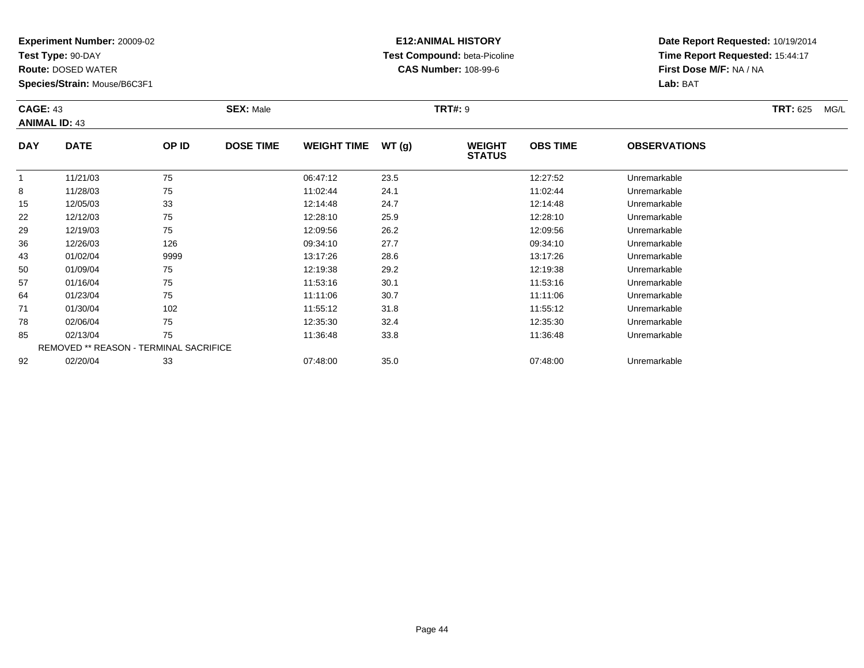**Test Type:** 90-DAY

78

85

92

**Route:** DOSED WATER

**Species/Strain:** Mouse/B6C3F1

REMOVED \*\* REASON - TERMINAL SACRIFICE

### **E12:ANIMAL HISTORY Test Compound:** beta-Picoline**CAS Number:** 108-99-6

**Date Report Requested:** 10/19/2014**Time Report Requested:** 15:44:17**First Dose M/F:** NA / NA**Lab:** BAT

| <b>CAGE: 43</b><br><b>ANIMAL ID: 43</b> |             |       | <b>SEX: Male</b> |                    |       | <b>TRT#: 9</b>                 |                 |                     | <b>TRT: 625</b> | MG/L |
|-----------------------------------------|-------------|-------|------------------|--------------------|-------|--------------------------------|-----------------|---------------------|-----------------|------|
| <b>DAY</b>                              | <b>DATE</b> | OP ID | <b>DOSE TIME</b> | <b>WEIGHT TIME</b> | WT(g) | <b>WEIGHT</b><br><b>STATUS</b> | <b>OBS TIME</b> | <b>OBSERVATIONS</b> |                 |      |
|                                         | 11/21/03    | 75    |                  | 06:47:12           | 23.5  |                                | 12:27:52        | Unremarkable        |                 |      |
| 8                                       | 11/28/03    | 75    |                  | 11:02:44           | 24.1  |                                | 11:02:44        | Unremarkable        |                 |      |
| 15                                      | 12/05/03    | 33    |                  | 12:14:48           | 24.7  |                                | 12:14:48        | Unremarkable        |                 |      |
| 22                                      | 12/12/03    | 75    |                  | 12:28:10           | 25.9  |                                | 12:28:10        | Unremarkable        |                 |      |
| 29                                      | 12/19/03    | 75    |                  | 12:09:56           | 26.2  |                                | 12:09:56        | Unremarkable        |                 |      |
| 36                                      | 12/26/03    | 126   |                  | 09:34:10           | 27.7  |                                | 09:34:10        | Unremarkable        |                 |      |
| 43                                      | 01/02/04    | 9999  |                  | 13:17:26           | 28.6  |                                | 13:17:26        | Unremarkable        |                 |      |
| 50                                      | 01/09/04    | 75    |                  | 12:19:38           | 29.2  |                                | 12:19:38        | Unremarkable        |                 |      |
| 57                                      | 01/16/04    | 75    |                  | 11:53:16           | 30.1  |                                | 11:53:16        | Unremarkable        |                 |      |
| 64                                      | 01/23/04    | 75    |                  | 11:11:06           | 30.7  |                                | 11:11:06        | Unremarkable        |                 |      |
| 71                                      | 01/30/04    | 102   |                  | 11:55:12           | 31.8  |                                | 11:55:12        | Unremarkable        |                 |      |

02/06/04 <sup>75</sup> 12:35:30 32.4 12:35:30 Unremarkable

02/13/04 <sup>75</sup> 11:36:48 33.8 11:36:48 Unremarkable

02/20/04 <sup>33</sup> 07:48:00 35.0 07:48:00 Unremarkable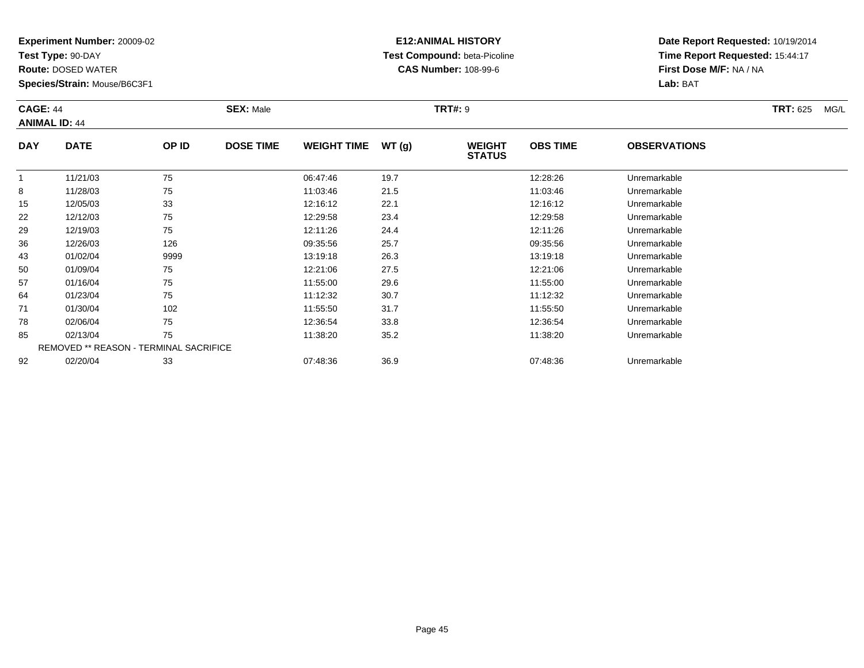**Test Type:** 90-DAY

92

**Route:** DOSED WATER

**Species/Strain:** Mouse/B6C3F1

REMOVED \*\* REASON - TERMINAL SACRIFICE

### **E12:ANIMAL HISTORY Test Compound:** beta-Picoline**CAS Number:** 108-99-6

**Date Report Requested:** 10/19/2014**Time Report Requested:** 15:44:17**First Dose M/F:** NA / NA**Lab:** BAT

| <b>CAGE: 44</b><br><b>ANIMAL ID: 44</b> |             |       | <b>SEX: Male</b> |                    |       | <b>TRT#: 9</b>                 |                 |                     | <b>TRT: 625</b> | MG/L |
|-----------------------------------------|-------------|-------|------------------|--------------------|-------|--------------------------------|-----------------|---------------------|-----------------|------|
| <b>DAY</b>                              | <b>DATE</b> | OP ID | <b>DOSE TIME</b> | <b>WEIGHT TIME</b> | WT(g) | <b>WEIGHT</b><br><b>STATUS</b> | <b>OBS TIME</b> | <b>OBSERVATIONS</b> |                 |      |
|                                         | 11/21/03    | 75    |                  | 06:47:46           | 19.7  |                                | 12:28:26        | Unremarkable        |                 |      |
| 8                                       | 11/28/03    | 75    |                  | 11:03:46           | 21.5  |                                | 11:03:46        | Unremarkable        |                 |      |
| 15                                      | 12/05/03    | 33    |                  | 12:16:12           | 22.1  |                                | 12:16:12        | Unremarkable        |                 |      |
| 22                                      | 12/12/03    | 75    |                  | 12:29:58           | 23.4  |                                | 12:29:58        | Unremarkable        |                 |      |
| 29                                      | 12/19/03    | 75    |                  | 12:11:26           | 24.4  |                                | 12:11:26        | Unremarkable        |                 |      |
| 36                                      | 12/26/03    | 126   |                  | 09:35:56           | 25.7  |                                | 09:35:56        | Unremarkable        |                 |      |
| 43                                      | 01/02/04    | 9999  |                  | 13:19:18           | 26.3  |                                | 13:19:18        | Unremarkable        |                 |      |
| 50                                      | 01/09/04    | 75    |                  | 12:21:06           | 27.5  |                                | 12:21:06        | Unremarkable        |                 |      |
| 57                                      | 01/16/04    | 75    |                  | 11:55:00           | 29.6  |                                | 11:55:00        | Unremarkable        |                 |      |
| 64                                      | 01/23/04    | 75    |                  | 11:12:32           | 30.7  |                                | 11:12:32        | Unremarkable        |                 |      |
| 71                                      | 01/30/04    | 102   |                  | 11:55:50           | 31.7  |                                | 11:55:50        | Unremarkable        |                 |      |
| 78                                      | 02/06/04    | 75    |                  | 12:36:54           | 33.8  |                                | 12:36:54        | Unremarkable        |                 |      |
| 85                                      | 02/13/04    | 75    |                  | 11:38:20           | 35.2  |                                | 11:38:20        | Unremarkable        |                 |      |

02/20/04 <sup>33</sup> 07:48:36 36.9 07:48:36 Unremarkable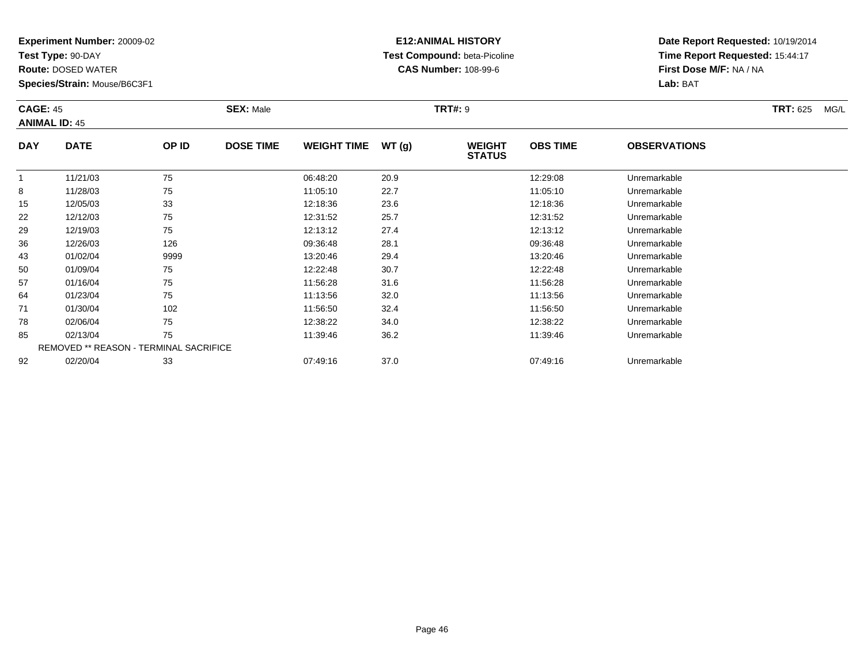**Test Type:** 90-DAY

85

92

**Route:** DOSED WATER

**Species/Strain:** Mouse/B6C3F1

REMOVED \*\* REASON - TERMINAL SACRIFICE

### **E12:ANIMAL HISTORY Test Compound:** beta-Picoline**CAS Number:** 108-99-6

**Date Report Requested:** 10/19/2014**Time Report Requested:** 15:44:17**First Dose M/F:** NA / NA**Lab:** BAT

| <b>CAGE: 45</b><br><b>ANIMAL ID: 45</b> |             |       | <b>SEX: Male</b> |                    |       | <b>TRT#: 9</b>                 |                 |                     | <b>TRT: 625</b> | MG/L |
|-----------------------------------------|-------------|-------|------------------|--------------------|-------|--------------------------------|-----------------|---------------------|-----------------|------|
| <b>DAY</b>                              | <b>DATE</b> | OP ID | <b>DOSE TIME</b> | <b>WEIGHT TIME</b> | WT(g) | <b>WEIGHT</b><br><b>STATUS</b> | <b>OBS TIME</b> | <b>OBSERVATIONS</b> |                 |      |
| $\mathbf{1}$                            | 11/21/03    | 75    |                  | 06:48:20           | 20.9  |                                | 12:29:08        | Unremarkable        |                 |      |
| 8                                       | 11/28/03    | 75    |                  | 11:05:10           | 22.7  |                                | 11:05:10        | Unremarkable        |                 |      |
| 15                                      | 12/05/03    | 33    |                  | 12:18:36           | 23.6  |                                | 12:18:36        | Unremarkable        |                 |      |
| 22                                      | 12/12/03    | 75    |                  | 12:31:52           | 25.7  |                                | 12:31:52        | Unremarkable        |                 |      |
| 29                                      | 12/19/03    | 75    |                  | 12:13:12           | 27.4  |                                | 12:13:12        | Unremarkable        |                 |      |
| 36                                      | 12/26/03    | 126   |                  | 09:36:48           | 28.1  |                                | 09:36:48        | Unremarkable        |                 |      |
| 43                                      | 01/02/04    | 9999  |                  | 13:20:46           | 29.4  |                                | 13:20:46        | Unremarkable        |                 |      |
| 50                                      | 01/09/04    | 75    |                  | 12:22:48           | 30.7  |                                | 12:22:48        | Unremarkable        |                 |      |
| 57                                      | 01/16/04    | 75    |                  | 11:56:28           | 31.6  |                                | 11:56:28        | Unremarkable        |                 |      |
| 64                                      | 01/23/04    | 75    |                  | 11:13:56           | 32.0  |                                | 11:13:56        | Unremarkable        |                 |      |
| 71                                      | 01/30/04    | 102   |                  | 11:56:50           | 32.4  |                                | 11:56:50        | Unremarkable        |                 |      |
| 78                                      | 02/06/04    | 75    |                  | 12:38:22           | 34.0  |                                | 12:38:22        | Unremarkable        |                 |      |

02/13/04 <sup>75</sup> 11:39:46 36.2 11:39:46 Unremarkable

02/20/04 <sup>33</sup> 07:49:16 37.0 07:49:16 Unremarkable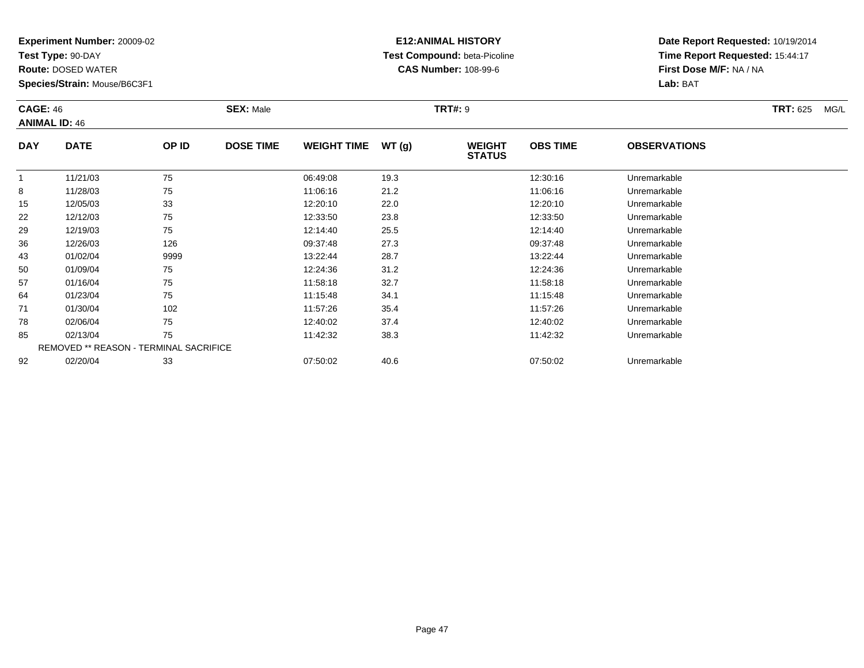**Test Type:** 90-DAY

92

**Route:** DOSED WATER

**Species/Strain:** Mouse/B6C3F1

# **E12:ANIMAL HISTORY Test Compound:** beta-Picoline**CAS Number:** 108-99-6

**Date Report Requested:** 10/19/2014**Time Report Requested:** 15:44:17**First Dose M/F:** NA / NA**Lab:** BAT

| <b>CAGE: 46</b> | <b>ANIMAL ID: 46</b>                          |       | <b>SEX: Male</b> |                    |        | <b>TRT#: 9</b>                 |                 |                     | <b>TRT: 625</b> | MG/L |
|-----------------|-----------------------------------------------|-------|------------------|--------------------|--------|--------------------------------|-----------------|---------------------|-----------------|------|
| <b>DAY</b>      | <b>DATE</b>                                   | OP ID | <b>DOSE TIME</b> | <b>WEIGHT TIME</b> | WT (g) | <b>WEIGHT</b><br><b>STATUS</b> | <b>OBS TIME</b> | <b>OBSERVATIONS</b> |                 |      |
|                 | 11/21/03                                      | 75    |                  | 06:49:08           | 19.3   |                                | 12:30:16        | Unremarkable        |                 |      |
| 8               | 11/28/03                                      | 75    |                  | 11:06:16           | 21.2   |                                | 11:06:16        | Unremarkable        |                 |      |
| 15              | 12/05/03                                      | 33    |                  | 12:20:10           | 22.0   |                                | 12:20:10        | Unremarkable        |                 |      |
| 22              | 12/12/03                                      | 75    |                  | 12:33:50           | 23.8   |                                | 12:33:50        | Unremarkable        |                 |      |
| 29              | 12/19/03                                      | 75    |                  | 12:14:40           | 25.5   |                                | 12:14:40        | Unremarkable        |                 |      |
| 36              | 12/26/03                                      | 126   |                  | 09:37:48           | 27.3   |                                | 09:37:48        | Unremarkable        |                 |      |
| 43              | 01/02/04                                      | 9999  |                  | 13:22:44           | 28.7   |                                | 13:22:44        | Unremarkable        |                 |      |
| 50              | 01/09/04                                      | 75    |                  | 12:24:36           | 31.2   |                                | 12:24:36        | Unremarkable        |                 |      |
| 57              | 01/16/04                                      | 75    |                  | 11:58:18           | 32.7   |                                | 11:58:18        | Unremarkable        |                 |      |
| 64              | 01/23/04                                      | 75    |                  | 11:15:48           | 34.1   |                                | 11:15:48        | Unremarkable        |                 |      |
| 71              | 01/30/04                                      | 102   |                  | 11:57:26           | 35.4   |                                | 11:57:26        | Unremarkable        |                 |      |
| 78              | 02/06/04                                      | 75    |                  | 12:40:02           | 37.4   |                                | 12:40:02        | Unremarkable        |                 |      |
| 85              | 02/13/04                                      | 75    |                  | 11:42:32           | 38.3   |                                | 11:42:32        | Unremarkable        |                 |      |
|                 | <b>REMOVED ** REASON - TERMINAL SACRIFICE</b> |       |                  |                    |        |                                |                 |                     |                 |      |

02/20/04 <sup>33</sup> 07:50:02 40.6 07:50:02 Unremarkable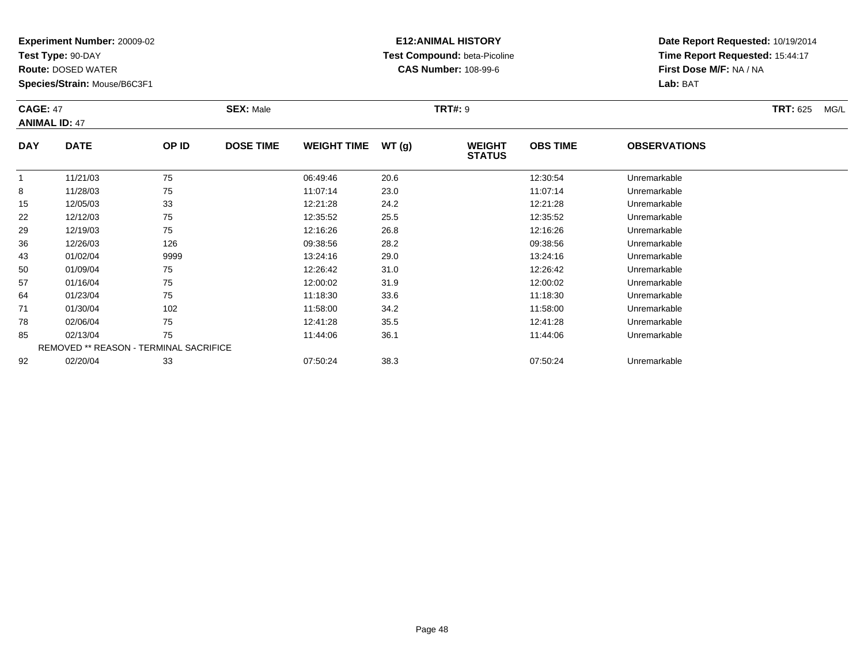**Test Type:** 90-DAY

71

78

85

92

**Route:** DOSED WATER

**Species/Strain:** Mouse/B6C3F1

REMOVED \*\* REASON - TERMINAL SACRIFICE

### **E12:ANIMAL HISTORY Test Compound:** beta-Picoline**CAS Number:** 108-99-6

**Date Report Requested:** 10/19/2014**Time Report Requested:** 15:44:17**First Dose M/F:** NA / NA**Lab:** BAT

| <b>CAGE: 47</b> | <b>ANIMAL ID: 47</b> |       | <b>SEX: Male</b> |                    |       | <b>TRT#: 9</b>                 |                 |                     | <b>TRT: 625</b> | MG/L |
|-----------------|----------------------|-------|------------------|--------------------|-------|--------------------------------|-----------------|---------------------|-----------------|------|
| <b>DAY</b>      | <b>DATE</b>          | OP ID | <b>DOSE TIME</b> | <b>WEIGHT TIME</b> | WT(g) | <b>WEIGHT</b><br><b>STATUS</b> | <b>OBS TIME</b> | <b>OBSERVATIONS</b> |                 |      |
|                 | 11/21/03             | 75    |                  | 06:49:46           | 20.6  |                                | 12:30:54        | Unremarkable        |                 |      |
| 8               | 11/28/03             | 75    |                  | 11:07:14           | 23.0  |                                | 11:07:14        | Unremarkable        |                 |      |
| 15              | 12/05/03             | 33    |                  | 12:21:28           | 24.2  |                                | 12:21:28        | Unremarkable        |                 |      |
| 22              | 12/12/03             | 75    |                  | 12:35:52           | 25.5  |                                | 12:35:52        | Unremarkable        |                 |      |
| 29              | 12/19/03             | 75    |                  | 12:16:26           | 26.8  |                                | 12:16:26        | Unremarkable        |                 |      |
| 36              | 12/26/03             | 126   |                  | 09:38:56           | 28.2  |                                | 09:38:56        | Unremarkable        |                 |      |
| 43              | 01/02/04             | 9999  |                  | 13:24:16           | 29.0  |                                | 13:24:16        | Unremarkable        |                 |      |
| 50              | 01/09/04             | 75    |                  | 12:26:42           | 31.0  |                                | 12:26:42        | Unremarkable        |                 |      |
| 57              | 01/16/04             | 75    |                  | 12:00:02           | 31.9  |                                | 12:00:02        | Unremarkable        |                 |      |
| 64              | 01/23/04             | 75    |                  | 11:18:30           | 33.6  |                                | 11:18:30        | Unremarkable        |                 |      |

01/23/04 <sup>75</sup> 11:18:30 33.6 11:18:30 Unremarkable

01/30/04 <sup>102</sup> 11:58:00 34.2 11:58:00 Unremarkable

8 02/06/04 75 75 12:41:28 35.5 13.12 12:41:28 Dhremarkable

5 02/13/04 75 75 11:44:06 36.1 12.05 11:44:06 Diremarkable

02/20/04 <sup>33</sup> 07:50:24 38.3 07:50:24 Unremarkable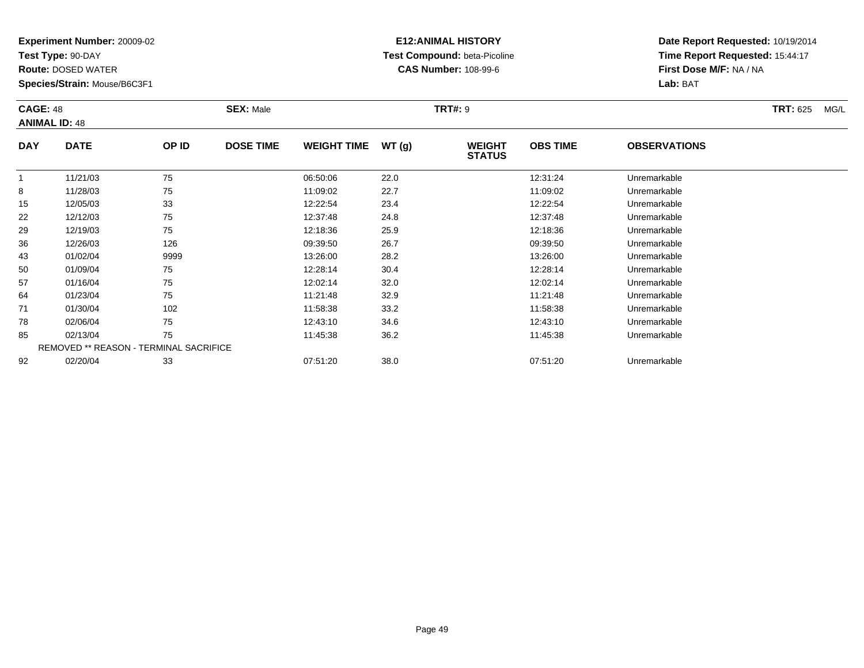**Test Type:** 90-DAY

92

**Route:** DOSED WATER

**Species/Strain:** Mouse/B6C3F1

### **E12:ANIMAL HISTORY Test Compound:** beta-Picoline**CAS Number:** 108-99-6

**Date Report Requested:** 10/19/2014**Time Report Requested:** 15:44:17**First Dose M/F:** NA / NA**Lab:** BAT

| <b>CAGE: 48</b> | <b>ANIMAL ID: 48</b>                          |       | <b>SEX: Male</b> |                    |       | <b>TRT#: 9</b>                 |                 |                     | <b>TRT: 625</b><br>MG/L |
|-----------------|-----------------------------------------------|-------|------------------|--------------------|-------|--------------------------------|-----------------|---------------------|-------------------------|
| <b>DAY</b>      | <b>DATE</b>                                   | OP ID | <b>DOSE TIME</b> | <b>WEIGHT TIME</b> | WT(g) | <b>WEIGHT</b><br><b>STATUS</b> | <b>OBS TIME</b> | <b>OBSERVATIONS</b> |                         |
|                 | 11/21/03                                      | 75    |                  | 06:50:06           | 22.0  |                                | 12:31:24        | Unremarkable        |                         |
| 8               | 11/28/03                                      | 75    |                  | 11:09:02           | 22.7  |                                | 11:09:02        | Unremarkable        |                         |
| 15              | 12/05/03                                      | 33    |                  | 12:22:54           | 23.4  |                                | 12:22:54        | Unremarkable        |                         |
| 22              | 12/12/03                                      | 75    |                  | 12:37:48           | 24.8  |                                | 12:37:48        | Unremarkable        |                         |
| 29              | 12/19/03                                      | 75    |                  | 12:18:36           | 25.9  |                                | 12:18:36        | Unremarkable        |                         |
| 36              | 12/26/03                                      | 126   |                  | 09:39:50           | 26.7  |                                | 09:39:50        | Unremarkable        |                         |
| 43              | 01/02/04                                      | 9999  |                  | 13:26:00           | 28.2  |                                | 13:26:00        | Unremarkable        |                         |
| 50              | 01/09/04                                      | 75    |                  | 12:28:14           | 30.4  |                                | 12:28:14        | Unremarkable        |                         |
| 57              | 01/16/04                                      | 75    |                  | 12:02:14           | 32.0  |                                | 12:02:14        | Unremarkable        |                         |
| 64              | 01/23/04                                      | 75    |                  | 11:21:48           | 32.9  |                                | 11:21:48        | Unremarkable        |                         |
| 71              | 01/30/04                                      | 102   |                  | 11:58:38           | 33.2  |                                | 11:58:38        | Unremarkable        |                         |
| 78              | 02/06/04                                      | 75    |                  | 12:43:10           | 34.6  |                                | 12:43:10        | Unremarkable        |                         |
| 85              | 02/13/04                                      | 75    |                  | 11:45:38           | 36.2  |                                | 11:45:38        | Unremarkable        |                         |
|                 | <b>REMOVED ** REASON - TERMINAL SACRIFICE</b> |       |                  |                    |       |                                |                 |                     |                         |

02/20/04 <sup>33</sup> 07:51:20 38.0 07:51:20 Unremarkable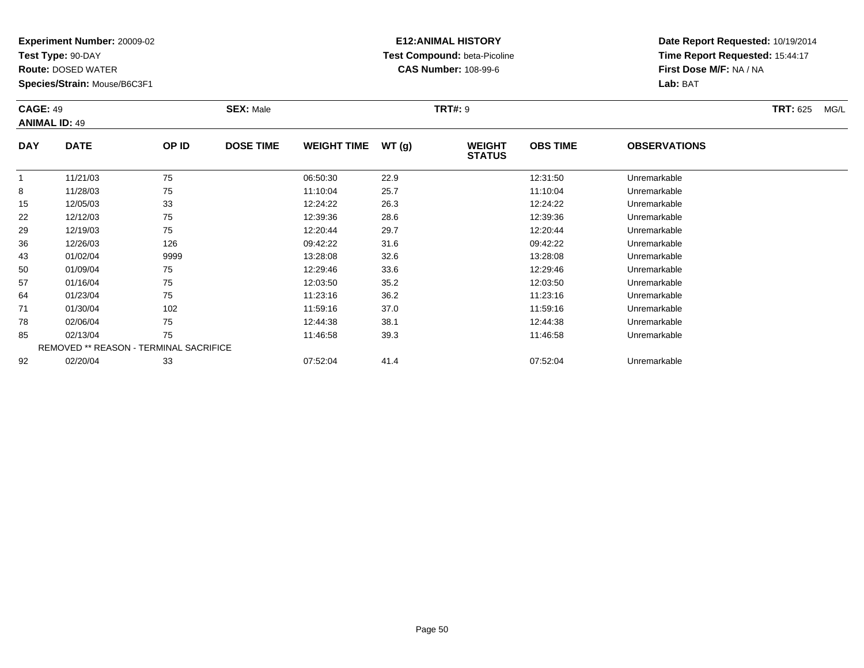**Test Type:** 90-DAY

92

**Route:** DOSED WATER

**Species/Strain:** Mouse/B6C3F1

REMOVED \*\* REASON - TERMINAL SACRIFICE

### **E12:ANIMAL HISTORY Test Compound:** beta-Picoline**CAS Number:** 108-99-6

**Date Report Requested:** 10/19/2014**Time Report Requested:** 15:44:17**First Dose M/F:** NA / NA**Lab:** BAT

| <b>CAGE: 49</b> | <b>ANIMAL ID: 49</b> |       | <b>SEX: Male</b> |                    |       | <b>TRT#: 9</b>                 |                 |                     | <b>TRT: 625</b> | MG/L |
|-----------------|----------------------|-------|------------------|--------------------|-------|--------------------------------|-----------------|---------------------|-----------------|------|
| <b>DAY</b>      | <b>DATE</b>          | OP ID | <b>DOSE TIME</b> | <b>WEIGHT TIME</b> | WT(g) | <b>WEIGHT</b><br><b>STATUS</b> | <b>OBS TIME</b> | <b>OBSERVATIONS</b> |                 |      |
|                 | 11/21/03             | 75    |                  | 06:50:30           | 22.9  |                                | 12:31:50        | Unremarkable        |                 |      |
| 8               | 11/28/03             | 75    |                  | 11:10:04           | 25.7  |                                | 11:10:04        | Unremarkable        |                 |      |
| 15              | 12/05/03             | 33    |                  | 12:24:22           | 26.3  |                                | 12:24:22        | Unremarkable        |                 |      |
| 22              | 12/12/03             | 75    |                  | 12:39:36           | 28.6  |                                | 12:39:36        | Unremarkable        |                 |      |
| 29              | 12/19/03             | 75    |                  | 12:20:44           | 29.7  |                                | 12:20:44        | Unremarkable        |                 |      |
| 36              | 12/26/03             | 126   |                  | 09:42:22           | 31.6  |                                | 09:42:22        | Unremarkable        |                 |      |
| 43              | 01/02/04             | 9999  |                  | 13:28:08           | 32.6  |                                | 13:28:08        | Unremarkable        |                 |      |
| 50              | 01/09/04             | 75    |                  | 12:29:46           | 33.6  |                                | 12:29:46        | Unremarkable        |                 |      |
| 57              | 01/16/04             | 75    |                  | 12:03:50           | 35.2  |                                | 12:03:50        | Unremarkable        |                 |      |
| 64              | 01/23/04             | 75    |                  | 11:23:16           | 36.2  |                                | 11:23:16        | Unremarkable        |                 |      |
| 71              | 01/30/04             | 102   |                  | 11:59:16           | 37.0  |                                | 11:59:16        | Unremarkable        |                 |      |
| 78              | 02/06/04             | 75    |                  | 12:44:38           | 38.1  |                                | 12:44:38        | Unremarkable        |                 |      |
| 85              | 02/13/04             | 75    |                  | 11:46:58           | 39.3  |                                | 11:46:58        | Unremarkable        |                 |      |

02/13/04 <sup>75</sup> 11:46:58 39.3 11:46:58 Unremarkable

02/20/04 <sup>33</sup> 07:52:04 41.4 07:52:04 Unremarkable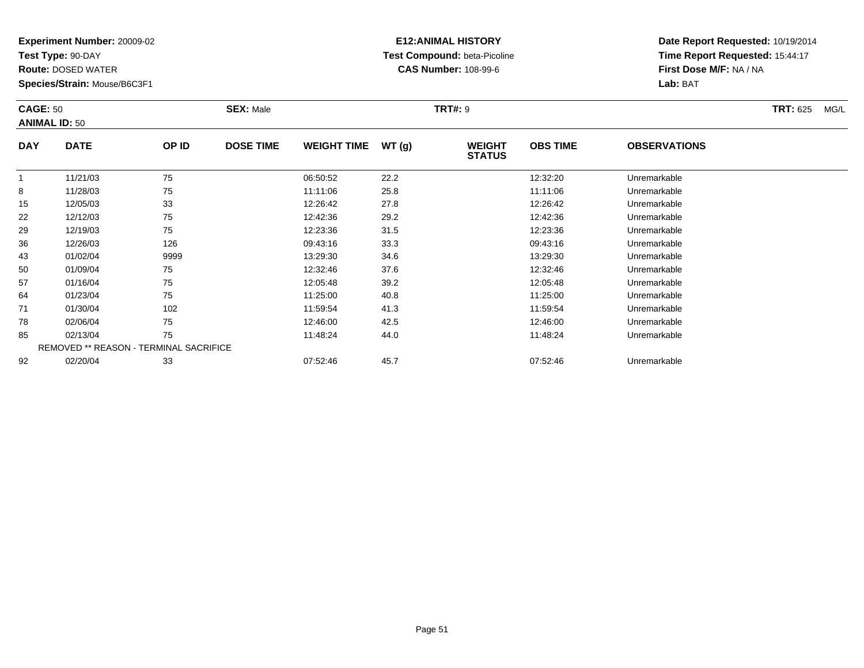**Test Type:** 90-DAY

92

**Route:** DOSED WATER

**Species/Strain:** Mouse/B6C3F1

REMOVED \*\* REASON - TERMINAL SACRIFICE

### **E12:ANIMAL HISTORY Test Compound:** beta-Picoline**CAS Number:** 108-99-6

**Date Report Requested:** 10/19/2014**Time Report Requested:** 15:44:17**First Dose M/F:** NA / NA**Lab:** BAT

| <b>CAGE: 50</b><br><b>ANIMAL ID: 50</b> |             |       | <b>SEX: Male</b> |                    |       | <b>TRT#: 9</b>                 |                 | <b>TRT: 625</b>     | MG/L |  |
|-----------------------------------------|-------------|-------|------------------|--------------------|-------|--------------------------------|-----------------|---------------------|------|--|
| <b>DAY</b>                              | <b>DATE</b> | OP ID | <b>DOSE TIME</b> | <b>WEIGHT TIME</b> | WT(g) | <b>WEIGHT</b><br><b>STATUS</b> | <b>OBS TIME</b> | <b>OBSERVATIONS</b> |      |  |
|                                         | 11/21/03    | 75    |                  | 06:50:52           | 22.2  |                                | 12:32:20        | Unremarkable        |      |  |
| 8                                       | 11/28/03    | 75    |                  | 11:11:06           | 25.8  |                                | 11:11:06        | Unremarkable        |      |  |
| 15                                      | 12/05/03    | 33    |                  | 12:26:42           | 27.8  |                                | 12:26:42        | Unremarkable        |      |  |
| 22                                      | 12/12/03    | 75    |                  | 12:42:36           | 29.2  |                                | 12:42:36        | Unremarkable        |      |  |
| 29                                      | 12/19/03    | 75    |                  | 12:23:36           | 31.5  |                                | 12:23:36        | Unremarkable        |      |  |
| 36                                      | 12/26/03    | 126   |                  | 09:43:16           | 33.3  |                                | 09:43:16        | Unremarkable        |      |  |
| 43                                      | 01/02/04    | 9999  |                  | 13:29:30           | 34.6  |                                | 13:29:30        | Unremarkable        |      |  |
| 50                                      | 01/09/04    | 75    |                  | 12:32:46           | 37.6  |                                | 12:32:46        | Unremarkable        |      |  |
| 57                                      | 01/16/04    | 75    |                  | 12:05:48           | 39.2  |                                | 12:05:48        | Unremarkable        |      |  |
| 64                                      | 01/23/04    | 75    |                  | 11:25:00           | 40.8  |                                | 11:25:00        | Unremarkable        |      |  |
| 71                                      | 01/30/04    | 102   |                  | 11:59:54           | 41.3  |                                | 11:59:54        | Unremarkable        |      |  |
| 78                                      | 02/06/04    | 75    |                  | 12:46:00           | 42.5  |                                | 12:46:00        | Unremarkable        |      |  |
| 85                                      | 02/13/04    | 75    |                  | 11:48:24           | 44.0  |                                | 11:48:24        | Unremarkable        |      |  |

02/20/04 <sup>33</sup> 07:52:46 45.7 07:52:46 Unremarkable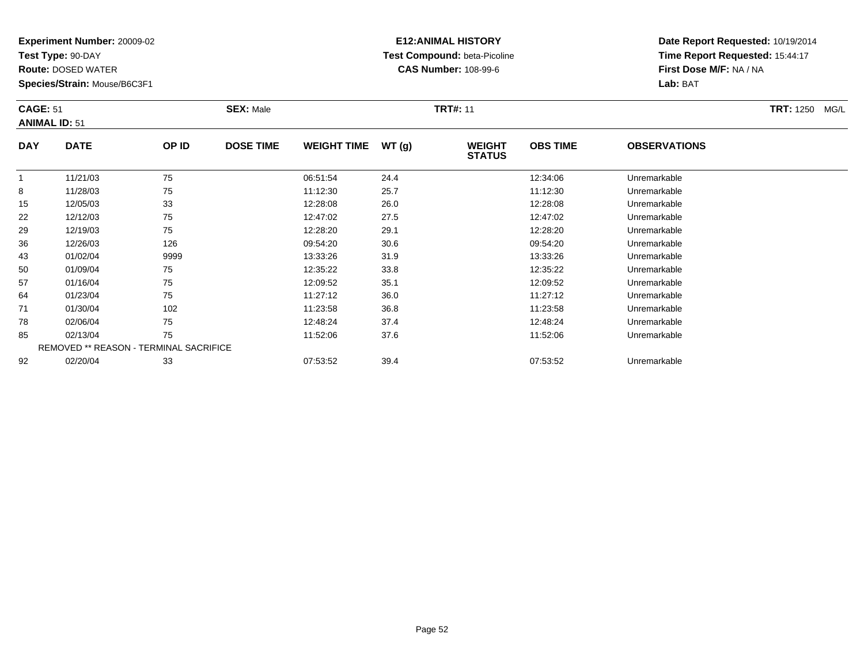**Test Type:** 90-DAY

78

85

92

**Route:** DOSED WATER

**Species/Strain:** Mouse/B6C3F1

REMOVED \*\* REASON - TERMINAL SACRIFICE

### **E12:ANIMAL HISTORY Test Compound:** beta-Picoline**CAS Number:** 108-99-6

**Date Report Requested:** 10/19/2014**Time Report Requested:** 15:44:17**First Dose M/F:** NA / NA**Lab:** BAT

| <b>CAGE: 51</b><br><b>ANIMAL ID: 51</b> |             |       | <b>SEX: Male</b> |                    |       | <b>TRT#: 11</b>                |                 |                     | TRT: 1250 MG/L |
|-----------------------------------------|-------------|-------|------------------|--------------------|-------|--------------------------------|-----------------|---------------------|----------------|
| <b>DAY</b>                              | <b>DATE</b> | OP ID | <b>DOSE TIME</b> | <b>WEIGHT TIME</b> | WT(g) | <b>WEIGHT</b><br><b>STATUS</b> | <b>OBS TIME</b> | <b>OBSERVATIONS</b> |                |
|                                         | 11/21/03    | 75    |                  | 06:51:54           | 24.4  |                                | 12:34:06        | Unremarkable        |                |
| 8                                       | 11/28/03    | 75    |                  | 11:12:30           | 25.7  |                                | 11:12:30        | Unremarkable        |                |
| 15                                      | 12/05/03    | 33    |                  | 12:28:08           | 26.0  |                                | 12:28:08        | Unremarkable        |                |
| 22                                      | 12/12/03    | 75    |                  | 12:47:02           | 27.5  |                                | 12:47:02        | Unremarkable        |                |
| 29                                      | 12/19/03    | 75    |                  | 12:28:20           | 29.1  |                                | 12:28:20        | Unremarkable        |                |
| 36                                      | 12/26/03    | 126   |                  | 09:54:20           | 30.6  |                                | 09:54:20        | Unremarkable        |                |
| 43                                      | 01/02/04    | 9999  |                  | 13:33:26           | 31.9  |                                | 13:33:26        | Unremarkable        |                |
| 50                                      | 01/09/04    | 75    |                  | 12:35:22           | 33.8  |                                | 12:35:22        | Unremarkable        |                |
| 57                                      | 01/16/04    | 75    |                  | 12:09:52           | 35.1  |                                | 12:09:52        | Unremarkable        |                |
| 64                                      | 01/23/04    | 75    |                  | 11:27:12           | 36.0  |                                | 11:27:12        | Unremarkable        |                |
| 71                                      | 01/30/04    | 102   |                  | 11:23:58           | 36.8  |                                | 11:23:58        | Unremarkable        |                |

02/06/04 <sup>75</sup> 12:48:24 37.4 12:48:24 Unremarkable

02/13/04 <sup>75</sup> 11:52:06 37.6 11:52:06 Unremarkable

02/20/04 <sup>33</sup> 07:53:52 39.4 07:53:52 Unremarkable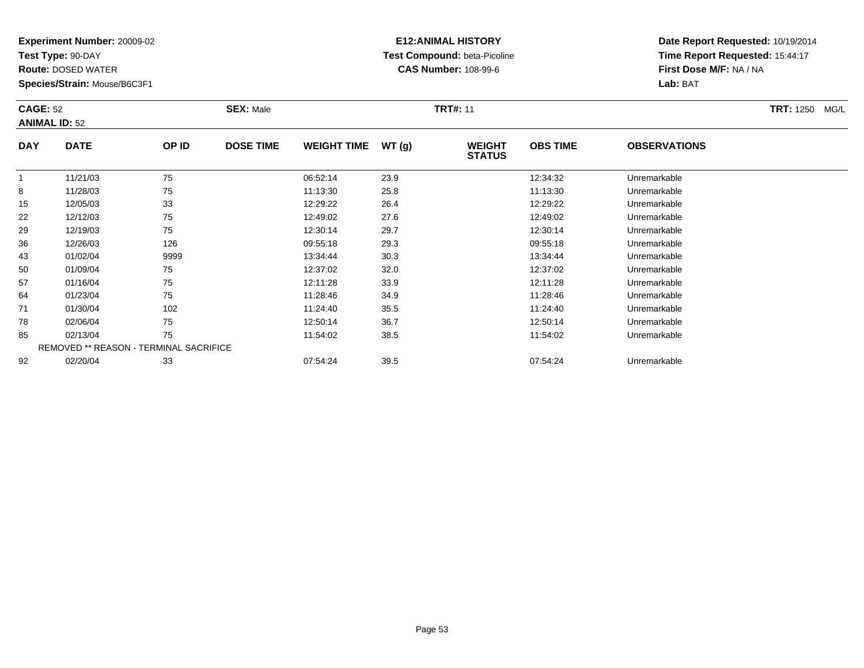**Test Type:** 90-DAY

85

92

**Route:** DOSED WATER

**Species/Strain:** Mouse/B6C3F1

REMOVED \*\* REASON - TERMINAL SACRIFICE

### **E12:ANIMAL HISTORY Test Compound:** beta-Picoline**CAS Number:** 108-99-6

**Date Report Requested:** 10/19/2014**Time Report Requested:** 15:44:17**First Dose M/F:** NA / NA**Lab:** BAT

|            | <b>CAGE: 52</b><br><b>ANIMAL ID: 52</b> |       | <b>SEX: Male</b> |                    |       | <b>TRT#: 11</b>                |                 | <b>TRT: 1250</b><br>MG/L |  |
|------------|-----------------------------------------|-------|------------------|--------------------|-------|--------------------------------|-----------------|--------------------------|--|
| <b>DAY</b> | <b>DATE</b>                             | OP ID | <b>DOSE TIME</b> | <b>WEIGHT TIME</b> | WT(g) | <b>WEIGHT</b><br><b>STATUS</b> | <b>OBS TIME</b> | <b>OBSERVATIONS</b>      |  |
|            | 11/21/03                                | 75    |                  | 06:52:14           | 23.9  |                                | 12:34:32        | Unremarkable             |  |
| 8          | 11/28/03                                | 75    |                  | 11:13:30           | 25.8  |                                | 11:13:30        | Unremarkable             |  |
| 15         | 12/05/03                                | 33    |                  | 12:29:22           | 26.4  |                                | 12:29:22        | Unremarkable             |  |
| 22         | 12/12/03                                | 75    |                  | 12:49:02           | 27.6  |                                | 12:49:02        | Unremarkable             |  |
| 29         | 12/19/03                                | 75    |                  | 12:30:14           | 29.7  |                                | 12:30:14        | Unremarkable             |  |
| 36         | 12/26/03                                | 126   |                  | 09:55:18           | 29.3  |                                | 09:55:18        | Unremarkable             |  |
| 43         | 01/02/04                                | 9999  |                  | 13:34:44           | 30.3  |                                | 13:34:44        | Unremarkable             |  |
| 50         | 01/09/04                                | 75    |                  | 12:37:02           | 32.0  |                                | 12:37:02        | Unremarkable             |  |
| 57         | 01/16/04                                | 75    |                  | 12:11:28           | 33.9  |                                | 12:11:28        | Unremarkable             |  |
| 64         | 01/23/04                                | 75    |                  | 11:28:46           | 34.9  |                                | 11:28:46        | Unremarkable             |  |
| 71         | 01/30/04                                | 102   |                  | 11:24:40           | 35.5  |                                | 11:24:40        | Unremarkable             |  |
| 78         | 02/06/04                                | 75    |                  | 12:50:14           | 36.7  |                                | 12:50:14        | Unremarkable             |  |

02/13/04 <sup>75</sup> 11:54:02 38.5 11:54:02 Unremarkable

02/20/04 <sup>33</sup> 07:54:24 39.5 07:54:24 Unremarkable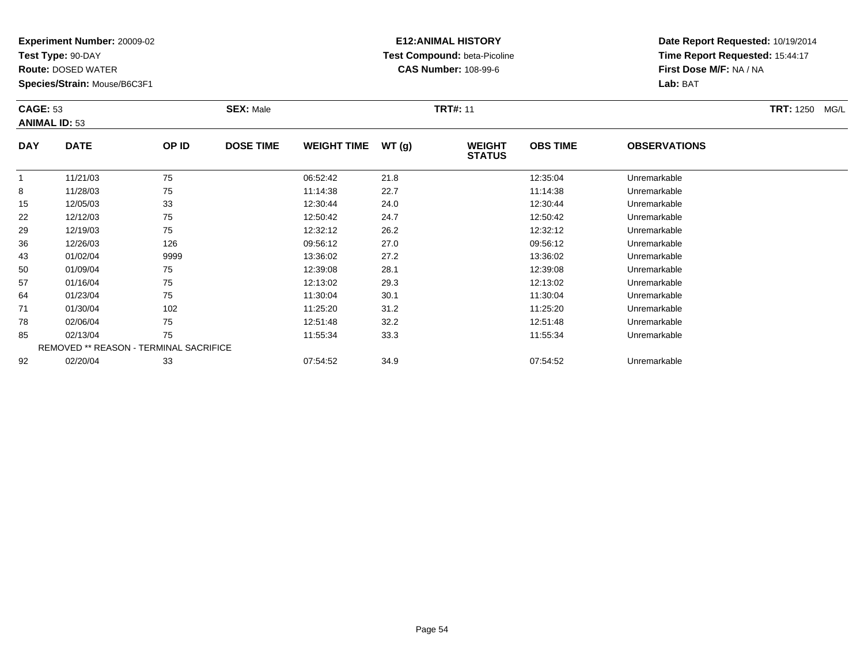**Test Type:** 90-DAY

92

**Route:** DOSED WATER

**Species/Strain:** Mouse/B6C3F1

### **E12:ANIMAL HISTORY Test Compound:** beta-Picoline**CAS Number:** 108-99-6

**Date Report Requested:** 10/19/2014**Time Report Requested:** 15:44:17**First Dose M/F:** NA / NA**Lab:** BAT

|            | <b>CAGE: 53</b><br><b>ANIMAL ID: 53</b>       |       | <b>SEX: Male</b> |                    |       | <b>TRT#: 11</b>                |                 | <b>TRT: 1250</b><br>MG/L |  |
|------------|-----------------------------------------------|-------|------------------|--------------------|-------|--------------------------------|-----------------|--------------------------|--|
| <b>DAY</b> | <b>DATE</b>                                   | OP ID | <b>DOSE TIME</b> | <b>WEIGHT TIME</b> | WT(g) | <b>WEIGHT</b><br><b>STATUS</b> | <b>OBS TIME</b> | <b>OBSERVATIONS</b>      |  |
|            | 11/21/03                                      | 75    |                  | 06:52:42           | 21.8  |                                | 12:35:04        | Unremarkable             |  |
| 8          | 11/28/03                                      | 75    |                  | 11:14:38           | 22.7  |                                | 11:14:38        | Unremarkable             |  |
| 15         | 12/05/03                                      | 33    |                  | 12:30:44           | 24.0  |                                | 12:30:44        | Unremarkable             |  |
| 22         | 12/12/03                                      | 75    |                  | 12:50:42           | 24.7  |                                | 12:50:42        | Unremarkable             |  |
| 29         | 12/19/03                                      | 75    |                  | 12:32:12           | 26.2  |                                | 12:32:12        | Unremarkable             |  |
| 36         | 12/26/03                                      | 126   |                  | 09:56:12           | 27.0  |                                | 09:56:12        | Unremarkable             |  |
| 43         | 01/02/04                                      | 9999  |                  | 13:36:02           | 27.2  |                                | 13:36:02        | Unremarkable             |  |
| 50         | 01/09/04                                      | 75    |                  | 12:39:08           | 28.1  |                                | 12:39:08        | Unremarkable             |  |
| 57         | 01/16/04                                      | 75    |                  | 12:13:02           | 29.3  |                                | 12:13:02        | Unremarkable             |  |
| 64         | 01/23/04                                      | 75    |                  | 11:30:04           | 30.1  |                                | 11:30:04        | Unremarkable             |  |
| 71         | 01/30/04                                      | 102   |                  | 11:25:20           | 31.2  |                                | 11:25:20        | Unremarkable             |  |
| 78         | 02/06/04                                      | 75    |                  | 12:51:48           | 32.2  |                                | 12:51:48        | Unremarkable             |  |
| 85         | 02/13/04                                      | 75    |                  | 11:55:34           | 33.3  |                                | 11:55:34        | Unremarkable             |  |
|            | <b>REMOVED ** REASON - TERMINAL SACRIFICE</b> |       |                  |                    |       |                                |                 |                          |  |

02/20/04 <sup>33</sup> 07:54:52 34.9 07:54:52 Unremarkable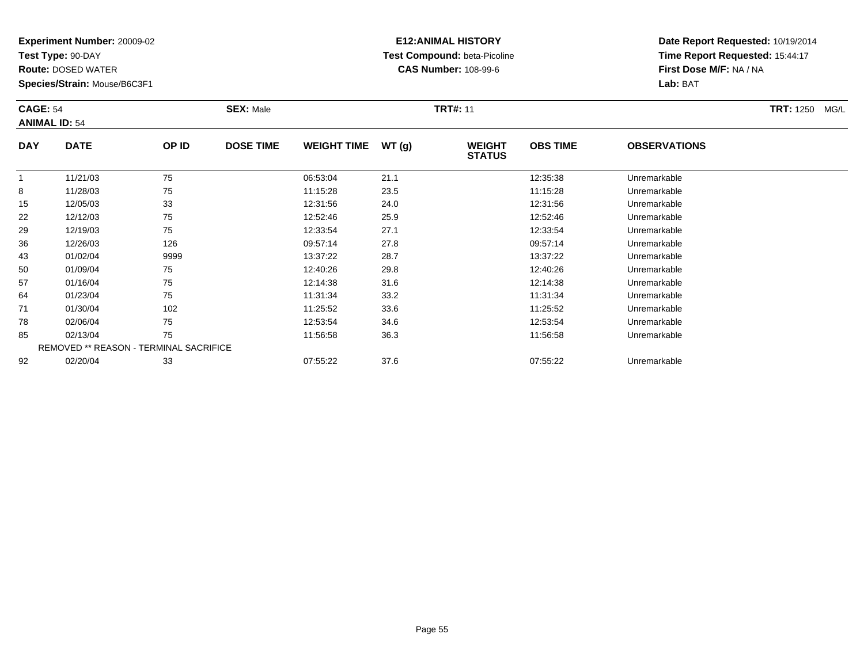**Test Type:** 90-DAY

92

**Route:** DOSED WATER

**Species/Strain:** Mouse/B6C3F1

REMOVED \*\* REASON - TERMINAL SACRIFICE

### **E12:ANIMAL HISTORY Test Compound:** beta-Picoline**CAS Number:** 108-99-6

**Date Report Requested:** 10/19/2014**Time Report Requested:** 15:44:17**First Dose M/F:** NA / NA**Lab:** BAT

|            | <b>CAGE: 54</b><br><b>ANIMAL ID: 54</b> |       | <b>SEX: Male</b> |                    | <b>TRT: 1250</b><br>MG/L |                                |                 |                     |  |
|------------|-----------------------------------------|-------|------------------|--------------------|--------------------------|--------------------------------|-----------------|---------------------|--|
| <b>DAY</b> | <b>DATE</b>                             | OP ID | <b>DOSE TIME</b> | <b>WEIGHT TIME</b> | WT(g)                    | <b>WEIGHT</b><br><b>STATUS</b> | <b>OBS TIME</b> | <b>OBSERVATIONS</b> |  |
|            | 11/21/03                                | 75    |                  | 06:53:04           | 21.1                     |                                | 12:35:38        | Unremarkable        |  |
| 8          | 11/28/03                                | 75    |                  | 11:15:28           | 23.5                     |                                | 11:15:28        | Unremarkable        |  |
| 15         | 12/05/03                                | 33    |                  | 12:31:56           | 24.0                     |                                | 12:31:56        | Unremarkable        |  |
| 22         | 12/12/03                                | 75    |                  | 12:52:46           | 25.9                     |                                | 12:52:46        | Unremarkable        |  |
| 29         | 12/19/03                                | 75    |                  | 12:33:54           | 27.1                     |                                | 12:33:54        | Unremarkable        |  |
| 36         | 12/26/03                                | 126   |                  | 09:57:14           | 27.8                     |                                | 09:57:14        | Unremarkable        |  |
| 43         | 01/02/04                                | 9999  |                  | 13:37:22           | 28.7                     |                                | 13:37:22        | Unremarkable        |  |
| 50         | 01/09/04                                | 75    |                  | 12:40:26           | 29.8                     |                                | 12:40:26        | Unremarkable        |  |
| 57         | 01/16/04                                | 75    |                  | 12:14:38           | 31.6                     |                                | 12:14:38        | Unremarkable        |  |
| 64         | 01/23/04                                | 75    |                  | 11:31:34           | 33.2                     |                                | 11:31:34        | Unremarkable        |  |
| 71         | 01/30/04                                | 102   |                  | 11:25:52           | 33.6                     |                                | 11:25:52        | Unremarkable        |  |
| 78         | 02/06/04                                | 75    |                  | 12:53:54           | 34.6                     |                                | 12:53:54        | Unremarkable        |  |
| 85         | 02/13/04                                | 75    |                  | 11:56:58           | 36.3                     |                                | 11:56:58        | Unremarkable        |  |

02/20/04 <sup>33</sup> 07:55:22 37.6 07:55:22 Unremarkable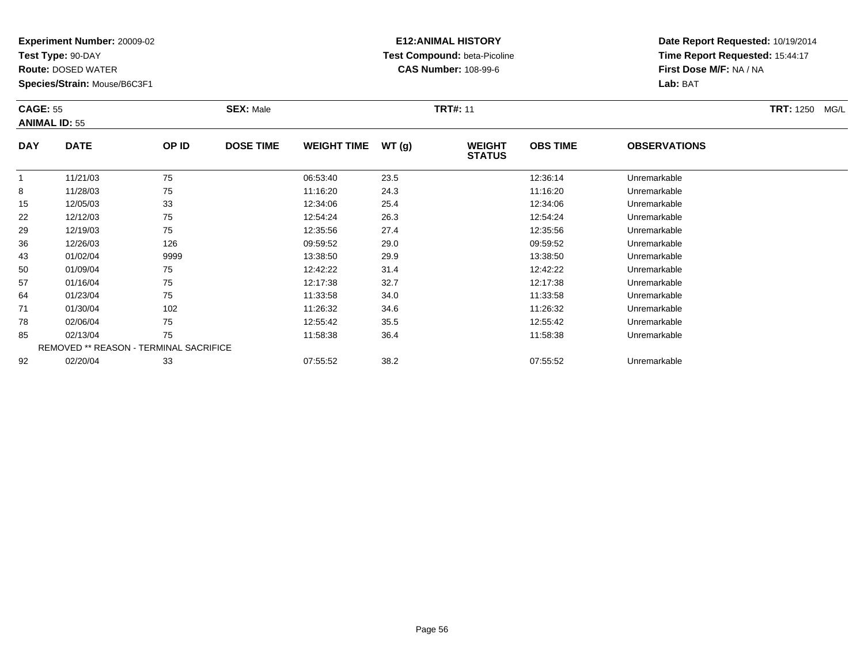**Test Type:** 90-DAY

92

**Route:** DOSED WATER

**Species/Strain:** Mouse/B6C3F1

### **E12:ANIMAL HISTORY Test Compound:** beta-Picoline**CAS Number:** 108-99-6

**Date Report Requested:** 10/19/2014**Time Report Requested:** 15:44:17**First Dose M/F:** NA / NA**Lab:** BAT

|            | <b>CAGE: 55</b><br><b>ANIMAL ID: 55</b>       |       | <b>SEX: Male</b> |                    |       | <b>TRT#: 11</b>                |                 | <b>TRT: 1250</b><br>MG/L |  |
|------------|-----------------------------------------------|-------|------------------|--------------------|-------|--------------------------------|-----------------|--------------------------|--|
| <b>DAY</b> | <b>DATE</b>                                   | OP ID | <b>DOSE TIME</b> | <b>WEIGHT TIME</b> | WT(g) | <b>WEIGHT</b><br><b>STATUS</b> | <b>OBS TIME</b> | <b>OBSERVATIONS</b>      |  |
|            | 11/21/03                                      | 75    |                  | 06:53:40           | 23.5  |                                | 12:36:14        | Unremarkable             |  |
| 8          | 11/28/03                                      | 75    |                  | 11:16:20           | 24.3  |                                | 11:16:20        | Unremarkable             |  |
| 15         | 12/05/03                                      | 33    |                  | 12:34:06           | 25.4  |                                | 12:34:06        | Unremarkable             |  |
| 22         | 12/12/03                                      | 75    |                  | 12:54:24           | 26.3  |                                | 12:54:24        | Unremarkable             |  |
| 29         | 12/19/03                                      | 75    |                  | 12:35:56           | 27.4  |                                | 12:35:56        | Unremarkable             |  |
| 36         | 12/26/03                                      | 126   |                  | 09:59:52           | 29.0  |                                | 09:59:52        | Unremarkable             |  |
| 43         | 01/02/04                                      | 9999  |                  | 13:38:50           | 29.9  |                                | 13:38:50        | Unremarkable             |  |
| 50         | 01/09/04                                      | 75    |                  | 12:42:22           | 31.4  |                                | 12:42:22        | Unremarkable             |  |
| 57         | 01/16/04                                      | 75    |                  | 12:17:38           | 32.7  |                                | 12:17:38        | Unremarkable             |  |
| 64         | 01/23/04                                      | 75    |                  | 11:33:58           | 34.0  |                                | 11:33:58        | Unremarkable             |  |
| 71         | 01/30/04                                      | 102   |                  | 11:26:32           | 34.6  |                                | 11:26:32        | Unremarkable             |  |
| 78         | 02/06/04                                      | 75    |                  | 12:55:42           | 35.5  |                                | 12:55:42        | Unremarkable             |  |
| 85         | 02/13/04                                      | 75    |                  | 11:58:38           | 36.4  |                                | 11:58:38        | Unremarkable             |  |
|            | <b>REMOVED ** REASON - TERMINAL SACRIFICE</b> |       |                  |                    |       |                                |                 |                          |  |

02/20/04 <sup>33</sup> 07:55:52 38.2 07:55:52 Unremarkable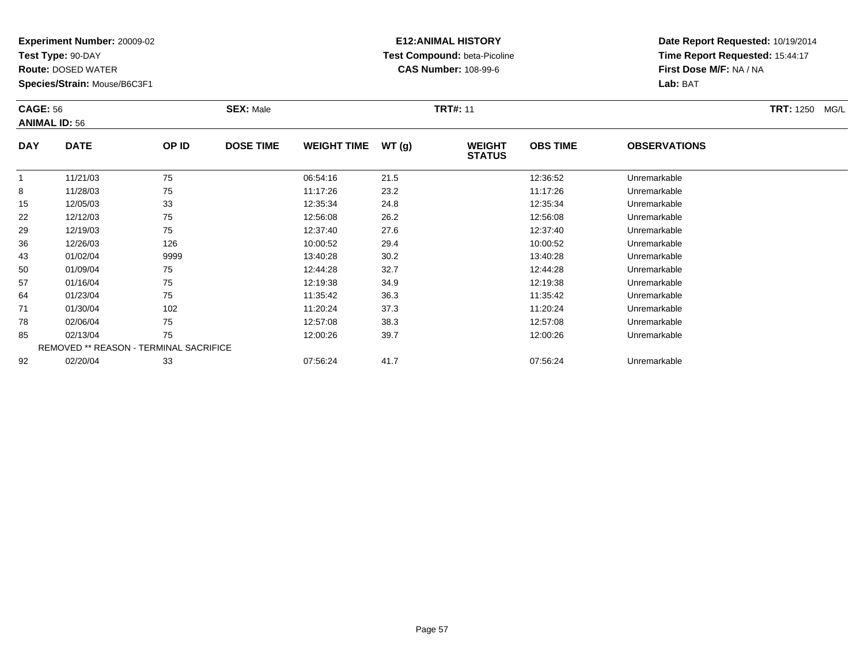**Test Type:** 90-DAY

92

**Route:** DOSED WATER

**Species/Strain:** Mouse/B6C3F1

# **E12:ANIMAL HISTORY Test Compound:** beta-Picoline**CAS Number:** 108-99-6

**Date Report Requested:** 10/19/2014**Time Report Requested:** 15:44:17**First Dose M/F:** NA / NA**Lab:** BAT

| <b>CAGE: 56</b> | <b>ANIMAL ID: 56</b>                          |       | <b>SEX: Male</b> |                    |       | <b>TRT#: 11</b>                |                 |                     | <b>TRT: 1250</b><br>MG/L |
|-----------------|-----------------------------------------------|-------|------------------|--------------------|-------|--------------------------------|-----------------|---------------------|--------------------------|
| <b>DAY</b>      | <b>DATE</b>                                   | OP ID | <b>DOSE TIME</b> | <b>WEIGHT TIME</b> | WT(g) | <b>WEIGHT</b><br><b>STATUS</b> | <b>OBS TIME</b> | <b>OBSERVATIONS</b> |                          |
| 1               | 11/21/03                                      | 75    |                  | 06:54:16           | 21.5  |                                | 12:36:52        | Unremarkable        |                          |
| 8               | 11/28/03                                      | 75    |                  | 11:17:26           | 23.2  |                                | 11:17:26        | Unremarkable        |                          |
| 15              | 12/05/03                                      | 33    |                  | 12:35:34           | 24.8  |                                | 12:35:34        | Unremarkable        |                          |
| 22              | 12/12/03                                      | 75    |                  | 12:56:08           | 26.2  |                                | 12:56:08        | Unremarkable        |                          |
| 29              | 12/19/03                                      | 75    |                  | 12:37:40           | 27.6  |                                | 12:37:40        | Unremarkable        |                          |
| 36              | 12/26/03                                      | 126   |                  | 10:00:52           | 29.4  |                                | 10:00:52        | Unremarkable        |                          |
| 43              | 01/02/04                                      | 9999  |                  | 13:40:28           | 30.2  |                                | 13:40:28        | Unremarkable        |                          |
| 50              | 01/09/04                                      | 75    |                  | 12:44:28           | 32.7  |                                | 12:44:28        | Unremarkable        |                          |
| 57              | 01/16/04                                      | 75    |                  | 12:19:38           | 34.9  |                                | 12:19:38        | Unremarkable        |                          |
| 64              | 01/23/04                                      | 75    |                  | 11:35:42           | 36.3  |                                | 11:35:42        | Unremarkable        |                          |
| 71              | 01/30/04                                      | 102   |                  | 11:20:24           | 37.3  |                                | 11:20:24        | Unremarkable        |                          |
| 78              | 02/06/04                                      | 75    |                  | 12:57:08           | 38.3  |                                | 12:57:08        | Unremarkable        |                          |
| 85              | 02/13/04                                      | 75    |                  | 12:00:26           | 39.7  |                                | 12:00:26        | Unremarkable        |                          |
|                 | <b>REMOVED ** REASON - TERMINAL SACRIFICE</b> |       |                  |                    |       |                                |                 |                     |                          |

02/20/04 <sup>33</sup> 07:56:24 41.7 07:56:24 Unremarkable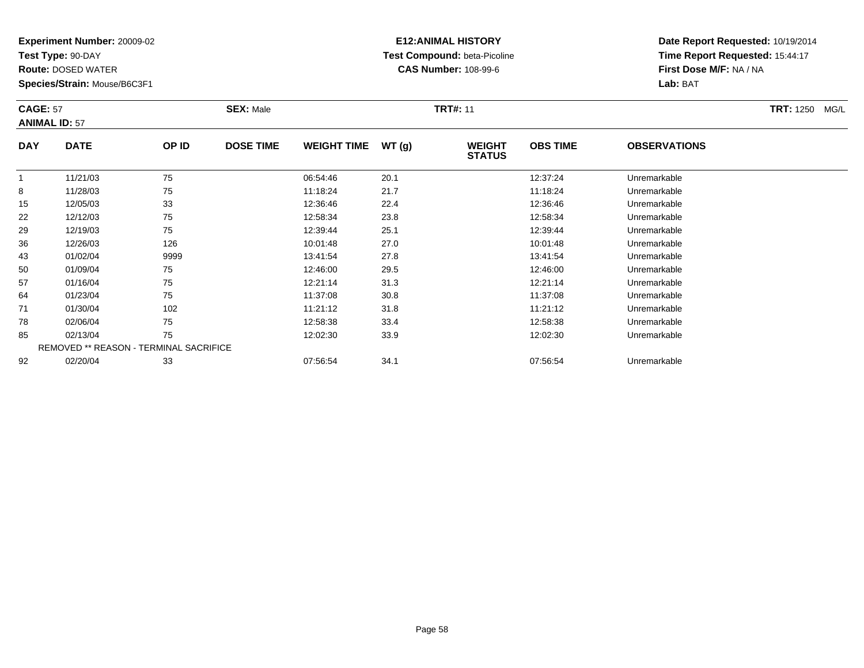**Test Type:** 90-DAY

64

71

78

85

92

**Route:** DOSED WATER

**Species/Strain:** Mouse/B6C3F1

REMOVED \*\* REASON - TERMINAL SACRIFICE

### **E12:ANIMAL HISTORY Test Compound:** beta-Picoline**CAS Number:** 108-99-6

**Date Report Requested:** 10/19/2014**Time Report Requested:** 15:44:17**First Dose M/F:** NA / NA**Lab:** BAT

|            | <b>CAGE: 57</b><br><b>ANIMAL ID: 57</b> |       | <b>SEX: Male</b> |                    | <b>TRT#: 11</b> |                                |                 |                     |  |  |
|------------|-----------------------------------------|-------|------------------|--------------------|-----------------|--------------------------------|-----------------|---------------------|--|--|
| <b>DAY</b> | <b>DATE</b>                             | OP ID | <b>DOSE TIME</b> | <b>WEIGHT TIME</b> | WT(g)           | <b>WEIGHT</b><br><b>STATUS</b> | <b>OBS TIME</b> | <b>OBSERVATIONS</b> |  |  |
|            | 11/21/03                                | 75    |                  | 06:54:46           | 20.1            |                                | 12:37:24        | Unremarkable        |  |  |
| 8          | 11/28/03                                | 75    |                  | 11:18:24           | 21.7            |                                | 11:18:24        | Unremarkable        |  |  |
| 15         | 12/05/03                                | 33    |                  | 12:36:46           | 22.4            |                                | 12:36:46        | Unremarkable        |  |  |
| 22         | 12/12/03                                | 75    |                  | 12:58:34           | 23.8            |                                | 12:58:34        | Unremarkable        |  |  |
| 29         | 12/19/03                                | 75    |                  | 12:39:44           | 25.1            |                                | 12:39:44        | Unremarkable        |  |  |
| 36         | 12/26/03                                | 126   |                  | 10:01:48           | 27.0            |                                | 10:01:48        | Unremarkable        |  |  |
| 43         | 01/02/04                                | 9999  |                  | 13:41:54           | 27.8            |                                | 13:41:54        | Unremarkable        |  |  |
| 50         | 01/09/04                                | 75    |                  | 12:46:00           | 29.5            |                                | 12:46:00        | Unremarkable        |  |  |
| 57         | 01/16/04                                | 75    |                  | 12:21:14           | 31.3            |                                | 12:21:14        | Unremarkable        |  |  |

01/23/04 <sup>75</sup> 11:37:08 30.8 11:37:08 Unremarkable

1 01/30/04 102 102 11:21:12 31.8 11:21:12 11:21:12 Unremarkable

02/06/04 <sup>75</sup> 12:58:38 33.4 12:58:38 Unremarkable

02/13/04 <sup>75</sup> 12:02:30 33.9 12:02:30 Unremarkable

02/20/04 <sup>33</sup> 07:56:54 34.1 07:56:54 Unremarkable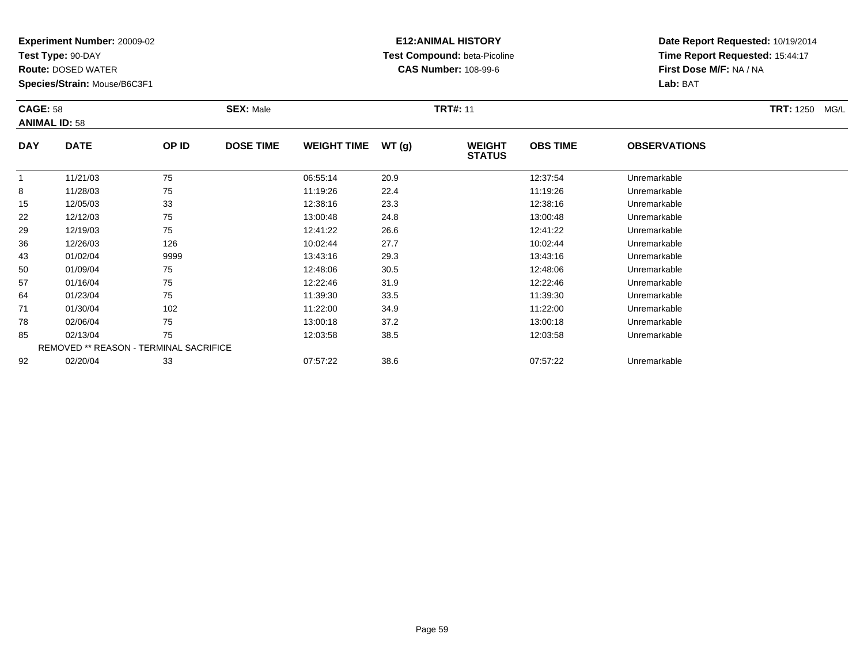**Test Type:** 90-DAY

**Route:** DOSED WATER

**Species/Strain:** Mouse/B6C3F1

# **E12:ANIMAL HISTORY Test Compound:** beta-Picoline**CAS Number:** 108-99-6

**Date Report Requested:** 10/19/2014**Time Report Requested:** 15:44:17**First Dose M/F:** NA / NA**Lab:** BAT

|            | <b>CAGE: 58</b><br><b>ANIMAL ID: 58</b>       |       | <b>SEX: Male</b> |                    |       | <b>TRT#: 11</b>                |                 | <b>TRT: 1250</b><br>MG/L |  |
|------------|-----------------------------------------------|-------|------------------|--------------------|-------|--------------------------------|-----------------|--------------------------|--|
| <b>DAY</b> | <b>DATE</b>                                   | OP ID | <b>DOSE TIME</b> | <b>WEIGHT TIME</b> | WT(g) | <b>WEIGHT</b><br><b>STATUS</b> | <b>OBS TIME</b> | <b>OBSERVATIONS</b>      |  |
|            | 11/21/03                                      | 75    |                  | 06:55:14           | 20.9  |                                | 12:37:54        | Unremarkable             |  |
| 8          | 11/28/03                                      | 75    |                  | 11:19:26           | 22.4  |                                | 11:19:26        | Unremarkable             |  |
| 15         | 12/05/03                                      | 33    |                  | 12:38:16           | 23.3  |                                | 12:38:16        | Unremarkable             |  |
| 22         | 12/12/03                                      | 75    |                  | 13:00:48           | 24.8  |                                | 13:00:48        | Unremarkable             |  |
| 29         | 12/19/03                                      | 75    |                  | 12:41:22           | 26.6  |                                | 12:41:22        | Unremarkable             |  |
| 36         | 12/26/03                                      | 126   |                  | 10:02:44           | 27.7  |                                | 10:02:44        | Unremarkable             |  |
| 43         | 01/02/04                                      | 9999  |                  | 13:43:16           | 29.3  |                                | 13:43:16        | Unremarkable             |  |
| 50         | 01/09/04                                      | 75    |                  | 12:48:06           | 30.5  |                                | 12:48:06        | Unremarkable             |  |
| 57         | 01/16/04                                      | 75    |                  | 12:22:46           | 31.9  |                                | 12:22:46        | Unremarkable             |  |
| 64         | 01/23/04                                      | 75    |                  | 11:39:30           | 33.5  |                                | 11:39:30        | Unremarkable             |  |
| 71         | 01/30/04                                      | 102   |                  | 11:22:00           | 34.9  |                                | 11:22:00        | Unremarkable             |  |
| 78         | 02/06/04                                      | 75    |                  | 13:00:18           | 37.2  |                                | 13:00:18        | Unremarkable             |  |
| 85         | 02/13/04                                      | 75    |                  | 12:03:58           | 38.5  |                                | 12:03:58        | Unremarkable             |  |
|            | <b>REMOVED ** REASON - TERMINAL SACRIFICE</b> |       |                  |                    |       |                                |                 |                          |  |
| 92         | 02/20/04                                      | 33    |                  | 07:57:22           | 38.6  |                                | 07:57:22        | Unremarkable             |  |

02/20/04 <sup>33</sup> 07:57:22 38.6 07:57:22 Unremarkable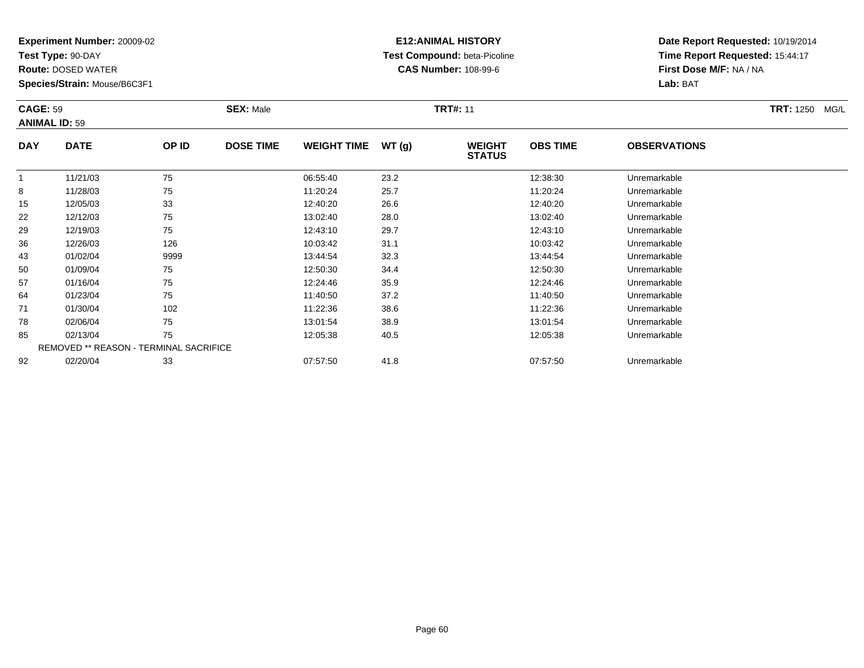**Test Type:** 90-DAY

92

**Route:** DOSED WATER

**Species/Strain:** Mouse/B6C3F1

# **E12:ANIMAL HISTORY Test Compound:** beta-Picoline**CAS Number:** 108-99-6

**Date Report Requested:** 10/19/2014**Time Report Requested:** 15:44:17**First Dose M/F:** NA / NA**Lab:** BAT

| <b>CAGE: 59</b> | <b>ANIMAL ID: 59</b>                          |       | <b>SEX: Male</b> |                    |       | <b>TRT#: 11</b>                |                 |                     | <b>TRT: 1250</b><br>MG/L |
|-----------------|-----------------------------------------------|-------|------------------|--------------------|-------|--------------------------------|-----------------|---------------------|--------------------------|
| <b>DAY</b>      | <b>DATE</b>                                   | OP ID | <b>DOSE TIME</b> | <b>WEIGHT TIME</b> | WT(g) | <b>WEIGHT</b><br><b>STATUS</b> | <b>OBS TIME</b> | <b>OBSERVATIONS</b> |                          |
|                 | 11/21/03                                      | 75    |                  | 06:55:40           | 23.2  |                                | 12:38:30        | Unremarkable        |                          |
| 8               | 11/28/03                                      | 75    |                  | 11:20:24           | 25.7  |                                | 11:20:24        | Unremarkable        |                          |
| 15              | 12/05/03                                      | 33    |                  | 12:40:20           | 26.6  |                                | 12:40:20        | Unremarkable        |                          |
| 22              | 12/12/03                                      | 75    |                  | 13:02:40           | 28.0  |                                | 13:02:40        | Unremarkable        |                          |
| 29              | 12/19/03                                      | 75    |                  | 12:43:10           | 29.7  |                                | 12:43:10        | Unremarkable        |                          |
| 36              | 12/26/03                                      | 126   |                  | 10:03:42           | 31.1  |                                | 10:03:42        | Unremarkable        |                          |
| 43              | 01/02/04                                      | 9999  |                  | 13:44:54           | 32.3  |                                | 13:44:54        | Unremarkable        |                          |
| 50              | 01/09/04                                      | 75    |                  | 12:50:30           | 34.4  |                                | 12:50:30        | Unremarkable        |                          |
| 57              | 01/16/04                                      | 75    |                  | 12:24:46           | 35.9  |                                | 12:24:46        | Unremarkable        |                          |
| 64              | 01/23/04                                      | 75    |                  | 11:40:50           | 37.2  |                                | 11:40:50        | Unremarkable        |                          |
| 71              | 01/30/04                                      | 102   |                  | 11:22:36           | 38.6  |                                | 11:22:36        | Unremarkable        |                          |
| 78              | 02/06/04                                      | 75    |                  | 13:01:54           | 38.9  |                                | 13:01:54        | Unremarkable        |                          |
| 85              | 02/13/04                                      | 75    |                  | 12:05:38           | 40.5  |                                | 12:05:38        | Unremarkable        |                          |
|                 | <b>REMOVED ** REASON - TERMINAL SACRIFICE</b> |       |                  |                    |       |                                |                 |                     |                          |

02/20/04 <sup>33</sup> 07:57:50 41.8 07:57:50 Unremarkable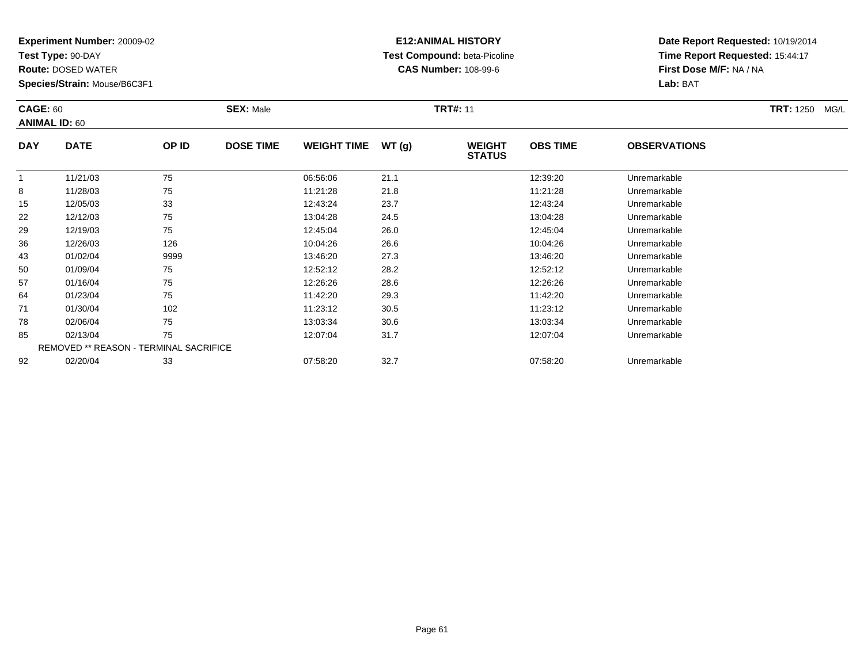**Test Type:** 90-DAY

92

**Route:** DOSED WATER

**Species/Strain:** Mouse/B6C3F1

# **E12:ANIMAL HISTORY Test Compound:** beta-Picoline**CAS Number:** 108-99-6

**Date Report Requested:** 10/19/2014**Time Report Requested:** 15:44:17**First Dose M/F:** NA / NA**Lab:** BAT

| <b>CAGE: 60</b> | <b>ANIMAL ID: 60</b>                          |       | <b>SEX: Male</b> |                    |       | <b>TRT#: 11</b>                |                 |                     | <b>TRT: 1250</b><br>MG/L |
|-----------------|-----------------------------------------------|-------|------------------|--------------------|-------|--------------------------------|-----------------|---------------------|--------------------------|
| <b>DAY</b>      | <b>DATE</b>                                   | OP ID | <b>DOSE TIME</b> | <b>WEIGHT TIME</b> | WT(g) | <b>WEIGHT</b><br><b>STATUS</b> | <b>OBS TIME</b> | <b>OBSERVATIONS</b> |                          |
|                 | 11/21/03                                      | 75    |                  | 06:56:06           | 21.1  |                                | 12:39:20        | Unremarkable        |                          |
| 8               | 11/28/03                                      | 75    |                  | 11:21:28           | 21.8  |                                | 11:21:28        | Unremarkable        |                          |
| 15              | 12/05/03                                      | 33    |                  | 12:43:24           | 23.7  |                                | 12:43:24        | Unremarkable        |                          |
| 22              | 12/12/03                                      | 75    |                  | 13:04:28           | 24.5  |                                | 13:04:28        | Unremarkable        |                          |
| 29              | 12/19/03                                      | 75    |                  | 12:45:04           | 26.0  |                                | 12:45:04        | Unremarkable        |                          |
| 36              | 12/26/03                                      | 126   |                  | 10:04:26           | 26.6  |                                | 10:04:26        | Unremarkable        |                          |
| 43              | 01/02/04                                      | 9999  |                  | 13:46:20           | 27.3  |                                | 13:46:20        | Unremarkable        |                          |
| 50              | 01/09/04                                      | 75    |                  | 12:52:12           | 28.2  |                                | 12:52:12        | Unremarkable        |                          |
| 57              | 01/16/04                                      | 75    |                  | 12:26:26           | 28.6  |                                | 12:26:26        | Unremarkable        |                          |
| 64              | 01/23/04                                      | 75    |                  | 11:42:20           | 29.3  |                                | 11:42:20        | Unremarkable        |                          |
| 71              | 01/30/04                                      | 102   |                  | 11:23:12           | 30.5  |                                | 11:23:12        | Unremarkable        |                          |
| 78              | 02/06/04                                      | 75    |                  | 13:03:34           | 30.6  |                                | 13:03:34        | Unremarkable        |                          |
| 85              | 02/13/04                                      | 75    |                  | 12:07:04           | 31.7  |                                | 12:07:04        | Unremarkable        |                          |
|                 | <b>REMOVED ** REASON - TERMINAL SACRIFICE</b> |       |                  |                    |       |                                |                 |                     |                          |

02/20/04 <sup>33</sup> 07:58:20 32.7 07:58:20 Unremarkable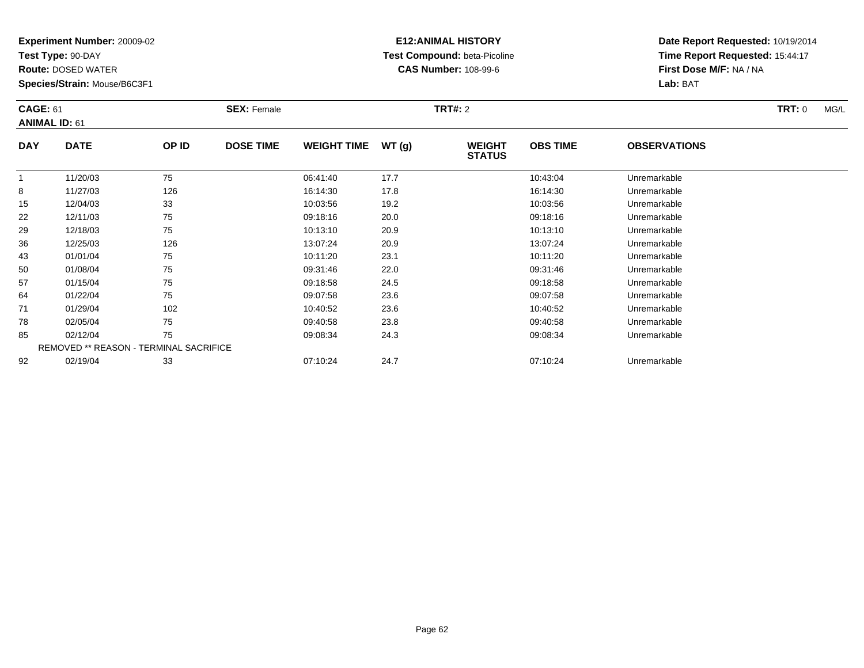**Test Type:** 90-DAY

**Route:** DOSED WATER

**Species/Strain:** Mouse/B6C3F1

### **E12:ANIMAL HISTORY Test Compound:** beta-Picoline**CAS Number:** 108-99-6

| <b>CAGE: 61</b> | <b>ANIMAL ID: 61</b>                          |       | <b>SEX: Female</b> |                    |       | <b>TRT#: 2</b>                 |                 |                     | TRT: 0<br>MG/L |
|-----------------|-----------------------------------------------|-------|--------------------|--------------------|-------|--------------------------------|-----------------|---------------------|----------------|
| <b>DAY</b>      | <b>DATE</b>                                   | OP ID | <b>DOSE TIME</b>   | <b>WEIGHT TIME</b> | WT(g) | <b>WEIGHT</b><br><b>STATUS</b> | <b>OBS TIME</b> | <b>OBSERVATIONS</b> |                |
|                 | 11/20/03                                      | 75    |                    | 06:41:40           | 17.7  |                                | 10:43:04        | Unremarkable        |                |
| 8               | 11/27/03                                      | 126   |                    | 16:14:30           | 17.8  |                                | 16:14:30        | Unremarkable        |                |
| 15              | 12/04/03                                      | 33    |                    | 10:03:56           | 19.2  |                                | 10:03:56        | Unremarkable        |                |
| 22              | 12/11/03                                      | 75    |                    | 09:18:16           | 20.0  |                                | 09:18:16        | Unremarkable        |                |
| 29              | 12/18/03                                      | 75    |                    | 10:13:10           | 20.9  |                                | 10:13:10        | Unremarkable        |                |
| 36              | 12/25/03                                      | 126   |                    | 13:07:24           | 20.9  |                                | 13:07:24        | Unremarkable        |                |
| 43              | 01/01/04                                      | 75    |                    | 10:11:20           | 23.1  |                                | 10:11:20        | Unremarkable        |                |
| 50              | 01/08/04                                      | 75    |                    | 09:31:46           | 22.0  |                                | 09:31:46        | Unremarkable        |                |
| 57              | 01/15/04                                      | 75    |                    | 09:18:58           | 24.5  |                                | 09:18:58        | Unremarkable        |                |
| 64              | 01/22/04                                      | 75    |                    | 09:07:58           | 23.6  |                                | 09:07:58        | Unremarkable        |                |
| 71              | 01/29/04                                      | 102   |                    | 10:40:52           | 23.6  |                                | 10:40:52        | Unremarkable        |                |
| 78              | 02/05/04                                      | 75    |                    | 09:40:58           | 23.8  |                                | 09:40:58        | Unremarkable        |                |
| 85              | 02/12/04                                      | 75    |                    | 09:08:34           | 24.3  |                                | 09:08:34        | Unremarkable        |                |
|                 | <b>REMOVED ** REASON - TERMINAL SACRIFICE</b> |       |                    |                    |       |                                |                 |                     |                |
| 92              | 02/19/04                                      | 33    |                    | 07:10:24           | 24.7  |                                | 07:10:24        | Unremarkable        |                |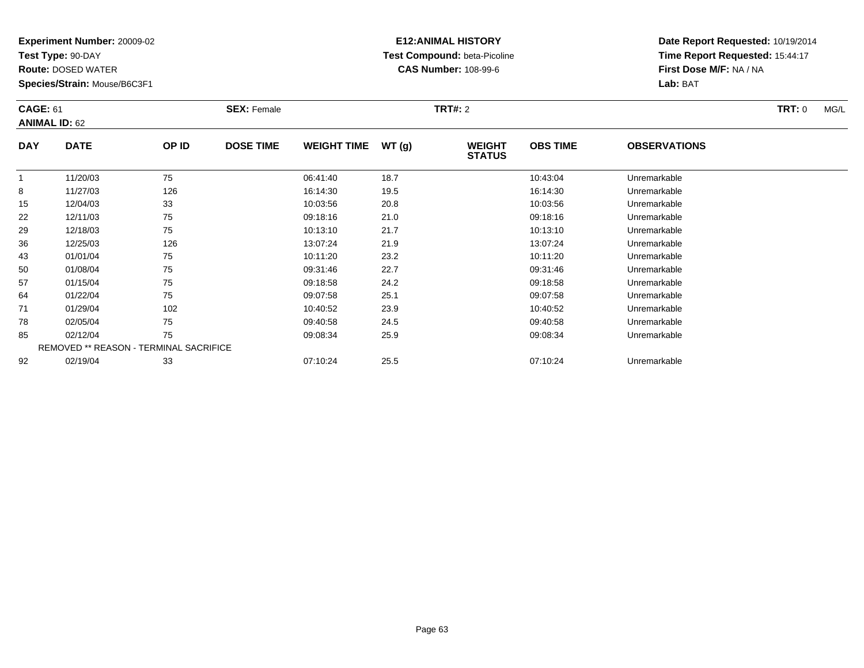**Test Type:** 90-DAY

**Route:** DOSED WATER

**Species/Strain:** Mouse/B6C3F1

# **E12:ANIMAL HISTORY Test Compound:** beta-Picoline**CAS Number:** 108-99-6

| <b>CAGE: 61</b> | <b>ANIMAL ID: 62</b>                          |       | <b>SEX: Female</b> |                    |       | <b>TRT#: 2</b>                 |                 |                     | <b>TRT: 0</b><br>MG/L |
|-----------------|-----------------------------------------------|-------|--------------------|--------------------|-------|--------------------------------|-----------------|---------------------|-----------------------|
| <b>DAY</b>      | <b>DATE</b>                                   | OP ID | <b>DOSE TIME</b>   | <b>WEIGHT TIME</b> | WT(g) | <b>WEIGHT</b><br><b>STATUS</b> | <b>OBS TIME</b> | <b>OBSERVATIONS</b> |                       |
|                 | 11/20/03                                      | 75    |                    | 06:41:40           | 18.7  |                                | 10:43:04        | Unremarkable        |                       |
| 8               | 11/27/03                                      | 126   |                    | 16:14:30           | 19.5  |                                | 16:14:30        | Unremarkable        |                       |
| 15              | 12/04/03                                      | 33    |                    | 10:03:56           | 20.8  |                                | 10:03:56        | Unremarkable        |                       |
| 22              | 12/11/03                                      | 75    |                    | 09:18:16           | 21.0  |                                | 09:18:16        | Unremarkable        |                       |
| 29              | 12/18/03                                      | 75    |                    | 10:13:10           | 21.7  |                                | 10:13:10        | Unremarkable        |                       |
| 36              | 12/25/03                                      | 126   |                    | 13:07:24           | 21.9  |                                | 13:07:24        | Unremarkable        |                       |
| 43              | 01/01/04                                      | 75    |                    | 10:11:20           | 23.2  |                                | 10:11:20        | Unremarkable        |                       |
| 50              | 01/08/04                                      | 75    |                    | 09:31:46           | 22.7  |                                | 09:31:46        | Unremarkable        |                       |
| 57              | 01/15/04                                      | 75    |                    | 09:18:58           | 24.2  |                                | 09:18:58        | Unremarkable        |                       |
| 64              | 01/22/04                                      | 75    |                    | 09:07:58           | 25.1  |                                | 09:07:58        | Unremarkable        |                       |
| 71              | 01/29/04                                      | 102   |                    | 10:40:52           | 23.9  |                                | 10:40:52        | Unremarkable        |                       |
| 78              | 02/05/04                                      | 75    |                    | 09:40:58           | 24.5  |                                | 09:40:58        | Unremarkable        |                       |
| 85              | 02/12/04                                      | 75    |                    | 09:08:34           | 25.9  |                                | 09:08:34        | Unremarkable        |                       |
|                 | <b>REMOVED ** REASON - TERMINAL SACRIFICE</b> |       |                    |                    |       |                                |                 |                     |                       |
| 92              | 02/19/04                                      | 33    |                    | 07:10:24           | 25.5  |                                | 07:10:24        | Unremarkable        |                       |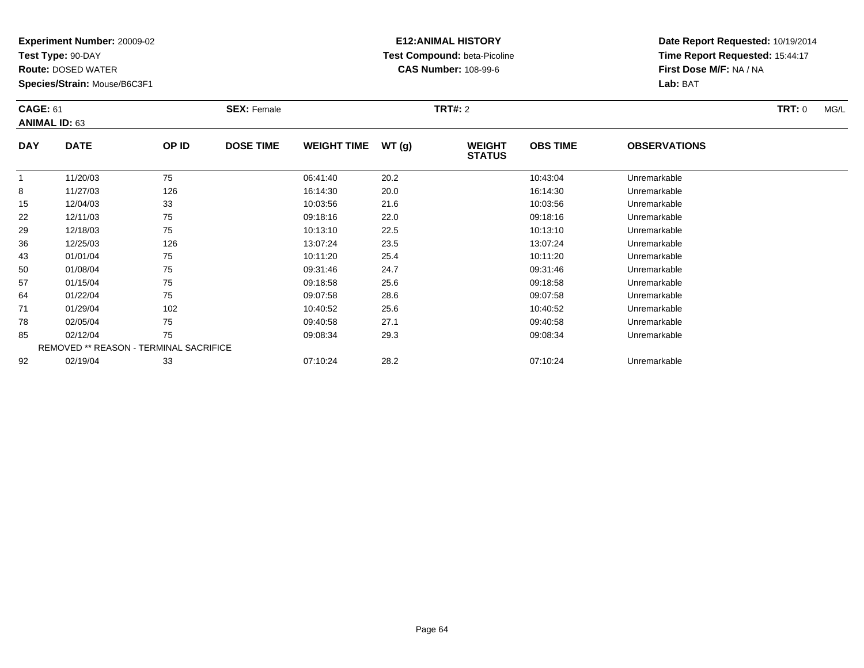**Test Type:** 90-DAY

**Route:** DOSED WATER

**Species/Strain:** Mouse/B6C3F1

### **E12:ANIMAL HISTORY Test Compound:** beta-Picoline**CAS Number:** 108-99-6

| <b>CAGE: 61</b> | <b>ANIMAL ID: 63</b>                          |       | <b>SEX: Female</b> |                    |       | <b>TRT#: 2</b>                 |                 |                     | <b>TRT:</b> 0<br>MG/L |
|-----------------|-----------------------------------------------|-------|--------------------|--------------------|-------|--------------------------------|-----------------|---------------------|-----------------------|
| <b>DAY</b>      | <b>DATE</b>                                   | OP ID | <b>DOSE TIME</b>   | <b>WEIGHT TIME</b> | WT(g) | <b>WEIGHT</b><br><b>STATUS</b> | <b>OBS TIME</b> | <b>OBSERVATIONS</b> |                       |
|                 | 11/20/03                                      | 75    |                    | 06:41:40           | 20.2  |                                | 10:43:04        | Unremarkable        |                       |
| 8               | 11/27/03                                      | 126   |                    | 16:14:30           | 20.0  |                                | 16:14:30        | Unremarkable        |                       |
| 15              | 12/04/03                                      | 33    |                    | 10:03:56           | 21.6  |                                | 10:03:56        | Unremarkable        |                       |
| 22              | 12/11/03                                      | 75    |                    | 09:18:16           | 22.0  |                                | 09:18:16        | Unremarkable        |                       |
| 29              | 12/18/03                                      | 75    |                    | 10:13:10           | 22.5  |                                | 10:13:10        | Unremarkable        |                       |
| 36              | 12/25/03                                      | 126   |                    | 13:07:24           | 23.5  |                                | 13:07:24        | Unremarkable        |                       |
| 43              | 01/01/04                                      | 75    |                    | 10:11:20           | 25.4  |                                | 10:11:20        | Unremarkable        |                       |
| 50              | 01/08/04                                      | 75    |                    | 09:31:46           | 24.7  |                                | 09:31:46        | Unremarkable        |                       |
| 57              | 01/15/04                                      | 75    |                    | 09:18:58           | 25.6  |                                | 09:18:58        | Unremarkable        |                       |
| 64              | 01/22/04                                      | 75    |                    | 09:07:58           | 28.6  |                                | 09:07:58        | Unremarkable        |                       |
| 71              | 01/29/04                                      | 102   |                    | 10:40:52           | 25.6  |                                | 10:40:52        | Unremarkable        |                       |
| 78              | 02/05/04                                      | 75    |                    | 09:40:58           | 27.1  |                                | 09:40:58        | Unremarkable        |                       |
| 85              | 02/12/04                                      | 75    |                    | 09:08:34           | 29.3  |                                | 09:08:34        | Unremarkable        |                       |
|                 | <b>REMOVED ** REASON - TERMINAL SACRIFICE</b> |       |                    |                    |       |                                |                 |                     |                       |
| 92              | 02/19/04                                      | 33    |                    | 07:10:24           | 28.2  |                                | 07:10:24        | Unremarkable        |                       |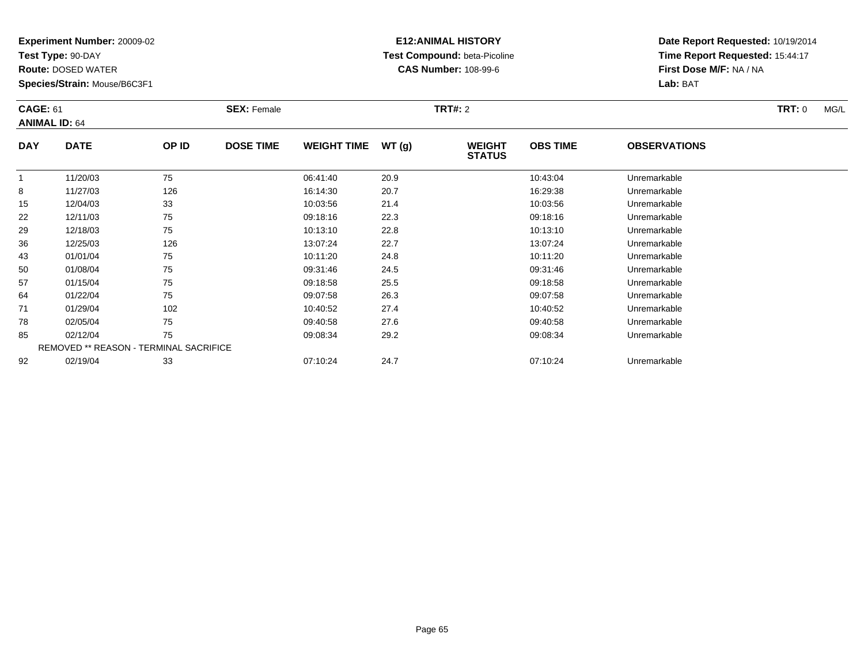**Test Type:** 90-DAY

**Route:** DOSED WATER

**Species/Strain:** Mouse/B6C3F1

# **E12:ANIMAL HISTORY Test Compound:** beta-Picoline**CAS Number:** 108-99-6

| <b>CAGE: 61</b> | <b>ANIMAL ID: 64</b>                   |       | <b>SEX: Female</b> |                    |       | <b>TRT#: 2</b>                 |                 |                     | TRT: 0<br>MG/L |
|-----------------|----------------------------------------|-------|--------------------|--------------------|-------|--------------------------------|-----------------|---------------------|----------------|
| <b>DAY</b>      | <b>DATE</b>                            | OP ID | <b>DOSE TIME</b>   | <b>WEIGHT TIME</b> | WT(g) | <b>WEIGHT</b><br><b>STATUS</b> | <b>OBS TIME</b> | <b>OBSERVATIONS</b> |                |
| 1               | 11/20/03                               | 75    |                    | 06:41:40           | 20.9  |                                | 10:43:04        | Unremarkable        |                |
| 8               | 11/27/03                               | 126   |                    | 16:14:30           | 20.7  |                                | 16:29:38        | Unremarkable        |                |
| 15              | 12/04/03                               | 33    |                    | 10:03:56           | 21.4  |                                | 10:03:56        | Unremarkable        |                |
| 22              | 12/11/03                               | 75    |                    | 09:18:16           | 22.3  |                                | 09:18:16        | Unremarkable        |                |
| 29              | 12/18/03                               | 75    |                    | 10:13:10           | 22.8  |                                | 10:13:10        | Unremarkable        |                |
| 36              | 12/25/03                               | 126   |                    | 13:07:24           | 22.7  |                                | 13:07:24        | Unremarkable        |                |
| 43              | 01/01/04                               | 75    |                    | 10:11:20           | 24.8  |                                | 10:11:20        | Unremarkable        |                |
| 50              | 01/08/04                               | 75    |                    | 09:31:46           | 24.5  |                                | 09:31:46        | Unremarkable        |                |
| 57              | 01/15/04                               | 75    |                    | 09:18:58           | 25.5  |                                | 09:18:58        | Unremarkable        |                |
| 64              | 01/22/04                               | 75    |                    | 09:07:58           | 26.3  |                                | 09:07:58        | Unremarkable        |                |
| 71              | 01/29/04                               | 102   |                    | 10:40:52           | 27.4  |                                | 10:40:52        | Unremarkable        |                |
| 78              | 02/05/04                               | 75    |                    | 09:40:58           | 27.6  |                                | 09:40:58        | Unremarkable        |                |
| 85              | 02/12/04                               | 75    |                    | 09:08:34           | 29.2  |                                | 09:08:34        | Unremarkable        |                |
|                 | REMOVED ** REASON - TERMINAL SACRIFICE |       |                    |                    |       |                                |                 |                     |                |
| 92              | 02/19/04                               | 33    |                    | 07:10:24           | 24.7  |                                | 07:10:24        | Unremarkable        |                |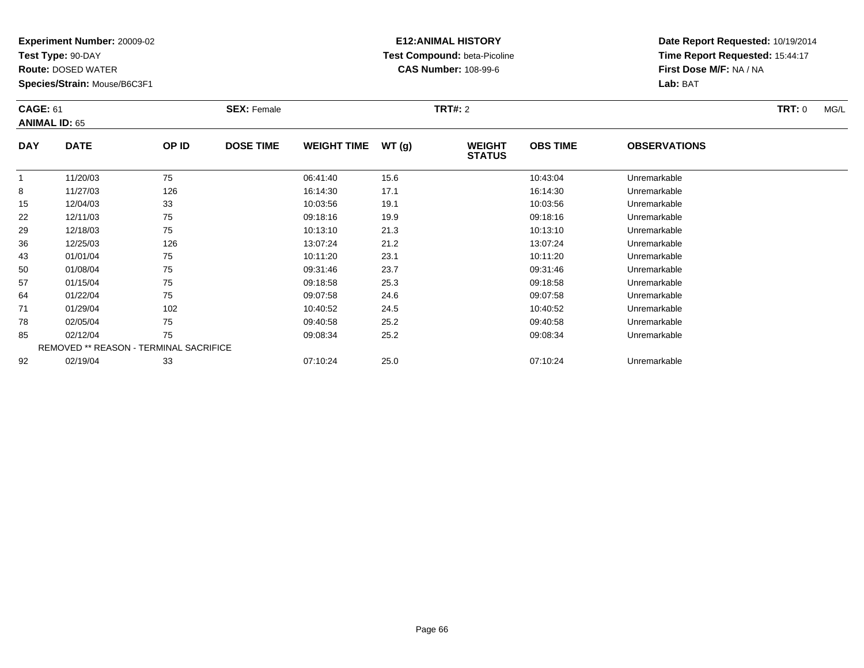**Test Type:** 90-DAY

**Route:** DOSED WATER

**Species/Strain:** Mouse/B6C3F1

# **E12:ANIMAL HISTORY Test Compound:** beta-Picoline**CAS Number:** 108-99-6

| <b>CAGE: 61</b> | <b>ANIMAL ID: 65</b>                   |       | <b>SEX: Female</b> |                    |       | <b>TRT#: 2</b>                 |                 |                     | <b>TRT:</b> 0<br>MG/L |
|-----------------|----------------------------------------|-------|--------------------|--------------------|-------|--------------------------------|-----------------|---------------------|-----------------------|
| <b>DAY</b>      | <b>DATE</b>                            | OP ID | <b>DOSE TIME</b>   | <b>WEIGHT TIME</b> | WT(g) | <b>WEIGHT</b><br><b>STATUS</b> | <b>OBS TIME</b> | <b>OBSERVATIONS</b> |                       |
|                 | 11/20/03                               | 75    |                    | 06:41:40           | 15.6  |                                | 10:43:04        | Unremarkable        |                       |
| 8               | 11/27/03                               | 126   |                    | 16:14:30           | 17.1  |                                | 16:14:30        | Unremarkable        |                       |
| 15              | 12/04/03                               | 33    |                    | 10:03:56           | 19.1  |                                | 10:03:56        | Unremarkable        |                       |
| 22              | 12/11/03                               | 75    |                    | 09:18:16           | 19.9  |                                | 09:18:16        | Unremarkable        |                       |
| 29              | 12/18/03                               | 75    |                    | 10:13:10           | 21.3  |                                | 10:13:10        | Unremarkable        |                       |
| 36              | 12/25/03                               | 126   |                    | 13:07:24           | 21.2  |                                | 13:07:24        | Unremarkable        |                       |
| 43              | 01/01/04                               | 75    |                    | 10:11:20           | 23.1  |                                | 10:11:20        | Unremarkable        |                       |
| 50              | 01/08/04                               | 75    |                    | 09:31:46           | 23.7  |                                | 09:31:46        | Unremarkable        |                       |
| 57              | 01/15/04                               | 75    |                    | 09:18:58           | 25.3  |                                | 09:18:58        | Unremarkable        |                       |
| 64              | 01/22/04                               | 75    |                    | 09:07:58           | 24.6  |                                | 09:07:58        | Unremarkable        |                       |
| 71              | 01/29/04                               | 102   |                    | 10:40:52           | 24.5  |                                | 10:40:52        | Unremarkable        |                       |
| 78              | 02/05/04                               | 75    |                    | 09:40:58           | 25.2  |                                | 09:40:58        | Unremarkable        |                       |
| 85              | 02/12/04                               | 75    |                    | 09:08:34           | 25.2  |                                | 09:08:34        | Unremarkable        |                       |
|                 | REMOVED ** REASON - TERMINAL SACRIFICE |       |                    |                    |       |                                |                 |                     |                       |
| 92              | 02/19/04                               | 33    |                    | 07:10:24           | 25.0  |                                | 07:10:24        | Unremarkable        |                       |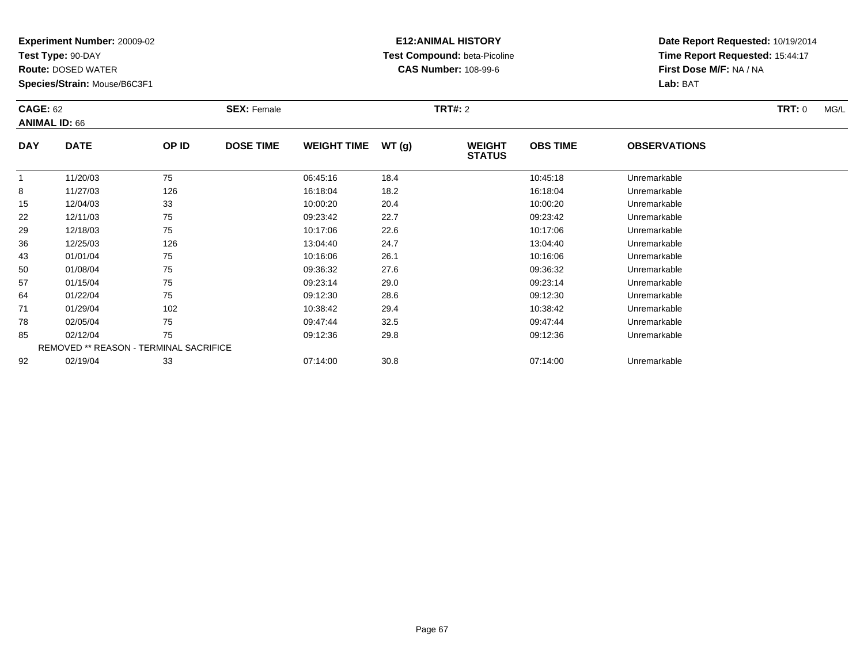**Test Type:** 90-DAY

**Route:** DOSED WATER

**Species/Strain:** Mouse/B6C3F1

# **E12:ANIMAL HISTORY Test Compound:** beta-Picoline**CAS Number:** 108-99-6

|            | <b>CAGE: 62</b><br><b>ANIMAL ID: 66</b> |       | <b>SEX: Female</b> |                    |       | <b>TRT#: 2</b>                 |                 | <b>TRT: 0</b><br>MG/L |  |
|------------|-----------------------------------------|-------|--------------------|--------------------|-------|--------------------------------|-----------------|-----------------------|--|
| <b>DAY</b> | <b>DATE</b>                             | OP ID | <b>DOSE TIME</b>   | <b>WEIGHT TIME</b> | WT(g) | <b>WEIGHT</b><br><b>STATUS</b> | <b>OBS TIME</b> | <b>OBSERVATIONS</b>   |  |
|            | 11/20/03                                | 75    |                    | 06:45:16           | 18.4  |                                | 10:45:18        | Unremarkable          |  |
| 8          | 11/27/03                                | 126   |                    | 16:18:04           | 18.2  |                                | 16:18:04        | Unremarkable          |  |
| 15         | 12/04/03                                | 33    |                    | 10:00:20           | 20.4  |                                | 10:00:20        | Unremarkable          |  |
| 22         | 12/11/03                                | 75    |                    | 09:23:42           | 22.7  |                                | 09:23:42        | Unremarkable          |  |
| 29         | 12/18/03                                | 75    |                    | 10:17:06           | 22.6  |                                | 10:17:06        | Unremarkable          |  |
| 36         | 12/25/03                                | 126   |                    | 13:04:40           | 24.7  |                                | 13:04:40        | Unremarkable          |  |
| 43         | 01/01/04                                | 75    |                    | 10:16:06           | 26.1  |                                | 10:16:06        | Unremarkable          |  |
| 50         | 01/08/04                                | 75    |                    | 09:36:32           | 27.6  |                                | 09:36:32        | Unremarkable          |  |
| 57         | 01/15/04                                | 75    |                    | 09:23:14           | 29.0  |                                | 09:23:14        | Unremarkable          |  |
| 64         | 01/22/04                                | 75    |                    | 09:12:30           | 28.6  |                                | 09:12:30        | Unremarkable          |  |
| 71         | 01/29/04                                | 102   |                    | 10:38:42           | 29.4  |                                | 10:38:42        | Unremarkable          |  |
| 78         | 02/05/04                                | 75    |                    | 09:47:44           | 32.5  |                                | 09:47:44        | Unremarkable          |  |
| 85         | 02/12/04                                | 75    |                    | 09:12:36           | 29.8  |                                | 09:12:36        | Unremarkable          |  |
|            | REMOVED ** REASON - TERMINAL SACRIFICE  |       |                    |                    |       |                                |                 |                       |  |
| 92         | 02/19/04                                | 33    |                    | 07:14:00           | 30.8  |                                | 07:14:00        | Unremarkable          |  |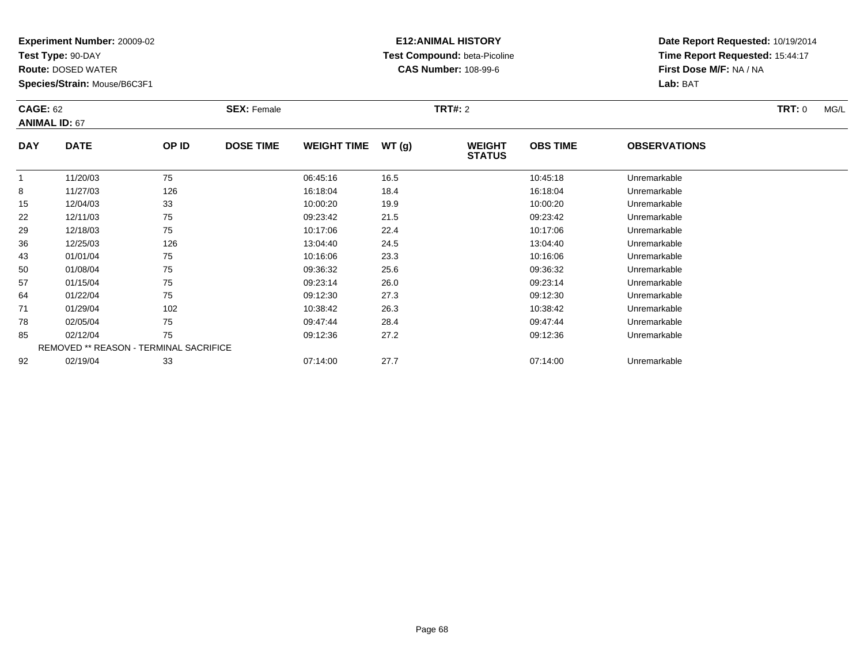**Test Type:** 90-DAY

**Route:** DOSED WATER

**Species/Strain:** Mouse/B6C3F1

# **E12:ANIMAL HISTORY Test Compound:** beta-Picoline**CAS Number:** 108-99-6

|            | <b>CAGE: 62</b><br><b>ANIMAL ID: 67</b> |       | <b>SEX: Female</b> |                    |       | <b>TRT#: 2</b>                 |                 | <b>TRT: 0</b><br>MG/L |  |
|------------|-----------------------------------------|-------|--------------------|--------------------|-------|--------------------------------|-----------------|-----------------------|--|
| <b>DAY</b> | <b>DATE</b>                             | OP ID | <b>DOSE TIME</b>   | <b>WEIGHT TIME</b> | WT(g) | <b>WEIGHT</b><br><b>STATUS</b> | <b>OBS TIME</b> | <b>OBSERVATIONS</b>   |  |
|            | 11/20/03                                | 75    |                    | 06:45:16           | 16.5  |                                | 10:45:18        | Unremarkable          |  |
| 8          | 11/27/03                                | 126   |                    | 16:18:04           | 18.4  |                                | 16:18:04        | Unremarkable          |  |
| 15         | 12/04/03                                | 33    |                    | 10:00:20           | 19.9  |                                | 10:00:20        | Unremarkable          |  |
| 22         | 12/11/03                                | 75    |                    | 09:23:42           | 21.5  |                                | 09:23:42        | Unremarkable          |  |
| 29         | 12/18/03                                | 75    |                    | 10:17:06           | 22.4  |                                | 10:17:06        | Unremarkable          |  |
| 36         | 12/25/03                                | 126   |                    | 13:04:40           | 24.5  |                                | 13:04:40        | Unremarkable          |  |
| 43         | 01/01/04                                | 75    |                    | 10:16:06           | 23.3  |                                | 10:16:06        | Unremarkable          |  |
| 50         | 01/08/04                                | 75    |                    | 09:36:32           | 25.6  |                                | 09:36:32        | Unremarkable          |  |
| 57         | 01/15/04                                | 75    |                    | 09:23:14           | 26.0  |                                | 09:23:14        | Unremarkable          |  |
| 64         | 01/22/04                                | 75    |                    | 09:12:30           | 27.3  |                                | 09:12:30        | Unremarkable          |  |
| 71         | 01/29/04                                | 102   |                    | 10:38:42           | 26.3  |                                | 10:38:42        | Unremarkable          |  |
| 78         | 02/05/04                                | 75    |                    | 09:47:44           | 28.4  |                                | 09:47:44        | Unremarkable          |  |
| 85         | 02/12/04                                | 75    |                    | 09:12:36           | 27.2  |                                | 09:12:36        | Unremarkable          |  |
|            | REMOVED ** REASON - TERMINAL SACRIFICE  |       |                    |                    |       |                                |                 |                       |  |
| 92         | 02/19/04                                | 33    |                    | 07:14:00           | 27.7  |                                | 07:14:00        | Unremarkable          |  |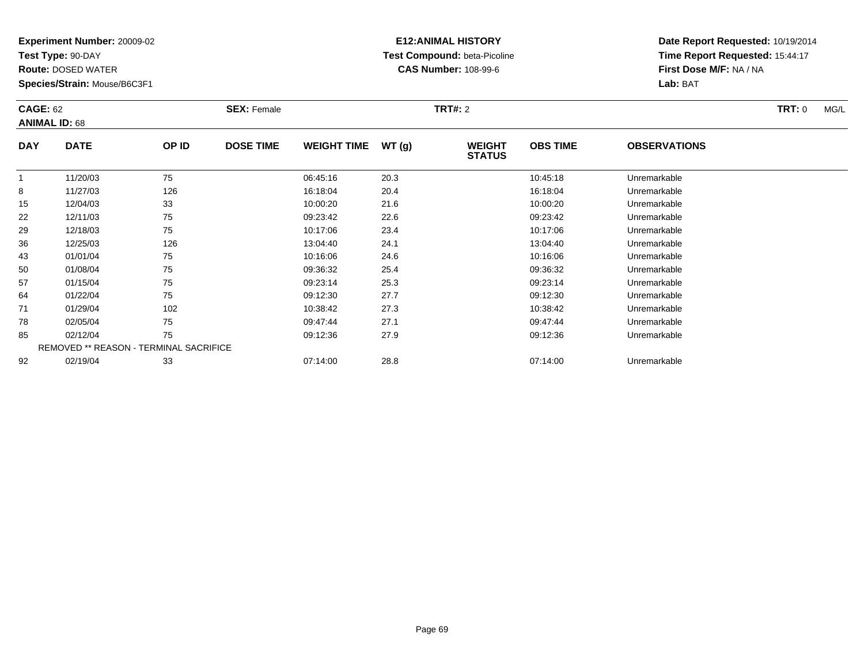**Test Type:** 90-DAY

**Route:** DOSED WATER

**Species/Strain:** Mouse/B6C3F1

# **E12:ANIMAL HISTORY Test Compound:** beta-Picoline**CAS Number:** 108-99-6

| <b>CAGE: 62</b> | <b>ANIMAL ID: 68</b>                   |       | <b>SEX: Female</b> |                    |       | <b>TRT#: 2</b>                 |                 |                     | <b>TRT:</b> 0<br>MG/L |
|-----------------|----------------------------------------|-------|--------------------|--------------------|-------|--------------------------------|-----------------|---------------------|-----------------------|
| <b>DAY</b>      | <b>DATE</b>                            | OP ID | <b>DOSE TIME</b>   | <b>WEIGHT TIME</b> | WT(g) | <b>WEIGHT</b><br><b>STATUS</b> | <b>OBS TIME</b> | <b>OBSERVATIONS</b> |                       |
|                 | 11/20/03                               | 75    |                    | 06:45:16           | 20.3  |                                | 10:45:18        | Unremarkable        |                       |
| 8               | 11/27/03                               | 126   |                    | 16:18:04           | 20.4  |                                | 16:18:04        | Unremarkable        |                       |
| 15              | 12/04/03                               | 33    |                    | 10:00:20           | 21.6  |                                | 10:00:20        | Unremarkable        |                       |
| 22              | 12/11/03                               | 75    |                    | 09:23:42           | 22.6  |                                | 09:23:42        | Unremarkable        |                       |
| 29              | 12/18/03                               | 75    |                    | 10:17:06           | 23.4  |                                | 10:17:06        | Unremarkable        |                       |
| 36              | 12/25/03                               | 126   |                    | 13:04:40           | 24.1  |                                | 13:04:40        | Unremarkable        |                       |
| 43              | 01/01/04                               | 75    |                    | 10:16:06           | 24.6  |                                | 10:16:06        | Unremarkable        |                       |
| 50              | 01/08/04                               | 75    |                    | 09:36:32           | 25.4  |                                | 09:36:32        | Unremarkable        |                       |
| 57              | 01/15/04                               | 75    |                    | 09:23:14           | 25.3  |                                | 09:23:14        | Unremarkable        |                       |
| 64              | 01/22/04                               | 75    |                    | 09:12:30           | 27.7  |                                | 09:12:30        | Unremarkable        |                       |
| 71              | 01/29/04                               | 102   |                    | 10:38:42           | 27.3  |                                | 10:38:42        | Unremarkable        |                       |
| 78              | 02/05/04                               | 75    |                    | 09:47:44           | 27.1  |                                | 09:47:44        | Unremarkable        |                       |
| 85              | 02/12/04                               | 75    |                    | 09:12:36           | 27.9  |                                | 09:12:36        | Unremarkable        |                       |
|                 | REMOVED ** REASON - TERMINAL SACRIFICE |       |                    |                    |       |                                |                 |                     |                       |
| 92              | 02/19/04                               | 33    |                    | 07:14:00           | 28.8  |                                | 07:14:00        | Unremarkable        |                       |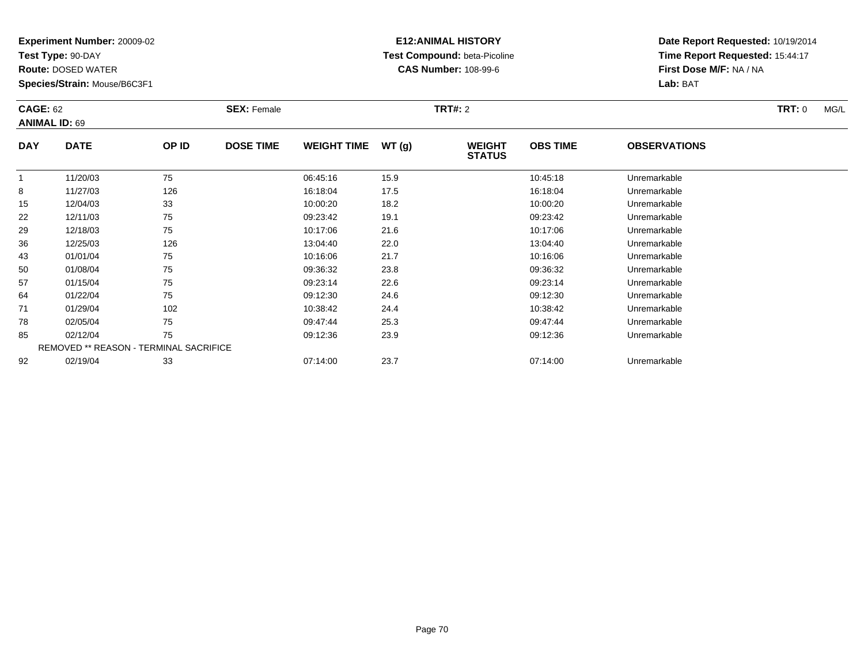**Test Type:** 90-DAY

**Route:** DOSED WATER

**Species/Strain:** Mouse/B6C3F1

# **E12:ANIMAL HISTORY Test Compound:** beta-Picoline**CAS Number:** 108-99-6

| <b>CAGE: 62</b> | <b>ANIMAL ID: 69</b>                   |       | <b>SEX: Female</b> |                    |       | TRT#: 2                        |                 |                     | <b>TRT:</b> 0<br>MG/L |
|-----------------|----------------------------------------|-------|--------------------|--------------------|-------|--------------------------------|-----------------|---------------------|-----------------------|
| <b>DAY</b>      | <b>DATE</b>                            | OP ID | <b>DOSE TIME</b>   | <b>WEIGHT TIME</b> | WT(g) | <b>WEIGHT</b><br><b>STATUS</b> | <b>OBS TIME</b> | <b>OBSERVATIONS</b> |                       |
| 1               | 11/20/03                               | 75    |                    | 06:45:16           | 15.9  |                                | 10:45:18        | Unremarkable        |                       |
| 8               | 11/27/03                               | 126   |                    | 16:18:04           | 17.5  |                                | 16:18:04        | Unremarkable        |                       |
| 15              | 12/04/03                               | 33    |                    | 10:00:20           | 18.2  |                                | 10:00:20        | Unremarkable        |                       |
| 22              | 12/11/03                               | 75    |                    | 09:23:42           | 19.1  |                                | 09:23:42        | Unremarkable        |                       |
| 29              | 12/18/03                               | 75    |                    | 10:17:06           | 21.6  |                                | 10:17:06        | Unremarkable        |                       |
| 36              | 12/25/03                               | 126   |                    | 13:04:40           | 22.0  |                                | 13:04:40        | Unremarkable        |                       |
| 43              | 01/01/04                               | 75    |                    | 10:16:06           | 21.7  |                                | 10:16:06        | Unremarkable        |                       |
| 50              | 01/08/04                               | 75    |                    | 09:36:32           | 23.8  |                                | 09:36:32        | Unremarkable        |                       |
| 57              | 01/15/04                               | 75    |                    | 09:23:14           | 22.6  |                                | 09:23:14        | Unremarkable        |                       |
| 64              | 01/22/04                               | 75    |                    | 09:12:30           | 24.6  |                                | 09:12:30        | Unremarkable        |                       |
| 71              | 01/29/04                               | 102   |                    | 10:38:42           | 24.4  |                                | 10:38:42        | Unremarkable        |                       |
| 78              | 02/05/04                               | 75    |                    | 09:47:44           | 25.3  |                                | 09:47:44        | Unremarkable        |                       |
| 85              | 02/12/04                               | 75    |                    | 09:12:36           | 23.9  |                                | 09:12:36        | Unremarkable        |                       |
|                 | REMOVED ** REASON - TERMINAL SACRIFICE |       |                    |                    |       |                                |                 |                     |                       |
| 92              | 02/19/04                               | 33    |                    | 07:14:00           | 23.7  |                                | 07:14:00        | Unremarkable        |                       |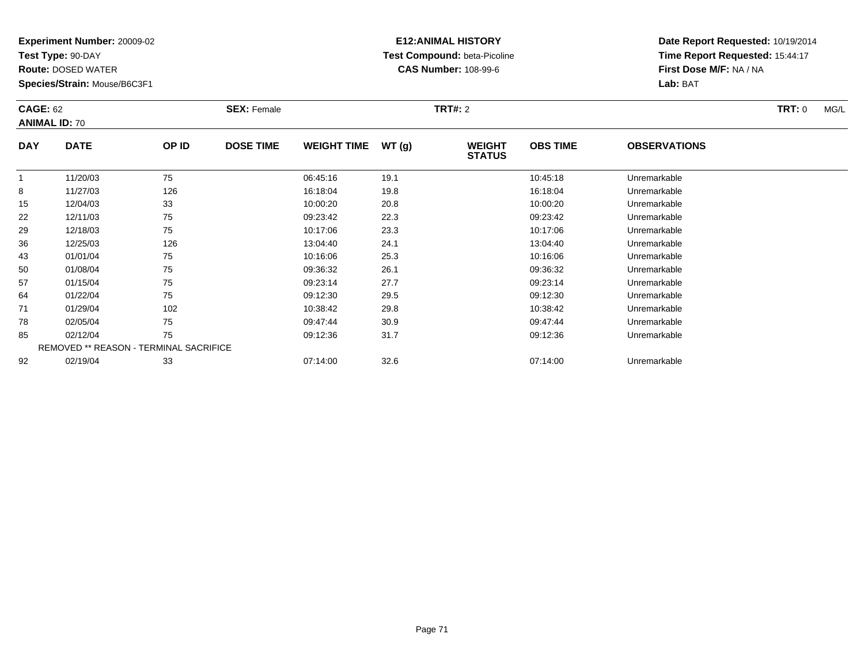**Test Type:** 90-DAY

**Route:** DOSED WATER

**Species/Strain:** Mouse/B6C3F1

# **E12:ANIMAL HISTORY Test Compound:** beta-Picoline**CAS Number:** 108-99-6

| <b>CAGE: 62</b> | <b>ANIMAL ID: 70</b>                   |       | <b>SEX: Female</b> |                    |       | <b>TRT#: 2</b>                 |                 |                     | <b>TRT: 0</b><br>MG/L |
|-----------------|----------------------------------------|-------|--------------------|--------------------|-------|--------------------------------|-----------------|---------------------|-----------------------|
| <b>DAY</b>      | <b>DATE</b>                            | OP ID | <b>DOSE TIME</b>   | <b>WEIGHT TIME</b> | WT(g) | <b>WEIGHT</b><br><b>STATUS</b> | <b>OBS TIME</b> | <b>OBSERVATIONS</b> |                       |
|                 | 11/20/03                               | 75    |                    | 06:45:16           | 19.1  |                                | 10:45:18        | Unremarkable        |                       |
| 8               | 11/27/03                               | 126   |                    | 16:18:04           | 19.8  |                                | 16:18:04        | Unremarkable        |                       |
| 15              | 12/04/03                               | 33    |                    | 10:00:20           | 20.8  |                                | 10:00:20        | Unremarkable        |                       |
| 22              | 12/11/03                               | 75    |                    | 09:23:42           | 22.3  |                                | 09:23:42        | Unremarkable        |                       |
| 29              | 12/18/03                               | 75    |                    | 10:17:06           | 23.3  |                                | 10:17:06        | Unremarkable        |                       |
| 36              | 12/25/03                               | 126   |                    | 13:04:40           | 24.1  |                                | 13:04:40        | Unremarkable        |                       |
| 43              | 01/01/04                               | 75    |                    | 10:16:06           | 25.3  |                                | 10:16:06        | Unremarkable        |                       |
| 50              | 01/08/04                               | 75    |                    | 09:36:32           | 26.1  |                                | 09:36:32        | Unremarkable        |                       |
| 57              | 01/15/04                               | 75    |                    | 09:23:14           | 27.7  |                                | 09:23:14        | Unremarkable        |                       |
| 64              | 01/22/04                               | 75    |                    | 09:12:30           | 29.5  |                                | 09:12:30        | Unremarkable        |                       |
| 71              | 01/29/04                               | 102   |                    | 10:38:42           | 29.8  |                                | 10:38:42        | Unremarkable        |                       |
| 78              | 02/05/04                               | 75    |                    | 09:47:44           | 30.9  |                                | 09:47:44        | Unremarkable        |                       |
| 85              | 02/12/04                               | 75    |                    | 09:12:36           | 31.7  |                                | 09:12:36        | Unremarkable        |                       |
|                 | REMOVED ** REASON - TERMINAL SACRIFICE |       |                    |                    |       |                                |                 |                     |                       |
| 92              | 02/19/04                               | 33    |                    | 07:14:00           | 32.6  |                                | 07:14:00        | Unremarkable        |                       |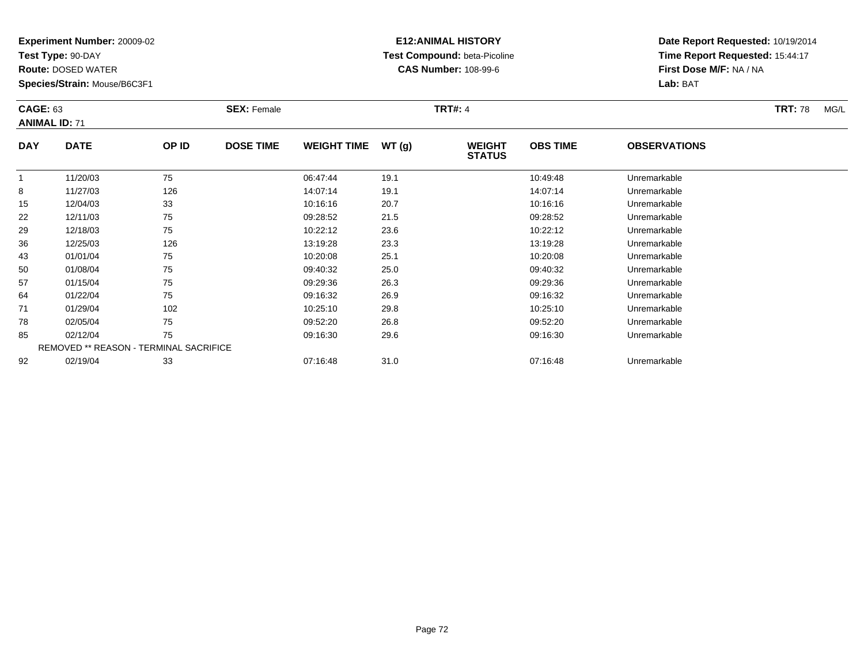**Test Type:** 90-DAY

**Route:** DOSED WATER

**Species/Strain:** Mouse/B6C3F1

# **E12:ANIMAL HISTORY Test Compound:** beta-Picoline**CAS Number:** 108-99-6

| <b>CAGE: 63</b><br><b>ANIMAL ID: 71</b> |                                               |       | <b>SEX: Female</b> | <b>TRT#: 4</b>     |       |                                |                 |                     | <b>TRT: 78</b><br>MG/L |
|-----------------------------------------|-----------------------------------------------|-------|--------------------|--------------------|-------|--------------------------------|-----------------|---------------------|------------------------|
| <b>DAY</b>                              | <b>DATE</b>                                   | OP ID | <b>DOSE TIME</b>   | <b>WEIGHT TIME</b> | WT(g) | <b>WEIGHT</b><br><b>STATUS</b> | <b>OBS TIME</b> | <b>OBSERVATIONS</b> |                        |
|                                         | 11/20/03                                      | 75    |                    | 06:47:44           | 19.1  |                                | 10:49:48        | Unremarkable        |                        |
| 8                                       | 11/27/03                                      | 126   |                    | 14:07:14           | 19.1  |                                | 14:07:14        | Unremarkable        |                        |
| 15                                      | 12/04/03                                      | 33    |                    | 10:16:16           | 20.7  |                                | 10:16:16        | Unremarkable        |                        |
| 22                                      | 12/11/03                                      | 75    |                    | 09:28:52           | 21.5  |                                | 09:28:52        | Unremarkable        |                        |
| 29                                      | 12/18/03                                      | 75    |                    | 10:22:12           | 23.6  |                                | 10:22:12        | Unremarkable        |                        |
| 36                                      | 12/25/03                                      | 126   |                    | 13:19:28           | 23.3  |                                | 13:19:28        | Unremarkable        |                        |
| 43                                      | 01/01/04                                      | 75    |                    | 10:20:08           | 25.1  |                                | 10:20:08        | Unremarkable        |                        |
| 50                                      | 01/08/04                                      | 75    |                    | 09:40:32           | 25.0  |                                | 09:40:32        | Unremarkable        |                        |
| 57                                      | 01/15/04                                      | 75    |                    | 09:29:36           | 26.3  |                                | 09:29:36        | Unremarkable        |                        |
| 64                                      | 01/22/04                                      | 75    |                    | 09:16:32           | 26.9  |                                | 09:16:32        | Unremarkable        |                        |
| 71                                      | 01/29/04                                      | 102   |                    | 10:25:10           | 29.8  |                                | 10:25:10        | Unremarkable        |                        |
| 78                                      | 02/05/04                                      | 75    |                    | 09:52:20           | 26.8  |                                | 09:52:20        | Unremarkable        |                        |
| 85                                      | 02/12/04                                      | 75    |                    | 09:16:30           | 29.6  |                                | 09:16:30        | Unremarkable        |                        |
|                                         | <b>REMOVED ** REASON - TERMINAL SACRIFICE</b> |       |                    |                    |       |                                |                 |                     |                        |
| 92                                      | 02/19/04                                      | 33    |                    | 07:16:48           | 31.0  |                                | 07:16:48        | Unremarkable        |                        |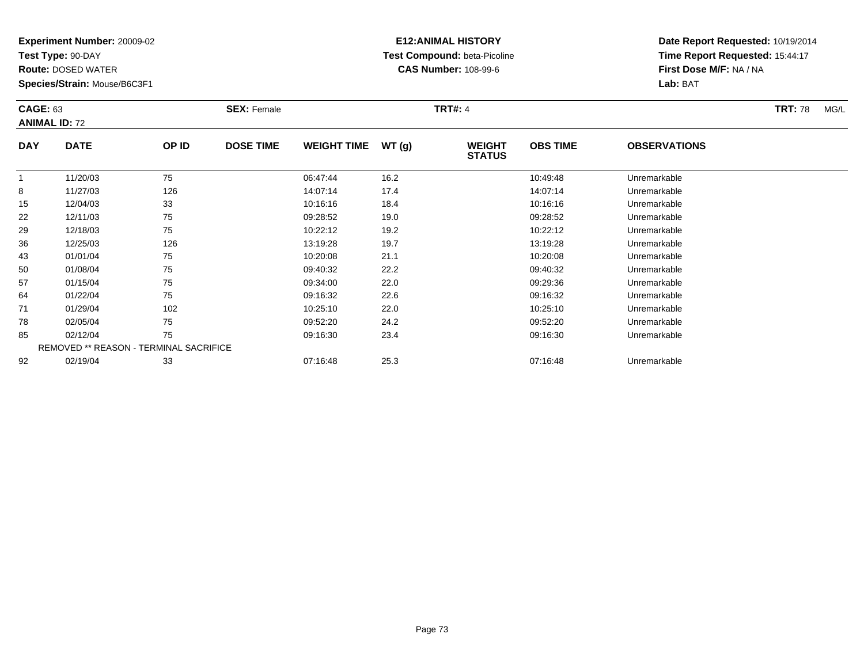**Test Type:** 90-DAY

**Route:** DOSED WATER

**Species/Strain:** Mouse/B6C3F1

## **E12:ANIMAL HISTORY Test Compound:** beta-Picoline**CAS Number:** 108-99-6

| <b>CAGE: 63</b> | <b>ANIMAL ID: 72</b>                          |       | <b>SEX: Female</b> |                    |       | <b>TRT#: 4</b>                 |                 |                     | <b>TRT: 78</b><br>MG/L |
|-----------------|-----------------------------------------------|-------|--------------------|--------------------|-------|--------------------------------|-----------------|---------------------|------------------------|
| <b>DAY</b>      | <b>DATE</b>                                   | OP ID | <b>DOSE TIME</b>   | <b>WEIGHT TIME</b> | WT(g) | <b>WEIGHT</b><br><b>STATUS</b> | <b>OBS TIME</b> | <b>OBSERVATIONS</b> |                        |
|                 | 11/20/03                                      | 75    |                    | 06:47:44           | 16.2  |                                | 10:49:48        | Unremarkable        |                        |
| 8               | 11/27/03                                      | 126   |                    | 14:07:14           | 17.4  |                                | 14:07:14        | Unremarkable        |                        |
| 15              | 12/04/03                                      | 33    |                    | 10:16:16           | 18.4  |                                | 10:16:16        | Unremarkable        |                        |
| 22              | 12/11/03                                      | 75    |                    | 09:28:52           | 19.0  |                                | 09:28:52        | Unremarkable        |                        |
| 29              | 12/18/03                                      | 75    |                    | 10:22:12           | 19.2  |                                | 10:22:12        | Unremarkable        |                        |
| 36              | 12/25/03                                      | 126   |                    | 13:19:28           | 19.7  |                                | 13:19:28        | Unremarkable        |                        |
| 43              | 01/01/04                                      | 75    |                    | 10:20:08           | 21.1  |                                | 10:20:08        | Unremarkable        |                        |
| 50              | 01/08/04                                      | 75    |                    | 09:40:32           | 22.2  |                                | 09:40:32        | Unremarkable        |                        |
| 57              | 01/15/04                                      | 75    |                    | 09:34:00           | 22.0  |                                | 09:29:36        | Unremarkable        |                        |
| 64              | 01/22/04                                      | 75    |                    | 09:16:32           | 22.6  |                                | 09:16:32        | Unremarkable        |                        |
| 71              | 01/29/04                                      | 102   |                    | 10:25:10           | 22.0  |                                | 10:25:10        | Unremarkable        |                        |
| 78              | 02/05/04                                      | 75    |                    | 09:52:20           | 24.2  |                                | 09:52:20        | Unremarkable        |                        |
| 85              | 02/12/04                                      | 75    |                    | 09:16:30           | 23.4  |                                | 09:16:30        | Unremarkable        |                        |
|                 | <b>REMOVED ** REASON - TERMINAL SACRIFICE</b> |       |                    |                    |       |                                |                 |                     |                        |
| 92              | 02/19/04                                      | 33    |                    | 07:16:48           | 25.3  |                                | 07:16:48        | Unremarkable        |                        |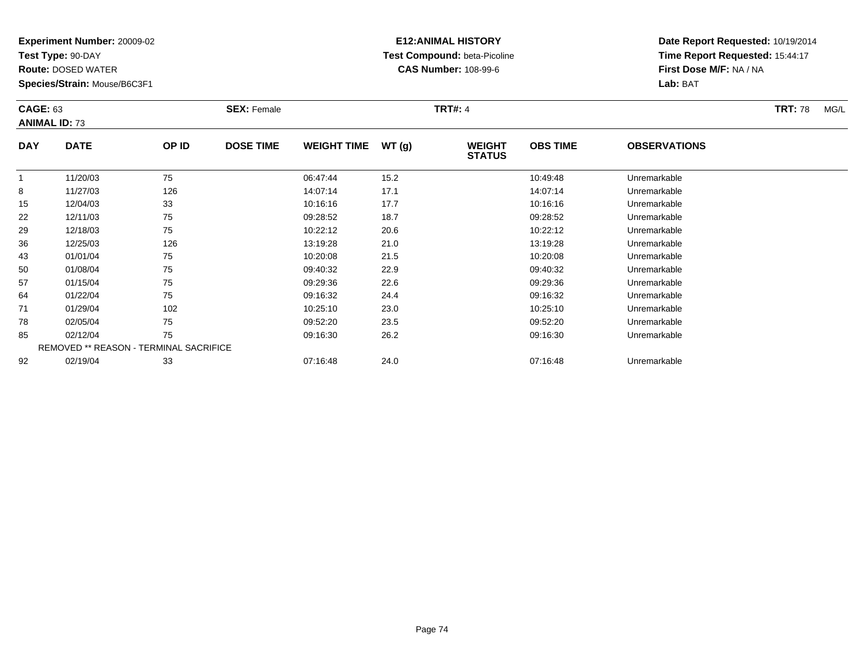**Test Type:** 90-DAY

**Route:** DOSED WATER

**Species/Strain:** Mouse/B6C3F1

# **E12:ANIMAL HISTORY Test Compound:** beta-Picoline**CAS Number:** 108-99-6

| <b>CAGE: 63</b> | <b>ANIMAL ID: 73</b>                   |       | <b>SEX: Female</b> |                    |       | <b>TRT#: 4</b>                 |                 |                     | <b>TRT: 78</b><br>MG/L |
|-----------------|----------------------------------------|-------|--------------------|--------------------|-------|--------------------------------|-----------------|---------------------|------------------------|
| <b>DAY</b>      | <b>DATE</b>                            | OP ID | <b>DOSE TIME</b>   | <b>WEIGHT TIME</b> | WT(g) | <b>WEIGHT</b><br><b>STATUS</b> | <b>OBS TIME</b> | <b>OBSERVATIONS</b> |                        |
|                 | 11/20/03                               | 75    |                    | 06:47:44           | 15.2  |                                | 10:49:48        | Unremarkable        |                        |
| 8               | 11/27/03                               | 126   |                    | 14:07:14           | 17.1  |                                | 14:07:14        | Unremarkable        |                        |
| 15              | 12/04/03                               | 33    |                    | 10:16:16           | 17.7  |                                | 10:16:16        | Unremarkable        |                        |
| 22              | 12/11/03                               | 75    |                    | 09:28:52           | 18.7  |                                | 09:28:52        | Unremarkable        |                        |
| 29              | 12/18/03                               | 75    |                    | 10:22:12           | 20.6  |                                | 10:22:12        | Unremarkable        |                        |
| 36              | 12/25/03                               | 126   |                    | 13:19:28           | 21.0  |                                | 13:19:28        | Unremarkable        |                        |
| 43              | 01/01/04                               | 75    |                    | 10:20:08           | 21.5  |                                | 10:20:08        | Unremarkable        |                        |
| 50              | 01/08/04                               | 75    |                    | 09:40:32           | 22.9  |                                | 09:40:32        | Unremarkable        |                        |
| 57              | 01/15/04                               | 75    |                    | 09:29:36           | 22.6  |                                | 09:29:36        | Unremarkable        |                        |
| 64              | 01/22/04                               | 75    |                    | 09:16:32           | 24.4  |                                | 09:16:32        | Unremarkable        |                        |
| 71              | 01/29/04                               | 102   |                    | 10:25:10           | 23.0  |                                | 10:25:10        | Unremarkable        |                        |
| 78              | 02/05/04                               | 75    |                    | 09:52:20           | 23.5  |                                | 09:52:20        | Unremarkable        |                        |
| 85              | 02/12/04                               | 75    |                    | 09:16:30           | 26.2  |                                | 09:16:30        | Unremarkable        |                        |
|                 | REMOVED ** REASON - TERMINAL SACRIFICE |       |                    |                    |       |                                |                 |                     |                        |
| 92              | 02/19/04                               | 33    |                    | 07:16:48           | 24.0  |                                | 07:16:48        | Unremarkable        |                        |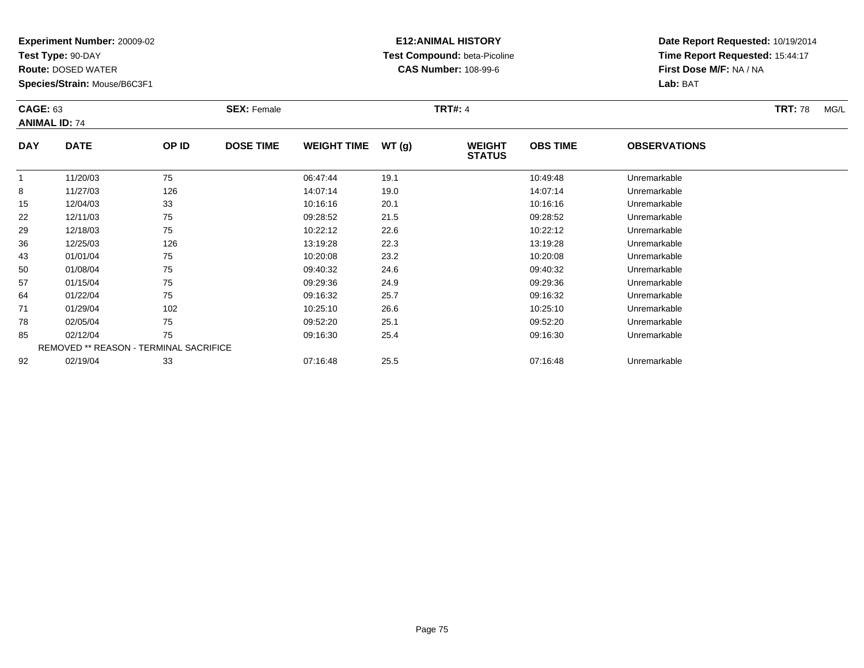**Test Type:** 90-DAY

**Route:** DOSED WATER

**Species/Strain:** Mouse/B6C3F1

# **E12:ANIMAL HISTORY Test Compound:** beta-Picoline**CAS Number:** 108-99-6

| <b>CAGE: 63</b> | <b>ANIMAL ID: 74</b>                          |       | <b>SEX: Female</b> |                    |       | <b>TRT#: 4</b>                 |                 |                     | <b>TRT: 78</b><br>MG/L |
|-----------------|-----------------------------------------------|-------|--------------------|--------------------|-------|--------------------------------|-----------------|---------------------|------------------------|
| <b>DAY</b>      | <b>DATE</b>                                   | OP ID | <b>DOSE TIME</b>   | <b>WEIGHT TIME</b> | WT(g) | <b>WEIGHT</b><br><b>STATUS</b> | <b>OBS TIME</b> | <b>OBSERVATIONS</b> |                        |
|                 | 11/20/03                                      | 75    |                    | 06:47:44           | 19.1  |                                | 10:49:48        | Unremarkable        |                        |
| 8               | 11/27/03                                      | 126   |                    | 14:07:14           | 19.0  |                                | 14:07:14        | Unremarkable        |                        |
| 15              | 12/04/03                                      | 33    |                    | 10:16:16           | 20.1  |                                | 10:16:16        | Unremarkable        |                        |
| 22              | 12/11/03                                      | 75    |                    | 09:28:52           | 21.5  |                                | 09:28:52        | Unremarkable        |                        |
| 29              | 12/18/03                                      | 75    |                    | 10:22:12           | 22.6  |                                | 10:22:12        | Unremarkable        |                        |
| 36              | 12/25/03                                      | 126   |                    | 13:19:28           | 22.3  |                                | 13:19:28        | Unremarkable        |                        |
| 43              | 01/01/04                                      | 75    |                    | 10:20:08           | 23.2  |                                | 10:20:08        | Unremarkable        |                        |
| 50              | 01/08/04                                      | 75    |                    | 09:40:32           | 24.6  |                                | 09:40:32        | Unremarkable        |                        |
| 57              | 01/15/04                                      | 75    |                    | 09:29:36           | 24.9  |                                | 09:29:36        | Unremarkable        |                        |
| 64              | 01/22/04                                      | 75    |                    | 09:16:32           | 25.7  |                                | 09:16:32        | Unremarkable        |                        |
| 71              | 01/29/04                                      | 102   |                    | 10:25:10           | 26.6  |                                | 10:25:10        | Unremarkable        |                        |
| 78              | 02/05/04                                      | 75    |                    | 09:52:20           | 25.1  |                                | 09:52:20        | Unremarkable        |                        |
| 85              | 02/12/04                                      | 75    |                    | 09:16:30           | 25.4  |                                | 09:16:30        | Unremarkable        |                        |
|                 | <b>REMOVED ** REASON - TERMINAL SACRIFICE</b> |       |                    |                    |       |                                |                 |                     |                        |
| 92              | 02/19/04                                      | 33    |                    | 07:16:48           | 25.5  |                                | 07:16:48        | Unremarkable        |                        |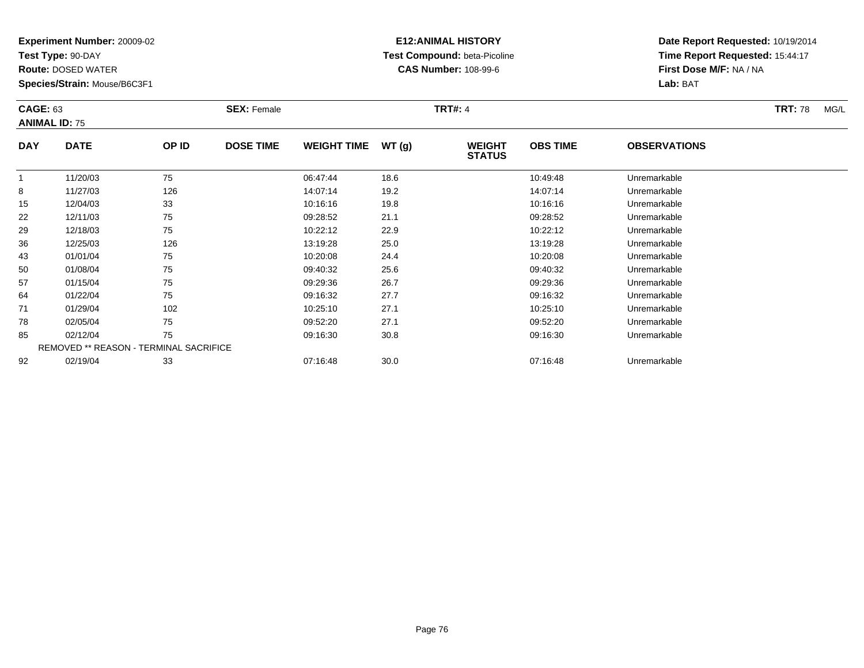**Test Type:** 90-DAY

**Route:** DOSED WATER

**Species/Strain:** Mouse/B6C3F1

# **E12:ANIMAL HISTORY Test Compound:** beta-Picoline**CAS Number:** 108-99-6

| <b>CAGE: 63</b> | <b>ANIMAL ID: 75</b>                   |       | <b>SEX: Female</b> |                    |       | <b>TRT#: 4</b>                 |                 |                     | <b>TRT: 78</b><br>MG/L |
|-----------------|----------------------------------------|-------|--------------------|--------------------|-------|--------------------------------|-----------------|---------------------|------------------------|
| <b>DAY</b>      | <b>DATE</b>                            | OP ID | <b>DOSE TIME</b>   | <b>WEIGHT TIME</b> | WT(g) | <b>WEIGHT</b><br><b>STATUS</b> | <b>OBS TIME</b> | <b>OBSERVATIONS</b> |                        |
|                 | 11/20/03                               | 75    |                    | 06:47:44           | 18.6  |                                | 10:49:48        | Unremarkable        |                        |
| 8               | 11/27/03                               | 126   |                    | 14:07:14           | 19.2  |                                | 14:07:14        | Unremarkable        |                        |
| 15              | 12/04/03                               | 33    |                    | 10:16:16           | 19.8  |                                | 10:16:16        | Unremarkable        |                        |
| 22              | 12/11/03                               | 75    |                    | 09:28:52           | 21.1  |                                | 09:28:52        | Unremarkable        |                        |
| 29              | 12/18/03                               | 75    |                    | 10:22:12           | 22.9  |                                | 10:22:12        | Unremarkable        |                        |
| 36              | 12/25/03                               | 126   |                    | 13:19:28           | 25.0  |                                | 13:19:28        | Unremarkable        |                        |
| 43              | 01/01/04                               | 75    |                    | 10:20:08           | 24.4  |                                | 10:20:08        | Unremarkable        |                        |
| 50              | 01/08/04                               | 75    |                    | 09:40:32           | 25.6  |                                | 09:40:32        | Unremarkable        |                        |
| 57              | 01/15/04                               | 75    |                    | 09:29:36           | 26.7  |                                | 09:29:36        | Unremarkable        |                        |
| 64              | 01/22/04                               | 75    |                    | 09:16:32           | 27.7  |                                | 09:16:32        | Unremarkable        |                        |
| 71              | 01/29/04                               | 102   |                    | 10:25:10           | 27.1  |                                | 10:25:10        | Unremarkable        |                        |
| 78              | 02/05/04                               | 75    |                    | 09:52:20           | 27.1  |                                | 09:52:20        | Unremarkable        |                        |
| 85              | 02/12/04                               | 75    |                    | 09:16:30           | 30.8  |                                | 09:16:30        | Unremarkable        |                        |
|                 | REMOVED ** REASON - TERMINAL SACRIFICE |       |                    |                    |       |                                |                 |                     |                        |
| 92              | 02/19/04                               | 33    |                    | 07:16:48           | 30.0  |                                | 07:16:48        | Unremarkable        |                        |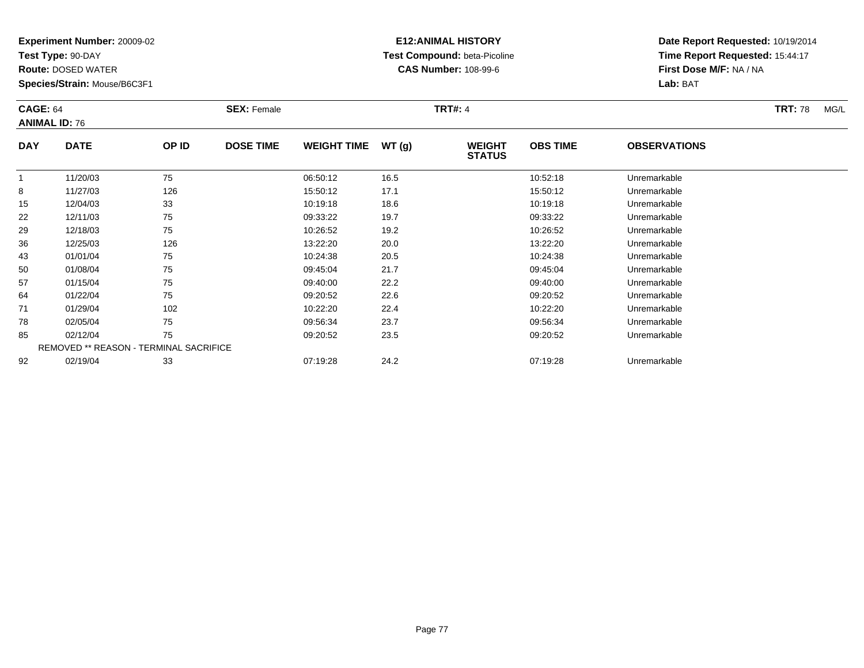**Test Type:** 90-DAY

**Route:** DOSED WATER

**Species/Strain:** Mouse/B6C3F1

# **E12:ANIMAL HISTORY Test Compound:** beta-Picoline**CAS Number:** 108-99-6

| <b>CAGE: 64</b> | <b>ANIMAL ID: 76</b>                   |       | <b>SEX: Female</b> |                    |       | <b>TRT#: 4</b>                 |                 |                     | <b>TRT: 78</b><br>MG/L |
|-----------------|----------------------------------------|-------|--------------------|--------------------|-------|--------------------------------|-----------------|---------------------|------------------------|
| <b>DAY</b>      | <b>DATE</b>                            | OP ID | <b>DOSE TIME</b>   | <b>WEIGHT TIME</b> | WT(g) | <b>WEIGHT</b><br><b>STATUS</b> | <b>OBS TIME</b> | <b>OBSERVATIONS</b> |                        |
| 1               | 11/20/03                               | 75    |                    | 06:50:12           | 16.5  |                                | 10:52:18        | Unremarkable        |                        |
| 8               | 11/27/03                               | 126   |                    | 15:50:12           | 17.1  |                                | 15:50:12        | Unremarkable        |                        |
| 15              | 12/04/03                               | 33    |                    | 10:19:18           | 18.6  |                                | 10:19:18        | Unremarkable        |                        |
| 22              | 12/11/03                               | 75    |                    | 09:33:22           | 19.7  |                                | 09:33:22        | Unremarkable        |                        |
| 29              | 12/18/03                               | 75    |                    | 10:26:52           | 19.2  |                                | 10:26:52        | Unremarkable        |                        |
| 36              | 12/25/03                               | 126   |                    | 13:22:20           | 20.0  |                                | 13:22:20        | Unremarkable        |                        |
| 43              | 01/01/04                               | 75    |                    | 10:24:38           | 20.5  |                                | 10:24:38        | Unremarkable        |                        |
| 50              | 01/08/04                               | 75    |                    | 09:45:04           | 21.7  |                                | 09:45:04        | Unremarkable        |                        |
| 57              | 01/15/04                               | 75    |                    | 09:40:00           | 22.2  |                                | 09:40:00        | Unremarkable        |                        |
| 64              | 01/22/04                               | 75    |                    | 09:20:52           | 22.6  |                                | 09:20:52        | Unremarkable        |                        |
| 71              | 01/29/04                               | 102   |                    | 10:22:20           | 22.4  |                                | 10:22:20        | Unremarkable        |                        |
| 78              | 02/05/04                               | 75    |                    | 09:56:34           | 23.7  |                                | 09:56:34        | Unremarkable        |                        |
| 85              | 02/12/04                               | 75    |                    | 09:20:52           | 23.5  |                                | 09:20:52        | Unremarkable        |                        |
|                 | REMOVED ** REASON - TERMINAL SACRIFICE |       |                    |                    |       |                                |                 |                     |                        |
| 92              | 02/19/04                               | 33    |                    | 07:19:28           | 24.2  |                                | 07:19:28        | Unremarkable        |                        |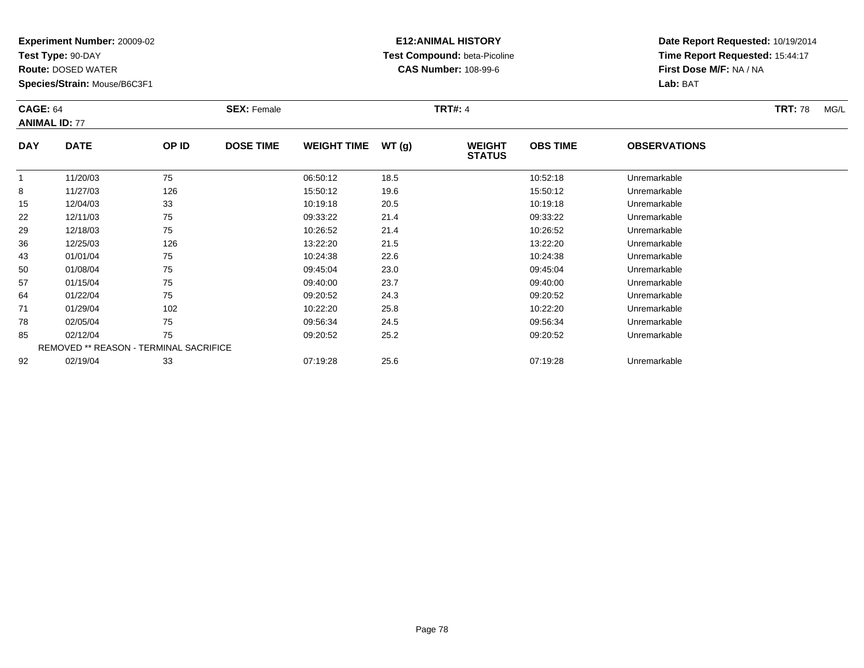**Test Type:** 90-DAY

92

**Route:** DOSED WATER

**Species/Strain:** Mouse/B6C3F1

# **E12:ANIMAL HISTORY Test Compound:** beta-Picoline**CAS Number:** 108-99-6

**Date Report Requested:** 10/19/2014**Time Report Requested:** 15:44:17**First Dose M/F:** NA / NA**Lab:** BAT

| <b>CAGE: 64</b> | <b>ANIMAL ID: 77</b>                   |       | <b>SEX: Female</b> |                    |       | <b>TRT#: 4</b>                 |                 |                     | <b>TRT: 78</b> | MG/L |
|-----------------|----------------------------------------|-------|--------------------|--------------------|-------|--------------------------------|-----------------|---------------------|----------------|------|
| <b>DAY</b>      | <b>DATE</b>                            | OP ID | <b>DOSE TIME</b>   | <b>WEIGHT TIME</b> | WT(g) | <b>WEIGHT</b><br><b>STATUS</b> | <b>OBS TIME</b> | <b>OBSERVATIONS</b> |                |      |
|                 | 11/20/03                               | 75    |                    | 06:50:12           | 18.5  |                                | 10:52:18        | Unremarkable        |                |      |
| 8               | 11/27/03                               | 126   |                    | 15:50:12           | 19.6  |                                | 15:50:12        | Unremarkable        |                |      |
| 15              | 12/04/03                               | 33    |                    | 10:19:18           | 20.5  |                                | 10:19:18        | Unremarkable        |                |      |
| 22              | 12/11/03                               | 75    |                    | 09:33:22           | 21.4  |                                | 09:33:22        | Unremarkable        |                |      |
| 29              | 12/18/03                               | 75    |                    | 10:26:52           | 21.4  |                                | 10:26:52        | Unremarkable        |                |      |
| 36              | 12/25/03                               | 126   |                    | 13:22:20           | 21.5  |                                | 13:22:20        | Unremarkable        |                |      |
| 43              | 01/01/04                               | 75    |                    | 10:24:38           | 22.6  |                                | 10:24:38        | Unremarkable        |                |      |
| 50              | 01/08/04                               | 75    |                    | 09:45:04           | 23.0  |                                | 09:45:04        | Unremarkable        |                |      |
| 57              | 01/15/04                               | 75    |                    | 09:40:00           | 23.7  |                                | 09:40:00        | Unremarkable        |                |      |
| 64              | 01/22/04                               | 75    |                    | 09:20:52           | 24.3  |                                | 09:20:52        | Unremarkable        |                |      |
| 71              | 01/29/04                               | 102   |                    | 10:22:20           | 25.8  |                                | 10:22:20        | Unremarkable        |                |      |
| 78              | 02/05/04                               | 75    |                    | 09:56:34           | 24.5  |                                | 09:56:34        | Unremarkable        |                |      |
| 85              | 02/12/04                               | 75    |                    | 09:20:52           | 25.2  |                                | 09:20:52        | Unremarkable        |                |      |
|                 | REMOVED ** REASON - TERMINAL SACRIFICE |       |                    |                    |       |                                |                 |                     |                |      |

02/19/04 <sup>33</sup> 07:19:28 25.6 07:19:28 Unremarkable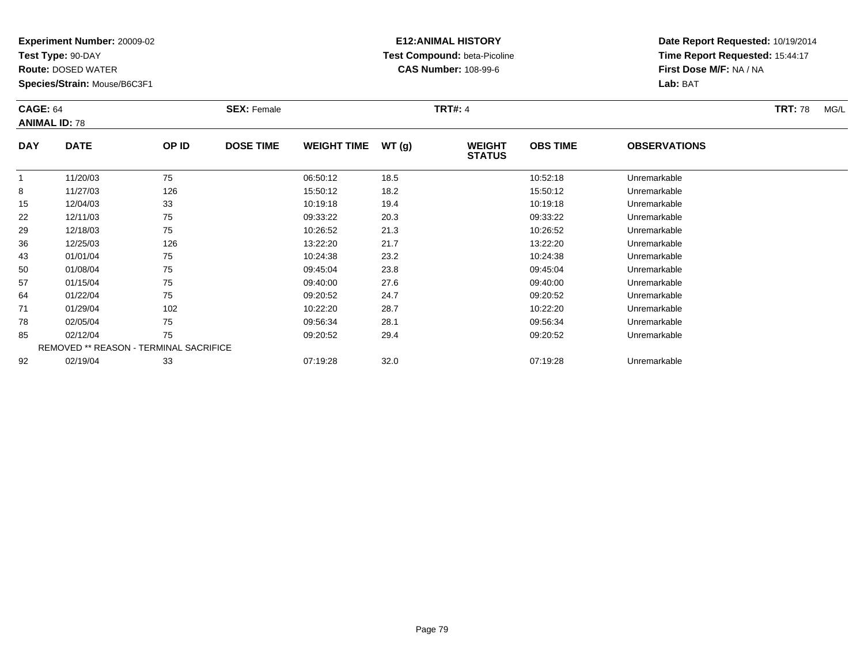**Test Type:** 90-DAY

**Route:** DOSED WATER

**Species/Strain:** Mouse/B6C3F1

# **E12:ANIMAL HISTORY Test Compound:** beta-Picoline**CAS Number:** 108-99-6

| <b>CAGE: 64</b><br><b>ANIMAL ID: 78</b> |                                               |       | <b>SEX: Female</b> |                    |       | <b>TRT#: 4</b>                 |                 |                     | <b>TRT: 78</b><br>MG/L |
|-----------------------------------------|-----------------------------------------------|-------|--------------------|--------------------|-------|--------------------------------|-----------------|---------------------|------------------------|
| <b>DAY</b>                              | <b>DATE</b>                                   | OP ID | <b>DOSE TIME</b>   | <b>WEIGHT TIME</b> | WT(g) | <b>WEIGHT</b><br><b>STATUS</b> | <b>OBS TIME</b> | <b>OBSERVATIONS</b> |                        |
|                                         | 11/20/03                                      | 75    |                    | 06:50:12           | 18.5  |                                | 10:52:18        | Unremarkable        |                        |
| 8                                       | 11/27/03                                      | 126   |                    | 15:50:12           | 18.2  |                                | 15:50:12        | Unremarkable        |                        |
| 15                                      | 12/04/03                                      | 33    |                    | 10:19:18           | 19.4  |                                | 10:19:18        | Unremarkable        |                        |
| 22                                      | 12/11/03                                      | 75    |                    | 09:33:22           | 20.3  |                                | 09:33:22        | Unremarkable        |                        |
| 29                                      | 12/18/03                                      | 75    |                    | 10:26:52           | 21.3  |                                | 10:26:52        | Unremarkable        |                        |
| 36                                      | 12/25/03                                      | 126   |                    | 13:22:20           | 21.7  |                                | 13:22:20        | Unremarkable        |                        |
| 43                                      | 01/01/04                                      | 75    |                    | 10:24:38           | 23.2  |                                | 10:24:38        | Unremarkable        |                        |
| 50                                      | 01/08/04                                      | 75    |                    | 09:45:04           | 23.8  |                                | 09:45:04        | Unremarkable        |                        |
| 57                                      | 01/15/04                                      | 75    |                    | 09:40:00           | 27.6  |                                | 09:40:00        | Unremarkable        |                        |
| 64                                      | 01/22/04                                      | 75    |                    | 09:20:52           | 24.7  |                                | 09:20:52        | Unremarkable        |                        |
| 71                                      | 01/29/04                                      | 102   |                    | 10:22:20           | 28.7  |                                | 10:22:20        | Unremarkable        |                        |
| 78                                      | 02/05/04                                      | 75    |                    | 09:56:34           | 28.1  |                                | 09:56:34        | Unremarkable        |                        |
| 85                                      | 02/12/04                                      | 75    |                    | 09:20:52           | 29.4  |                                | 09:20:52        | Unremarkable        |                        |
|                                         | <b>REMOVED ** REASON - TERMINAL SACRIFICE</b> |       |                    |                    |       |                                |                 |                     |                        |
| 92                                      | 02/19/04                                      | 33    |                    | 07:19:28           | 32.0  |                                | 07:19:28        | Unremarkable        |                        |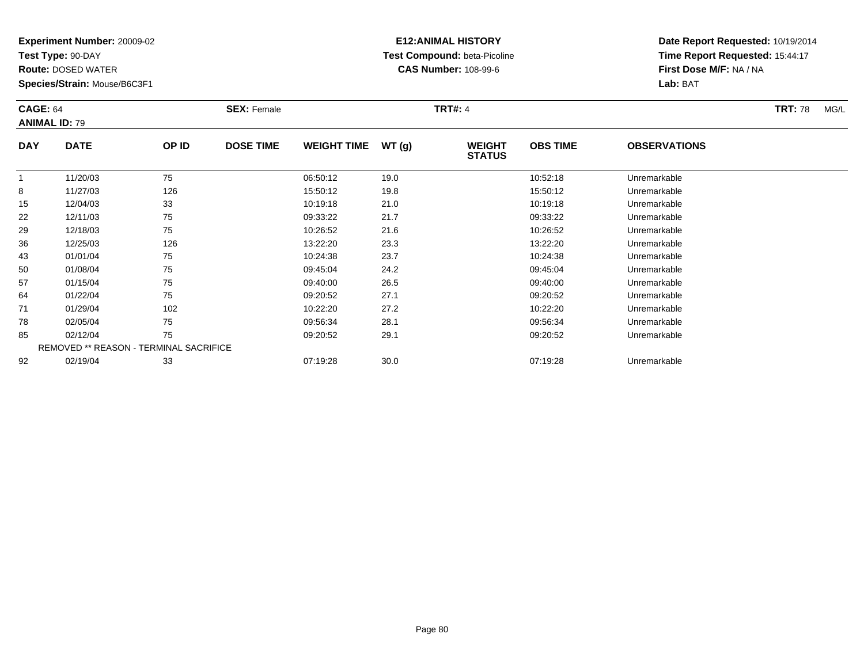**Test Type:** 90-DAY

**Route:** DOSED WATER

**Species/Strain:** Mouse/B6C3F1

# **E12:ANIMAL HISTORY Test Compound:** beta-Picoline**CAS Number:** 108-99-6

| <b>CAGE: 64</b> | <b>ANIMAL ID: 79</b>                   |       | <b>SEX: Female</b> |                    |       | <b>TRT#: 4</b>                 |                 |                     | <b>TRT: 78</b><br>MG/L |
|-----------------|----------------------------------------|-------|--------------------|--------------------|-------|--------------------------------|-----------------|---------------------|------------------------|
| <b>DAY</b>      | <b>DATE</b>                            | OP ID | <b>DOSE TIME</b>   | <b>WEIGHT TIME</b> | WT(g) | <b>WEIGHT</b><br><b>STATUS</b> | <b>OBS TIME</b> | <b>OBSERVATIONS</b> |                        |
| 1               | 11/20/03                               | 75    |                    | 06:50:12           | 19.0  |                                | 10:52:18        | Unremarkable        |                        |
| 8               | 11/27/03                               | 126   |                    | 15:50:12           | 19.8  |                                | 15:50:12        | Unremarkable        |                        |
| 15              | 12/04/03                               | 33    |                    | 10:19:18           | 21.0  |                                | 10:19:18        | Unremarkable        |                        |
| 22              | 12/11/03                               | 75    |                    | 09:33:22           | 21.7  |                                | 09:33:22        | Unremarkable        |                        |
| 29              | 12/18/03                               | 75    |                    | 10:26:52           | 21.6  |                                | 10:26:52        | Unremarkable        |                        |
| 36              | 12/25/03                               | 126   |                    | 13:22:20           | 23.3  |                                | 13:22:20        | Unremarkable        |                        |
| 43              | 01/01/04                               | 75    |                    | 10:24:38           | 23.7  |                                | 10:24:38        | Unremarkable        |                        |
| 50              | 01/08/04                               | 75    |                    | 09:45:04           | 24.2  |                                | 09:45:04        | Unremarkable        |                        |
| 57              | 01/15/04                               | 75    |                    | 09:40:00           | 26.5  |                                | 09:40:00        | Unremarkable        |                        |
| 64              | 01/22/04                               | 75    |                    | 09:20:52           | 27.1  |                                | 09:20:52        | Unremarkable        |                        |
| 71              | 01/29/04                               | 102   |                    | 10:22:20           | 27.2  |                                | 10:22:20        | Unremarkable        |                        |
| 78              | 02/05/04                               | 75    |                    | 09:56:34           | 28.1  |                                | 09:56:34        | Unremarkable        |                        |
| 85              | 02/12/04                               | 75    |                    | 09:20:52           | 29.1  |                                | 09:20:52        | Unremarkable        |                        |
|                 | REMOVED ** REASON - TERMINAL SACRIFICE |       |                    |                    |       |                                |                 |                     |                        |
| 92              | 02/19/04                               | 33    |                    | 07:19:28           | 30.0  |                                | 07:19:28        | Unremarkable        |                        |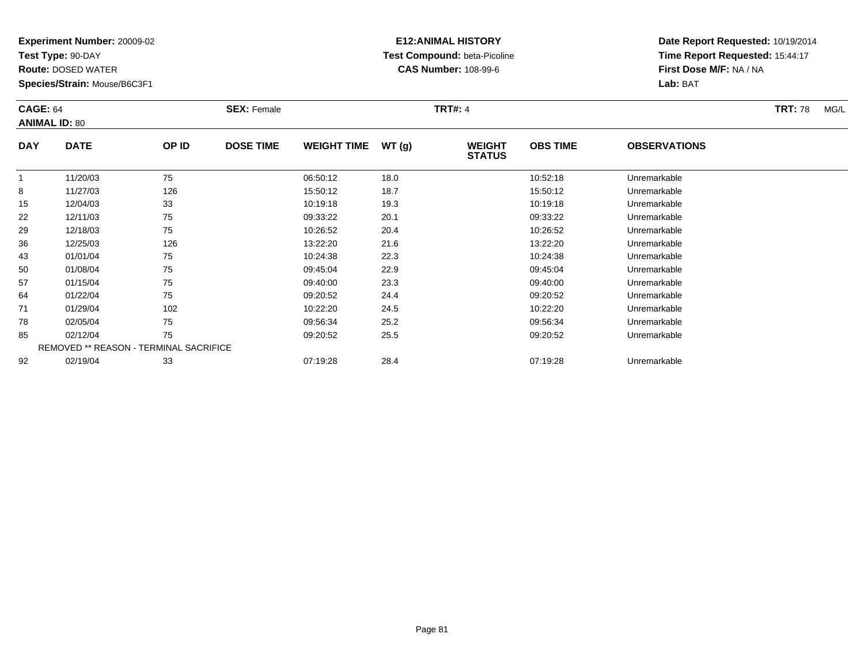**Test Type:** 90-DAY

**Route:** DOSED WATER

**Species/Strain:** Mouse/B6C3F1

# **E12:ANIMAL HISTORY Test Compound:** beta-Picoline**CAS Number:** 108-99-6

| <b>CAGE: 64</b><br><b>ANIMAL ID: 80</b> |                                        |       | <b>SEX: Female</b> |                    |       | <b>TRT#: 4</b>                 |                 |                     | <b>TRT: 78</b><br>MG/L |
|-----------------------------------------|----------------------------------------|-------|--------------------|--------------------|-------|--------------------------------|-----------------|---------------------|------------------------|
| <b>DAY</b>                              | <b>DATE</b>                            | OP ID | <b>DOSE TIME</b>   | <b>WEIGHT TIME</b> | WT(g) | <b>WEIGHT</b><br><b>STATUS</b> | <b>OBS TIME</b> | <b>OBSERVATIONS</b> |                        |
|                                         | 11/20/03                               | 75    |                    | 06:50:12           | 18.0  |                                | 10:52:18        | Unremarkable        |                        |
| 8                                       | 11/27/03                               | 126   |                    | 15:50:12           | 18.7  |                                | 15:50:12        | Unremarkable        |                        |
| 15                                      | 12/04/03                               | 33    |                    | 10:19:18           | 19.3  |                                | 10:19:18        | Unremarkable        |                        |
| 22                                      | 12/11/03                               | 75    |                    | 09:33:22           | 20.1  |                                | 09:33:22        | Unremarkable        |                        |
| 29                                      | 12/18/03                               | 75    |                    | 10:26:52           | 20.4  |                                | 10:26:52        | Unremarkable        |                        |
| 36                                      | 12/25/03                               | 126   |                    | 13:22:20           | 21.6  |                                | 13:22:20        | Unremarkable        |                        |
| 43                                      | 01/01/04                               | 75    |                    | 10:24:38           | 22.3  |                                | 10:24:38        | Unremarkable        |                        |
| 50                                      | 01/08/04                               | 75    |                    | 09:45:04           | 22.9  |                                | 09:45:04        | Unremarkable        |                        |
| 57                                      | 01/15/04                               | 75    |                    | 09:40:00           | 23.3  |                                | 09:40:00        | Unremarkable        |                        |
| 64                                      | 01/22/04                               | 75    |                    | 09:20:52           | 24.4  |                                | 09:20:52        | Unremarkable        |                        |
| 71                                      | 01/29/04                               | 102   |                    | 10:22:20           | 24.5  |                                | 10:22:20        | Unremarkable        |                        |
| 78                                      | 02/05/04                               | 75    |                    | 09:56:34           | 25.2  |                                | 09:56:34        | Unremarkable        |                        |
| 85                                      | 02/12/04                               | 75    |                    | 09:20:52           | 25.5  |                                | 09:20:52        | Unremarkable        |                        |
|                                         | REMOVED ** REASON - TERMINAL SACRIFICE |       |                    |                    |       |                                |                 |                     |                        |
| 92                                      | 02/19/04                               | 33    |                    | 07:19:28           | 28.4  |                                | 07:19:28        | Unremarkable        |                        |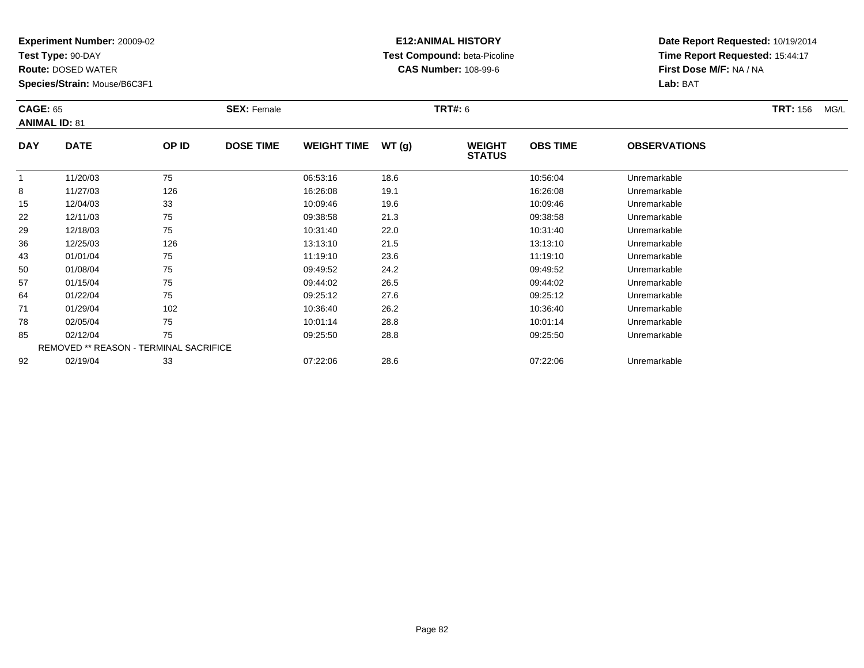**Test Type:** 90-DAY

**Route:** DOSED WATER

**Species/Strain:** Mouse/B6C3F1

# **E12:ANIMAL HISTORY Test Compound:** beta-Picoline**CAS Number:** 108-99-6

| <b>CAGE: 65</b><br><b>ANIMAL ID: 81</b> |                                               |       | <b>SEX: Female</b> |                    |       | TRT#: 6                        |                 |                     | <b>TRT:</b> 156<br>MG/L |
|-----------------------------------------|-----------------------------------------------|-------|--------------------|--------------------|-------|--------------------------------|-----------------|---------------------|-------------------------|
| <b>DAY</b>                              | <b>DATE</b>                                   | OP ID | <b>DOSE TIME</b>   | <b>WEIGHT TIME</b> | WT(g) | <b>WEIGHT</b><br><b>STATUS</b> | <b>OBS TIME</b> | <b>OBSERVATIONS</b> |                         |
|                                         | 11/20/03                                      | 75    |                    | 06:53:16           | 18.6  |                                | 10:56:04        | Unremarkable        |                         |
| 8                                       | 11/27/03                                      | 126   |                    | 16:26:08           | 19.1  |                                | 16:26:08        | Unremarkable        |                         |
| 15                                      | 12/04/03                                      | 33    |                    | 10:09:46           | 19.6  |                                | 10:09:46        | Unremarkable        |                         |
| 22                                      | 12/11/03                                      | 75    |                    | 09:38:58           | 21.3  |                                | 09:38:58        | Unremarkable        |                         |
| 29                                      | 12/18/03                                      | 75    |                    | 10:31:40           | 22.0  |                                | 10:31:40        | Unremarkable        |                         |
| 36                                      | 12/25/03                                      | 126   |                    | 13:13:10           | 21.5  |                                | 13:13:10        | Unremarkable        |                         |
| 43                                      | 01/01/04                                      | 75    |                    | 11:19:10           | 23.6  |                                | 11:19:10        | Unremarkable        |                         |
| 50                                      | 01/08/04                                      | 75    |                    | 09:49:52           | 24.2  |                                | 09:49:52        | Unremarkable        |                         |
| 57                                      | 01/15/04                                      | 75    |                    | 09:44:02           | 26.5  |                                | 09:44:02        | Unremarkable        |                         |
| 64                                      | 01/22/04                                      | 75    |                    | 09:25:12           | 27.6  |                                | 09:25:12        | Unremarkable        |                         |
| 71                                      | 01/29/04                                      | 102   |                    | 10:36:40           | 26.2  |                                | 10:36:40        | Unremarkable        |                         |
| 78                                      | 02/05/04                                      | 75    |                    | 10:01:14           | 28.8  |                                | 10:01:14        | Unremarkable        |                         |
| 85                                      | 02/12/04                                      | 75    |                    | 09:25:50           | 28.8  |                                | 09:25:50        | Unremarkable        |                         |
|                                         | <b>REMOVED ** REASON - TERMINAL SACRIFICE</b> |       |                    |                    |       |                                |                 |                     |                         |
| 92                                      | 02/19/04                                      | 33    |                    | 07:22:06           | 28.6  |                                | 07:22:06        | Unremarkable        |                         |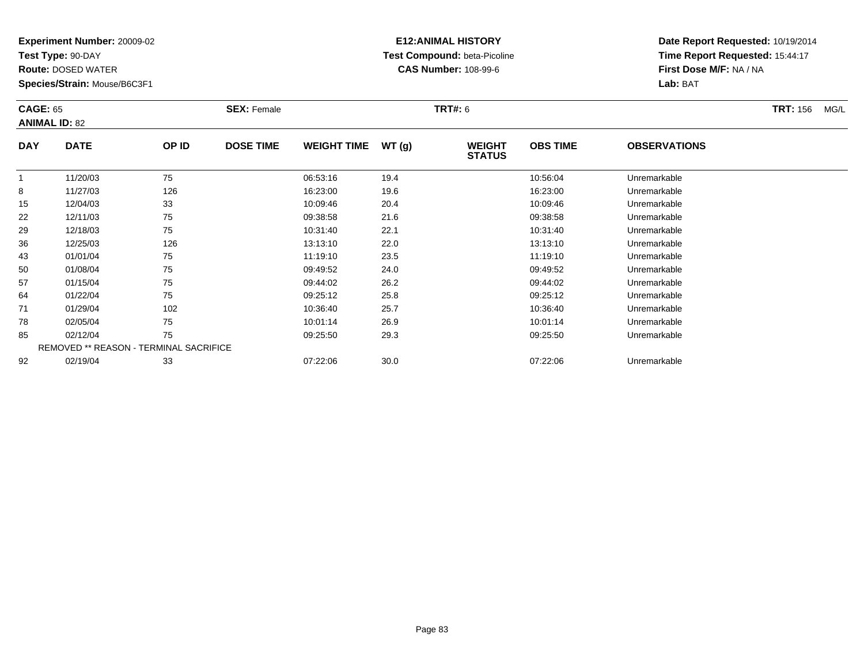**Test Type:** 90-DAY

**Route:** DOSED WATER

**Species/Strain:** Mouse/B6C3F1

# **E12:ANIMAL HISTORY Test Compound:** beta-Picoline**CAS Number:** 108-99-6

| <b>CAGE: 65</b><br><b>ANIMAL ID: 82</b> |                                        |       | <b>SEX: Female</b> |                    |       | <b>TRT#: 6</b>                 |                 |                     | <b>TRT: 156</b><br>MG/L |
|-----------------------------------------|----------------------------------------|-------|--------------------|--------------------|-------|--------------------------------|-----------------|---------------------|-------------------------|
| <b>DAY</b>                              | <b>DATE</b>                            | OP ID | <b>DOSE TIME</b>   | <b>WEIGHT TIME</b> | WT(g) | <b>WEIGHT</b><br><b>STATUS</b> | <b>OBS TIME</b> | <b>OBSERVATIONS</b> |                         |
| -1                                      | 11/20/03                               | 75    |                    | 06:53:16           | 19.4  |                                | 10:56:04        | Unremarkable        |                         |
| 8                                       | 11/27/03                               | 126   |                    | 16:23:00           | 19.6  |                                | 16:23:00        | Unremarkable        |                         |
| 15                                      | 12/04/03                               | 33    |                    | 10:09:46           | 20.4  |                                | 10:09:46        | Unremarkable        |                         |
| 22                                      | 12/11/03                               | 75    |                    | 09:38:58           | 21.6  |                                | 09:38:58        | Unremarkable        |                         |
| 29                                      | 12/18/03                               | 75    |                    | 10:31:40           | 22.1  |                                | 10:31:40        | Unremarkable        |                         |
| 36                                      | 12/25/03                               | 126   |                    | 13:13:10           | 22.0  |                                | 13:13:10        | Unremarkable        |                         |
| 43                                      | 01/01/04                               | 75    |                    | 11:19:10           | 23.5  |                                | 11:19:10        | Unremarkable        |                         |
| 50                                      | 01/08/04                               | 75    |                    | 09:49:52           | 24.0  |                                | 09:49:52        | Unremarkable        |                         |
| 57                                      | 01/15/04                               | 75    |                    | 09:44:02           | 26.2  |                                | 09:44:02        | Unremarkable        |                         |
| 64                                      | 01/22/04                               | 75    |                    | 09:25:12           | 25.8  |                                | 09:25:12        | Unremarkable        |                         |
| 71                                      | 01/29/04                               | 102   |                    | 10:36:40           | 25.7  |                                | 10:36:40        | Unremarkable        |                         |
| 78                                      | 02/05/04                               | 75    |                    | 10:01:14           | 26.9  |                                | 10:01:14        | Unremarkable        |                         |
| 85                                      | 02/12/04                               | 75    |                    | 09:25:50           | 29.3  |                                | 09:25:50        | Unremarkable        |                         |
|                                         | REMOVED ** REASON - TERMINAL SACRIFICE |       |                    |                    |       |                                |                 |                     |                         |
| 92                                      | 02/19/04                               | 33    |                    | 07:22:06           | 30.0  |                                | 07:22:06        | Unremarkable        |                         |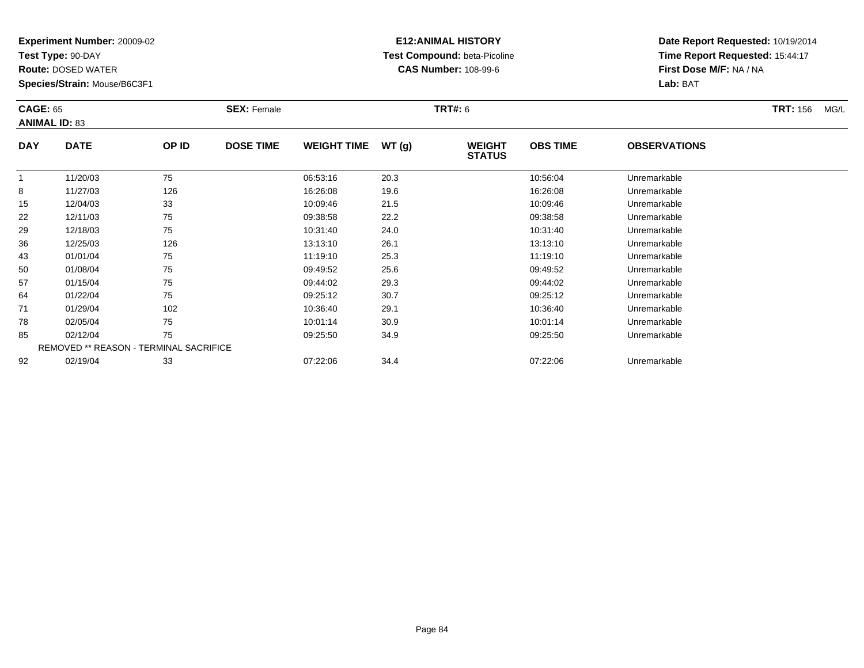**Test Type:** 90-DAY

**Route:** DOSED WATER

**Species/Strain:** Mouse/B6C3F1

# **E12:ANIMAL HISTORY Test Compound:** beta-Picoline**CAS Number:** 108-99-6

| <b>CAGE: 65</b><br><b>ANIMAL ID: 83</b> |                                        |       | <b>SEX: Female</b> |                    |       | <b>TRT#:</b> 6                 |                 |                     | <b>TRT:</b> 156<br>MG/L |
|-----------------------------------------|----------------------------------------|-------|--------------------|--------------------|-------|--------------------------------|-----------------|---------------------|-------------------------|
| <b>DAY</b>                              | <b>DATE</b>                            | OP ID | <b>DOSE TIME</b>   | <b>WEIGHT TIME</b> | WT(g) | <b>WEIGHT</b><br><b>STATUS</b> | <b>OBS TIME</b> | <b>OBSERVATIONS</b> |                         |
| -1                                      | 11/20/03                               | 75    |                    | 06:53:16           | 20.3  |                                | 10:56:04        | Unremarkable        |                         |
| 8                                       | 11/27/03                               | 126   |                    | 16:26:08           | 19.6  |                                | 16:26:08        | Unremarkable        |                         |
| 15                                      | 12/04/03                               | 33    |                    | 10:09:46           | 21.5  |                                | 10:09:46        | Unremarkable        |                         |
| 22                                      | 12/11/03                               | 75    |                    | 09:38:58           | 22.2  |                                | 09:38:58        | Unremarkable        |                         |
| 29                                      | 12/18/03                               | 75    |                    | 10:31:40           | 24.0  |                                | 10:31:40        | Unremarkable        |                         |
| 36                                      | 12/25/03                               | 126   |                    | 13:13:10           | 26.1  |                                | 13:13:10        | Unremarkable        |                         |
| 43                                      | 01/01/04                               | 75    |                    | 11:19:10           | 25.3  |                                | 11:19:10        | Unremarkable        |                         |
| 50                                      | 01/08/04                               | 75    |                    | 09:49:52           | 25.6  |                                | 09:49:52        | Unremarkable        |                         |
| 57                                      | 01/15/04                               | 75    |                    | 09:44:02           | 29.3  |                                | 09:44:02        | Unremarkable        |                         |
| 64                                      | 01/22/04                               | 75    |                    | 09:25:12           | 30.7  |                                | 09:25:12        | Unremarkable        |                         |
| 71                                      | 01/29/04                               | 102   |                    | 10:36:40           | 29.1  |                                | 10:36:40        | Unremarkable        |                         |
| 78                                      | 02/05/04                               | 75    |                    | 10:01:14           | 30.9  |                                | 10:01:14        | Unremarkable        |                         |
| 85                                      | 02/12/04                               | 75    |                    | 09:25:50           | 34.9  |                                | 09:25:50        | Unremarkable        |                         |
|                                         | REMOVED ** REASON - TERMINAL SACRIFICE |       |                    |                    |       |                                |                 |                     |                         |
| 92                                      | 02/19/04                               | 33    |                    | 07:22:06           | 34.4  |                                | 07:22:06        | Unremarkable        |                         |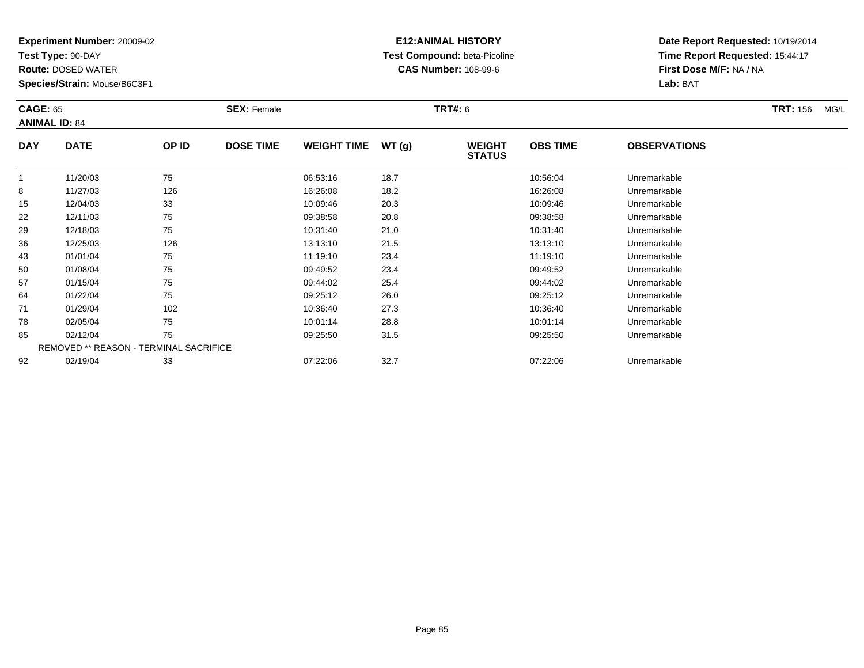**Test Type:** 90-DAY

**Route:** DOSED WATER

**Species/Strain:** Mouse/B6C3F1

# **E12:ANIMAL HISTORY Test Compound:** beta-Picoline**CAS Number:** 108-99-6

| <b>CAGE: 65</b><br><b>ANIMAL ID: 84</b> |                                               |       | <b>SEX: Female</b> |                    |       | <b>TRT#:</b> 6                 |                 |                     | <b>TRT:</b> 156<br>MG/L |
|-----------------------------------------|-----------------------------------------------|-------|--------------------|--------------------|-------|--------------------------------|-----------------|---------------------|-------------------------|
| <b>DAY</b>                              | <b>DATE</b>                                   | OP ID | <b>DOSE TIME</b>   | <b>WEIGHT TIME</b> | WT(g) | <b>WEIGHT</b><br><b>STATUS</b> | <b>OBS TIME</b> | <b>OBSERVATIONS</b> |                         |
|                                         | 11/20/03                                      | 75    |                    | 06:53:16           | 18.7  |                                | 10:56:04        | Unremarkable        |                         |
| 8                                       | 11/27/03                                      | 126   |                    | 16:26:08           | 18.2  |                                | 16:26:08        | Unremarkable        |                         |
| 15                                      | 12/04/03                                      | 33    |                    | 10:09:46           | 20.3  |                                | 10:09:46        | Unremarkable        |                         |
| 22                                      | 12/11/03                                      | 75    |                    | 09:38:58           | 20.8  |                                | 09:38:58        | Unremarkable        |                         |
| 29                                      | 12/18/03                                      | 75    |                    | 10:31:40           | 21.0  |                                | 10:31:40        | Unremarkable        |                         |
| 36                                      | 12/25/03                                      | 126   |                    | 13:13:10           | 21.5  |                                | 13:13:10        | Unremarkable        |                         |
| 43                                      | 01/01/04                                      | 75    |                    | 11:19:10           | 23.4  |                                | 11:19:10        | Unremarkable        |                         |
| 50                                      | 01/08/04                                      | 75    |                    | 09:49:52           | 23.4  |                                | 09:49:52        | Unremarkable        |                         |
| 57                                      | 01/15/04                                      | 75    |                    | 09:44:02           | 25.4  |                                | 09:44:02        | Unremarkable        |                         |
| 64                                      | 01/22/04                                      | 75    |                    | 09:25:12           | 26.0  |                                | 09:25:12        | Unremarkable        |                         |
| 71                                      | 01/29/04                                      | 102   |                    | 10:36:40           | 27.3  |                                | 10:36:40        | Unremarkable        |                         |
| 78                                      | 02/05/04                                      | 75    |                    | 10:01:14           | 28.8  |                                | 10:01:14        | Unremarkable        |                         |
| 85                                      | 02/12/04                                      | 75    |                    | 09:25:50           | 31.5  |                                | 09:25:50        | Unremarkable        |                         |
|                                         | <b>REMOVED ** REASON - TERMINAL SACRIFICE</b> |       |                    |                    |       |                                |                 |                     |                         |
| 92                                      | 02/19/04                                      | 33    |                    | 07:22:06           | 32.7  |                                | 07:22:06        | Unremarkable        |                         |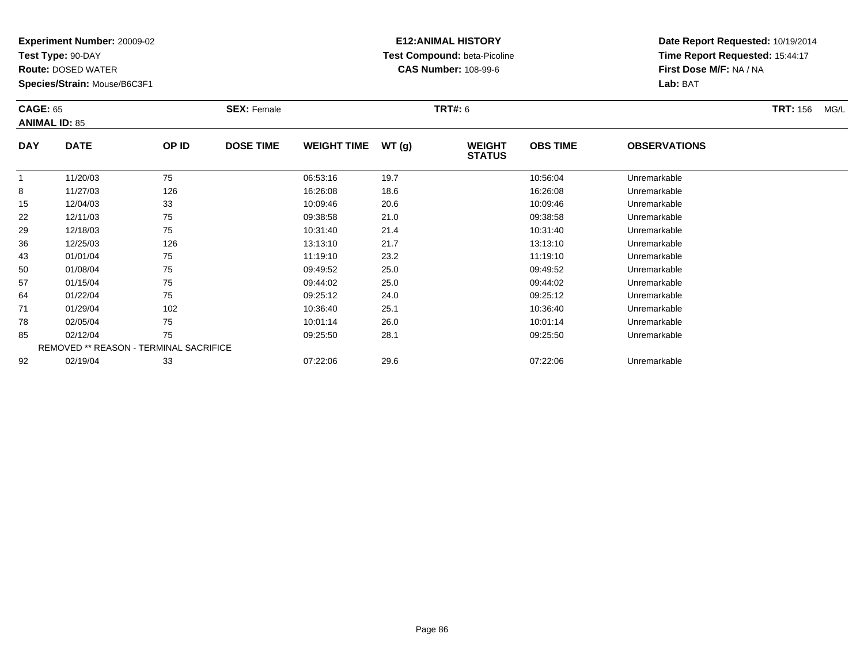**Test Type:** 90-DAY

**Route:** DOSED WATER

**Species/Strain:** Mouse/B6C3F1

# **E12:ANIMAL HISTORY Test Compound:** beta-Picoline**CAS Number:** 108-99-6

| <b>CAGE: 65</b> | <b>ANIMAL ID: 85</b>                          |       | <b>SEX: Female</b> |                    |       | <b>TRT#:</b> 6                 |                 |                     | <b>TRT:</b> 156<br>MG/L |
|-----------------|-----------------------------------------------|-------|--------------------|--------------------|-------|--------------------------------|-----------------|---------------------|-------------------------|
| <b>DAY</b>      | <b>DATE</b>                                   | OP ID | <b>DOSE TIME</b>   | <b>WEIGHT TIME</b> | WT(g) | <b>WEIGHT</b><br><b>STATUS</b> | <b>OBS TIME</b> | <b>OBSERVATIONS</b> |                         |
|                 | 11/20/03                                      | 75    |                    | 06:53:16           | 19.7  |                                | 10:56:04        | Unremarkable        |                         |
| 8               | 11/27/03                                      | 126   |                    | 16:26:08           | 18.6  |                                | 16:26:08        | Unremarkable        |                         |
| 15              | 12/04/03                                      | 33    |                    | 10:09:46           | 20.6  |                                | 10:09:46        | Unremarkable        |                         |
| 22              | 12/11/03                                      | 75    |                    | 09:38:58           | 21.0  |                                | 09:38:58        | Unremarkable        |                         |
| 29              | 12/18/03                                      | 75    |                    | 10:31:40           | 21.4  |                                | 10:31:40        | Unremarkable        |                         |
| 36              | 12/25/03                                      | 126   |                    | 13:13:10           | 21.7  |                                | 13:13:10        | Unremarkable        |                         |
| 43              | 01/01/04                                      | 75    |                    | 11:19:10           | 23.2  |                                | 11:19:10        | Unremarkable        |                         |
| 50              | 01/08/04                                      | 75    |                    | 09:49:52           | 25.0  |                                | 09:49:52        | Unremarkable        |                         |
| 57              | 01/15/04                                      | 75    |                    | 09:44:02           | 25.0  |                                | 09:44:02        | Unremarkable        |                         |
| 64              | 01/22/04                                      | 75    |                    | 09:25:12           | 24.0  |                                | 09:25:12        | Unremarkable        |                         |
| 71              | 01/29/04                                      | 102   |                    | 10:36:40           | 25.1  |                                | 10:36:40        | Unremarkable        |                         |
| 78              | 02/05/04                                      | 75    |                    | 10:01:14           | 26.0  |                                | 10:01:14        | Unremarkable        |                         |
| 85              | 02/12/04                                      | 75    |                    | 09:25:50           | 28.1  |                                | 09:25:50        | Unremarkable        |                         |
|                 | <b>REMOVED ** REASON - TERMINAL SACRIFICE</b> |       |                    |                    |       |                                |                 |                     |                         |
| 92              | 02/19/04                                      | 33    |                    | 07:22:06           | 29.6  |                                | 07:22:06        | Unremarkable        |                         |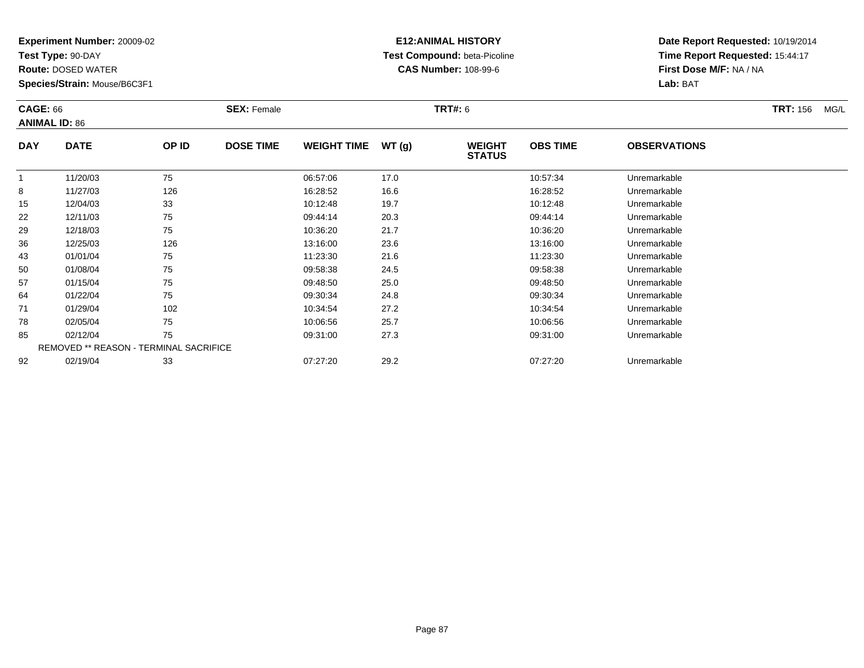**Test Type:** 90-DAY

**Route:** DOSED WATER

**Species/Strain:** Mouse/B6C3F1

# **E12:ANIMAL HISTORY Test Compound:** beta-Picoline**CAS Number:** 108-99-6

| <b>CAGE: 66</b> | <b>ANIMAL ID: 86</b>                   |       | <b>SEX: Female</b> |                    |       | <b>TRT#: 6</b>                 |                 |                     | <b>TRT: 156</b><br>MG/L |
|-----------------|----------------------------------------|-------|--------------------|--------------------|-------|--------------------------------|-----------------|---------------------|-------------------------|
| <b>DAY</b>      | <b>DATE</b>                            | OP ID | <b>DOSE TIME</b>   | <b>WEIGHT TIME</b> | WT(g) | <b>WEIGHT</b><br><b>STATUS</b> | <b>OBS TIME</b> | <b>OBSERVATIONS</b> |                         |
| $\overline{1}$  | 11/20/03                               | 75    |                    | 06:57:06           | 17.0  |                                | 10:57:34        | Unremarkable        |                         |
| 8               | 11/27/03                               | 126   |                    | 16:28:52           | 16.6  |                                | 16:28:52        | Unremarkable        |                         |
| 15              | 12/04/03                               | 33    |                    | 10:12:48           | 19.7  |                                | 10:12:48        | Unremarkable        |                         |
| 22              | 12/11/03                               | 75    |                    | 09:44:14           | 20.3  |                                | 09:44:14        | Unremarkable        |                         |
| 29              | 12/18/03                               | 75    |                    | 10:36:20           | 21.7  |                                | 10:36:20        | Unremarkable        |                         |
| 36              | 12/25/03                               | 126   |                    | 13:16:00           | 23.6  |                                | 13:16:00        | Unremarkable        |                         |
| 43              | 01/01/04                               | 75    |                    | 11:23:30           | 21.6  |                                | 11:23:30        | Unremarkable        |                         |
| 50              | 01/08/04                               | 75    |                    | 09:58:38           | 24.5  |                                | 09:58:38        | Unremarkable        |                         |
| 57              | 01/15/04                               | 75    |                    | 09:48:50           | 25.0  |                                | 09:48:50        | Unremarkable        |                         |
| 64              | 01/22/04                               | 75    |                    | 09:30:34           | 24.8  |                                | 09:30:34        | Unremarkable        |                         |
| 71              | 01/29/04                               | 102   |                    | 10:34:54           | 27.2  |                                | 10:34:54        | Unremarkable        |                         |
| 78              | 02/05/04                               | 75    |                    | 10:06:56           | 25.7  |                                | 10:06:56        | Unremarkable        |                         |
| 85              | 02/12/04                               | 75    |                    | 09:31:00           | 27.3  |                                | 09:31:00        | Unremarkable        |                         |
|                 | REMOVED ** REASON - TERMINAL SACRIFICE |       |                    |                    |       |                                |                 |                     |                         |
| 92              | 02/19/04                               | 33    |                    | 07:27:20           | 29.2  |                                | 07:27:20        | Unremarkable        |                         |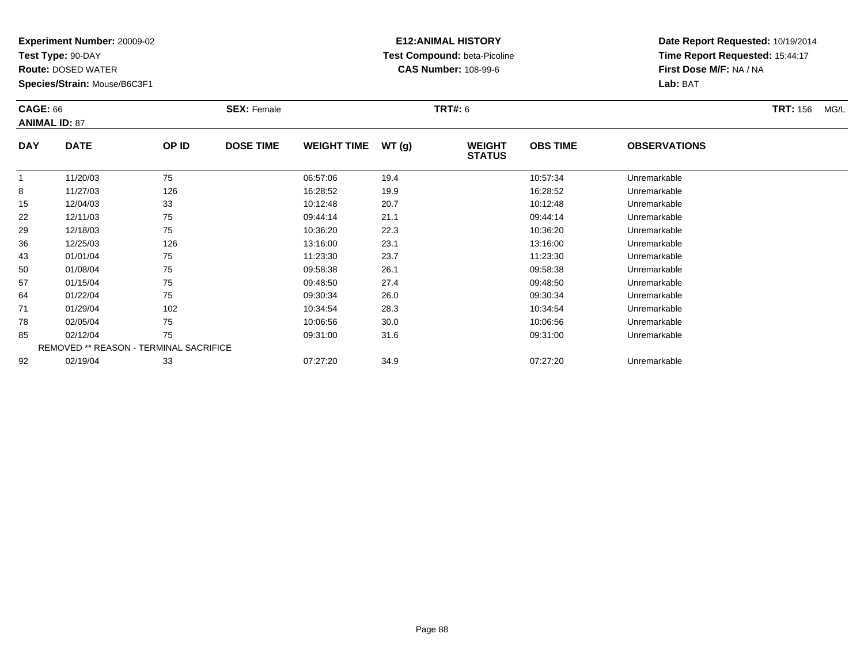**Test Type:** 90-DAY

**Route:** DOSED WATER

**Species/Strain:** Mouse/B6C3F1

# **E12:ANIMAL HISTORY Test Compound:** beta-Picoline**CAS Number:** 108-99-6

| <b>CAGE: 66</b> | <b>ANIMAL ID: 87</b>                   |       | <b>SEX: Female</b> |                    |       | <b>TRT#: 6</b>                 |                 |                     | <b>TRT: 156</b><br>MG/L |
|-----------------|----------------------------------------|-------|--------------------|--------------------|-------|--------------------------------|-----------------|---------------------|-------------------------|
| <b>DAY</b>      | <b>DATE</b>                            | OP ID | <b>DOSE TIME</b>   | <b>WEIGHT TIME</b> | WT(g) | <b>WEIGHT</b><br><b>STATUS</b> | <b>OBS TIME</b> | <b>OBSERVATIONS</b> |                         |
| $\mathbf{1}$    | 11/20/03                               | 75    |                    | 06:57:06           | 19.4  |                                | 10:57:34        | Unremarkable        |                         |
| 8               | 11/27/03                               | 126   |                    | 16:28:52           | 19.9  |                                | 16:28:52        | Unremarkable        |                         |
| 15              | 12/04/03                               | 33    |                    | 10:12:48           | 20.7  |                                | 10:12:48        | Unremarkable        |                         |
| 22              | 12/11/03                               | 75    |                    | 09:44:14           | 21.1  |                                | 09:44:14        | Unremarkable        |                         |
| 29              | 12/18/03                               | 75    |                    | 10:36:20           | 22.3  |                                | 10:36:20        | Unremarkable        |                         |
| 36              | 12/25/03                               | 126   |                    | 13:16:00           | 23.1  |                                | 13:16:00        | Unremarkable        |                         |
| 43              | 01/01/04                               | 75    |                    | 11:23:30           | 23.7  |                                | 11:23:30        | Unremarkable        |                         |
| 50              | 01/08/04                               | 75    |                    | 09:58:38           | 26.1  |                                | 09:58:38        | Unremarkable        |                         |
| 57              | 01/15/04                               | 75    |                    | 09:48:50           | 27.4  |                                | 09:48:50        | Unremarkable        |                         |
| 64              | 01/22/04                               | 75    |                    | 09:30:34           | 26.0  |                                | 09:30:34        | Unremarkable        |                         |
| 71              | 01/29/04                               | 102   |                    | 10:34:54           | 28.3  |                                | 10:34:54        | Unremarkable        |                         |
| 78              | 02/05/04                               | 75    |                    | 10:06:56           | 30.0  |                                | 10:06:56        | Unremarkable        |                         |
| 85              | 02/12/04                               | 75    |                    | 09:31:00           | 31.6  |                                | 09:31:00        | Unremarkable        |                         |
|                 | REMOVED ** REASON - TERMINAL SACRIFICE |       |                    |                    |       |                                |                 |                     |                         |
| 92              | 02/19/04                               | 33    |                    | 07:27:20           | 34.9  |                                | 07:27:20        | Unremarkable        |                         |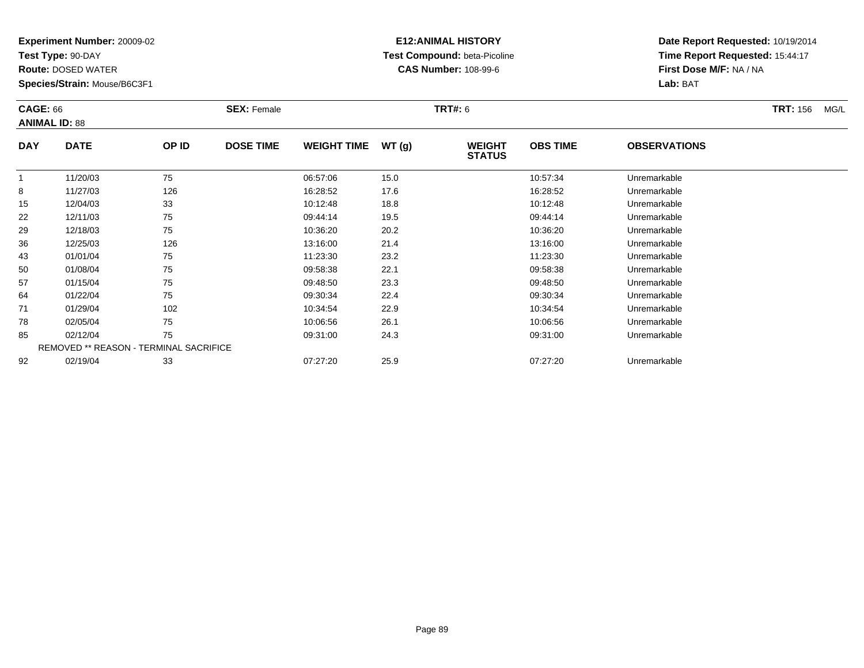**Test Type:** 90-DAY

**Route:** DOSED WATER

**Species/Strain:** Mouse/B6C3F1

# **E12:ANIMAL HISTORY Test Compound:** beta-Picoline**CAS Number:** 108-99-6

| <b>CAGE: 66</b> | <b>ANIMAL ID: 88</b>                          |       | <b>SEX: Female</b> |                    |       | <b>TRT#: 6</b>                 |                 |                     | <b>TRT: 156</b><br>MG/L |
|-----------------|-----------------------------------------------|-------|--------------------|--------------------|-------|--------------------------------|-----------------|---------------------|-------------------------|
| <b>DAY</b>      | <b>DATE</b>                                   | OP ID | <b>DOSE TIME</b>   | <b>WEIGHT TIME</b> | WT(g) | <b>WEIGHT</b><br><b>STATUS</b> | <b>OBS TIME</b> | <b>OBSERVATIONS</b> |                         |
|                 | 11/20/03                                      | 75    |                    | 06:57:06           | 15.0  |                                | 10:57:34        | Unremarkable        |                         |
| 8               | 11/27/03                                      | 126   |                    | 16:28:52           | 17.6  |                                | 16:28:52        | Unremarkable        |                         |
| 15              | 12/04/03                                      | 33    |                    | 10:12:48           | 18.8  |                                | 10:12:48        | Unremarkable        |                         |
| 22              | 12/11/03                                      | 75    |                    | 09:44:14           | 19.5  |                                | 09:44:14        | Unremarkable        |                         |
| 29              | 12/18/03                                      | 75    |                    | 10:36:20           | 20.2  |                                | 10:36:20        | Unremarkable        |                         |
| 36              | 12/25/03                                      | 126   |                    | 13:16:00           | 21.4  |                                | 13:16:00        | Unremarkable        |                         |
| 43              | 01/01/04                                      | 75    |                    | 11:23:30           | 23.2  |                                | 11:23:30        | Unremarkable        |                         |
| 50              | 01/08/04                                      | 75    |                    | 09:58:38           | 22.1  |                                | 09:58:38        | Unremarkable        |                         |
| 57              | 01/15/04                                      | 75    |                    | 09:48:50           | 23.3  |                                | 09:48:50        | Unremarkable        |                         |
| 64              | 01/22/04                                      | 75    |                    | 09:30:34           | 22.4  |                                | 09:30:34        | Unremarkable        |                         |
| 71              | 01/29/04                                      | 102   |                    | 10:34:54           | 22.9  |                                | 10:34:54        | Unremarkable        |                         |
| 78              | 02/05/04                                      | 75    |                    | 10:06:56           | 26.1  |                                | 10:06:56        | Unremarkable        |                         |
| 85              | 02/12/04                                      | 75    |                    | 09:31:00           | 24.3  |                                | 09:31:00        | Unremarkable        |                         |
|                 | <b>REMOVED ** REASON - TERMINAL SACRIFICE</b> |       |                    |                    |       |                                |                 |                     |                         |
| 92              | 02/19/04                                      | 33    |                    | 07:27:20           | 25.9  |                                | 07:27:20        | Unremarkable        |                         |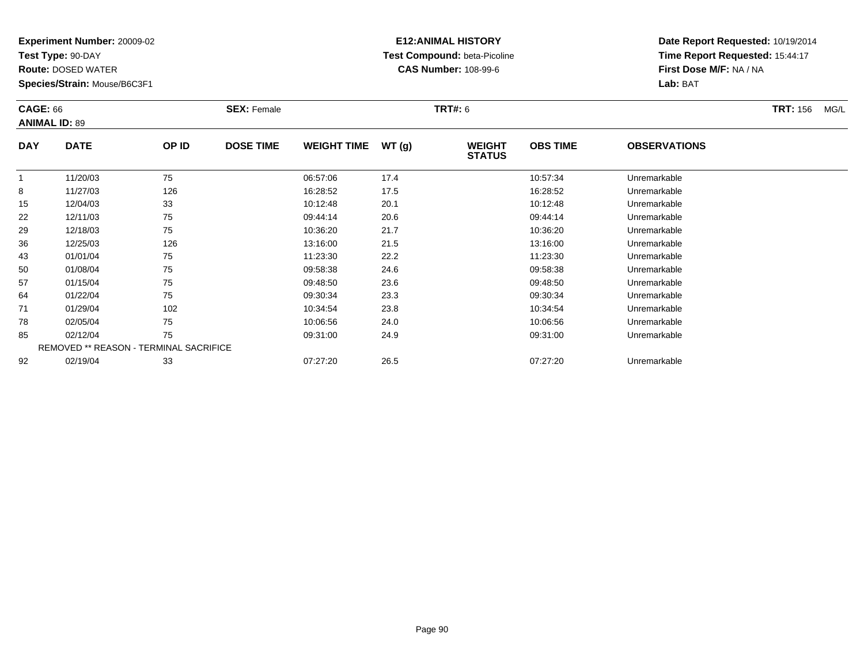**Test Type:** 90-DAY

**Route:** DOSED WATER

**Species/Strain:** Mouse/B6C3F1

# **E12:ANIMAL HISTORY Test Compound:** beta-Picoline**CAS Number:** 108-99-6

| <b>CAGE: 66</b> | <b>ANIMAL ID: 89</b>                          |       | <b>SEX: Female</b> |                    |       | <b>TRT#:</b> 6                 |                 |                     | <b>TRT:</b> 156<br>MG/L |
|-----------------|-----------------------------------------------|-------|--------------------|--------------------|-------|--------------------------------|-----------------|---------------------|-------------------------|
| <b>DAY</b>      | <b>DATE</b>                                   | OP ID | <b>DOSE TIME</b>   | <b>WEIGHT TIME</b> | WT(g) | <b>WEIGHT</b><br><b>STATUS</b> | <b>OBS TIME</b> | <b>OBSERVATIONS</b> |                         |
|                 | 11/20/03                                      | 75    |                    | 06:57:06           | 17.4  |                                | 10:57:34        | Unremarkable        |                         |
| 8               | 11/27/03                                      | 126   |                    | 16:28:52           | 17.5  |                                | 16:28:52        | Unremarkable        |                         |
| 15              | 12/04/03                                      | 33    |                    | 10:12:48           | 20.1  |                                | 10:12:48        | Unremarkable        |                         |
| 22              | 12/11/03                                      | 75    |                    | 09:44:14           | 20.6  |                                | 09:44:14        | Unremarkable        |                         |
| 29              | 12/18/03                                      | 75    |                    | 10:36:20           | 21.7  |                                | 10:36:20        | Unremarkable        |                         |
| 36              | 12/25/03                                      | 126   |                    | 13:16:00           | 21.5  |                                | 13:16:00        | Unremarkable        |                         |
| 43              | 01/01/04                                      | 75    |                    | 11:23:30           | 22.2  |                                | 11:23:30        | Unremarkable        |                         |
| 50              | 01/08/04                                      | 75    |                    | 09:58:38           | 24.6  |                                | 09:58:38        | Unremarkable        |                         |
| 57              | 01/15/04                                      | 75    |                    | 09:48:50           | 23.6  |                                | 09:48:50        | Unremarkable        |                         |
| 64              | 01/22/04                                      | 75    |                    | 09:30:34           | 23.3  |                                | 09:30:34        | Unremarkable        |                         |
| 71              | 01/29/04                                      | 102   |                    | 10:34:54           | 23.8  |                                | 10:34:54        | Unremarkable        |                         |
| 78              | 02/05/04                                      | 75    |                    | 10:06:56           | 24.0  |                                | 10:06:56        | Unremarkable        |                         |
| 85              | 02/12/04                                      | 75    |                    | 09:31:00           | 24.9  |                                | 09:31:00        | Unremarkable        |                         |
|                 | <b>REMOVED ** REASON - TERMINAL SACRIFICE</b> |       |                    |                    |       |                                |                 |                     |                         |
| 92              | 02/19/04                                      | 33    |                    | 07:27:20           | 26.5  |                                | 07:27:20        | Unremarkable        |                         |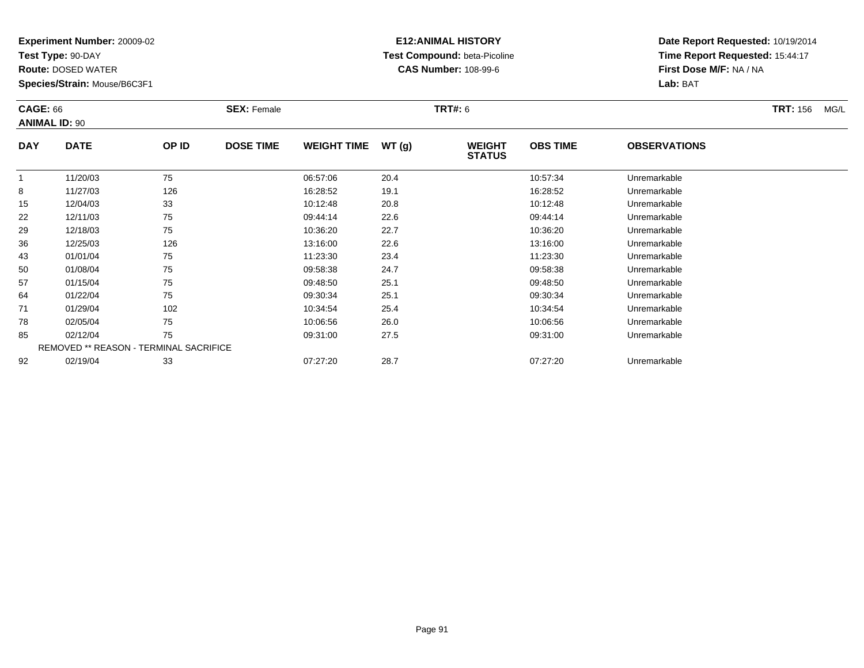**Test Type:** 90-DAY

**Route:** DOSED WATER

**Species/Strain:** Mouse/B6C3F1

# **E12:ANIMAL HISTORY Test Compound:** beta-Picoline**CAS Number:** 108-99-6

| <b>CAGE: 66</b> | <b>ANIMAL ID: 90</b>                          |       | <b>SEX: Female</b> |                    |       | <b>TRT#:</b> 6                 |                 |                     | <b>TRT:</b> 156<br>MG/L |
|-----------------|-----------------------------------------------|-------|--------------------|--------------------|-------|--------------------------------|-----------------|---------------------|-------------------------|
| <b>DAY</b>      | <b>DATE</b>                                   | OP ID | <b>DOSE TIME</b>   | <b>WEIGHT TIME</b> | WT(g) | <b>WEIGHT</b><br><b>STATUS</b> | <b>OBS TIME</b> | <b>OBSERVATIONS</b> |                         |
|                 | 11/20/03                                      | 75    |                    | 06:57:06           | 20.4  |                                | 10:57:34        | Unremarkable        |                         |
| 8               | 11/27/03                                      | 126   |                    | 16:28:52           | 19.1  |                                | 16:28:52        | Unremarkable        |                         |
| 15              | 12/04/03                                      | 33    |                    | 10:12:48           | 20.8  |                                | 10:12:48        | Unremarkable        |                         |
| 22              | 12/11/03                                      | 75    |                    | 09:44:14           | 22.6  |                                | 09:44:14        | Unremarkable        |                         |
| 29              | 12/18/03                                      | 75    |                    | 10:36:20           | 22.7  |                                | 10:36:20        | Unremarkable        |                         |
| 36              | 12/25/03                                      | 126   |                    | 13:16:00           | 22.6  |                                | 13:16:00        | Unremarkable        |                         |
| 43              | 01/01/04                                      | 75    |                    | 11:23:30           | 23.4  |                                | 11:23:30        | Unremarkable        |                         |
| 50              | 01/08/04                                      | 75    |                    | 09:58:38           | 24.7  |                                | 09:58:38        | Unremarkable        |                         |
| 57              | 01/15/04                                      | 75    |                    | 09:48:50           | 25.1  |                                | 09:48:50        | Unremarkable        |                         |
| 64              | 01/22/04                                      | 75    |                    | 09:30:34           | 25.1  |                                | 09:30:34        | Unremarkable        |                         |
| 71              | 01/29/04                                      | 102   |                    | 10:34:54           | 25.4  |                                | 10:34:54        | Unremarkable        |                         |
| 78              | 02/05/04                                      | 75    |                    | 10:06:56           | 26.0  |                                | 10:06:56        | Unremarkable        |                         |
| 85              | 02/12/04                                      | 75    |                    | 09:31:00           | 27.5  |                                | 09:31:00        | Unremarkable        |                         |
|                 | <b>REMOVED ** REASON - TERMINAL SACRIFICE</b> |       |                    |                    |       |                                |                 |                     |                         |
| 92              | 02/19/04                                      | 33    |                    | 07:27:20           | 28.7  |                                | 07:27:20        | Unremarkable        |                         |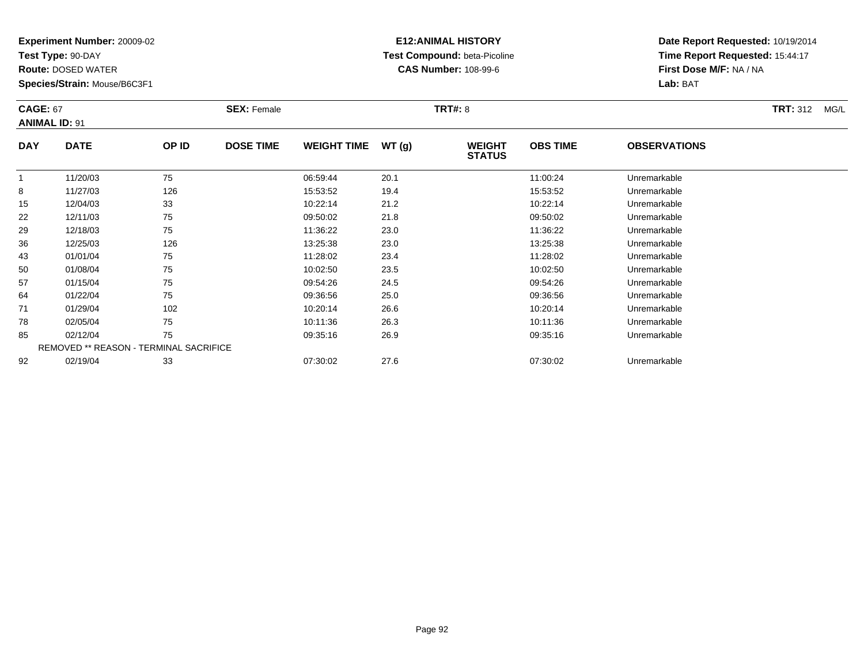**Test Type:** 90-DAY

**Route:** DOSED WATER

**Species/Strain:** Mouse/B6C3F1

# **E12:ANIMAL HISTORY Test Compound:** beta-Picoline**CAS Number:** 108-99-6

| <b>CAGE: 67</b><br><b>ANIMAL ID: 91</b> |                                               |       | <b>SEX: Female</b> |                    |       | <b>TRT#: 8</b>                 |                 |                     | <b>TRT: 312</b><br>MG/L |
|-----------------------------------------|-----------------------------------------------|-------|--------------------|--------------------|-------|--------------------------------|-----------------|---------------------|-------------------------|
| <b>DAY</b>                              | <b>DATE</b>                                   | OP ID | <b>DOSE TIME</b>   | <b>WEIGHT TIME</b> | WT(g) | <b>WEIGHT</b><br><b>STATUS</b> | <b>OBS TIME</b> | <b>OBSERVATIONS</b> |                         |
|                                         | 11/20/03                                      | 75    |                    | 06:59:44           | 20.1  |                                | 11:00:24        | Unremarkable        |                         |
| 8                                       | 11/27/03                                      | 126   |                    | 15:53:52           | 19.4  |                                | 15:53:52        | Unremarkable        |                         |
| 15                                      | 12/04/03                                      | 33    |                    | 10:22:14           | 21.2  |                                | 10:22:14        | Unremarkable        |                         |
| 22                                      | 12/11/03                                      | 75    |                    | 09:50:02           | 21.8  |                                | 09:50:02        | Unremarkable        |                         |
| 29                                      | 12/18/03                                      | 75    |                    | 11:36:22           | 23.0  |                                | 11:36:22        | Unremarkable        |                         |
| 36                                      | 12/25/03                                      | 126   |                    | 13:25:38           | 23.0  |                                | 13:25:38        | Unremarkable        |                         |
| 43                                      | 01/01/04                                      | 75    |                    | 11:28:02           | 23.4  |                                | 11:28:02        | Unremarkable        |                         |
| 50                                      | 01/08/04                                      | 75    |                    | 10:02:50           | 23.5  |                                | 10:02:50        | Unremarkable        |                         |
| 57                                      | 01/15/04                                      | 75    |                    | 09:54:26           | 24.5  |                                | 09:54:26        | Unremarkable        |                         |
| 64                                      | 01/22/04                                      | 75    |                    | 09:36:56           | 25.0  |                                | 09:36:56        | Unremarkable        |                         |
| 71                                      | 01/29/04                                      | 102   |                    | 10:20:14           | 26.6  |                                | 10:20:14        | Unremarkable        |                         |
| 78                                      | 02/05/04                                      | 75    |                    | 10:11:36           | 26.3  |                                | 10:11:36        | Unremarkable        |                         |
| 85                                      | 02/12/04                                      | 75    |                    | 09:35:16           | 26.9  |                                | 09:35:16        | Unremarkable        |                         |
|                                         | <b>REMOVED ** REASON - TERMINAL SACRIFICE</b> |       |                    |                    |       |                                |                 |                     |                         |
| 92                                      | 02/19/04                                      | 33    |                    | 07:30:02           | 27.6  |                                | 07:30:02        | Unremarkable        |                         |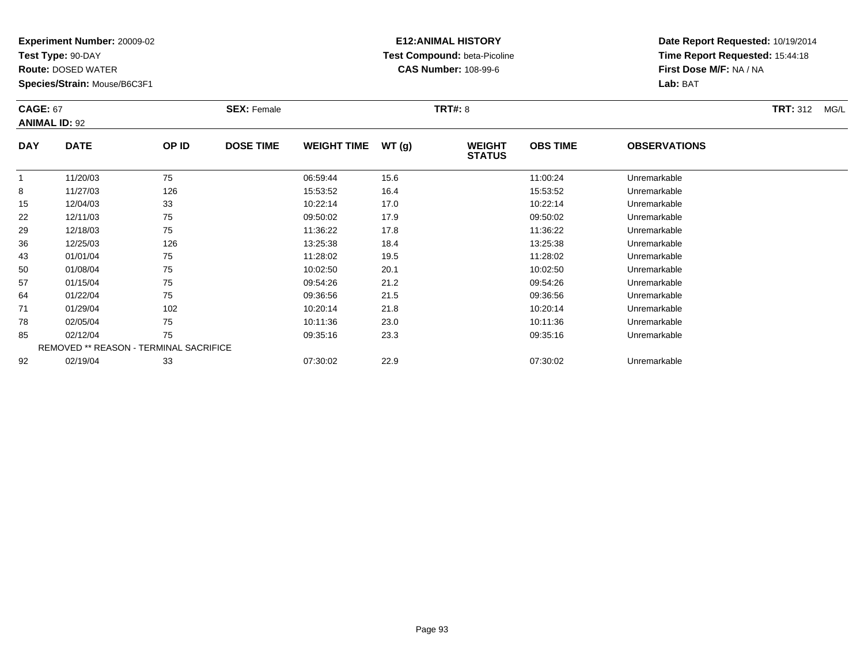**Test Type:** 90-DAY

**Route:** DOSED WATER

**Species/Strain:** Mouse/B6C3F1

# **E12:ANIMAL HISTORY Test Compound:** beta-Picoline**CAS Number:** 108-99-6

**Date Report Requested:** 10/19/2014**Time Report Requested:** 15:44:18**First Dose M/F:** NA / NA**Lab:** BAT

| <b>CAGE: 67</b> | <b>ANIMAL ID: 92</b>                          |       | <b>SEX: Female</b> |                    |       | <b>TRT#: 8</b>                 |                 |                     | <b>TRT: 312</b><br>MG/L |
|-----------------|-----------------------------------------------|-------|--------------------|--------------------|-------|--------------------------------|-----------------|---------------------|-------------------------|
| <b>DAY</b>      | <b>DATE</b>                                   | OP ID | <b>DOSE TIME</b>   | <b>WEIGHT TIME</b> | WT(g) | <b>WEIGHT</b><br><b>STATUS</b> | <b>OBS TIME</b> | <b>OBSERVATIONS</b> |                         |
| 1               | 11/20/03                                      | 75    |                    | 06:59:44           | 15.6  |                                | 11:00:24        | Unremarkable        |                         |
| 8               | 11/27/03                                      | 126   |                    | 15:53:52           | 16.4  |                                | 15:53:52        | Unremarkable        |                         |
| 15              | 12/04/03                                      | 33    |                    | 10:22:14           | 17.0  |                                | 10:22:14        | Unremarkable        |                         |
| 22              | 12/11/03                                      | 75    |                    | 09:50:02           | 17.9  |                                | 09:50:02        | Unremarkable        |                         |
| 29              | 12/18/03                                      | 75    |                    | 11:36:22           | 17.8  |                                | 11:36:22        | Unremarkable        |                         |
| 36              | 12/25/03                                      | 126   |                    | 13:25:38           | 18.4  |                                | 13:25:38        | Unremarkable        |                         |
| 43              | 01/01/04                                      | 75    |                    | 11:28:02           | 19.5  |                                | 11:28:02        | Unremarkable        |                         |
| 50              | 01/08/04                                      | 75    |                    | 10:02:50           | 20.1  |                                | 10:02:50        | Unremarkable        |                         |
| 57              | 01/15/04                                      | 75    |                    | 09:54:26           | 21.2  |                                | 09:54:26        | Unremarkable        |                         |
| 64              | 01/22/04                                      | 75    |                    | 09:36:56           | 21.5  |                                | 09:36:56        | Unremarkable        |                         |
| 71              | 01/29/04                                      | 102   |                    | 10:20:14           | 21.8  |                                | 10:20:14        | Unremarkable        |                         |
| 78              | 02/05/04                                      | 75    |                    | 10:11:36           | 23.0  |                                | 10:11:36        | Unremarkable        |                         |
| 85              | 02/12/04                                      | 75    |                    | 09:35:16           | 23.3  |                                | 09:35:16        | Unremarkable        |                         |
|                 | <b>REMOVED ** REASON - TERMINAL SACRIFICE</b> |       |                    |                    |       |                                |                 |                     |                         |
| 92              | 02/19/04                                      | 33    |                    | 07:30:02           | 22.9  |                                | 07:30:02        | Unremarkable        |                         |

02/19/04 <sup>33</sup> 07:30:02 22.9 07:30:02 Unremarkable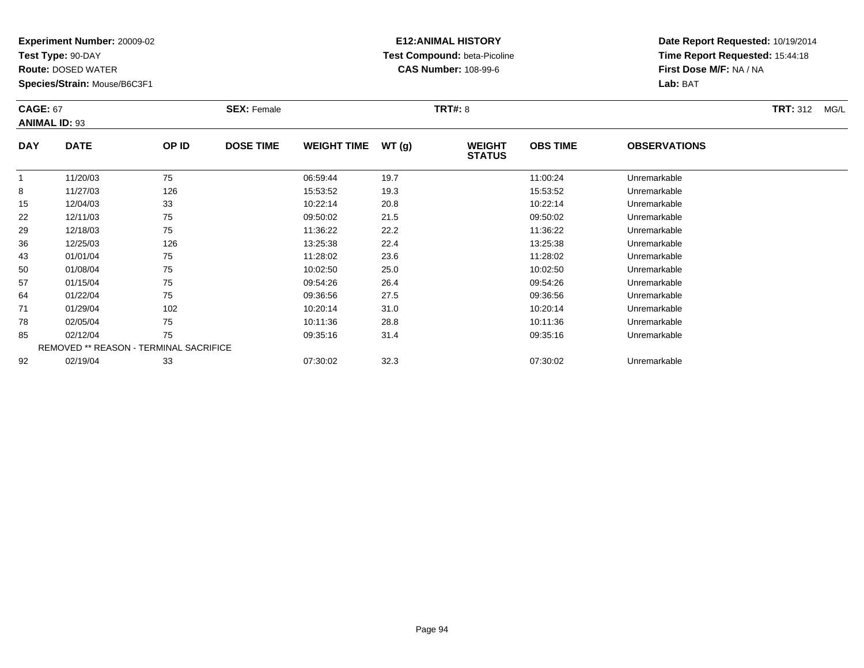**Test Type:** 90-DAY

92

**Route:** DOSED WATER

**Species/Strain:** Mouse/B6C3F1

# **E12:ANIMAL HISTORY Test Compound:** beta-Picoline**CAS Number:** 108-99-6

**Date Report Requested:** 10/19/2014**Time Report Requested:** 15:44:18**First Dose M/F:** NA / NA**Lab:** BAT

|            | <b>CAGE: 67</b><br><b>ANIMAL ID: 93</b> |       | <b>SEX: Female</b> |                    |       | <b>TRT#: 8</b>                 |                 | <b>TRT: 312</b><br>MG/L |  |
|------------|-----------------------------------------|-------|--------------------|--------------------|-------|--------------------------------|-----------------|-------------------------|--|
| <b>DAY</b> | <b>DATE</b>                             | OP ID | <b>DOSE TIME</b>   | <b>WEIGHT TIME</b> | WT(g) | <b>WEIGHT</b><br><b>STATUS</b> | <b>OBS TIME</b> | <b>OBSERVATIONS</b>     |  |
|            | 11/20/03                                | 75    |                    | 06:59:44           | 19.7  |                                | 11:00:24        | Unremarkable            |  |
| 8          | 11/27/03                                | 126   |                    | 15:53:52           | 19.3  |                                | 15:53:52        | Unremarkable            |  |
| 15         | 12/04/03                                | 33    |                    | 10:22:14           | 20.8  |                                | 10:22:14        | Unremarkable            |  |
| 22         | 12/11/03                                | 75    |                    | 09:50:02           | 21.5  |                                | 09:50:02        | Unremarkable            |  |
| 29         | 12/18/03                                | 75    |                    | 11:36:22           | 22.2  |                                | 11:36:22        | Unremarkable            |  |
| 36         | 12/25/03                                | 126   |                    | 13:25:38           | 22.4  |                                | 13:25:38        | Unremarkable            |  |
| 43         | 01/01/04                                | 75    |                    | 11:28:02           | 23.6  |                                | 11:28:02        | Unremarkable            |  |
| 50         | 01/08/04                                | 75    |                    | 10:02:50           | 25.0  |                                | 10:02:50        | Unremarkable            |  |
| 57         | 01/15/04                                | 75    |                    | 09:54:26           | 26.4  |                                | 09:54:26        | Unremarkable            |  |
| 64         | 01/22/04                                | 75    |                    | 09:36:56           | 27.5  |                                | 09:36:56        | Unremarkable            |  |
| 71         | 01/29/04                                | 102   |                    | 10:20:14           | 31.0  |                                | 10:20:14        | Unremarkable            |  |
| 78         | 02/05/04                                | 75    |                    | 10:11:36           | 28.8  |                                | 10:11:36        | Unremarkable            |  |
| 85         | 02/12/04                                | 75    |                    | 09:35:16           | 31.4  |                                | 09:35:16        | Unremarkable            |  |
|            | REMOVED ** REASON - TERMINAL SACRIFICE  |       |                    |                    |       |                                |                 |                         |  |

02/19/04 <sup>33</sup> 07:30:02 32.3 07:30:02 Unremarkable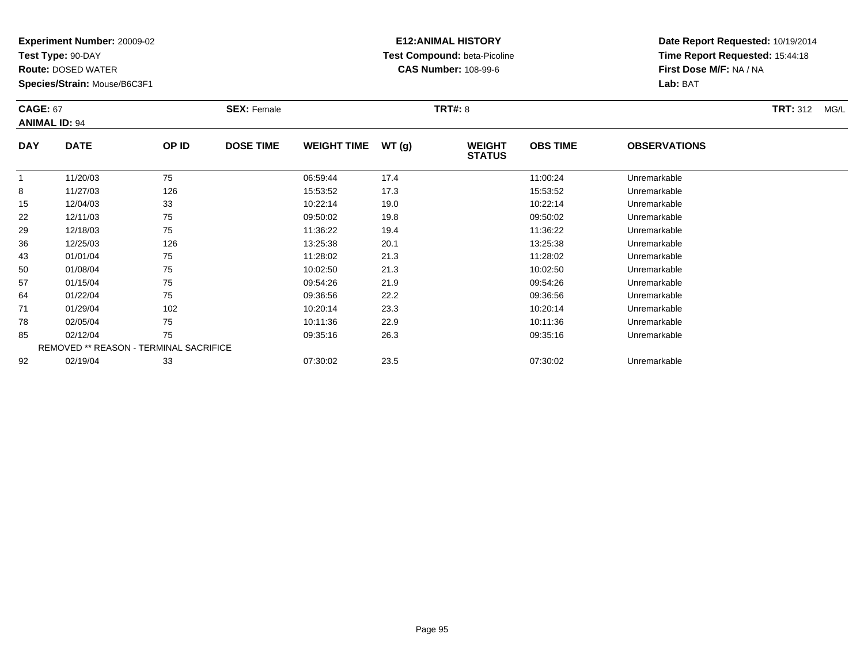**Test Type:** 90-DAY

**Route:** DOSED WATER

**Species/Strain:** Mouse/B6C3F1

## **E12:ANIMAL HISTORY Test Compound:** beta-Picoline**CAS Number:** 108-99-6

| <b>CAGE: 67</b> | <b>ANIMAL ID: 94</b>                   |       | <b>SEX: Female</b> |                    |       | <b>TRT#: 8</b>                 |                 |                     | <b>TRT: 312</b><br>MG/L |
|-----------------|----------------------------------------|-------|--------------------|--------------------|-------|--------------------------------|-----------------|---------------------|-------------------------|
| <b>DAY</b>      | <b>DATE</b>                            | OP ID | <b>DOSE TIME</b>   | <b>WEIGHT TIME</b> | WT(g) | <b>WEIGHT</b><br><b>STATUS</b> | <b>OBS TIME</b> | <b>OBSERVATIONS</b> |                         |
| $\mathbf{1}$    | 11/20/03                               | 75    |                    | 06:59:44           | 17.4  |                                | 11:00:24        | Unremarkable        |                         |
| 8               | 11/27/03                               | 126   |                    | 15:53:52           | 17.3  |                                | 15:53:52        | Unremarkable        |                         |
| 15              | 12/04/03                               | 33    |                    | 10:22:14           | 19.0  |                                | 10:22:14        | Unremarkable        |                         |
| 22              | 12/11/03                               | 75    |                    | 09:50:02           | 19.8  |                                | 09:50:02        | Unremarkable        |                         |
| 29              | 12/18/03                               | 75    |                    | 11:36:22           | 19.4  |                                | 11:36:22        | Unremarkable        |                         |
| 36              | 12/25/03                               | 126   |                    | 13:25:38           | 20.1  |                                | 13:25:38        | Unremarkable        |                         |
| 43              | 01/01/04                               | 75    |                    | 11:28:02           | 21.3  |                                | 11:28:02        | Unremarkable        |                         |
| 50              | 01/08/04                               | 75    |                    | 10:02:50           | 21.3  |                                | 10:02:50        | Unremarkable        |                         |
| 57              | 01/15/04                               | 75    |                    | 09:54:26           | 21.9  |                                | 09:54:26        | Unremarkable        |                         |
| 64              | 01/22/04                               | 75    |                    | 09:36:56           | 22.2  |                                | 09:36:56        | Unremarkable        |                         |
| 71              | 01/29/04                               | 102   |                    | 10:20:14           | 23.3  |                                | 10:20:14        | Unremarkable        |                         |
| 78              | 02/05/04                               | 75    |                    | 10:11:36           | 22.9  |                                | 10:11:36        | Unremarkable        |                         |
| 85              | 02/12/04                               | 75    |                    | 09:35:16           | 26.3  |                                | 09:35:16        | Unremarkable        |                         |
|                 | REMOVED ** REASON - TERMINAL SACRIFICE |       |                    |                    |       |                                |                 |                     |                         |
| 92              | 02/19/04                               | 33    |                    | 07:30:02           | 23.5  |                                | 07:30:02        | Unremarkable        |                         |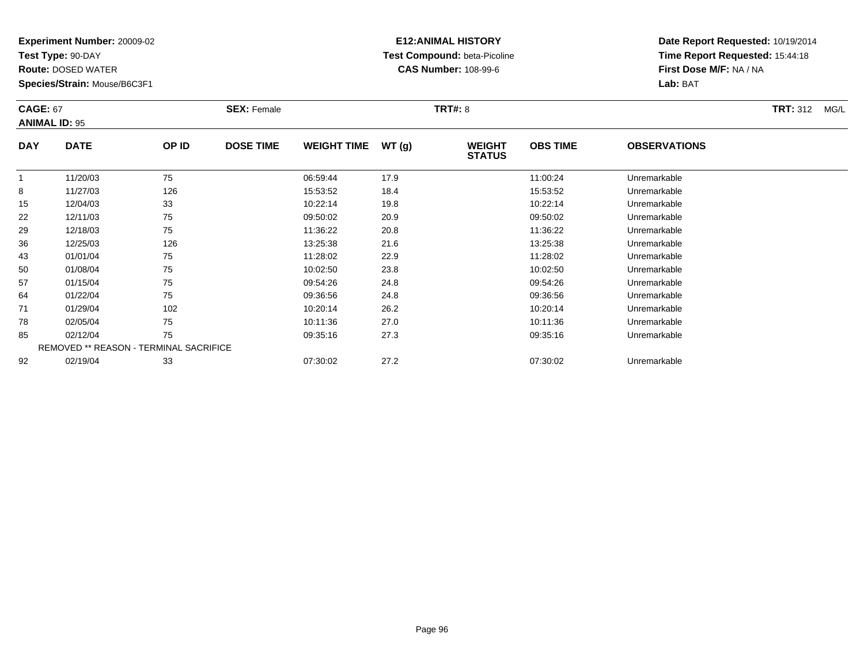**Test Type:** 90-DAY

**Route:** DOSED WATER

**Species/Strain:** Mouse/B6C3F1

# **E12:ANIMAL HISTORY Test Compound:** beta-Picoline**CAS Number:** 108-99-6

**Date Report Requested:** 10/19/2014**Time Report Requested:** 15:44:18**First Dose M/F:** NA / NA**Lab:** BAT

| <b>CAGE: 67</b> | <b>ANIMAL ID: 95</b>                          |       | <b>SEX: Female</b> |                    |       | <b>TRT#: 8</b>                 |                 |                     | <b>TRT: 312</b><br>MG/L |
|-----------------|-----------------------------------------------|-------|--------------------|--------------------|-------|--------------------------------|-----------------|---------------------|-------------------------|
| <b>DAY</b>      | <b>DATE</b>                                   | OP ID | <b>DOSE TIME</b>   | <b>WEIGHT TIME</b> | WT(g) | <b>WEIGHT</b><br><b>STATUS</b> | <b>OBS TIME</b> | <b>OBSERVATIONS</b> |                         |
| 1               | 11/20/03                                      | 75    |                    | 06:59:44           | 17.9  |                                | 11:00:24        | Unremarkable        |                         |
| 8               | 11/27/03                                      | 126   |                    | 15:53:52           | 18.4  |                                | 15:53:52        | Unremarkable        |                         |
| 15              | 12/04/03                                      | 33    |                    | 10:22:14           | 19.8  |                                | 10:22:14        | Unremarkable        |                         |
| 22              | 12/11/03                                      | 75    |                    | 09:50:02           | 20.9  |                                | 09:50:02        | Unremarkable        |                         |
| 29              | 12/18/03                                      | 75    |                    | 11:36:22           | 20.8  |                                | 11:36:22        | Unremarkable        |                         |
| 36              | 12/25/03                                      | 126   |                    | 13:25:38           | 21.6  |                                | 13:25:38        | Unremarkable        |                         |
| 43              | 01/01/04                                      | 75    |                    | 11:28:02           | 22.9  |                                | 11:28:02        | Unremarkable        |                         |
| 50              | 01/08/04                                      | 75    |                    | 10:02:50           | 23.8  |                                | 10:02:50        | Unremarkable        |                         |
| 57              | 01/15/04                                      | 75    |                    | 09:54:26           | 24.8  |                                | 09:54:26        | Unremarkable        |                         |
| 64              | 01/22/04                                      | 75    |                    | 09:36:56           | 24.8  |                                | 09:36:56        | Unremarkable        |                         |
| 71              | 01/29/04                                      | 102   |                    | 10:20:14           | 26.2  |                                | 10:20:14        | Unremarkable        |                         |
| 78              | 02/05/04                                      | 75    |                    | 10:11:36           | 27.0  |                                | 10:11:36        | Unremarkable        |                         |
| 85              | 02/12/04                                      | 75    |                    | 09:35:16           | 27.3  |                                | 09:35:16        | Unremarkable        |                         |
|                 | <b>REMOVED ** REASON - TERMINAL SACRIFICE</b> |       |                    |                    |       |                                |                 |                     |                         |
| 92              | 02/19/04                                      | 33    |                    | 07:30:02           | 27.2  |                                | 07:30:02        | Unremarkable        |                         |

02/19/04 <sup>33</sup> 07:30:02 27.2 07:30:02 Unremarkable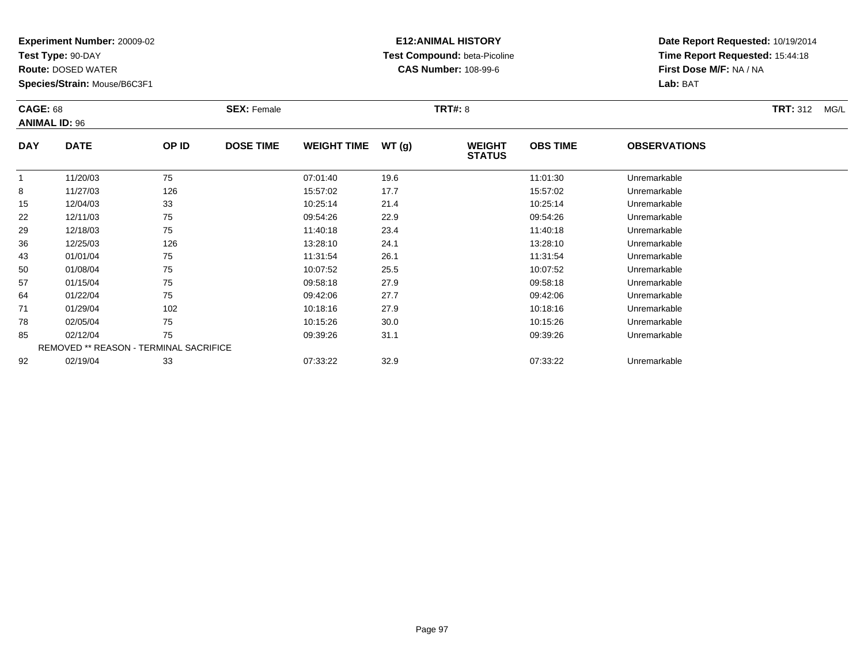**Test Type:** 90-DAY

**Route:** DOSED WATER

**Species/Strain:** Mouse/B6C3F1

# **E12:ANIMAL HISTORY Test Compound:** beta-Picoline**CAS Number:** 108-99-6

| <b>CAGE: 68</b> | <b>ANIMAL ID: 96</b>                   |       | <b>SEX: Female</b> |                    |       | <b>TRT#: 8</b>                 |                 |                     | <b>TRT: 312</b><br>MG/L |
|-----------------|----------------------------------------|-------|--------------------|--------------------|-------|--------------------------------|-----------------|---------------------|-------------------------|
| <b>DAY</b>      | <b>DATE</b>                            | OP ID | <b>DOSE TIME</b>   | <b>WEIGHT TIME</b> | WT(g) | <b>WEIGHT</b><br><b>STATUS</b> | <b>OBS TIME</b> | <b>OBSERVATIONS</b> |                         |
|                 | 11/20/03                               | 75    |                    | 07:01:40           | 19.6  |                                | 11:01:30        | Unremarkable        |                         |
| 8               | 11/27/03                               | 126   |                    | 15:57:02           | 17.7  |                                | 15:57:02        | Unremarkable        |                         |
| 15              | 12/04/03                               | 33    |                    | 10:25:14           | 21.4  |                                | 10:25:14        | Unremarkable        |                         |
| 22              | 12/11/03                               | 75    |                    | 09:54:26           | 22.9  |                                | 09:54:26        | Unremarkable        |                         |
| 29              | 12/18/03                               | 75    |                    | 11:40:18           | 23.4  |                                | 11:40:18        | Unremarkable        |                         |
| 36              | 12/25/03                               | 126   |                    | 13:28:10           | 24.1  |                                | 13:28:10        | Unremarkable        |                         |
| 43              | 01/01/04                               | 75    |                    | 11:31:54           | 26.1  |                                | 11:31:54        | Unremarkable        |                         |
| 50              | 01/08/04                               | 75    |                    | 10:07:52           | 25.5  |                                | 10:07:52        | Unremarkable        |                         |
| 57              | 01/15/04                               | 75    |                    | 09:58:18           | 27.9  |                                | 09:58:18        | Unremarkable        |                         |
| 64              | 01/22/04                               | 75    |                    | 09:42:06           | 27.7  |                                | 09:42:06        | Unremarkable        |                         |
| 71              | 01/29/04                               | 102   |                    | 10:18:16           | 27.9  |                                | 10:18:16        | Unremarkable        |                         |
| 78              | 02/05/04                               | 75    |                    | 10:15:26           | 30.0  |                                | 10:15:26        | Unremarkable        |                         |
| 85              | 02/12/04                               | 75    |                    | 09:39:26           | 31.1  |                                | 09:39:26        | Unremarkable        |                         |
|                 | REMOVED ** REASON - TERMINAL SACRIFICE |       |                    |                    |       |                                |                 |                     |                         |
| 92              | 02/19/04                               | 33    |                    | 07:33:22           | 32.9  |                                | 07:33:22        | Unremarkable        |                         |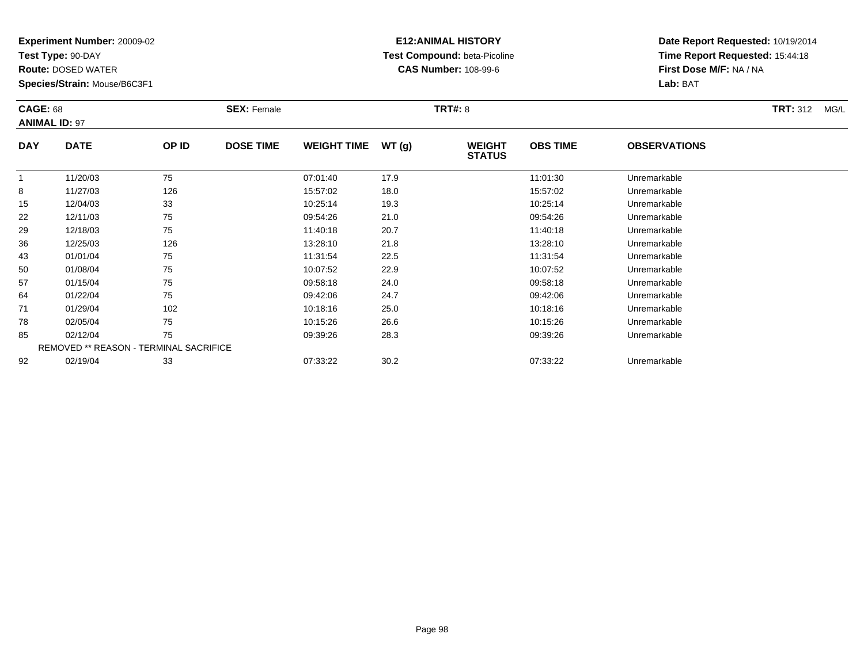**Test Type:** 90-DAY

**Route:** DOSED WATER

**Species/Strain:** Mouse/B6C3F1

# **E12:ANIMAL HISTORY Test Compound:** beta-Picoline**CAS Number:** 108-99-6

| <b>CAGE: 68</b> | <b>ANIMAL ID: 97</b>                   |       | <b>SEX: Female</b> |                    |       | <b>TRT#: 8</b>                 |                 |                     | <b>TRT: 312</b><br>MG/L |
|-----------------|----------------------------------------|-------|--------------------|--------------------|-------|--------------------------------|-----------------|---------------------|-------------------------|
| <b>DAY</b>      | <b>DATE</b>                            | OP ID | <b>DOSE TIME</b>   | <b>WEIGHT TIME</b> | WT(g) | <b>WEIGHT</b><br><b>STATUS</b> | <b>OBS TIME</b> | <b>OBSERVATIONS</b> |                         |
|                 | 11/20/03                               | 75    |                    | 07:01:40           | 17.9  |                                | 11:01:30        | Unremarkable        |                         |
| 8               | 11/27/03                               | 126   |                    | 15:57:02           | 18.0  |                                | 15:57:02        | Unremarkable        |                         |
| 15              | 12/04/03                               | 33    |                    | 10:25:14           | 19.3  |                                | 10:25:14        | Unremarkable        |                         |
| 22              | 12/11/03                               | 75    |                    | 09:54:26           | 21.0  |                                | 09:54:26        | Unremarkable        |                         |
| 29              | 12/18/03                               | 75    |                    | 11:40:18           | 20.7  |                                | 11:40:18        | Unremarkable        |                         |
| 36              | 12/25/03                               | 126   |                    | 13:28:10           | 21.8  |                                | 13:28:10        | Unremarkable        |                         |
| 43              | 01/01/04                               | 75    |                    | 11:31:54           | 22.5  |                                | 11:31:54        | Unremarkable        |                         |
| 50              | 01/08/04                               | 75    |                    | 10:07:52           | 22.9  |                                | 10:07:52        | Unremarkable        |                         |
| 57              | 01/15/04                               | 75    |                    | 09:58:18           | 24.0  |                                | 09:58:18        | Unremarkable        |                         |
| 64              | 01/22/04                               | 75    |                    | 09:42:06           | 24.7  |                                | 09:42:06        | Unremarkable        |                         |
| 71              | 01/29/04                               | 102   |                    | 10:18:16           | 25.0  |                                | 10:18:16        | Unremarkable        |                         |
| 78              | 02/05/04                               | 75    |                    | 10:15:26           | 26.6  |                                | 10:15:26        | Unremarkable        |                         |
| 85              | 02/12/04                               | 75    |                    | 09:39:26           | 28.3  |                                | 09:39:26        | Unremarkable        |                         |
|                 | REMOVED ** REASON - TERMINAL SACRIFICE |       |                    |                    |       |                                |                 |                     |                         |
| 92              | 02/19/04                               | 33    |                    | 07:33:22           | 30.2  |                                | 07:33:22        | Unremarkable        |                         |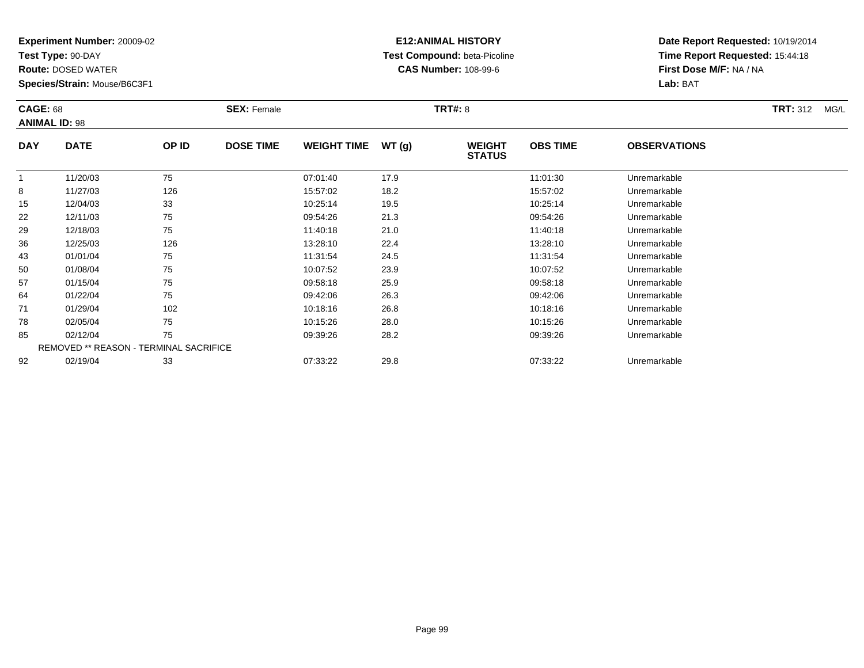**Test Type:** 90-DAY

**Route:** DOSED WATER

**Species/Strain:** Mouse/B6C3F1

# **E12:ANIMAL HISTORY Test Compound:** beta-Picoline**CAS Number:** 108-99-6

| <b>CAGE: 68</b> | <b>ANIMAL ID: 98</b>                   |       | <b>SEX: Female</b> |                    |       | <b>TRT#: 8</b>                 |                 |                     | <b>TRT: 312</b><br>MG/L |
|-----------------|----------------------------------------|-------|--------------------|--------------------|-------|--------------------------------|-----------------|---------------------|-------------------------|
| <b>DAY</b>      | <b>DATE</b>                            | OP ID | <b>DOSE TIME</b>   | <b>WEIGHT TIME</b> | WT(g) | <b>WEIGHT</b><br><b>STATUS</b> | <b>OBS TIME</b> | <b>OBSERVATIONS</b> |                         |
|                 | 11/20/03                               | 75    |                    | 07:01:40           | 17.9  |                                | 11:01:30        | Unremarkable        |                         |
| 8               | 11/27/03                               | 126   |                    | 15:57:02           | 18.2  |                                | 15:57:02        | Unremarkable        |                         |
| 15              | 12/04/03                               | 33    |                    | 10:25:14           | 19.5  |                                | 10:25:14        | Unremarkable        |                         |
| 22              | 12/11/03                               | 75    |                    | 09:54:26           | 21.3  |                                | 09:54:26        | Unremarkable        |                         |
| 29              | 12/18/03                               | 75    |                    | 11:40:18           | 21.0  |                                | 11:40:18        | Unremarkable        |                         |
| 36              | 12/25/03                               | 126   |                    | 13:28:10           | 22.4  |                                | 13:28:10        | Unremarkable        |                         |
| 43              | 01/01/04                               | 75    |                    | 11:31:54           | 24.5  |                                | 11:31:54        | Unremarkable        |                         |
| 50              | 01/08/04                               | 75    |                    | 10:07:52           | 23.9  |                                | 10:07:52        | Unremarkable        |                         |
| 57              | 01/15/04                               | 75    |                    | 09:58:18           | 25.9  |                                | 09:58:18        | Unremarkable        |                         |
| 64              | 01/22/04                               | 75    |                    | 09:42:06           | 26.3  |                                | 09:42:06        | Unremarkable        |                         |
| 71              | 01/29/04                               | 102   |                    | 10:18:16           | 26.8  |                                | 10:18:16        | Unremarkable        |                         |
| 78              | 02/05/04                               | 75    |                    | 10:15:26           | 28.0  |                                | 10:15:26        | Unremarkable        |                         |
| 85              | 02/12/04                               | 75    |                    | 09:39:26           | 28.2  |                                | 09:39:26        | Unremarkable        |                         |
|                 | REMOVED ** REASON - TERMINAL SACRIFICE |       |                    |                    |       |                                |                 |                     |                         |
| 92              | 02/19/04                               | 33    |                    | 07:33:22           | 29.8  |                                | 07:33:22        | Unremarkable        |                         |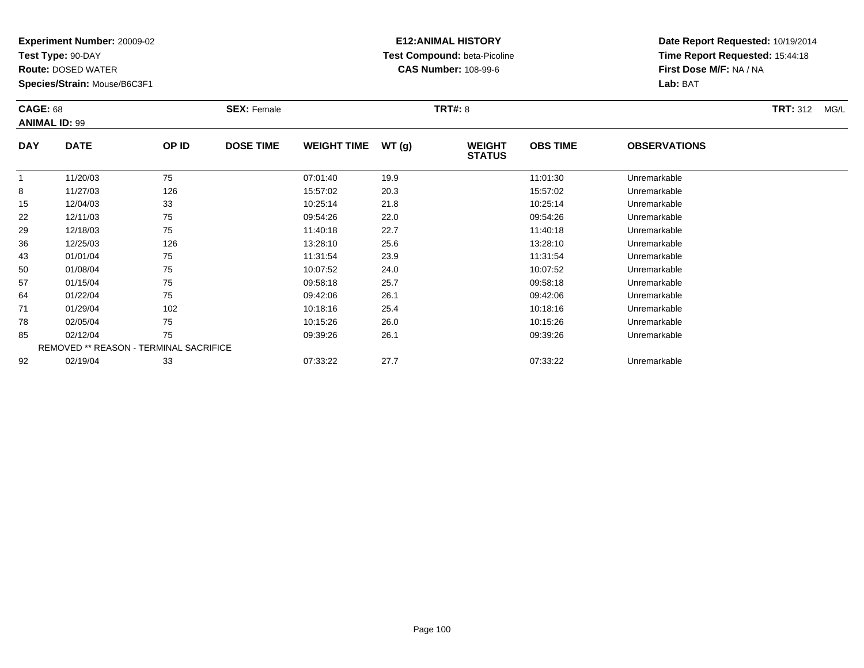**Test Type:** 90-DAY

**Route:** DOSED WATER

**Species/Strain:** Mouse/B6C3F1

# **E12:ANIMAL HISTORY Test Compound:** beta-Picoline**CAS Number:** 108-99-6

| <b>CAGE: 68</b> | <b>ANIMAL ID: 99</b>                   |       | <b>SEX: Female</b> |                    |       | <b>TRT#: 8</b>                 |                 |                     | <b>TRT: 312</b><br>MG/L |
|-----------------|----------------------------------------|-------|--------------------|--------------------|-------|--------------------------------|-----------------|---------------------|-------------------------|
| <b>DAY</b>      | <b>DATE</b>                            | OP ID | <b>DOSE TIME</b>   | <b>WEIGHT TIME</b> | WT(g) | <b>WEIGHT</b><br><b>STATUS</b> | <b>OBS TIME</b> | <b>OBSERVATIONS</b> |                         |
| $\mathbf{1}$    | 11/20/03                               | 75    |                    | 07:01:40           | 19.9  |                                | 11:01:30        | Unremarkable        |                         |
| 8               | 11/27/03                               | 126   |                    | 15:57:02           | 20.3  |                                | 15:57:02        | Unremarkable        |                         |
| 15              | 12/04/03                               | 33    |                    | 10:25:14           | 21.8  |                                | 10:25:14        | Unremarkable        |                         |
| 22              | 12/11/03                               | 75    |                    | 09:54:26           | 22.0  |                                | 09:54:26        | Unremarkable        |                         |
| 29              | 12/18/03                               | 75    |                    | 11:40:18           | 22.7  |                                | 11:40:18        | Unremarkable        |                         |
| 36              | 12/25/03                               | 126   |                    | 13:28:10           | 25.6  |                                | 13:28:10        | Unremarkable        |                         |
| 43              | 01/01/04                               | 75    |                    | 11:31:54           | 23.9  |                                | 11:31:54        | Unremarkable        |                         |
| 50              | 01/08/04                               | 75    |                    | 10:07:52           | 24.0  |                                | 10:07:52        | Unremarkable        |                         |
| 57              | 01/15/04                               | 75    |                    | 09:58:18           | 25.7  |                                | 09:58:18        | Unremarkable        |                         |
| 64              | 01/22/04                               | 75    |                    | 09:42:06           | 26.1  |                                | 09:42:06        | Unremarkable        |                         |
| 71              | 01/29/04                               | 102   |                    | 10:18:16           | 25.4  |                                | 10:18:16        | Unremarkable        |                         |
| 78              | 02/05/04                               | 75    |                    | 10:15:26           | 26.0  |                                | 10:15:26        | Unremarkable        |                         |
| 85              | 02/12/04                               | 75    |                    | 09:39:26           | 26.1  |                                | 09:39:26        | Unremarkable        |                         |
|                 | REMOVED ** REASON - TERMINAL SACRIFICE |       |                    |                    |       |                                |                 |                     |                         |
| 92              | 02/19/04                               | 33    |                    | 07:33:22           | 27.7  |                                | 07:33:22        | Unremarkable        |                         |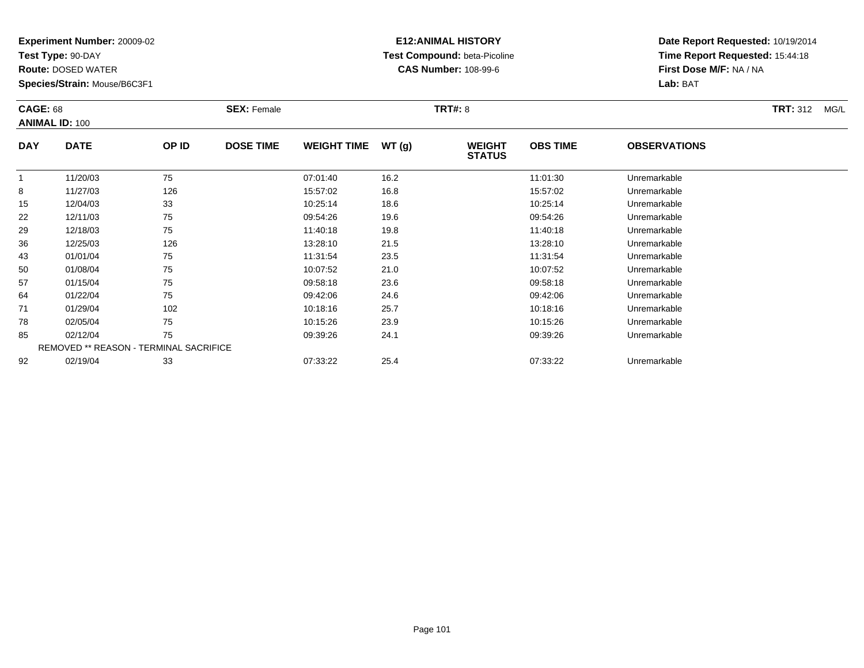**Test Type:** 90-DAY

**Route:** DOSED WATER

**Species/Strain:** Mouse/B6C3F1

# **E12:ANIMAL HISTORY Test Compound:** beta-Picoline**CAS Number:** 108-99-6

| <b>CAGE: 68</b> |                                        |       | <b>SEX: Female</b> |                    |       | <b>TRT#: 8</b>                 |                 |                     | <b>TRT:</b> 312<br>MG/L |
|-----------------|----------------------------------------|-------|--------------------|--------------------|-------|--------------------------------|-----------------|---------------------|-------------------------|
|                 | <b>ANIMAL ID: 100</b>                  |       |                    |                    |       |                                |                 |                     |                         |
| <b>DAY</b>      | <b>DATE</b>                            | OP ID | <b>DOSE TIME</b>   | <b>WEIGHT TIME</b> | WT(g) | <b>WEIGHT</b><br><b>STATUS</b> | <b>OBS TIME</b> | <b>OBSERVATIONS</b> |                         |
| 1               | 11/20/03                               | 75    |                    | 07:01:40           | 16.2  |                                | 11:01:30        | Unremarkable        |                         |
| 8               | 11/27/03                               | 126   |                    | 15:57:02           | 16.8  |                                | 15:57:02        | Unremarkable        |                         |
| 15              | 12/04/03                               | 33    |                    | 10:25:14           | 18.6  |                                | 10:25:14        | Unremarkable        |                         |
| 22              | 12/11/03                               | 75    |                    | 09:54:26           | 19.6  |                                | 09:54:26        | Unremarkable        |                         |
| 29              | 12/18/03                               | 75    |                    | 11:40:18           | 19.8  |                                | 11:40:18        | Unremarkable        |                         |
| 36              | 12/25/03                               | 126   |                    | 13:28:10           | 21.5  |                                | 13:28:10        | Unremarkable        |                         |
| 43              | 01/01/04                               | 75    |                    | 11:31:54           | 23.5  |                                | 11:31:54        | Unremarkable        |                         |
| 50              | 01/08/04                               | 75    |                    | 10:07:52           | 21.0  |                                | 10:07:52        | Unremarkable        |                         |
| 57              | 01/15/04                               | 75    |                    | 09:58:18           | 23.6  |                                | 09:58:18        | Unremarkable        |                         |
| 64              | 01/22/04                               | 75    |                    | 09:42:06           | 24.6  |                                | 09:42:06        | Unremarkable        |                         |
| 71              | 01/29/04                               | 102   |                    | 10:18:16           | 25.7  |                                | 10:18:16        | Unremarkable        |                         |
| 78              | 02/05/04                               | 75    |                    | 10:15:26           | 23.9  |                                | 10:15:26        | Unremarkable        |                         |
| 85              | 02/12/04                               | 75    |                    | 09:39:26           | 24.1  |                                | 09:39:26        | Unremarkable        |                         |
|                 | REMOVED ** REASON - TERMINAL SACRIFICE |       |                    |                    |       |                                |                 |                     |                         |
| 92              | 02/19/04                               | 33    |                    | 07:33:22           | 25.4  |                                | 07:33:22        | Unremarkable        |                         |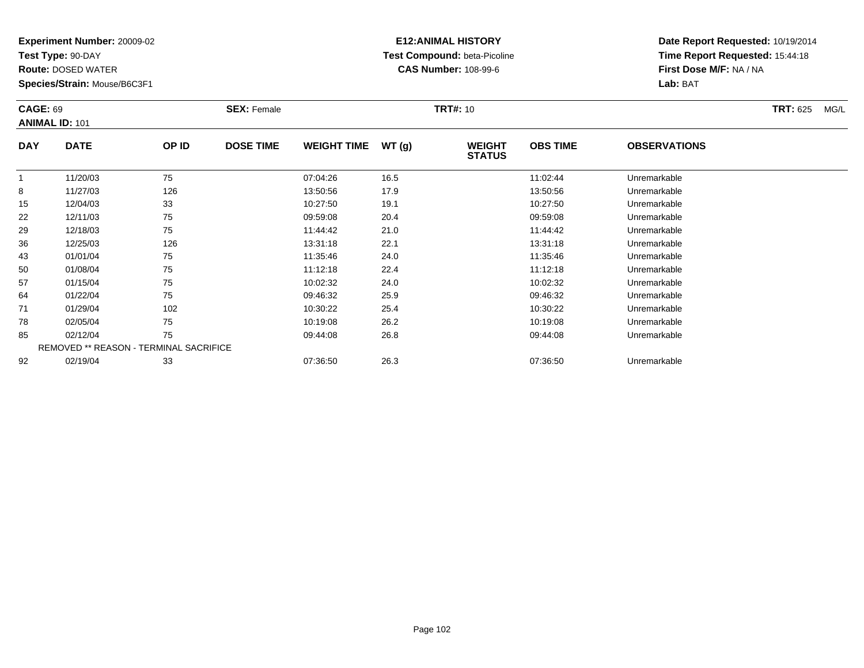**Test Type:** 90-DAY

**Route:** DOSED WATER

**Species/Strain:** Mouse/B6C3F1

# **E12:ANIMAL HISTORY Test Compound:** beta-Picoline**CAS Number:** 108-99-6

| <b>CAGE: 69</b> | <b>ANIMAL ID: 101</b>                  |       | <b>SEX: Female</b> |                    |       | <b>TRT#: 10</b>                |                 |                     | <b>TRT: 625</b><br>MG/L |
|-----------------|----------------------------------------|-------|--------------------|--------------------|-------|--------------------------------|-----------------|---------------------|-------------------------|
| <b>DAY</b>      | <b>DATE</b>                            | OP ID | <b>DOSE TIME</b>   | <b>WEIGHT TIME</b> | WT(g) | <b>WEIGHT</b><br><b>STATUS</b> | <b>OBS TIME</b> | <b>OBSERVATIONS</b> |                         |
| $\mathbf{1}$    | 11/20/03                               | 75    |                    | 07:04:26           | 16.5  |                                | 11:02:44        | Unremarkable        |                         |
| 8               | 11/27/03                               | 126   |                    | 13:50:56           | 17.9  |                                | 13:50:56        | Unremarkable        |                         |
| 15              | 12/04/03                               | 33    |                    | 10:27:50           | 19.1  |                                | 10:27:50        | Unremarkable        |                         |
| 22              | 12/11/03                               | 75    |                    | 09:59:08           | 20.4  |                                | 09:59:08        | Unremarkable        |                         |
| 29              | 12/18/03                               | 75    |                    | 11:44:42           | 21.0  |                                | 11:44:42        | Unremarkable        |                         |
| 36              | 12/25/03                               | 126   |                    | 13:31:18           | 22.1  |                                | 13:31:18        | Unremarkable        |                         |
| 43              | 01/01/04                               | 75    |                    | 11:35:46           | 24.0  |                                | 11:35:46        | Unremarkable        |                         |
| 50              | 01/08/04                               | 75    |                    | 11:12:18           | 22.4  |                                | 11:12:18        | Unremarkable        |                         |
| 57              | 01/15/04                               | 75    |                    | 10:02:32           | 24.0  |                                | 10:02:32        | Unremarkable        |                         |
| 64              | 01/22/04                               | 75    |                    | 09:46:32           | 25.9  |                                | 09:46:32        | Unremarkable        |                         |
| 71              | 01/29/04                               | 102   |                    | 10:30:22           | 25.4  |                                | 10:30:22        | Unremarkable        |                         |
| 78              | 02/05/04                               | 75    |                    | 10:19:08           | 26.2  |                                | 10:19:08        | Unremarkable        |                         |
| 85              | 02/12/04                               | 75    |                    | 09:44:08           | 26.8  |                                | 09:44:08        | Unremarkable        |                         |
|                 | REMOVED ** REASON - TERMINAL SACRIFICE |       |                    |                    |       |                                |                 |                     |                         |
| 92              | 02/19/04                               | 33    |                    | 07:36:50           | 26.3  |                                | 07:36:50        | Unremarkable        |                         |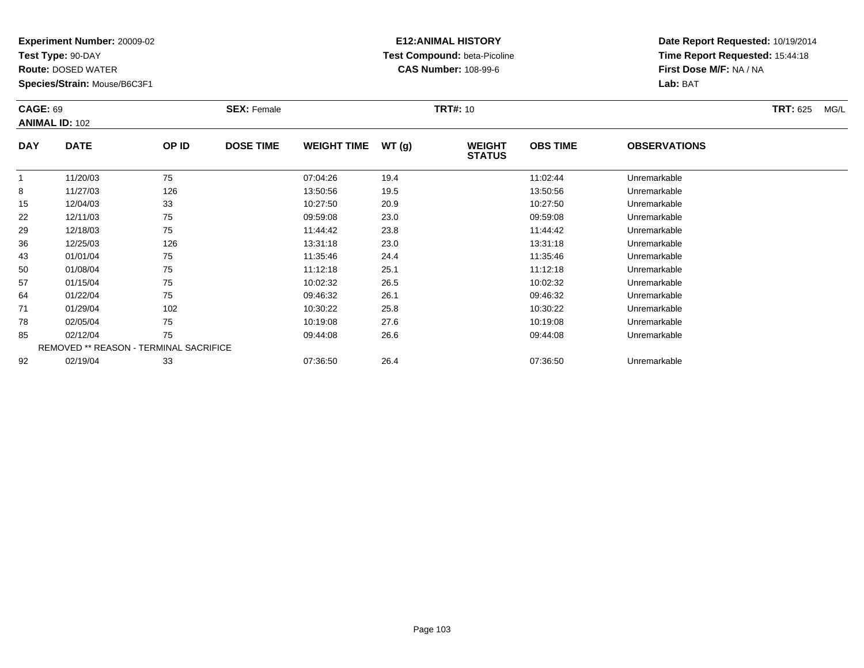**Test Type:** 90-DAY

**Route:** DOSED WATER

**Species/Strain:** Mouse/B6C3F1

# **E12:ANIMAL HISTORY Test Compound:** beta-Picoline**CAS Number:** 108-99-6

| <b>CAGE: 69</b> | <b>ANIMAL ID: 102</b> |                                        | <b>SEX: Female</b> |                    |       | <b>TRT#:</b> 10                |                 |                     | <b>TRT: 625</b><br>MG/L |
|-----------------|-----------------------|----------------------------------------|--------------------|--------------------|-------|--------------------------------|-----------------|---------------------|-------------------------|
| <b>DAY</b>      | <b>DATE</b>           | OP ID                                  | <b>DOSE TIME</b>   | <b>WEIGHT TIME</b> | WT(g) | <b>WEIGHT</b><br><b>STATUS</b> | <b>OBS TIME</b> | <b>OBSERVATIONS</b> |                         |
|                 | 11/20/03              | 75                                     |                    | 07:04:26           | 19.4  |                                | 11:02:44        | Unremarkable        |                         |
| 8               | 11/27/03              | 126                                    |                    | 13:50:56           | 19.5  |                                | 13:50:56        | Unremarkable        |                         |
| 15              | 12/04/03              | 33                                     |                    | 10:27:50           | 20.9  |                                | 10:27:50        | Unremarkable        |                         |
| 22              | 12/11/03              | 75                                     |                    | 09:59:08           | 23.0  |                                | 09:59:08        | Unremarkable        |                         |
| 29              | 12/18/03              | 75                                     |                    | 11:44:42           | 23.8  |                                | 11:44:42        | Unremarkable        |                         |
| 36              | 12/25/03              | 126                                    |                    | 13:31:18           | 23.0  |                                | 13:31:18        | Unremarkable        |                         |
| 43              | 01/01/04              | 75                                     |                    | 11:35:46           | 24.4  |                                | 11:35:46        | Unremarkable        |                         |
| 50              | 01/08/04              | 75                                     |                    | 11:12:18           | 25.1  |                                | 11:12:18        | Unremarkable        |                         |
| 57              | 01/15/04              | 75                                     |                    | 10:02:32           | 26.5  |                                | 10:02:32        | Unremarkable        |                         |
| 64              | 01/22/04              | 75                                     |                    | 09:46:32           | 26.1  |                                | 09:46:32        | Unremarkable        |                         |
| 71              | 01/29/04              | 102                                    |                    | 10:30:22           | 25.8  |                                | 10:30:22        | Unremarkable        |                         |
| 78              | 02/05/04              | 75                                     |                    | 10:19:08           | 27.6  |                                | 10:19:08        | Unremarkable        |                         |
| 85              | 02/12/04              | 75                                     |                    | 09:44:08           | 26.6  |                                | 09:44:08        | Unremarkable        |                         |
|                 |                       | REMOVED ** REASON - TERMINAL SACRIFICE |                    |                    |       |                                |                 |                     |                         |
| 92              | 02/19/04              | 33                                     |                    | 07:36:50           | 26.4  |                                | 07:36:50        | Unremarkable        |                         |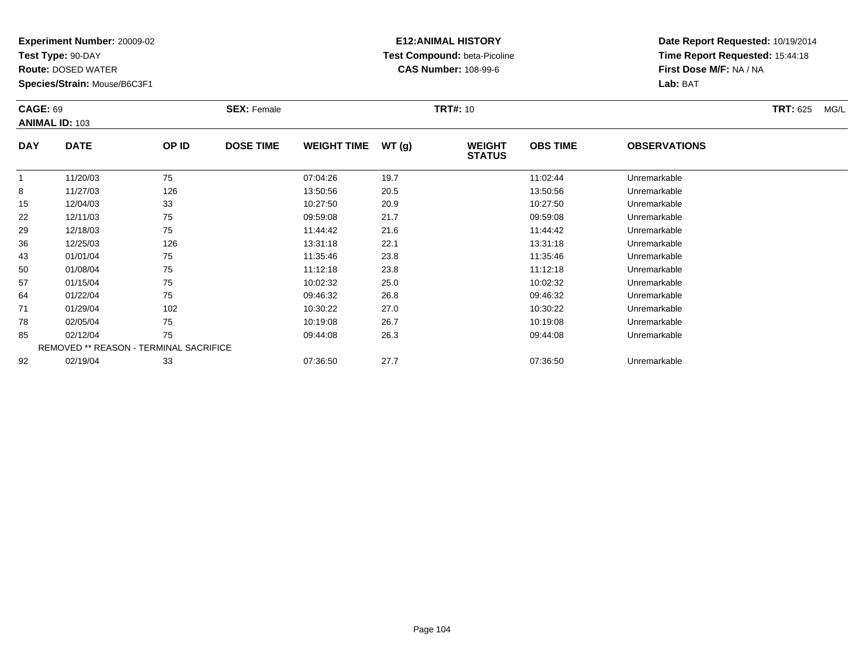**Test Type:** 90-DAY

**Route:** DOSED WATER

**Species/Strain:** Mouse/B6C3F1

# **E12:ANIMAL HISTORY Test Compound:** beta-Picoline**CAS Number:** 108-99-6

| <b>CAGE: 69</b> | <b>ANIMAL ID: 103</b>                  |       | <b>SEX: Female</b> |                    |       | <b>TRT#:</b> 10                |                 |                     | <b>TRT: 625</b><br>MG/L |
|-----------------|----------------------------------------|-------|--------------------|--------------------|-------|--------------------------------|-----------------|---------------------|-------------------------|
| <b>DAY</b>      | <b>DATE</b>                            | OP ID | <b>DOSE TIME</b>   | <b>WEIGHT TIME</b> | WT(g) | <b>WEIGHT</b><br><b>STATUS</b> | <b>OBS TIME</b> | <b>OBSERVATIONS</b> |                         |
| $\mathbf{1}$    | 11/20/03                               | 75    |                    | 07:04:26           | 19.7  |                                | 11:02:44        | Unremarkable        |                         |
| 8               | 11/27/03                               | 126   |                    | 13:50:56           | 20.5  |                                | 13:50:56        | Unremarkable        |                         |
| 15              | 12/04/03                               | 33    |                    | 10:27:50           | 20.9  |                                | 10:27:50        | Unremarkable        |                         |
| 22              | 12/11/03                               | 75    |                    | 09:59:08           | 21.7  |                                | 09:59:08        | Unremarkable        |                         |
| 29              | 12/18/03                               | 75    |                    | 11:44:42           | 21.6  |                                | 11:44:42        | Unremarkable        |                         |
| 36              | 12/25/03                               | 126   |                    | 13:31:18           | 22.1  |                                | 13:31:18        | Unremarkable        |                         |
| 43              | 01/01/04                               | 75    |                    | 11:35:46           | 23.8  |                                | 11:35:46        | Unremarkable        |                         |
| 50              | 01/08/04                               | 75    |                    | 11:12:18           | 23.8  |                                | 11:12:18        | Unremarkable        |                         |
| 57              | 01/15/04                               | 75    |                    | 10:02:32           | 25.0  |                                | 10:02:32        | Unremarkable        |                         |
| 64              | 01/22/04                               | 75    |                    | 09:46:32           | 26.8  |                                | 09:46:32        | Unremarkable        |                         |
| 71              | 01/29/04                               | 102   |                    | 10:30:22           | 27.0  |                                | 10:30:22        | Unremarkable        |                         |
| 78              | 02/05/04                               | 75    |                    | 10:19:08           | 26.7  |                                | 10:19:08        | Unremarkable        |                         |
| 85              | 02/12/04                               | 75    |                    | 09:44:08           | 26.3  |                                | 09:44:08        | Unremarkable        |                         |
|                 | REMOVED ** REASON - TERMINAL SACRIFICE |       |                    |                    |       |                                |                 |                     |                         |
| 92              | 02/19/04                               | 33    |                    | 07:36:50           | 27.7  |                                | 07:36:50        | Unremarkable        |                         |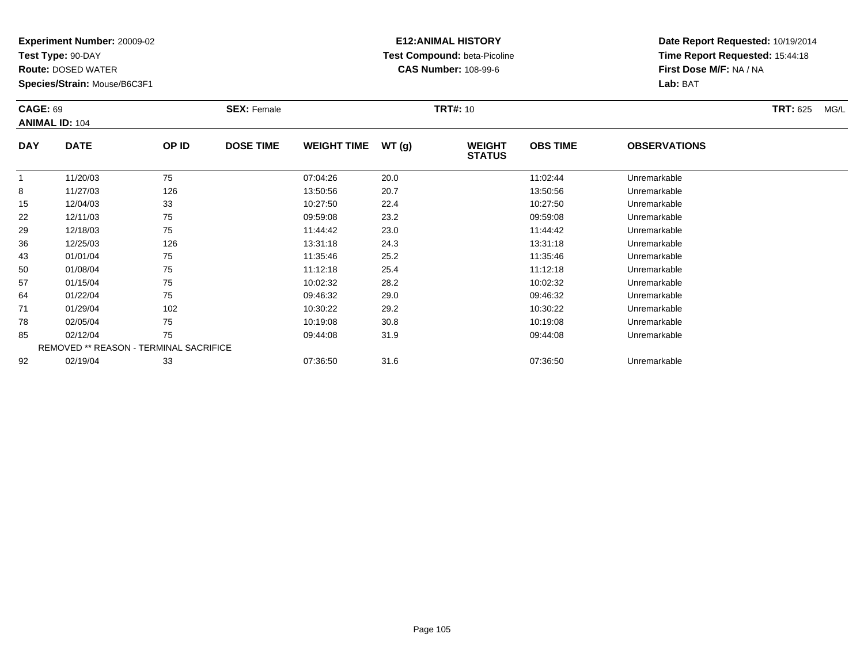**Test Type:** 90-DAY

**Route:** DOSED WATER

**Species/Strain:** Mouse/B6C3F1

# **E12:ANIMAL HISTORY Test Compound:** beta-Picoline**CAS Number:** 108-99-6

| <b>CAGE: 69</b> | <b>ANIMAL ID: 104</b>                  |       | <b>SEX: Female</b> |                    |       | <b>TRT#:</b> 10                |                 |                     | <b>TRT: 625</b><br>MG/L |
|-----------------|----------------------------------------|-------|--------------------|--------------------|-------|--------------------------------|-----------------|---------------------|-------------------------|
| <b>DAY</b>      | <b>DATE</b>                            | OP ID | <b>DOSE TIME</b>   | <b>WEIGHT TIME</b> | WT(g) | <b>WEIGHT</b><br><b>STATUS</b> | <b>OBS TIME</b> | <b>OBSERVATIONS</b> |                         |
| $\mathbf{1}$    | 11/20/03                               | 75    |                    | 07:04:26           | 20.0  |                                | 11:02:44        | Unremarkable        |                         |
| 8               | 11/27/03                               | 126   |                    | 13:50:56           | 20.7  |                                | 13:50:56        | Unremarkable        |                         |
| 15              | 12/04/03                               | 33    |                    | 10:27:50           | 22.4  |                                | 10:27:50        | Unremarkable        |                         |
| 22              | 12/11/03                               | 75    |                    | 09:59:08           | 23.2  |                                | 09:59:08        | Unremarkable        |                         |
| 29              | 12/18/03                               | 75    |                    | 11:44:42           | 23.0  |                                | 11:44:42        | Unremarkable        |                         |
| 36              | 12/25/03                               | 126   |                    | 13:31:18           | 24.3  |                                | 13:31:18        | Unremarkable        |                         |
| 43              | 01/01/04                               | 75    |                    | 11:35:46           | 25.2  |                                | 11:35:46        | Unremarkable        |                         |
| 50              | 01/08/04                               | 75    |                    | 11:12:18           | 25.4  |                                | 11:12:18        | Unremarkable        |                         |
| 57              | 01/15/04                               | 75    |                    | 10:02:32           | 28.2  |                                | 10:02:32        | Unremarkable        |                         |
| 64              | 01/22/04                               | 75    |                    | 09:46:32           | 29.0  |                                | 09:46:32        | Unremarkable        |                         |
| 71              | 01/29/04                               | 102   |                    | 10:30:22           | 29.2  |                                | 10:30:22        | Unremarkable        |                         |
| 78              | 02/05/04                               | 75    |                    | 10:19:08           | 30.8  |                                | 10:19:08        | Unremarkable        |                         |
| 85              | 02/12/04                               | 75    |                    | 09:44:08           | 31.9  |                                | 09:44:08        | Unremarkable        |                         |
|                 | REMOVED ** REASON - TERMINAL SACRIFICE |       |                    |                    |       |                                |                 |                     |                         |
| 92              | 02/19/04                               | 33    |                    | 07:36:50           | 31.6  |                                | 07:36:50        | Unremarkable        |                         |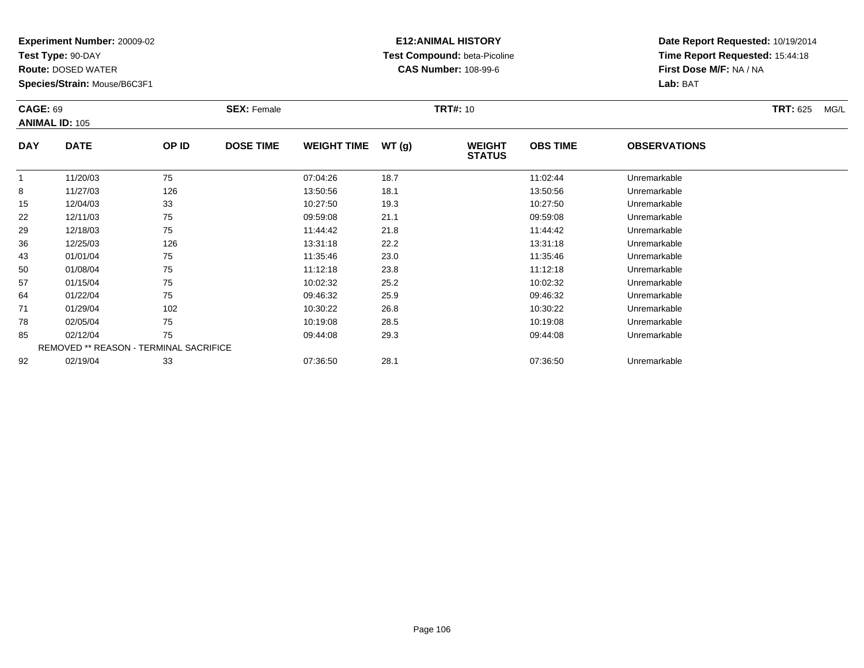**Test Type:** 90-DAY

**Route:** DOSED WATER

**Species/Strain:** Mouse/B6C3F1

# **E12:ANIMAL HISTORY Test Compound:** beta-Picoline**CAS Number:** 108-99-6

| <b>CAGE: 69</b> | <b>ANIMAL ID: 105</b>                  |       | <b>SEX: Female</b> |                    |       | <b>TRT#: 10</b>                |                 |                     | <b>TRT: 625</b><br>MG/L |
|-----------------|----------------------------------------|-------|--------------------|--------------------|-------|--------------------------------|-----------------|---------------------|-------------------------|
| <b>DAY</b>      | <b>DATE</b>                            | OP ID | <b>DOSE TIME</b>   | <b>WEIGHT TIME</b> | WT(g) | <b>WEIGHT</b><br><b>STATUS</b> | <b>OBS TIME</b> | <b>OBSERVATIONS</b> |                         |
| $\mathbf{1}$    | 11/20/03                               | 75    |                    | 07:04:26           | 18.7  |                                | 11:02:44        | Unremarkable        |                         |
| 8               | 11/27/03                               | 126   |                    | 13:50:56           | 18.1  |                                | 13:50:56        | Unremarkable        |                         |
| 15              | 12/04/03                               | 33    |                    | 10:27:50           | 19.3  |                                | 10:27:50        | Unremarkable        |                         |
| 22              | 12/11/03                               | 75    |                    | 09:59:08           | 21.1  |                                | 09:59:08        | Unremarkable        |                         |
| 29              | 12/18/03                               | 75    |                    | 11:44:42           | 21.8  |                                | 11:44:42        | Unremarkable        |                         |
| 36              | 12/25/03                               | 126   |                    | 13:31:18           | 22.2  |                                | 13:31:18        | Unremarkable        |                         |
| 43              | 01/01/04                               | 75    |                    | 11:35:46           | 23.0  |                                | 11:35:46        | Unremarkable        |                         |
| 50              | 01/08/04                               | 75    |                    | 11:12:18           | 23.8  |                                | 11:12:18        | Unremarkable        |                         |
| 57              | 01/15/04                               | 75    |                    | 10:02:32           | 25.2  |                                | 10:02:32        | Unremarkable        |                         |
| 64              | 01/22/04                               | 75    |                    | 09:46:32           | 25.9  |                                | 09:46:32        | Unremarkable        |                         |
| 71              | 01/29/04                               | 102   |                    | 10:30:22           | 26.8  |                                | 10:30:22        | Unremarkable        |                         |
| 78              | 02/05/04                               | 75    |                    | 10:19:08           | 28.5  |                                | 10:19:08        | Unremarkable        |                         |
| 85              | 02/12/04                               | 75    |                    | 09:44:08           | 29.3  |                                | 09:44:08        | Unremarkable        |                         |
|                 | REMOVED ** REASON - TERMINAL SACRIFICE |       |                    |                    |       |                                |                 |                     |                         |
| 92              | 02/19/04                               | 33    |                    | 07:36:50           | 28.1  |                                | 07:36:50        | Unremarkable        |                         |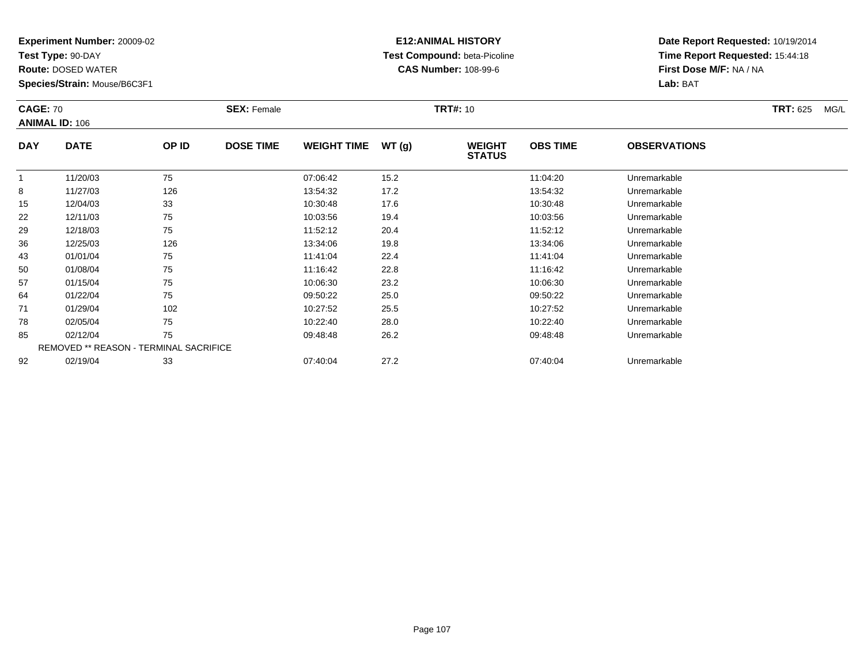**Test Type:** 90-DAY

**Route:** DOSED WATER

**Species/Strain:** Mouse/B6C3F1

# **E12:ANIMAL HISTORY Test Compound:** beta-Picoline**CAS Number:** 108-99-6

| <b>CAGE: 70</b> | <b>ANIMAL ID: 106</b>                  |       | <b>SEX: Female</b> |                    |       | <b>TRT#: 10</b>                |                 |                     | <b>TRT: 625</b><br>MG/L |
|-----------------|----------------------------------------|-------|--------------------|--------------------|-------|--------------------------------|-----------------|---------------------|-------------------------|
| <b>DAY</b>      | <b>DATE</b>                            | OP ID | <b>DOSE TIME</b>   | <b>WEIGHT TIME</b> | WT(g) | <b>WEIGHT</b><br><b>STATUS</b> | <b>OBS TIME</b> | <b>OBSERVATIONS</b> |                         |
| $\mathbf{1}$    | 11/20/03                               | 75    |                    | 07:06:42           | 15.2  |                                | 11:04:20        | Unremarkable        |                         |
| 8               | 11/27/03                               | 126   |                    | 13:54:32           | 17.2  |                                | 13:54:32        | Unremarkable        |                         |
| 15              | 12/04/03                               | 33    |                    | 10:30:48           | 17.6  |                                | 10:30:48        | Unremarkable        |                         |
| 22              | 12/11/03                               | 75    |                    | 10:03:56           | 19.4  |                                | 10:03:56        | Unremarkable        |                         |
| 29              | 12/18/03                               | 75    |                    | 11:52:12           | 20.4  |                                | 11:52:12        | Unremarkable        |                         |
| 36              | 12/25/03                               | 126   |                    | 13:34:06           | 19.8  |                                | 13:34:06        | Unremarkable        |                         |
| 43              | 01/01/04                               | 75    |                    | 11:41:04           | 22.4  |                                | 11:41:04        | Unremarkable        |                         |
| 50              | 01/08/04                               | 75    |                    | 11:16:42           | 22.8  |                                | 11:16:42        | Unremarkable        |                         |
| 57              | 01/15/04                               | 75    |                    | 10:06:30           | 23.2  |                                | 10:06:30        | Unremarkable        |                         |
| 64              | 01/22/04                               | 75    |                    | 09:50:22           | 25.0  |                                | 09:50:22        | Unremarkable        |                         |
| 71              | 01/29/04                               | 102   |                    | 10:27:52           | 25.5  |                                | 10:27:52        | Unremarkable        |                         |
| 78              | 02/05/04                               | 75    |                    | 10:22:40           | 28.0  |                                | 10:22:40        | Unremarkable        |                         |
| 85              | 02/12/04                               | 75    |                    | 09:48:48           | 26.2  |                                | 09:48:48        | Unremarkable        |                         |
|                 | REMOVED ** REASON - TERMINAL SACRIFICE |       |                    |                    |       |                                |                 |                     |                         |
| 92              | 02/19/04                               | 33    |                    | 07:40:04           | 27.2  |                                | 07:40:04        | Unremarkable        |                         |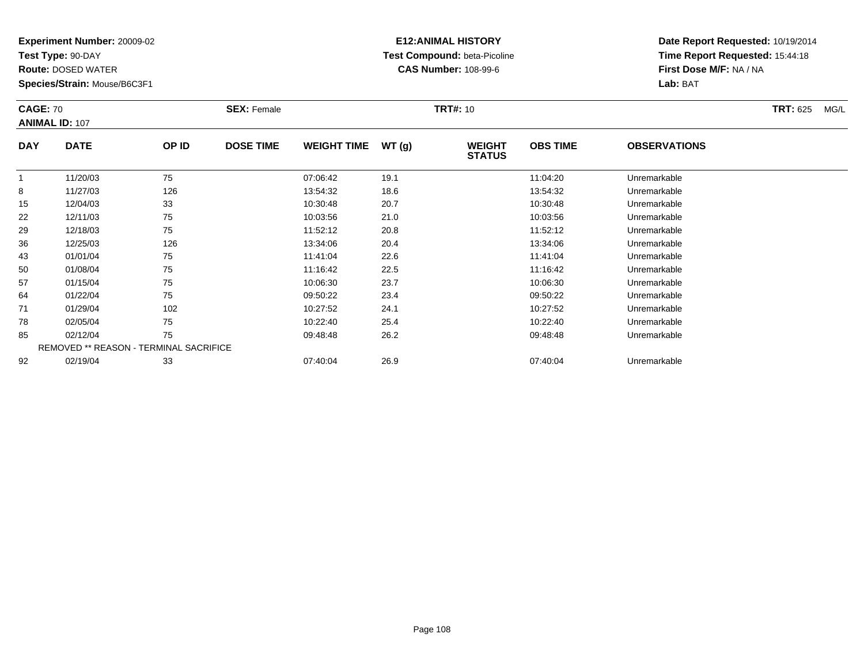**Test Type:** 90-DAY

**Route:** DOSED WATER

**Species/Strain:** Mouse/B6C3F1

# **E12:ANIMAL HISTORY Test Compound:** beta-Picoline**CAS Number:** 108-99-6

|            | <b>CAGE: 70</b><br><b>ANIMAL ID: 107</b> |       | <b>SEX: Female</b> |                    |       | <b>TRT#: 10</b>                |                 | <b>TRT: 625</b><br>MG/L |  |
|------------|------------------------------------------|-------|--------------------|--------------------|-------|--------------------------------|-----------------|-------------------------|--|
| <b>DAY</b> | <b>DATE</b>                              | OP ID | <b>DOSE TIME</b>   | <b>WEIGHT TIME</b> | WT(g) | <b>WEIGHT</b><br><b>STATUS</b> | <b>OBS TIME</b> | <b>OBSERVATIONS</b>     |  |
|            | 11/20/03                                 | 75    |                    | 07:06:42           | 19.1  |                                | 11:04:20        | Unremarkable            |  |
| 8          | 11/27/03                                 | 126   |                    | 13:54:32           | 18.6  |                                | 13:54:32        | Unremarkable            |  |
| 15         | 12/04/03                                 | 33    |                    | 10:30:48           | 20.7  |                                | 10:30:48        | Unremarkable            |  |
| 22         | 12/11/03                                 | 75    |                    | 10:03:56           | 21.0  |                                | 10:03:56        | Unremarkable            |  |
| 29         | 12/18/03                                 | 75    |                    | 11:52:12           | 20.8  |                                | 11:52:12        | Unremarkable            |  |
| 36         | 12/25/03                                 | 126   |                    | 13:34:06           | 20.4  |                                | 13:34:06        | Unremarkable            |  |
| 43         | 01/01/04                                 | 75    |                    | 11:41:04           | 22.6  |                                | 11:41:04        | Unremarkable            |  |
| 50         | 01/08/04                                 | 75    |                    | 11:16:42           | 22.5  |                                | 11:16:42        | Unremarkable            |  |
| 57         | 01/15/04                                 | 75    |                    | 10:06:30           | 23.7  |                                | 10:06:30        | Unremarkable            |  |
| 64         | 01/22/04                                 | 75    |                    | 09:50:22           | 23.4  |                                | 09:50:22        | Unremarkable            |  |
| 71         | 01/29/04                                 | 102   |                    | 10:27:52           | 24.1  |                                | 10:27:52        | Unremarkable            |  |
| 78         | 02/05/04                                 | 75    |                    | 10:22:40           | 25.4  |                                | 10:22:40        | Unremarkable            |  |
| 85         | 02/12/04                                 | 75    |                    | 09:48:48           | 26.2  |                                | 09:48:48        | Unremarkable            |  |
|            | REMOVED ** REASON - TERMINAL SACRIFICE   |       |                    |                    |       |                                |                 |                         |  |
| 92         | 02/19/04                                 | 33    |                    | 07:40:04           | 26.9  |                                | 07:40:04        | Unremarkable            |  |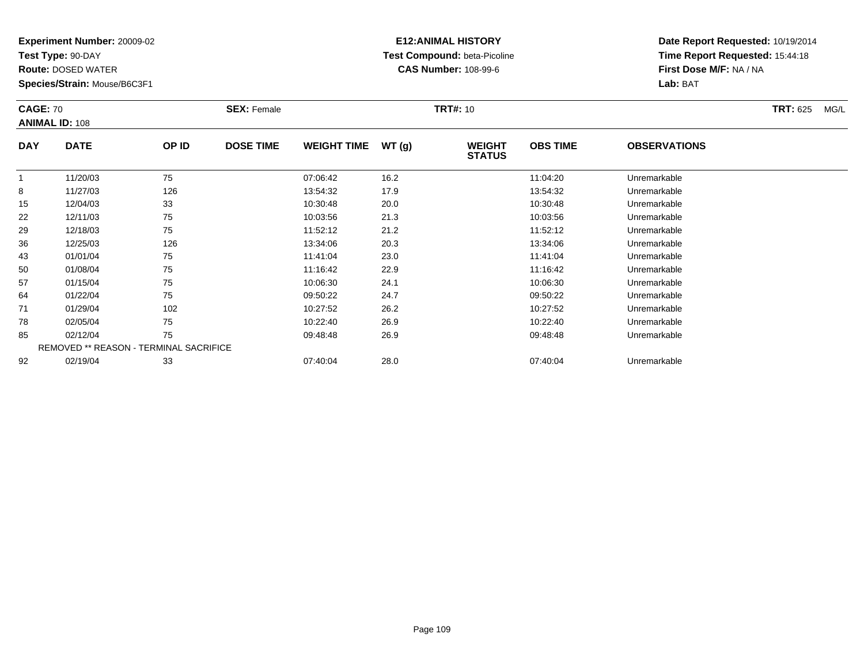**Test Type:** 90-DAY

**Route:** DOSED WATER

**Species/Strain:** Mouse/B6C3F1

# **E12:ANIMAL HISTORY Test Compound:** beta-Picoline**CAS Number:** 108-99-6

| <b>CAGE: 70</b> | <b>ANIMAL ID: 108</b>                  |       | <b>SEX: Female</b> |                    |       | <b>TRT#: 10</b>                |                 |                     | <b>TRT: 625</b><br>MG/L |
|-----------------|----------------------------------------|-------|--------------------|--------------------|-------|--------------------------------|-----------------|---------------------|-------------------------|
| <b>DAY</b>      | <b>DATE</b>                            | OP ID | <b>DOSE TIME</b>   | <b>WEIGHT TIME</b> | WT(g) | <b>WEIGHT</b><br><b>STATUS</b> | <b>OBS TIME</b> | <b>OBSERVATIONS</b> |                         |
| $\mathbf{1}$    | 11/20/03                               | 75    |                    | 07:06:42           | 16.2  |                                | 11:04:20        | Unremarkable        |                         |
| 8               | 11/27/03                               | 126   |                    | 13:54:32           | 17.9  |                                | 13:54:32        | Unremarkable        |                         |
| 15              | 12/04/03                               | 33    |                    | 10:30:48           | 20.0  |                                | 10:30:48        | Unremarkable        |                         |
| 22              | 12/11/03                               | 75    |                    | 10:03:56           | 21.3  |                                | 10:03:56        | Unremarkable        |                         |
| 29              | 12/18/03                               | 75    |                    | 11:52:12           | 21.2  |                                | 11:52:12        | Unremarkable        |                         |
| 36              | 12/25/03                               | 126   |                    | 13:34:06           | 20.3  |                                | 13:34:06        | Unremarkable        |                         |
| 43              | 01/01/04                               | 75    |                    | 11:41:04           | 23.0  |                                | 11:41:04        | Unremarkable        |                         |
| 50              | 01/08/04                               | 75    |                    | 11:16:42           | 22.9  |                                | 11:16:42        | Unremarkable        |                         |
| 57              | 01/15/04                               | 75    |                    | 10:06:30           | 24.1  |                                | 10:06:30        | Unremarkable        |                         |
| 64              | 01/22/04                               | 75    |                    | 09:50:22           | 24.7  |                                | 09:50:22        | Unremarkable        |                         |
| 71              | 01/29/04                               | 102   |                    | 10:27:52           | 26.2  |                                | 10:27:52        | Unremarkable        |                         |
| 78              | 02/05/04                               | 75    |                    | 10:22:40           | 26.9  |                                | 10:22:40        | Unremarkable        |                         |
| 85              | 02/12/04                               | 75    |                    | 09:48:48           | 26.9  |                                | 09:48:48        | Unremarkable        |                         |
|                 | REMOVED ** REASON - TERMINAL SACRIFICE |       |                    |                    |       |                                |                 |                     |                         |
| 92              | 02/19/04                               | 33    |                    | 07:40:04           | 28.0  |                                | 07:40:04        | Unremarkable        |                         |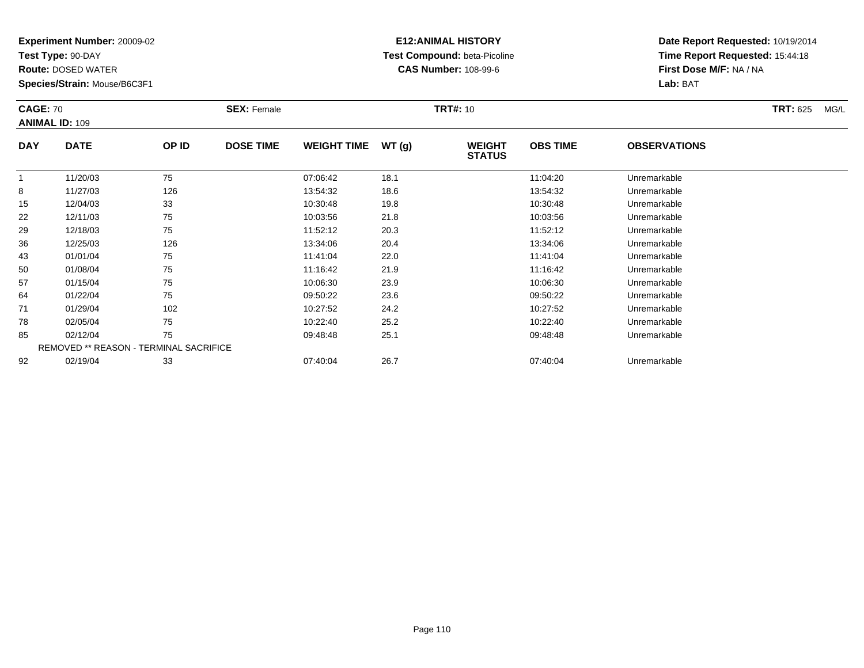**Test Type:** 90-DAY

**Route:** DOSED WATER

**Species/Strain:** Mouse/B6C3F1

# **E12:ANIMAL HISTORY Test Compound:** beta-Picoline**CAS Number:** 108-99-6

| <b>CAGE: 70</b> | <b>ANIMAL ID: 109</b>                  |       | <b>SEX: Female</b> |                    |       | <b>TRT#: 10</b>                |                 |                     | <b>TRT: 625</b><br>MG/L |
|-----------------|----------------------------------------|-------|--------------------|--------------------|-------|--------------------------------|-----------------|---------------------|-------------------------|
| <b>DAY</b>      | <b>DATE</b>                            | OP ID | <b>DOSE TIME</b>   | <b>WEIGHT TIME</b> | WT(g) | <b>WEIGHT</b><br><b>STATUS</b> | <b>OBS TIME</b> | <b>OBSERVATIONS</b> |                         |
| $\mathbf{1}$    | 11/20/03                               | 75    |                    | 07:06:42           | 18.1  |                                | 11:04:20        | Unremarkable        |                         |
| 8               | 11/27/03                               | 126   |                    | 13:54:32           | 18.6  |                                | 13:54:32        | Unremarkable        |                         |
| 15              | 12/04/03                               | 33    |                    | 10:30:48           | 19.8  |                                | 10:30:48        | Unremarkable        |                         |
| 22              | 12/11/03                               | 75    |                    | 10:03:56           | 21.8  |                                | 10:03:56        | Unremarkable        |                         |
| 29              | 12/18/03                               | 75    |                    | 11:52:12           | 20.3  |                                | 11:52:12        | Unremarkable        |                         |
| 36              | 12/25/03                               | 126   |                    | 13:34:06           | 20.4  |                                | 13:34:06        | Unremarkable        |                         |
| 43              | 01/01/04                               | 75    |                    | 11:41:04           | 22.0  |                                | 11:41:04        | Unremarkable        |                         |
| 50              | 01/08/04                               | 75    |                    | 11:16:42           | 21.9  |                                | 11:16:42        | Unremarkable        |                         |
| 57              | 01/15/04                               | 75    |                    | 10:06:30           | 23.9  |                                | 10:06:30        | Unremarkable        |                         |
| 64              | 01/22/04                               | 75    |                    | 09:50:22           | 23.6  |                                | 09:50:22        | Unremarkable        |                         |
| 71              | 01/29/04                               | 102   |                    | 10:27:52           | 24.2  |                                | 10:27:52        | Unremarkable        |                         |
| 78              | 02/05/04                               | 75    |                    | 10:22:40           | 25.2  |                                | 10:22:40        | Unremarkable        |                         |
| 85              | 02/12/04                               | 75    |                    | 09:48:48           | 25.1  |                                | 09:48:48        | Unremarkable        |                         |
|                 | REMOVED ** REASON - TERMINAL SACRIFICE |       |                    |                    |       |                                |                 |                     |                         |
| 92              | 02/19/04                               | 33    |                    | 07:40:04           | 26.7  |                                | 07:40:04        | Unremarkable        |                         |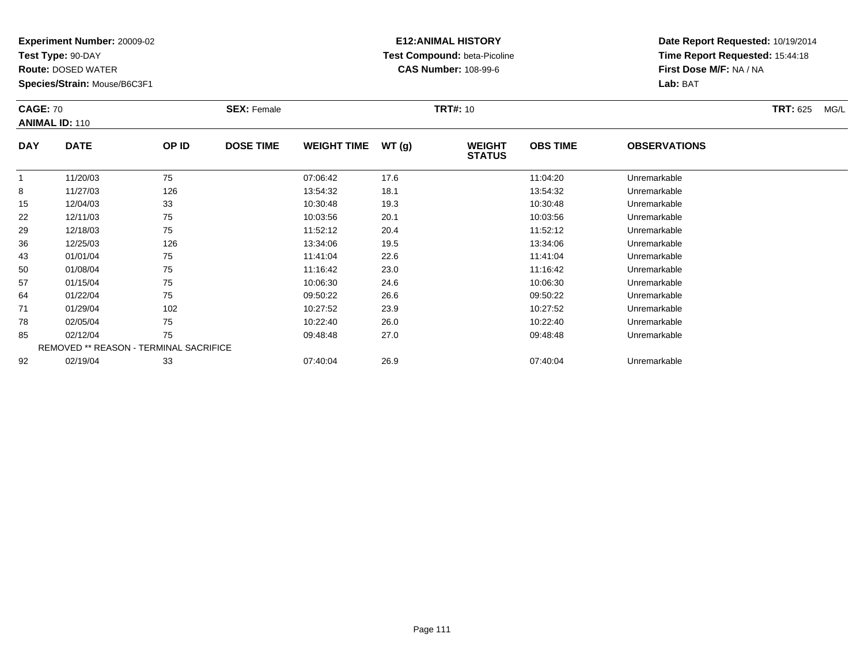**Test Type:** 90-DAY

**Route:** DOSED WATER

**Species/Strain:** Mouse/B6C3F1

# **E12:ANIMAL HISTORY Test Compound:** beta-Picoline**CAS Number:** 108-99-6

| <b>CAGE: 70</b> | <b>ANIMAL ID: 110</b>                  |       | <b>SEX: Female</b> |                    |       | <b>TRT#: 10</b>                |                 |                     | <b>TRT: 625</b><br>MG/L |
|-----------------|----------------------------------------|-------|--------------------|--------------------|-------|--------------------------------|-----------------|---------------------|-------------------------|
| <b>DAY</b>      | <b>DATE</b>                            | OP ID | <b>DOSE TIME</b>   | <b>WEIGHT TIME</b> | WT(g) | <b>WEIGHT</b><br><b>STATUS</b> | <b>OBS TIME</b> | <b>OBSERVATIONS</b> |                         |
|                 | 11/20/03                               | 75    |                    | 07:06:42           | 17.6  |                                | 11:04:20        | Unremarkable        |                         |
| 8               | 11/27/03                               | 126   |                    | 13:54:32           | 18.1  |                                | 13:54:32        | Unremarkable        |                         |
| 15              | 12/04/03                               | 33    |                    | 10:30:48           | 19.3  |                                | 10:30:48        | Unremarkable        |                         |
| 22              | 12/11/03                               | 75    |                    | 10:03:56           | 20.1  |                                | 10:03:56        | Unremarkable        |                         |
| 29              | 12/18/03                               | 75    |                    | 11:52:12           | 20.4  |                                | 11:52:12        | Unremarkable        |                         |
| 36              | 12/25/03                               | 126   |                    | 13:34:06           | 19.5  |                                | 13:34:06        | Unremarkable        |                         |
| 43              | 01/01/04                               | 75    |                    | 11:41:04           | 22.6  |                                | 11:41:04        | Unremarkable        |                         |
| 50              | 01/08/04                               | 75    |                    | 11:16:42           | 23.0  |                                | 11:16:42        | Unremarkable        |                         |
| 57              | 01/15/04                               | 75    |                    | 10:06:30           | 24.6  |                                | 10:06:30        | Unremarkable        |                         |
| 64              | 01/22/04                               | 75    |                    | 09:50:22           | 26.6  |                                | 09:50:22        | Unremarkable        |                         |
| 71              | 01/29/04                               | 102   |                    | 10:27:52           | 23.9  |                                | 10:27:52        | Unremarkable        |                         |
| 78              | 02/05/04                               | 75    |                    | 10:22:40           | 26.0  |                                | 10:22:40        | Unremarkable        |                         |
| 85              | 02/12/04                               | 75    |                    | 09:48:48           | 27.0  |                                | 09:48:48        | Unremarkable        |                         |
|                 | REMOVED ** REASON - TERMINAL SACRIFICE |       |                    |                    |       |                                |                 |                     |                         |
| 92              | 02/19/04                               | 33    |                    | 07:40:04           | 26.9  |                                | 07:40:04        | Unremarkable        |                         |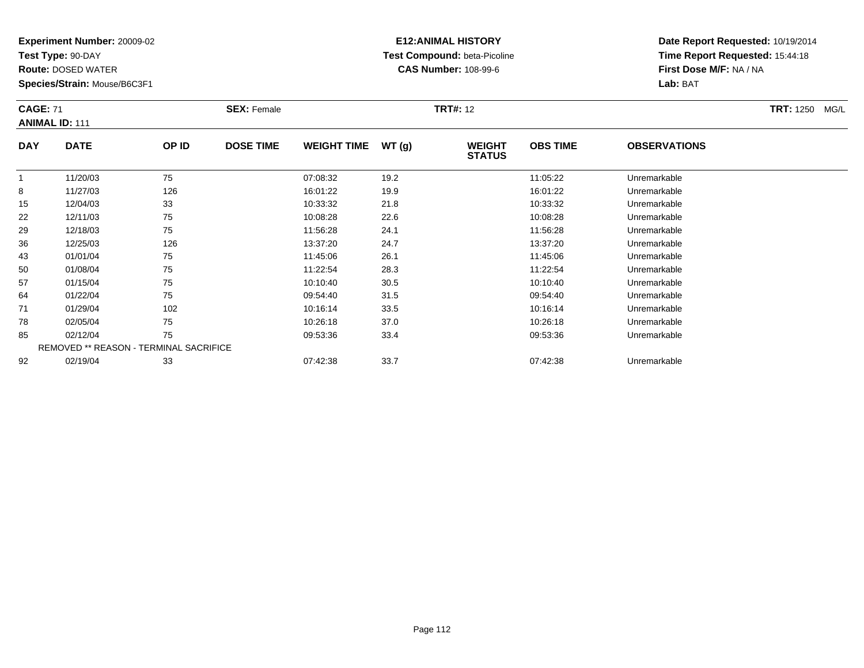**Test Type:** 90-DAY

**Route:** DOSED WATER

**Species/Strain:** Mouse/B6C3F1

# **E12:ANIMAL HISTORY Test Compound:** beta-Picoline**CAS Number:** 108-99-6

|               | <b>CAGE: 71</b><br><b>ANIMAL ID: 111</b> |                      | <b>SEX: Female</b> |                             |                      | <b>TRT#: 12</b>                |                             |                     | <b>TRT: 1250 MG/L</b> |
|---------------|------------------------------------------|----------------------|--------------------|-----------------------------|----------------------|--------------------------------|-----------------------------|---------------------|-----------------------|
| <b>DAY</b>    | <b>DATE</b>                              | OP ID                | <b>DOSE TIME</b>   | <b>WEIGHT TIME</b>          | WT(q)                | <b>WEIGHT</b><br><b>STATUS</b> | <b>OBS TIME</b>             | <b>OBSERVATIONS</b> |                       |
|               | 11/20/03                                 | 75                   |                    | 07:08:32                    | 19.2                 |                                | 11:05:22                    | Unremarkable        |                       |
| 8             | 11/27/03                                 | 126                  |                    | 16:01:22                    | 19.9                 |                                | 16:01:22                    | Unremarkable        |                       |
| 15            | 12/04/03                                 | 33                   |                    | 10:33:32                    | 21.8                 |                                | 10:33:32                    | Unremarkable        |                       |
| 22            | 12/11/03                                 | 75                   |                    | 10:08:28                    | 22.6                 |                                | 10:08:28                    | Unremarkable        |                       |
| 29            | 12/18/03                                 | 75                   |                    | 11:56:28                    | 24.1                 |                                | 11:56:28                    | Unremarkable        |                       |
| $\sim$ $\sim$ | $1 - 1 = 1 - 1$                          | $\sim$ $\sim$ $\sim$ |                    | $\sim$ $\sim$ $\sim$ $\sim$ | $\sim$ $\sim$ $\sim$ |                                | $\sim$ $\sim$ $\sim$ $\sim$ |                     |                       |

| 29 | 12/18/03 | 75                                     | 11:56:28 | 24.1 | 11:56:28 | Unremarkable |  |
|----|----------|----------------------------------------|----------|------|----------|--------------|--|
| 36 | 12/25/03 | 126                                    | 13:37:20 | 24.7 | 13:37:20 | Unremarkable |  |
| 43 | 01/01/04 | 75                                     | 11:45:06 | 26.1 | 11:45:06 | Unremarkable |  |
| 50 | 01/08/04 | 75                                     | 11:22:54 | 28.3 | 11:22:54 | Unremarkable |  |
| 57 | 01/15/04 | 75                                     | 10:10:40 | 30.5 | 10:10:40 | Unremarkable |  |
| 64 | 01/22/04 | 75                                     | 09:54:40 | 31.5 | 09:54:40 | Unremarkable |  |
| 71 | 01/29/04 | 102                                    | 10:16:14 | 33.5 | 10:16:14 | Unremarkable |  |
| 78 | 02/05/04 | 75                                     | 10:26:18 | 37.0 | 10:26:18 | Unremarkable |  |
| 85 | 02/12/04 | 75                                     | 09:53:36 | 33.4 | 09:53:36 | Unremarkable |  |
|    |          | REMOVED ** REASON - TERMINAL SACRIFICE |          |      |          |              |  |
| 92 | 02/19/04 | 33                                     | 07:42:38 | 33.7 | 07:42:38 | Unremarkable |  |
|    |          |                                        |          |      |          |              |  |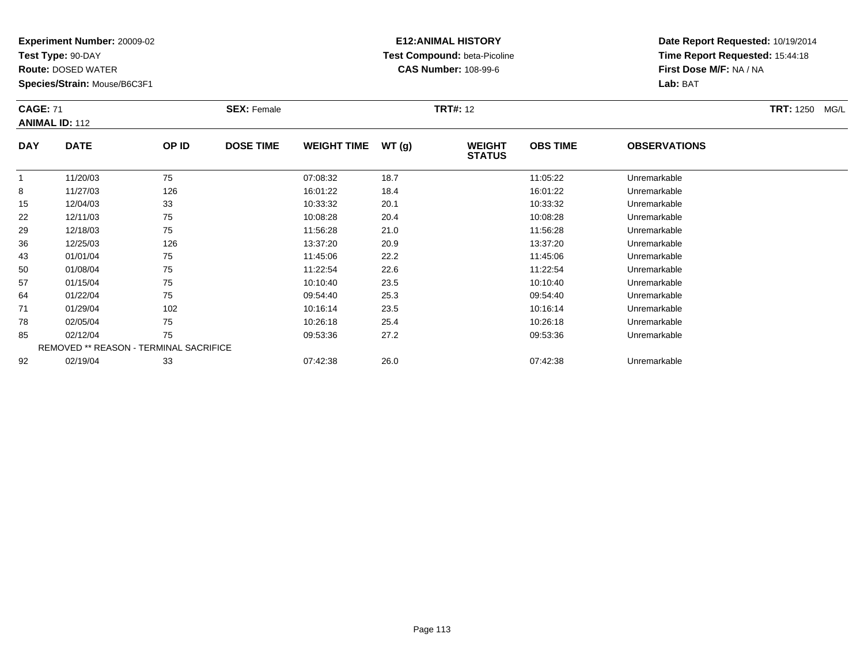**Test Type:** 90-DAY

78

85

92

**Route:** DOSED WATER

**Species/Strain:** Mouse/B6C3F1

REMOVED \*\* REASON - TERMINAL SACRIFICE

### **E12:ANIMAL HISTORY Test Compound:** beta-Picoline**CAS Number:** 108-99-6

**Date Report Requested:** 10/19/2014**Time Report Requested:** 15:44:18**First Dose M/F:** NA / NA**Lab:** BAT

| <b>CAGE: 71</b> | <b>ANIMAL ID: 112</b> |       | <b>SEX: Female</b> |                    |       | <b>TRT#: 12</b>                | <b>TRT: 1250</b><br>MG/L |                     |  |
|-----------------|-----------------------|-------|--------------------|--------------------|-------|--------------------------------|--------------------------|---------------------|--|
| <b>DAY</b>      | <b>DATE</b>           | OP ID | <b>DOSE TIME</b>   | <b>WEIGHT TIME</b> | WT(g) | <b>WEIGHT</b><br><b>STATUS</b> | <b>OBS TIME</b>          | <b>OBSERVATIONS</b> |  |
|                 | 11/20/03              | 75    |                    | 07:08:32           | 18.7  |                                | 11:05:22                 | Unremarkable        |  |
| 8               | 11/27/03              | 126   |                    | 16:01:22           | 18.4  |                                | 16:01:22                 | Unremarkable        |  |
| 15              | 12/04/03              | 33    |                    | 10:33:32           | 20.1  |                                | 10:33:32                 | Unremarkable        |  |
| 22              | 12/11/03              | 75    |                    | 10:08:28           | 20.4  |                                | 10:08:28                 | Unremarkable        |  |
| 29              | 12/18/03              | 75    |                    | 11:56:28           | 21.0  |                                | 11:56:28                 | Unremarkable        |  |
| 36              | 12/25/03              | 126   |                    | 13:37:20           | 20.9  |                                | 13:37:20                 | Unremarkable        |  |
| 43              | 01/01/04              | 75    |                    | 11:45:06           | 22.2  |                                | 11:45:06                 | Unremarkable        |  |
| 50              | 01/08/04              | 75    |                    | 11:22:54           | 22.6  |                                | 11:22:54                 | Unremarkable        |  |
| 57              | 01/15/04              | 75    |                    | 10:10:40           | 23.5  |                                | 10:10:40                 | Unremarkable        |  |
| 64              | 01/22/04              | 75    |                    | 09:54:40           | 25.3  |                                | 09:54:40                 | Unremarkable        |  |
| 71              | 01/29/04              | 102   |                    | 10:16:14           | 23.5  |                                | 10:16:14                 | Unremarkable        |  |

01/29/04 <sup>102</sup> 10:16:14 23.5 10:16:14 Unremarkable

02/05/04 <sup>75</sup> 10:26:18 25.4 10:26:18 Unremarkable

02/12/04 <sup>75</sup> 09:53:36 27.2 09:53:36 Unremarkable

02/19/04 <sup>33</sup> 07:42:38 26.0 07:42:38 Unremarkable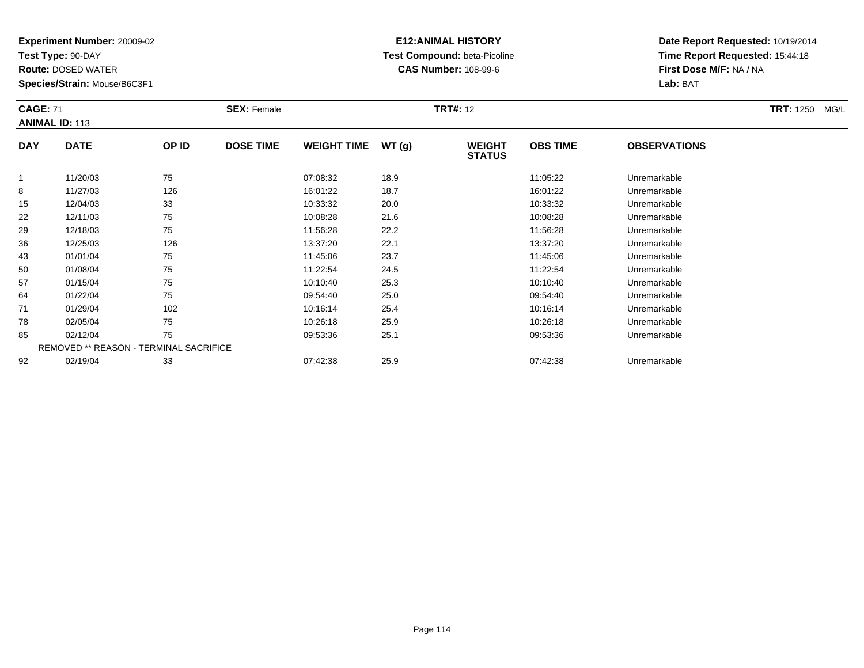**Test Type:** 90-DAY

64

71

78

85

92

**Route:** DOSED WATER

**Species/Strain:** Mouse/B6C3F1

REMOVED \*\* REASON - TERMINAL SACRIFICE

### **E12:ANIMAL HISTORY Test Compound:** beta-Picoline**CAS Number:** 108-99-6

**Date Report Requested:** 10/19/2014**Time Report Requested:** 15:44:18**First Dose M/F:** NA / NA**Lab:** BAT

|            | <b>CAGE: 71</b><br><b>ANIMAL ID: 113</b> |       | <b>SEX: Female</b> |                    |       | <b>TRT#: 12</b>                | <b>TRT: 1250</b><br>MG/L |                     |  |
|------------|------------------------------------------|-------|--------------------|--------------------|-------|--------------------------------|--------------------------|---------------------|--|
| <b>DAY</b> | <b>DATE</b>                              | OP ID | <b>DOSE TIME</b>   | <b>WEIGHT TIME</b> | WT(g) | <b>WEIGHT</b><br><b>STATUS</b> | <b>OBS TIME</b>          | <b>OBSERVATIONS</b> |  |
|            | 11/20/03                                 | 75    |                    | 07:08:32           | 18.9  |                                | 11:05:22                 | Unremarkable        |  |
| 8          | 11/27/03                                 | 126   |                    | 16:01:22           | 18.7  |                                | 16:01:22                 | Unremarkable        |  |
| 15         | 12/04/03                                 | 33    |                    | 10:33:32           | 20.0  |                                | 10:33:32                 | Unremarkable        |  |
| 22         | 12/11/03                                 | 75    |                    | 10:08:28           | 21.6  |                                | 10:08:28                 | Unremarkable        |  |
| 29         | 12/18/03                                 | 75    |                    | 11:56:28           | 22.2  |                                | 11:56:28                 | Unremarkable        |  |
| 36         | 12/25/03                                 | 126   |                    | 13:37:20           | 22.1  |                                | 13:37:20                 | Unremarkable        |  |
| 43         | 01/01/04                                 | 75    |                    | 11:45:06           | 23.7  |                                | 11:45:06                 | Unremarkable        |  |
| 50         | 01/08/04                                 | 75    |                    | 11:22:54           | 24.5  |                                | 11:22:54                 | Unremarkable        |  |
| 57         | 01/15/04                                 | 75    |                    | 10:10:40           | 25.3  |                                | 10:10:40                 | Unremarkable        |  |

01/22/04 <sup>75</sup> 09:54:40 25.0 09:54:40 Unremarkable

01/29/04 <sup>102</sup> 10:16:14 25.4 10:16:14 Unremarkable

02/05/04 <sup>75</sup> 10:26:18 25.9 10:26:18 Unremarkable

02/12/04 <sup>75</sup> 09:53:36 25.1 09:53:36 Unremarkable

02/19/04 <sup>33</sup> 07:42:38 25.9 07:42:38 Unremarkable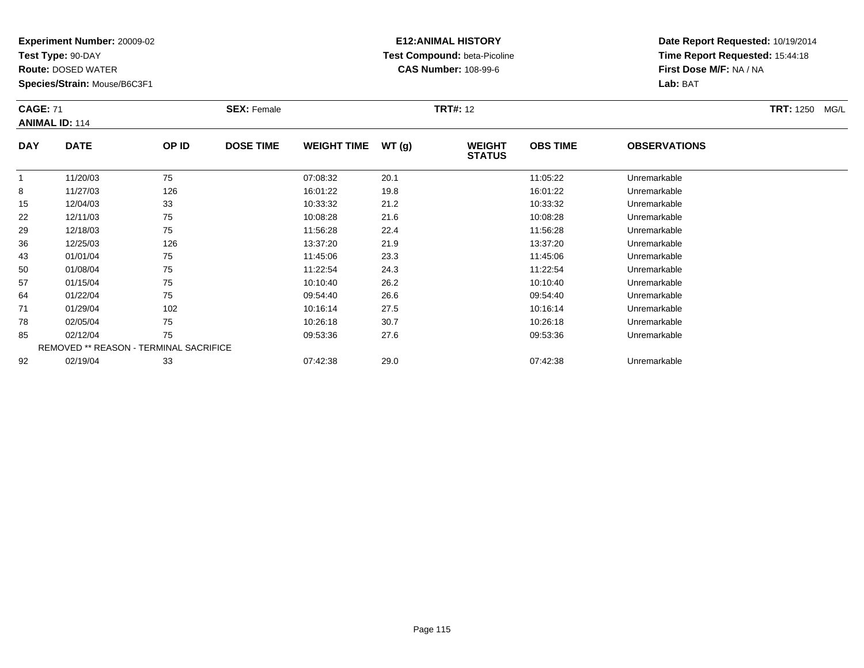**Test Type:** 90-DAY

85

92

**Route:** DOSED WATER

**Species/Strain:** Mouse/B6C3F1

REMOVED \*\* REASON - TERMINAL SACRIFICE

### **E12:ANIMAL HISTORY Test Compound:** beta-Picoline**CAS Number:** 108-99-6

**Date Report Requested:** 10/19/2014**Time Report Requested:** 15:44:18**First Dose M/F:** NA / NA**Lab:** BAT

|            | <b>CAGE: 71</b><br><b>ANIMAL ID: 114</b> |       | <b>SEX: Female</b> |                    |       | <b>TRT#: 12</b>                |                 | <b>TRT: 1250</b><br>MG/L |  |
|------------|------------------------------------------|-------|--------------------|--------------------|-------|--------------------------------|-----------------|--------------------------|--|
| <b>DAY</b> | <b>DATE</b>                              | OP ID | <b>DOSE TIME</b>   | <b>WEIGHT TIME</b> | WT(g) | <b>WEIGHT</b><br><b>STATUS</b> | <b>OBS TIME</b> | <b>OBSERVATIONS</b>      |  |
| 1          | 11/20/03                                 | 75    |                    | 07:08:32           | 20.1  |                                | 11:05:22        | Unremarkable             |  |
| 8          | 11/27/03                                 | 126   |                    | 16:01:22           | 19.8  |                                | 16:01:22        | Unremarkable             |  |
| 15         | 12/04/03                                 | 33    |                    | 10:33:32           | 21.2  |                                | 10:33:32        | Unremarkable             |  |
| 22         | 12/11/03                                 | 75    |                    | 10:08:28           | 21.6  |                                | 10:08:28        | Unremarkable             |  |
| 29         | 12/18/03                                 | 75    |                    | 11:56:28           | 22.4  |                                | 11:56:28        | Unremarkable             |  |
| 36         | 12/25/03                                 | 126   |                    | 13:37:20           | 21.9  |                                | 13:37:20        | Unremarkable             |  |
| 43         | 01/01/04                                 | 75    |                    | 11:45:06           | 23.3  |                                | 11:45:06        | Unremarkable             |  |
| 50         | 01/08/04                                 | 75    |                    | 11:22:54           | 24.3  |                                | 11:22:54        | Unremarkable             |  |
| 57         | 01/15/04                                 | 75    |                    | 10:10:40           | 26.2  |                                | 10:10:40        | Unremarkable             |  |
| 64         | 01/22/04                                 | 75    |                    | 09:54:40           | 26.6  |                                | 09:54:40        | Unremarkable             |  |
| 71         | 01/29/04                                 | 102   |                    | 10:16:14           | 27.5  |                                | 10:16:14        | Unremarkable             |  |
| 78         | 02/05/04                                 | 75    |                    | 10:26:18           | 30.7  |                                | 10:26:18        | Unremarkable             |  |

02/12/04 <sup>75</sup> 09:53:36 27.6 09:53:36 Unremarkable

02/19/04 <sup>33</sup> 07:42:38 29.0 07:42:38 Unremarkable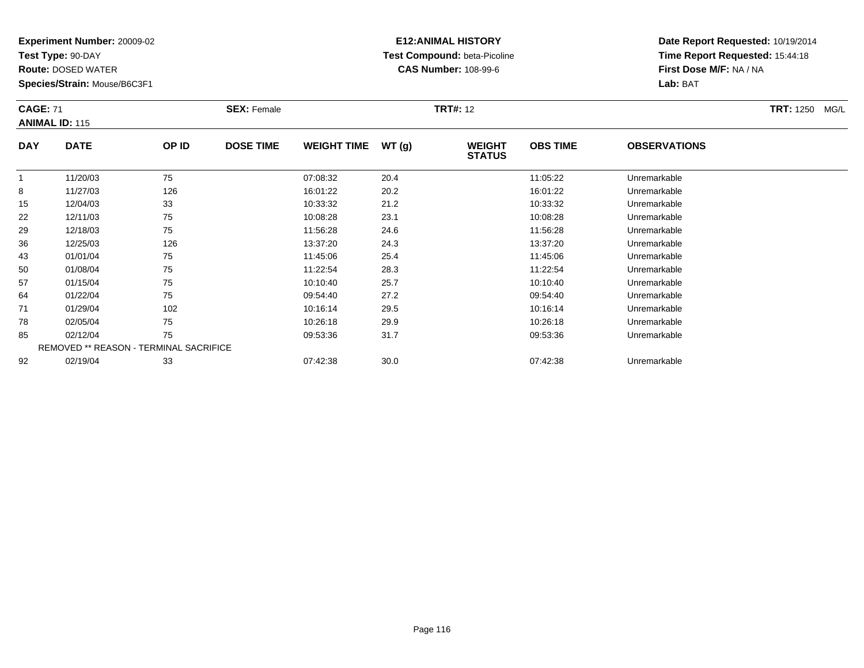**Test Type:** 90-DAY

78

85

92

**Route:** DOSED WATER

**Species/Strain:** Mouse/B6C3F1

REMOVED \*\* REASON - TERMINAL SACRIFICE

### **E12:ANIMAL HISTORY Test Compound:** beta-Picoline**CAS Number:** 108-99-6

**Date Report Requested:** 10/19/2014**Time Report Requested:** 15:44:18**First Dose M/F:** NA / NA**Lab:** BAT

|            | <b>CAGE: 71</b><br><b>ANIMAL ID: 115</b> |       | <b>SEX: Female</b> |                    |       | <b>TRT#: 12</b>                |                 | <b>TRT: 1250</b><br>MG/L |  |
|------------|------------------------------------------|-------|--------------------|--------------------|-------|--------------------------------|-----------------|--------------------------|--|
| <b>DAY</b> | <b>DATE</b>                              | OP ID | <b>DOSE TIME</b>   | <b>WEIGHT TIME</b> | WT(g) | <b>WEIGHT</b><br><b>STATUS</b> | <b>OBS TIME</b> | <b>OBSERVATIONS</b>      |  |
|            | 11/20/03                                 | 75    |                    | 07:08:32           | 20.4  |                                | 11:05:22        | Unremarkable             |  |
| 8          | 11/27/03                                 | 126   |                    | 16:01:22           | 20.2  |                                | 16:01:22        | Unremarkable             |  |
| 15         | 12/04/03                                 | 33    |                    | 10:33:32           | 21.2  |                                | 10:33:32        | Unremarkable             |  |
| 22         | 12/11/03                                 | 75    |                    | 10:08:28           | 23.1  |                                | 10:08:28        | Unremarkable             |  |
| 29         | 12/18/03                                 | 75    |                    | 11:56:28           | 24.6  |                                | 11:56:28        | Unremarkable             |  |
| 36         | 12/25/03                                 | 126   |                    | 13:37:20           | 24.3  |                                | 13:37:20        | Unremarkable             |  |
| 43         | 01/01/04                                 | 75    |                    | 11:45:06           | 25.4  |                                | 11:45:06        | Unremarkable             |  |
| 50         | 01/08/04                                 | 75    |                    | 11:22:54           | 28.3  |                                | 11:22:54        | Unremarkable             |  |
| 57         | 01/15/04                                 | 75    |                    | 10:10:40           | 25.7  |                                | 10:10:40        | Unremarkable             |  |
| 64         | 01/22/04                                 | 75    |                    | 09:54:40           | 27.2  |                                | 09:54:40        | Unremarkable             |  |
| 71         | 01/29/04                                 | 102   |                    | 10:16:14           | 29.5  |                                | 10:16:14        | Unremarkable             |  |

02/05/04 <sup>75</sup> 10:26:18 29.9 10:26:18 Unremarkable

02/12/04 <sup>75</sup> 09:53:36 31.7 09:53:36 Unremarkable

02/19/04 <sup>33</sup> 07:42:38 30.0 07:42:38 Unremarkable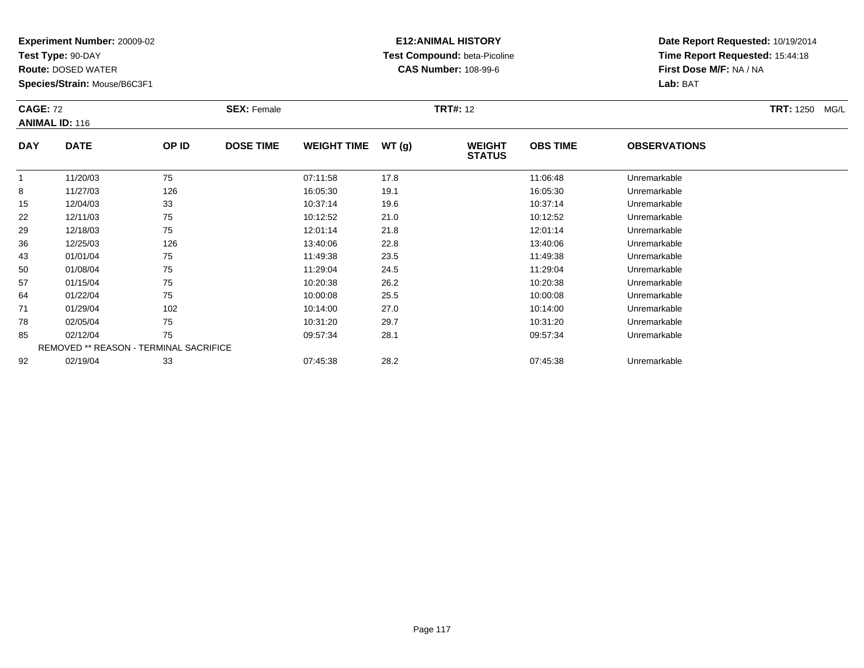**Test Type:** 90-DAY

**Route:** DOSED WATER

**Species/Strain:** Mouse/B6C3F1

# **E12:ANIMAL HISTORY Test Compound:** beta-Picoline**CAS Number:** 108-99-6

| <b>CAGE: 72</b> | <b>ANIMAL ID: 116</b>                         |       | <b>SEX: Female</b> |                    |       | <b>TRT#: 12</b>                |                 |                     | <b>TRT: 1250</b><br>MG/L |
|-----------------|-----------------------------------------------|-------|--------------------|--------------------|-------|--------------------------------|-----------------|---------------------|--------------------------|
| <b>DAY</b>      | <b>DATE</b>                                   | OP ID | <b>DOSE TIME</b>   | <b>WEIGHT TIME</b> | WT(g) | <b>WEIGHT</b><br><b>STATUS</b> | <b>OBS TIME</b> | <b>OBSERVATIONS</b> |                          |
|                 | 11/20/03                                      | 75    |                    | 07:11:58           | 17.8  |                                | 11:06:48        | Unremarkable        |                          |
| 8               | 11/27/03                                      | 126   |                    | 16:05:30           | 19.1  |                                | 16:05:30        | Unremarkable        |                          |
| 15              | 12/04/03                                      | 33    |                    | 10:37:14           | 19.6  |                                | 10:37:14        | Unremarkable        |                          |
| 22              | 12/11/03                                      | 75    |                    | 10:12:52           | 21.0  |                                | 10:12:52        | Unremarkable        |                          |
| 29              | 12/18/03                                      | 75    |                    | 12:01:14           | 21.8  |                                | 12:01:14        | Unremarkable        |                          |
| 36              | 12/25/03                                      | 126   |                    | 13:40:06           | 22.8  |                                | 13:40:06        | Unremarkable        |                          |
| 43              | 01/01/04                                      | 75    |                    | 11:49:38           | 23.5  |                                | 11:49:38        | Unremarkable        |                          |
| 50              | 01/08/04                                      | 75    |                    | 11:29:04           | 24.5  |                                | 11:29:04        | Unremarkable        |                          |
| 57              | 01/15/04                                      | 75    |                    | 10:20:38           | 26.2  |                                | 10:20:38        | Unremarkable        |                          |
| 64              | 01/22/04                                      | 75    |                    | 10:00:08           | 25.5  |                                | 10:00:08        | Unremarkable        |                          |
| 71              | 01/29/04                                      | 102   |                    | 10:14:00           | 27.0  |                                | 10:14:00        | Unremarkable        |                          |
| 78              | 02/05/04                                      | 75    |                    | 10:31:20           | 29.7  |                                | 10:31:20        | Unremarkable        |                          |
| 85              | 02/12/04                                      | 75    |                    | 09:57:34           | 28.1  |                                | 09:57:34        | Unremarkable        |                          |
|                 | <b>REMOVED ** REASON - TERMINAL SACRIFICE</b> |       |                    |                    |       |                                |                 |                     |                          |
| 92              | 02/19/04                                      | 33    |                    | 07:45:38           | 28.2  |                                | 07:45:38        | Unremarkable        |                          |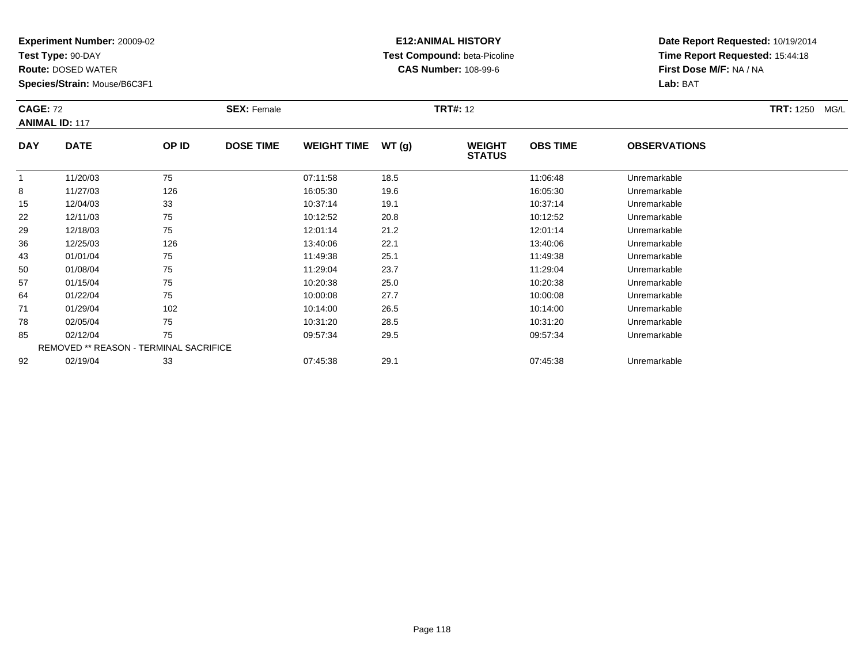**Test Type:** 90-DAY

85

92

**Route:** DOSED WATER

**Species/Strain:** Mouse/B6C3F1

REMOVED \*\* REASON - TERMINAL SACRIFICE

### **E12:ANIMAL HISTORY Test Compound:** beta-Picoline**CAS Number:** 108-99-6

**Date Report Requested:** 10/19/2014**Time Report Requested:** 15:44:18**First Dose M/F:** NA / NA**Lab:** BAT

|            | <b>CAGE: 72</b><br><b>ANIMAL ID: 117</b> |       | <b>SEX: Female</b> |                    |       | <b>TRT#: 12</b>                | <b>TRT:</b> 1250<br>MG/L |                     |  |
|------------|------------------------------------------|-------|--------------------|--------------------|-------|--------------------------------|--------------------------|---------------------|--|
| <b>DAY</b> | <b>DATE</b>                              | OP ID | <b>DOSE TIME</b>   | <b>WEIGHT TIME</b> | WT(g) | <b>WEIGHT</b><br><b>STATUS</b> | <b>OBS TIME</b>          | <b>OBSERVATIONS</b> |  |
|            | 11/20/03                                 | 75    |                    | 07:11:58           | 18.5  |                                | 11:06:48                 | Unremarkable        |  |
| 8          | 11/27/03                                 | 126   |                    | 16:05:30           | 19.6  |                                | 16:05:30                 | Unremarkable        |  |
| 15         | 12/04/03                                 | 33    |                    | 10:37:14           | 19.1  |                                | 10:37:14                 | Unremarkable        |  |
| 22         | 12/11/03                                 | 75    |                    | 10:12:52           | 20.8  |                                | 10:12:52                 | Unremarkable        |  |
| 29         | 12/18/03                                 | 75    |                    | 12:01:14           | 21.2  |                                | 12:01:14                 | Unremarkable        |  |
| 36         | 12/25/03                                 | 126   |                    | 13:40:06           | 22.1  |                                | 13:40:06                 | Unremarkable        |  |
| 43         | 01/01/04                                 | 75    |                    | 11:49:38           | 25.1  |                                | 11:49:38                 | Unremarkable        |  |
| 50         | 01/08/04                                 | 75    |                    | 11:29:04           | 23.7  |                                | 11:29:04                 | Unremarkable        |  |
| 57         | 01/15/04                                 | 75    |                    | 10:20:38           | 25.0  |                                | 10:20:38                 | Unremarkable        |  |
| 64         | 01/22/04                                 | 75    |                    | 10:00:08           | 27.7  |                                | 10:00:08                 | Unremarkable        |  |
| 71         | 01/29/04                                 | 102   |                    | 10:14:00           | 26.5  |                                | 10:14:00                 | Unremarkable        |  |
| 78         | 02/05/04                                 | 75    |                    | 10:31:20           | 28.5  |                                | 10:31:20                 | Unremarkable        |  |

02/05/04 <sup>75</sup> 10:31:20 28.5 10:31:20 Unremarkable

02/12/04 <sup>75</sup> 09:57:34 29.5 09:57:34 Unremarkable

02/19/04 <sup>33</sup> 07:45:38 29.1 07:45:38 Unremarkable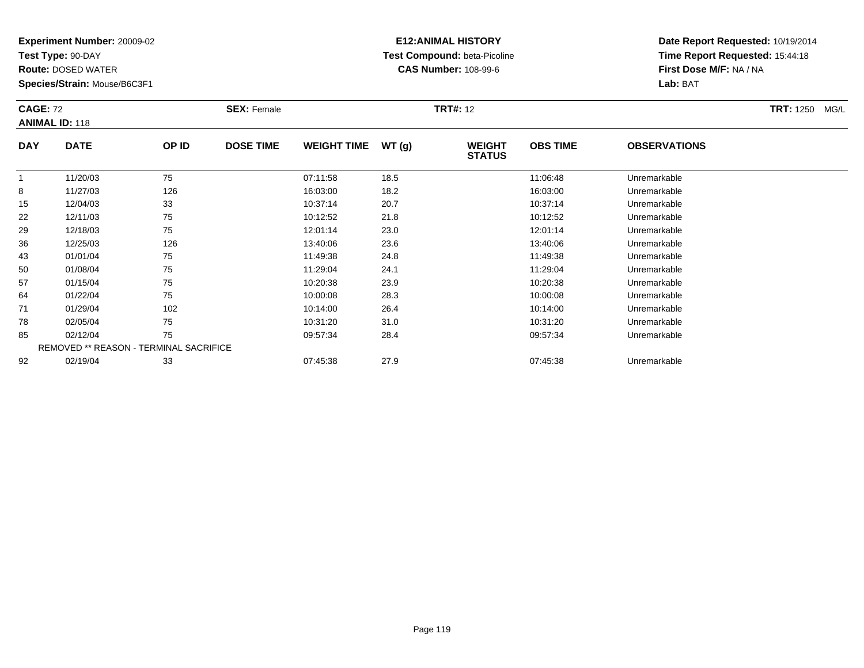**Test Type:** 90-DAY

92

**Route:** DOSED WATER

**Species/Strain:** Mouse/B6C3F1

REMOVED \*\* REASON - TERMINAL SACRIFICE

### **E12:ANIMAL HISTORY Test Compound:** beta-Picoline**CAS Number:** 108-99-6

**Date Report Requested:** 10/19/2014**Time Report Requested:** 15:44:18**First Dose M/F:** NA / NA**Lab:** BAT

| <b>CAGE: 72</b> | <b>ANIMAL ID: 118</b> |       | <b>SEX: Female</b> |                    |       | <b>TRT#: 12</b>                |                 |                     | <b>TRT: 1250</b><br>MG/L |
|-----------------|-----------------------|-------|--------------------|--------------------|-------|--------------------------------|-----------------|---------------------|--------------------------|
| <b>DAY</b>      | <b>DATE</b>           | OP ID | <b>DOSE TIME</b>   | <b>WEIGHT TIME</b> | WT(g) | <b>WEIGHT</b><br><b>STATUS</b> | <b>OBS TIME</b> | <b>OBSERVATIONS</b> |                          |
|                 | 11/20/03              | 75    |                    | 07:11:58           | 18.5  |                                | 11:06:48        | Unremarkable        |                          |
| 8               | 11/27/03              | 126   |                    | 16:03:00           | 18.2  |                                | 16:03:00        | Unremarkable        |                          |
| 15              | 12/04/03              | 33    |                    | 10:37:14           | 20.7  |                                | 10:37:14        | Unremarkable        |                          |
| 22              | 12/11/03              | 75    |                    | 10:12:52           | 21.8  |                                | 10:12:52        | Unremarkable        |                          |
| 29              | 12/18/03              | 75    |                    | 12:01:14           | 23.0  |                                | 12:01:14        | Unremarkable        |                          |
| 36              | 12/25/03              | 126   |                    | 13:40:06           | 23.6  |                                | 13:40:06        | Unremarkable        |                          |
| 43              | 01/01/04              | 75    |                    | 11:49:38           | 24.8  |                                | 11:49:38        | Unremarkable        |                          |
| 50              | 01/08/04              | 75    |                    | 11:29:04           | 24.1  |                                | 11:29:04        | Unremarkable        |                          |
| 57              | 01/15/04              | 75    |                    | 10:20:38           | 23.9  |                                | 10:20:38        | Unremarkable        |                          |
| 64              | 01/22/04              | 75    |                    | 10:00:08           | 28.3  |                                | 10:00:08        | Unremarkable        |                          |
| 71              | 01/29/04              | 102   |                    | 10:14:00           | 26.4  |                                | 10:14:00        | Unremarkable        |                          |
| 78              | 02/05/04              | 75    |                    | 10:31:20           | 31.0  |                                | 10:31:20        | Unremarkable        |                          |
| 85              | 02/12/04              | 75    |                    | 09:57:34           | 28.4  |                                | 09:57:34        | Unremarkable        |                          |

02/19/04 <sup>33</sup> 07:45:38 27.9 07:45:38 Unremarkable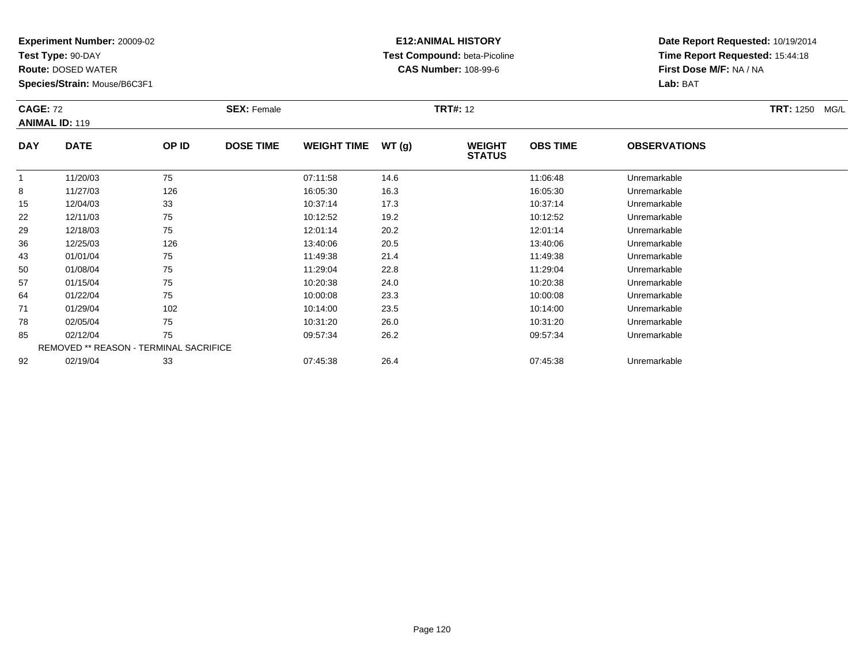**Test Type:** 90-DAY

92

**Route:** DOSED WATER

**Species/Strain:** Mouse/B6C3F1

# **E12:ANIMAL HISTORY Test Compound:** beta-Picoline**CAS Number:** 108-99-6

**Date Report Requested:** 10/19/2014**Time Report Requested:** 15:44:18**First Dose M/F:** NA / NA**Lab:** BAT

| <b>CAGE: 72</b><br><b>ANIMAL ID: 119</b> |                                               |       | <b>SEX: Female</b> |                    |       | <b>TRT#: 12</b>                |                 |                     | <b>TRT: 1250 MG/L</b> |
|------------------------------------------|-----------------------------------------------|-------|--------------------|--------------------|-------|--------------------------------|-----------------|---------------------|-----------------------|
| <b>DAY</b>                               | <b>DATE</b>                                   | OP ID | <b>DOSE TIME</b>   | <b>WEIGHT TIME</b> | WT(g) | <b>WEIGHT</b><br><b>STATUS</b> | <b>OBS TIME</b> | <b>OBSERVATIONS</b> |                       |
| 1                                        | 11/20/03                                      | 75    |                    | 07:11:58           | 14.6  |                                | 11:06:48        | Unremarkable        |                       |
| 8                                        | 11/27/03                                      | 126   |                    | 16:05:30           | 16.3  |                                | 16:05:30        | Unremarkable        |                       |
| 15                                       | 12/04/03                                      | 33    |                    | 10:37:14           | 17.3  |                                | 10:37:14        | Unremarkable        |                       |
| 22                                       | 12/11/03                                      | 75    |                    | 10:12:52           | 19.2  |                                | 10:12:52        | Unremarkable        |                       |
| 29                                       | 12/18/03                                      | 75    |                    | 12:01:14           | 20.2  |                                | 12:01:14        | Unremarkable        |                       |
| 36                                       | 12/25/03                                      | 126   |                    | 13:40:06           | 20.5  |                                | 13:40:06        | Unremarkable        |                       |
| 43                                       | 01/01/04                                      | 75    |                    | 11:49:38           | 21.4  |                                | 11:49:38        | Unremarkable        |                       |
| 50                                       | 01/08/04                                      | 75    |                    | 11:29:04           | 22.8  |                                | 11:29:04        | Unremarkable        |                       |
| 57                                       | 01/15/04                                      | 75    |                    | 10:20:38           | 24.0  |                                | 10:20:38        | Unremarkable        |                       |
| 64                                       | 01/22/04                                      | 75    |                    | 10:00:08           | 23.3  |                                | 10:00:08        | Unremarkable        |                       |
| 71                                       | 01/29/04                                      | 102   |                    | 10:14:00           | 23.5  |                                | 10:14:00        | Unremarkable        |                       |
| 78                                       | 02/05/04                                      | 75    |                    | 10:31:20           | 26.0  |                                | 10:31:20        | Unremarkable        |                       |
| 85                                       | 02/12/04                                      | 75    |                    | 09:57:34           | 26.2  |                                | 09:57:34        | Unremarkable        |                       |
|                                          | <b>REMOVED ** REASON - TERMINAL SACRIFICE</b> |       |                    |                    |       |                                |                 |                     |                       |

02/19/04 <sup>33</sup> 07:45:38 26.4 07:45:38 Unremarkable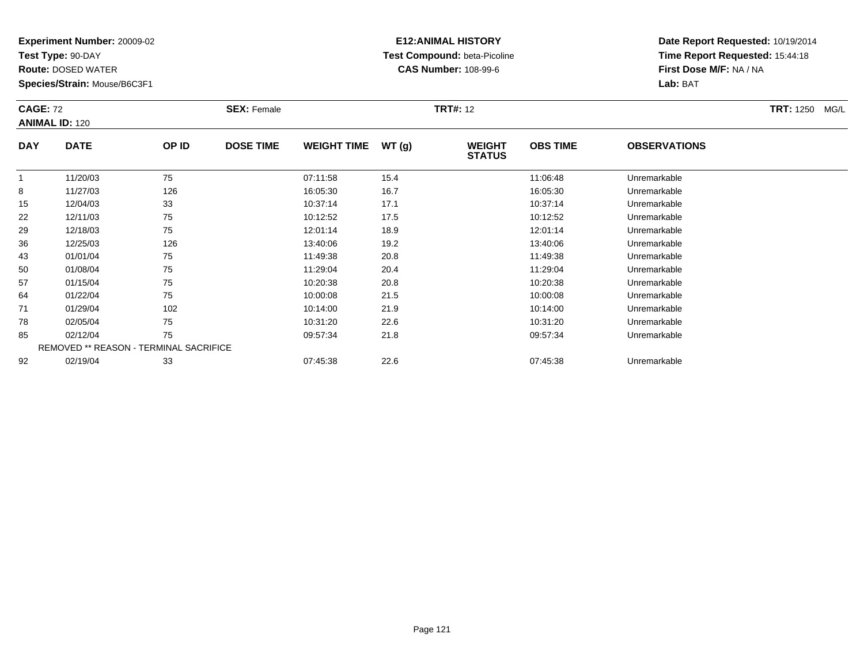**Test Type:** 90-DAY

**Route:** DOSED WATER

**Species/Strain:** Mouse/B6C3F1

# **E12:ANIMAL HISTORY Test Compound:** beta-Picoline**CAS Number:** 108-99-6

| <b>CAGE: 72</b><br><b>ANIMAL ID: 120</b> |                                        |       | <b>SEX: Female</b> |                    |       | <b>TRT#: 12</b>                | TRT: 1250 MG/L  |                     |  |
|------------------------------------------|----------------------------------------|-------|--------------------|--------------------|-------|--------------------------------|-----------------|---------------------|--|
| <b>DAY</b>                               | <b>DATE</b>                            | OP ID | <b>DOSE TIME</b>   | <b>WEIGHT TIME</b> | WT(g) | <b>WEIGHT</b><br><b>STATUS</b> | <b>OBS TIME</b> | <b>OBSERVATIONS</b> |  |
| $\mathbf{1}$                             | 11/20/03                               | 75    |                    | 07:11:58           | 15.4  |                                | 11:06:48        | Unremarkable        |  |
| 8                                        | 11/27/03                               | 126   |                    | 16:05:30           | 16.7  |                                | 16:05:30        | Unremarkable        |  |
| 15                                       | 12/04/03                               | 33    |                    | 10:37:14           | 17.1  |                                | 10:37:14        | Unremarkable        |  |
| 22                                       | 12/11/03                               | 75    |                    | 10:12:52           | 17.5  |                                | 10:12:52        | Unremarkable        |  |
| 29                                       | 12/18/03                               | 75    |                    | 12:01:14           | 18.9  |                                | 12:01:14        | Unremarkable        |  |
| 36                                       | 12/25/03                               | 126   |                    | 13:40:06           | 19.2  |                                | 13:40:06        | Unremarkable        |  |
| 43                                       | 01/01/04                               | 75    |                    | 11:49:38           | 20.8  |                                | 11:49:38        | Unremarkable        |  |
| 50                                       | 01/08/04                               | 75    |                    | 11:29:04           | 20.4  |                                | 11:29:04        | Unremarkable        |  |
| 57                                       | 01/15/04                               | 75    |                    | 10:20:38           | 20.8  |                                | 10:20:38        | Unremarkable        |  |
| 64                                       | 01/22/04                               | 75    |                    | 10:00:08           | 21.5  |                                | 10:00:08        | Unremarkable        |  |
| 71                                       | 01/29/04                               | 102   |                    | 10:14:00           | 21.9  |                                | 10:14:00        | Unremarkable        |  |
| 78                                       | 02/05/04                               | 75    |                    | 10:31:20           | 22.6  |                                | 10:31:20        | Unremarkable        |  |
| 85                                       | 02/12/04                               | 75    |                    | 09:57:34           | 21.8  |                                | 09:57:34        | Unremarkable        |  |
|                                          | REMOVED ** REASON - TERMINAL SACRIFICE |       |                    |                    |       |                                |                 |                     |  |
| 92                                       | 02/19/04                               | 33    |                    | 07:45:38           | 22.6  |                                | 07:45:38        | Unremarkable        |  |